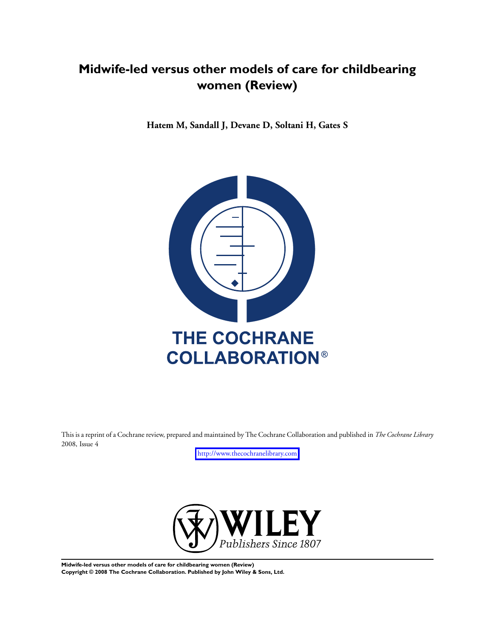# **Midwife-led versus other models of care for childbearing women (Review)**

**Hatem M, Sandall J, Devane D, Soltani H, Gates S**



This is a reprint of a Cochrane review, prepared and maintained by The Cochrane Collaboration and published in *The Cochrane Library* 2008, Issue 4

<http://www.thecochranelibrary.com>



**Midwife-led versus other models of care for childbearing women (Review) Copyright © 2008 The Cochrane Collaboration. Published by John Wiley & Sons, Ltd.**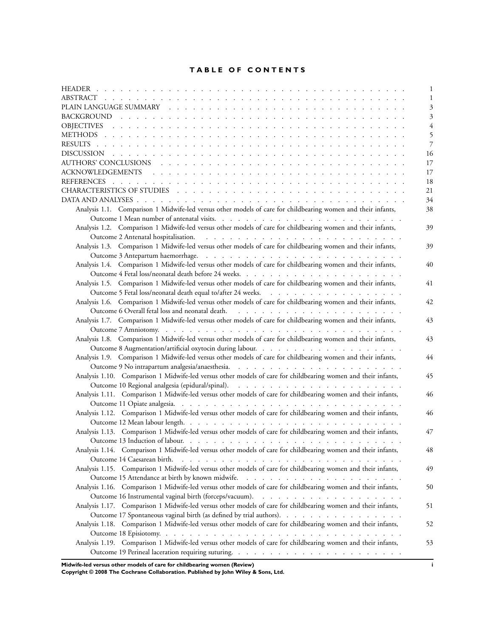## **TABLE OF CONTENTS**

|                                                                                                                                                | 1              |
|------------------------------------------------------------------------------------------------------------------------------------------------|----------------|
|                                                                                                                                                | $\mathbf{1}$   |
|                                                                                                                                                | 3              |
|                                                                                                                                                | 3              |
|                                                                                                                                                | 4              |
|                                                                                                                                                | 5              |
|                                                                                                                                                | $\overline{7}$ |
|                                                                                                                                                | 16             |
|                                                                                                                                                | 17             |
|                                                                                                                                                | 17             |
|                                                                                                                                                | 18             |
|                                                                                                                                                | 21             |
|                                                                                                                                                | 34             |
| Analysis 1.1. Comparison 1 Midwife-led versus other models of care for childbearing women and their infants,                                   | 38             |
|                                                                                                                                                |                |
| Analysis 1.2. Comparison 1 Midwife-led versus other models of care for childbearing women and their infants,                                   | 39             |
|                                                                                                                                                |                |
| Analysis 1.3. Comparison 1 Midwife-led versus other models of care for childbearing women and their infants,                                   | 39             |
|                                                                                                                                                |                |
| Analysis 1.4. Comparison 1 Midwife-led versus other models of care for childbearing women and their infants,                                   | 40             |
| Outcome 4 Fetal loss/neonatal death before 24 weeks                                                                                            |                |
| Analysis 1.5. Comparison 1 Midwife-led versus other models of care for childbearing women and their infants,                                   | 41             |
|                                                                                                                                                |                |
| Analysis 1.6. Comparison 1 Midwife-led versus other models of care for childbearing women and their infants,                                   | 42             |
|                                                                                                                                                |                |
| Analysis 1.7. Comparison 1 Midwife-led versus other models of care for childbearing women and their infants,                                   | 43             |
|                                                                                                                                                |                |
| Analysis 1.8. Comparison 1 Midwife-led versus other models of care for childbearing women and their infants,                                   | 43             |
|                                                                                                                                                |                |
| Analysis 1.9. Comparison 1 Midwife-led versus other models of care for childbearing women and their infants,                                   | 44             |
|                                                                                                                                                |                |
| Analysis 1.10. Comparison 1 Midwife-led versus other models of care for childbearing women and their infants,                                  | 45             |
|                                                                                                                                                |                |
| Analysis 1.11. Comparison 1 Midwife-led versus other models of care for childbearing women and their infants,                                  | 46             |
|                                                                                                                                                |                |
| Analysis 1.12. Comparison 1 Midwife-led versus other models of care for childbearing women and their infants,                                  | 46             |
|                                                                                                                                                |                |
| Analysis 1.13. Comparison 1 Midwife-led versus other models of care for childbearing women and their infants,                                  | 47             |
|                                                                                                                                                |                |
| Analysis 1.14. Comparison 1 Midwife-led versus other models of care for childbearing women and their infants,                                  | 48             |
| Outcome 14 Caesarean birth.<br>and a series of the contract of the contract of the contract of the contract of the contract of the contract of |                |
| Analysis 1.15. Comparison 1 Midwife-led versus other models of care for childbearing women and their infants,                                  | 49             |
|                                                                                                                                                |                |
| Analysis 1.16. Comparison 1 Midwife-led versus other models of care for childbearing women and their infants,                                  | 50             |
|                                                                                                                                                |                |
| Analysis 1.17. Comparison 1 Midwife-led versus other models of care for childbearing women and their infants,                                  | 51             |
| Outcome 17 Spontaneous vaginal birth (as defined by trial authors).                                                                            |                |
| Analysis 1.18. Comparison 1 Midwife-led versus other models of care for childbearing women and their infants,                                  | 52             |
|                                                                                                                                                |                |
| Analysis 1.19. Comparison 1 Midwife-led versus other models of care for childbearing women and their infants,                                  | 53             |
|                                                                                                                                                |                |
|                                                                                                                                                |                |

**Midwife-led versus other models of care for childbearing women (Review) i**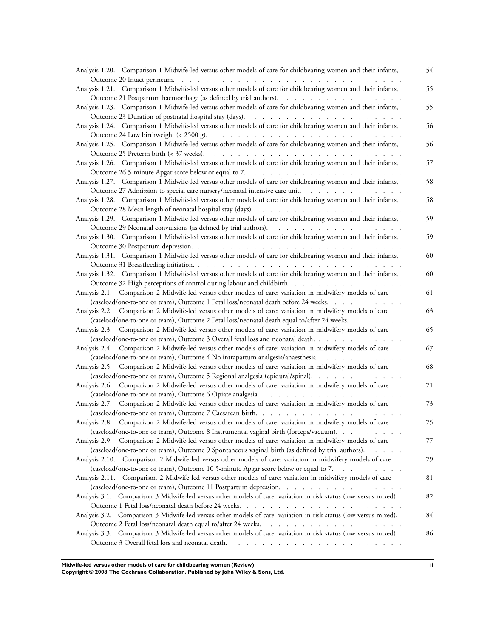| Analysis 1.20. Comparison 1 Midwife-led versus other models of care for childbearing women and their infants,                             | 54 |
|-------------------------------------------------------------------------------------------------------------------------------------------|----|
|                                                                                                                                           |    |
| Analysis 1.21. Comparison 1 Midwife-led versus other models of care for childbearing women and their infants,                             | 55 |
| Outcome 21 Postpartum haemorrhage (as defined by trial authors).                                                                          |    |
| Analysis 1.23. Comparison 1 Midwife-led versus other models of care for childbearing women and their infants,                             | 55 |
|                                                                                                                                           |    |
| Analysis 1.24. Comparison 1 Midwife-led versus other models of care for childbearing women and their infants,                             | 56 |
|                                                                                                                                           |    |
| Analysis 1.25. Comparison 1 Midwife-led versus other models of care for childbearing women and their infants,                             | 56 |
|                                                                                                                                           |    |
| Analysis 1.26. Comparison 1 Midwife-led versus other models of care for childbearing women and their infants,                             | 57 |
|                                                                                                                                           |    |
| Analysis 1.27. Comparison 1 Midwife-led versus other models of care for childbearing women and their infants,                             | 58 |
| Outcome 27 Admission to special care nursery/neonatal intensive care unit.                                                                |    |
| Analysis 1.28. Comparison 1 Midwife-led versus other models of care for childbearing women and their infants,                             | 58 |
|                                                                                                                                           |    |
| Analysis 1.29. Comparison 1 Midwife-led versus other models of care for childbearing women and their infants,                             | 59 |
|                                                                                                                                           |    |
| Analysis 1.30. Comparison 1 Midwife-led versus other models of care for childbearing women and their infants,                             | 59 |
|                                                                                                                                           |    |
| Analysis 1.31. Comparison 1 Midwife-led versus other models of care for childbearing women and their infants,                             | 60 |
|                                                                                                                                           |    |
| Analysis 1.32. Comparison 1 Midwife-led versus other models of care for childbearing women and their infants,                             | 60 |
| Outcome 32 High perceptions of control during labour and childbirth.                                                                      |    |
| Analysis 2.1. Comparison 2 Midwife-led versus other models of care: variation in midwifery models of care                                 | 61 |
| (caseload/one-to-one or team), Outcome 1 Fetal loss/neonatal death before 24 weeks.                                                       |    |
| Analysis 2.2. Comparison 2 Midwife-led versus other models of care: variation in midwifery models of care                                 | 63 |
| (caseload/one-to-one or team), Outcome 2 Fetal loss/neonatal death equal to/after 24 weeks.                                               |    |
| Analysis 2.3. Comparison 2 Midwife-led versus other models of care: variation in midwifery models of care                                 | 65 |
| (caseload/one-to-one or team), Outcome 3 Overall fetal loss and neonatal death.                                                           |    |
| Analysis 2.4. Comparison 2 Midwife-led versus other models of care: variation in midwifery models of care                                 | 67 |
| (caseload/one-to-one or team), Outcome 4 No intrapartum analgesia/anaesthesia.                                                            |    |
| Analysis 2.5. Comparison 2 Midwife-led versus other models of care: variation in midwifery models of care                                 | 68 |
| (caseload/one-to-one or team), Outcome 5 Regional analgesia (epidural/spinal).                                                            |    |
| Analysis 2.6. Comparison 2 Midwife-led versus other models of care: variation in midwifery models of care                                 | 71 |
| (caseload/one-to-one or team), Outcome 6 Opiate analgesia.                                                                                |    |
| Analysis 2.7. Comparison 2 Midwife-led versus other models of care: variation in midwifery models of care                                 | 73 |
|                                                                                                                                           |    |
| Analysis 2.8. Comparison 2 Midwife-led versus other models of care: variation in midwifery models of care                                 | 75 |
| (caseload/one-to-one or team), Outcome 8 Instrumental vaginal birth (forceps/vacuum).                                                     |    |
| Analysis 2.9. Comparison 2 Midwife-led versus other models of care: variation in midwifery models of care                                 | 77 |
| (caseload/one-to-one or team), Outcome 9 Spontaneous vaginal birth (as defined by trial authors).<br>$\sim$ 10 $\sim$ 10 $\sim$ 10 $\sim$ |    |
| Analysis 2.10. Comparison 2 Midwife-led versus other models of care: variation in midwifery models of care                                | 79 |
| (caseload/one-to-one or team), Outcome 10 5-minute Apgar score below or equal to 7.                                                       |    |
| Analysis 2.11. Comparison 2 Midwife-led versus other models of care: variation in midwifery models of care                                | 81 |
| (caseload/one-to-one or team), Outcome 11 Postpartum depression.                                                                          |    |
| Analysis 3.1. Comparison 3 Midwife-led versus other models of care: variation in risk status (low versus mixed),                          | 82 |
|                                                                                                                                           |    |
| Analysis 3.2. Comparison 3 Midwife-led versus other models of care: variation in risk status (low versus mixed),                          | 84 |
|                                                                                                                                           |    |
|                                                                                                                                           | 86 |
| Analysis 3.3. Comparison 3 Midwife-led versus other models of care: variation in risk status (low versus mixed),                          |    |
|                                                                                                                                           |    |

**Midwife-led versus other models of care for childbearing women (Review) ii**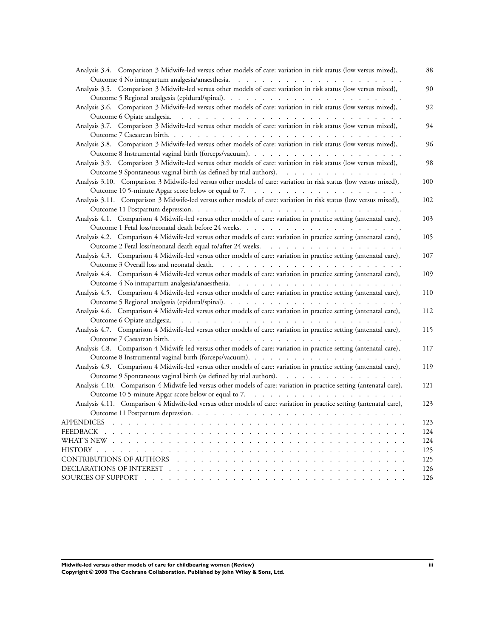| Analysis 3.4. Comparison 3 Midwife-led versus other models of care: variation in risk status (low versus mixed),     | 88  |
|----------------------------------------------------------------------------------------------------------------------|-----|
|                                                                                                                      |     |
| Analysis 3.5. Comparison 3 Midwife-led versus other models of care: variation in risk status (low versus mixed),     | 90  |
|                                                                                                                      |     |
| Analysis 3.6. Comparison 3 Midwife-led versus other models of care: variation in risk status (low versus mixed),     | 92  |
|                                                                                                                      |     |
| Analysis 3.7. Comparison 3 Midwife-led versus other models of care: variation in risk status (low versus mixed),     | 94  |
| Analysis 3.8. Comparison 3 Midwife-led versus other models of care: variation in risk status (low versus mixed),     | 96  |
|                                                                                                                      |     |
| Analysis 3.9. Comparison 3 Midwife-led versus other models of care: variation in risk status (low versus mixed),     | 98  |
| Outcome 9 Spontaneous vaginal birth (as defined by trial authors).                                                   |     |
| Analysis 3.10. Comparison 3 Midwife-led versus other models of care: variation in risk status (low versus mixed),    | 100 |
|                                                                                                                      |     |
| Analysis 3.11. Comparison 3 Midwife-led versus other models of care: variation in risk status (low versus mixed),    | 102 |
|                                                                                                                      |     |
| Analysis 4.1. Comparison 4 Midwife-led versus other models of care: variation in practice setting (antenatal care),  | 103 |
|                                                                                                                      |     |
| Analysis 4.2. Comparison 4 Midwife-led versus other models of care: variation in practice setting (antenatal care),  | 105 |
|                                                                                                                      |     |
| Analysis 4.3. Comparison 4 Midwife-led versus other models of care: variation in practice setting (antenatal care),  | 107 |
|                                                                                                                      |     |
| Analysis 4.4. Comparison 4 Midwife-led versus other models of care: variation in practice setting (antenatal care),  | 109 |
|                                                                                                                      |     |
| Analysis 4.5. Comparison 4 Midwife-led versus other models of care: variation in practice setting (antenatal care),  | 110 |
|                                                                                                                      |     |
| Analysis 4.6. Comparison 4 Midwife-led versus other models of care: variation in practice setting (antenatal care),  | 112 |
|                                                                                                                      |     |
| Analysis 4.7. Comparison 4 Midwife-led versus other models of care: variation in practice setting (antenatal care),  | 115 |
|                                                                                                                      |     |
| Analysis 4.8. Comparison 4 Midwife-led versus other models of care: variation in practice setting (antenatal care),  | 117 |
|                                                                                                                      |     |
| Analysis 4.9. Comparison 4 Midwife-led versus other models of care: variation in practice setting (antenatal care),  | 119 |
| Outcome 9 Spontaneous vaginal birth (as defined by trial authors).                                                   |     |
| Analysis 4.10. Comparison 4 Midwife-led versus other models of care: variation in practice setting (antenatal care), | 121 |
|                                                                                                                      |     |
| Analysis 4.11. Comparison 4 Midwife-led versus other models of care: variation in practice setting (antenatal care), | 123 |
|                                                                                                                      |     |
|                                                                                                                      | 123 |
|                                                                                                                      | 124 |
|                                                                                                                      | 124 |
|                                                                                                                      | 125 |
|                                                                                                                      | 125 |
|                                                                                                                      | 126 |
|                                                                                                                      | 126 |
|                                                                                                                      |     |

**Midwife-led versus other models of care for childbearing women (Review) iii Copyright © 2008 The Cochrane Collaboration. Published by John Wiley & Sons, Ltd.**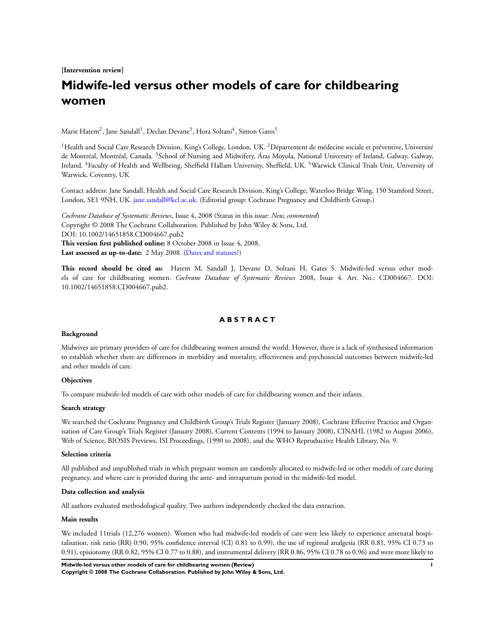**[Intervention review]**

# **Midwife-led versus other models of care for childbearing women**

Marie Hatem<sup>2</sup>, Jane Sandall<sup>1</sup>, Declan Devane<sup>3</sup>, Hora Soltani<sup>4</sup>, Simon Gates<sup>5</sup>

<sup>1</sup>Health and Social Care Research Division, King's College, London, UK. <sup>2</sup>Département de médecine sociale et préventive, Université de Montréal, Montréal, Canada. <sup>3</sup>School of Nursing and Midwifery, Áras Moyola, National University of Ireland, Galway, Galway, Ireland. <sup>4</sup>Faculty of Health and Wellbeing, Sheffield Hallam University, Sheffield, UK. <sup>5</sup>Warwick Clinical Trials Unit, University of Warwick, Coventry, UK

Contact address: Jane Sandall, Health and Social Care Research Division, King's College, Waterloo Bridge Wing, 150 Stamford Street, London, SE1 9NH, UK. [jane.sandall@kcl.ac.uk.](mailto:jane.sandall@kcl.ac.uk) (Editorial group: Cochrane Pregnancy and Childbirth Group.)

*Cochrane Database of Systematic Reviews*, Issue 4, 2008 (Status in this issue: *New, commented*) Copyright © 2008 The Cochrane Collaboration. Published by John Wiley & Sons, Ltd. DOI: 10.1002/14651858.CD004667.pub2 **This version first published online:** 8 October 2008 in Issue 4, 2008. **Last assessed as up-to-date:** 2 May 2008. ([Dates and statuses?](http://www3.interscience.wiley.com/cgi-bin/mrwhome/106568753/DatesStatuses.pdf))

**This record should be cited as:** Hatem M, Sandall J, Devane D, Soltani H, Gates S. Midwife-led versus other models of care for childbearing women. *Cochrane Database of Systematic Reviews* 2008, Issue 4. Art. No.: CD004667. DOI: 10.1002/14651858.CD004667.pub2.

## **A B S T R A C T**

#### **Background**

Midwives are primary providers of care for childbearing women around the world. However, there is a lack of synthesised information to establish whether there are differences in morbidity and mortality, effectiveness and psychosocial outcomes between midwife-led and other models of care.

## **Objectives**

To compare midwife-led models of care with other models of care for childbearing women and their infants.

#### **Search strategy**

We searched the Cochrane Pregnancy and Childbirth Group's Trials Register (January 2008), Cochrane Effective Practice and Organisation of Care Group's Trials Register (January 2008), Current Contents (1994 to January 2008), CINAHL (1982 to August 2006), Web of Science, BIOSIS Previews, ISI Proceedings, (1990 to 2008), and the WHO Reproductive Health Library, No. 9.

#### **Selection criteria**

All published and unpublished trials in which pregnant women are randomly allocated to midwife-led or other models of care during pregnancy, and where care is provided during the ante- and intrapartum period in the midwife-led model.

#### **Data collection and analysis**

All authors evaluated methodological quality. Two authors independently checked the data extraction.

#### **Main results**

We included 11trials (12,276 women). Women who had midwife-led models of care were less likely to experience antenatal hospitalisation, risk ratio (RR) 0.90, 95% confidence interval (CI) 0.81 to 0.99), the use of regional analgesia (RR 0.81, 95% CI 0.73 to 0.91), episiotomy (RR 0.82, 95% CI 0.77 to 0.88), and instrumental delivery (RR 0.86, 95% CI 0.78 to 0.96) and were more likely to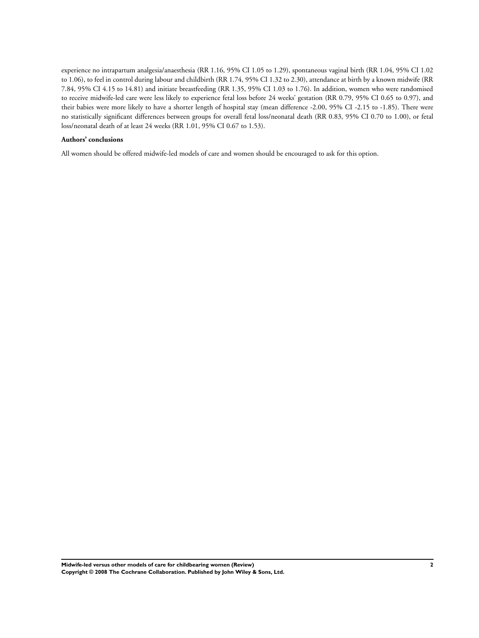experience no intrapartum analgesia/anaesthesia (RR 1.16, 95% CI 1.05 to 1.29), spontaneous vaginal birth (RR 1.04, 95% CI 1.02 to 1.06), to feel in control during labour and childbirth (RR 1.74, 95% CI 1.32 to 2.30), attendance at birth by a known midwife (RR 7.84, 95% CI 4.15 to 14.81) and initiate breastfeeding (RR 1.35, 95% CI 1.03 to 1.76). In addition, women who were randomised to receive midwife-led care were less likely to experience fetal loss before 24 weeks' gestation (RR 0.79, 95% CI 0.65 to 0.97), and their babies were more likely to have a shorter length of hospital stay (mean difference -2.00, 95% CI -2.15 to -1.85). There were no statistically significant differences between groups for overall fetal loss/neonatal death (RR 0.83, 95% CI 0.70 to 1.00), or fetal loss/neonatal death of at least 24 weeks (RR 1.01, 95% CI 0.67 to 1.53).

#### **Authors' conclusions**

All women should be offered midwife-led models of care and women should be encouraged to ask for this option.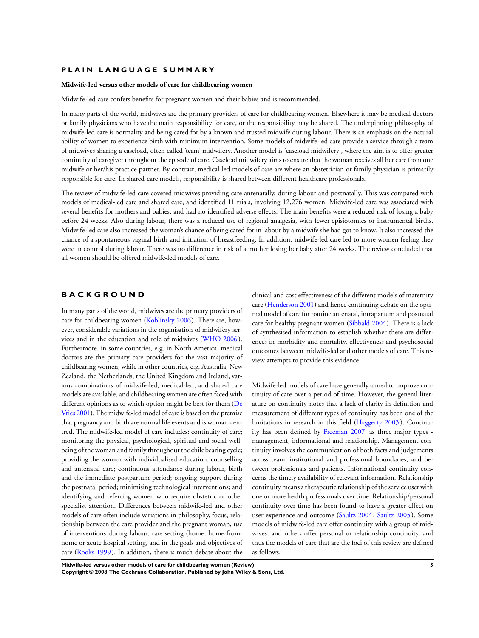#### **P L A I N L A N G U A G E S U M M A R Y**

#### **Midwife-led versus other models of care for childbearing women**

Midwife-led care confers benefits for pregnant women and their babies and is recommended.

In many parts of the world, midwives are the primary providers of care for childbearing women. Elsewhere it may be medical doctors or family physicians who have the main responsibility for care, or the responsibility may be shared. The underpinning philosophy of midwife-led care is normality and being cared for by a known and trusted midwife during labour. There is an emphasis on the natural ability of women to experience birth with minimum intervention. Some models of midwife-led care provide a service through a team of midwives sharing a caseload, often called 'team' midwifery. Another model is 'caseload midwifery', where the aim is to offer greater continuity of caregiver throughout the episode of care. Caseload midwifery aims to ensure that the woman receives all her care from one midwife or her/his practice partner. By contrast, medical-led models of care are where an obstetrician or family physician is primarily responsible for care. In shared-care models, responsibility is shared between different healthcare professionals.

The review of midwife-led care covered midwives providing care antenatally, during labour and postnatally. This was compared with models of medical-led care and shared care, and identified 11 trials, involving 12,276 women. Midwife-led care was associated with several benefits for mothers and babies, and had no identified adverse effects. The main benefits were a reduced risk of losing a baby before 24 weeks. Also during labour, there was a reduced use of regional analgesia, with fewer episiotomies or instrumental births. Midwife-led care also increased the woman's chance of being cared for in labour by a midwife she had got to know. It also increased the chance of a spontaneous vaginal birth and initiation of breastfeeding. In addition, midwife-led care led to more women feeling they were in control during labour. There was no difference in risk of a mother losing her baby after 24 weeks. The review concluded that all women should be offered midwife-led models of care.

#### **B A C K G R O U N D**

In many parts of the world, midwives are the primary providers of care for childbearing women ([Koblinsky 2006](#page-21-0)). There are, however, considerable variations in the organisation of midwifery services and in the education and role of midwives [\(WHO 2006](#page-21-0)). Furthermore, in some countries, e.g. in North America, medical doctors are the primary care providers for the vast majority of childbearing women, while in other countries, e.g. Australia, New Zealand, the Netherlands, the United Kingdom and Ireland, various combinations of midwife-led, medical-led, and shared care models are available, and childbearing women are often faced with different opinions as to which option might be best for them ([De](#page-21-0) [Vries 2001\)](#page-21-0). The midwife-led model of care is based on the premise that pregnancy and birth are normal life events and is woman-centred. The midwife-led model of care includes: continuity of care; monitoring the physical, psychological, spiritual and social wellbeing of the woman and family throughout the childbearing cycle; providing the woman with individualised education, counselling and antenatal care; continuous attendance during labour, birth and the immediate postpartum period; ongoing support during the postnatal period; minimising technological interventions; and identifying and referring women who require obstetric or other specialist attention. Differences between midwife-led and other models of care often include variations in philosophy, focus, relationship between the care provider and the pregnant woman, use of interventions during labour, care setting (home, home-fromhome or acute hospital setting, and in the goals and objectives of care ([Rooks 1999](#page-21-0)). In addition, there is much debate about the

clinical and cost effectiveness of the different models of maternity care ([Henderson 2001](#page-21-0)) and hence continuing debate on the optimal model of care for routine antenatal, intrapartum and postnatal care for healthy pregnant women ([Sibbald 2004](#page-21-0)). There is a lack of synthesised information to establish whether there are differences in morbidity and mortality, effectiveness and psychosocial outcomes between midwife-led and other models of care. This review attempts to provide this evidence.

Midwife-led models of care have generally aimed to improve continuity of care over a period of time. However, the general literature on continuity notes that a lack of clarity in definition and measurement of different types of continuity has been one of the limitations in research in this field [\(Haggerty 2003](#page-21-0) ). Continuity has been defined by [Freeman 2007](#page-21-0) as three major types management, informational and relationship. Management continuity involves the communication of both facts and judgements across team, institutional and professional boundaries, and between professionals and patients. Informational continuity concerns the timely availability of relevant information. Relationship continuity means a therapeutic relationship of the service user with one or more health professionals over time. Relationship/personal continuity over time has been found to have a greater effect on user experience and outcome ([Saultz 2004](#page-21-0); [Saultz 2005](#page-21-0)). Some models of midwife-led care offer continuity with a group of midwives, and others offer personal or relationship continuity, and thus the models of care that are the foci of this review are defined as follows.

**Midwife-led versus other models of care for childbearing women (Review) 3 Copyright © 2008 The Cochrane Collaboration. Published by John Wiley & Sons, Ltd.**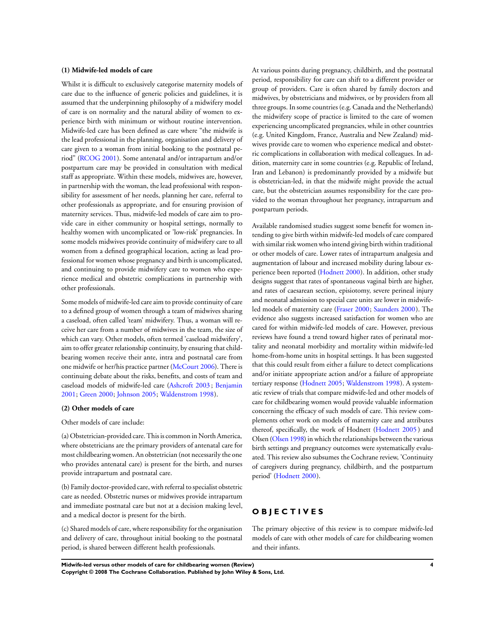## **(1) Midwife-led models of care**

Whilst it is difficult to exclusively categorise maternity models of care due to the influence of generic policies and guidelines, it is assumed that the underpinning philosophy of a midwifery model of care is on normality and the natural ability of women to experience birth with minimum or without routine intervention. Midwife-led care has been defined as care where "the midwife is the lead professional in the planning, organisation and delivery of care given to a woman from initial booking to the postnatal period" [\(RCOG 2001](#page-21-0)). Some antenatal and/or intrapartum and/or postpartum care may be provided in consultation with medical staff as appropriate. Within these models, midwives are, however, in partnership with the woman, the lead professional with responsibility for assessment of her needs, planning her care, referral to other professionals as appropriate, and for ensuring provision of maternity services. Thus, midwife-led models of care aim to provide care in either community or hospital settings, normally to healthy women with uncomplicated or 'low-risk' pregnancies. In some models midwives provide continuity of midwifery care to all women from a defined geographical location, acting as lead professional for women whose pregnancy and birth is uncomplicated, and continuing to provide midwifery care to women who experience medical and obstetric complications in partnership with other professionals.

Some models of midwife-led care aim to provide continuity of care to a defined group of women through a team of midwives sharing a caseload, often called 'team' midwifery. Thus, a woman will receive her care from a number of midwives in the team, the size of which can vary. Other models, often termed 'caseload midwifery', aim to offer greater relationship continuity, by ensuring that childbearing women receive their ante, intra and postnatal care from one midwife or her/his practice partner [\(McCourt 2006\)](#page-21-0). There is continuing debate about the risks, benefits, and costs of team and caseload models of midwife-led care [\(Ashcroft 2003](#page-21-0) ; [Benjamin](#page-21-0) [2001](#page-21-0); [Green 2000;](#page-21-0) [Johnson 2005](#page-21-0); [Waldenstrom 1998\)](#page-21-0).

#### **(2) Other models of care**

#### Other models of care include:

(a) Obstetrician-provided care. This is common in North America, where obstetricians are the primary providers of antenatal care for most childbearing women. An obstetrician (not necessarily the one who provides antenatal care) is present for the birth, and nurses provide intrapartum and postnatal care.

(b) Family doctor-provided care, with referral to specialist obstetric care as needed. Obstetric nurses or midwives provide intrapartum and immediate postnatal care but not at a decision making level, and a medical doctor is present for the birth.

(c) Shared models of care, where responsibility for the organisation and delivery of care, throughout initial booking to the postnatal period, is shared between different health professionals.

At various points during pregnancy, childbirth, and the postnatal period, responsibility for care can shift to a different provider or group of providers. Care is often shared by family doctors and midwives, by obstetricians and midwives, or by providers from all three groups. In some countries (e.g. Canada and the Netherlands) the midwifery scope of practice is limited to the care of women experiencing uncomplicated pregnancies, while in other countries (e.g. United Kingdom, France, Australia and New Zealand) midwives provide care to women who experience medical and obstetric complications in collaboration with medical colleagues. In addition, maternity care in some countries (e.g. Republic of Ireland, Iran and Lebanon) is predominantly provided by a midwife but is obstetrician-led, in that the midwife might provide the actual care, but the obstetrician assumes responsibility for the care provided to the woman throughout her pregnancy, intrapartum and postpartum periods.

Available randomised studies suggest some benefit for women intending to give birth within midwife-led models of care compared with similar risk women who intend giving birth within traditional or other models of care. Lower rates of intrapartum analgesia and augmentation of labour and increased mobility during labour experience been reported [\(Hodnett 2000](#page-21-0)). In addition, other study designs suggest that rates of spontaneous vaginal birth are higher, and rates of caesarean section, episiotomy, severe perineal injury and neonatal admission to special care units are lower in midwifeled models of maternity care ([Fraser 2000](#page-21-0); [Saunders 2000](#page-21-0)). The evidence also suggests increased satisfaction for women who are cared for within midwife-led models of care. However, previous reviews have found a trend toward higher rates of perinatal mortality and neonatal morbidity and mortality within midwife-led home-from-home units in hospital settings. It has been suggested that this could result from either a failure to detect complications and/or initiate appropriate action and/or a failure of appropriate tertiary response [\(Hodnett 2005](#page-21-0); [Waldenstrom 1998](#page-21-0)). A systematic review of trials that compare midwife-led and other models of care for childbearing women would provide valuable information concerning the efficacy of such models of care. This review complements other work on models of maternity care and attributes thereof, specifically, the work of Hodnett ([Hodnett 2005](#page-21-0) ) and Olsen [\(Olsen 1998\)](#page-21-0) in which the relationships between the various birth settings and pregnancy outcomes were systematically evaluated. This review also subsumes the Cochrane review, 'Continuity of caregivers during pregnancy, childbirth, and the postpartum period' ([Hodnett 2000](#page-21-0)).

## **O B J E C T I V E S**

The primary objective of this review is to compare midwife-led models of care with other models of care for childbearing women and their infants.

**Midwife-led versus other models of care for childbearing women (Review) 4 Copyright © 2008 The Cochrane Collaboration. Published by John Wiley & Sons, Ltd.**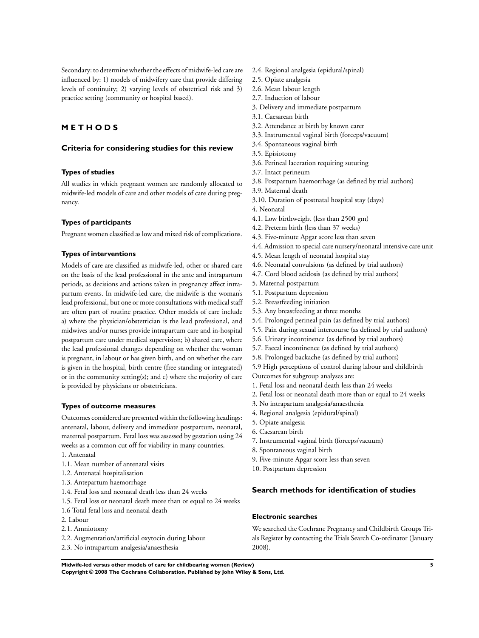Secondary: to determine whether the effects of midwife-led care are influenced by: 1) models of midwifery care that provide differing levels of continuity; 2) varying levels of obstetrical risk and 3) practice setting (community or hospital based).

## **M E T H O D S**

#### **Criteria for considering studies for this review**

### **Types of studies**

All studies in which pregnant women are randomly allocated to midwife-led models of care and other models of care during pregnancy.

#### **Types of participants**

Pregnant women classified as low and mixed risk of complications.

#### **Types of interventions**

Models of care are classified as midwife-led, other or shared care on the basis of the lead professional in the ante and intrapartum periods, as decisions and actions taken in pregnancy affect intrapartum events. In midwife-led care, the midwife is the woman's lead professional, but one or more consultations with medical staff are often part of routine practice. Other models of care include a) where the physician/obstetrician is the lead professional, and midwives and/or nurses provide intrapartum care and in-hospital postpartum care under medical supervision; b) shared care, where the lead professional changes depending on whether the woman is pregnant, in labour or has given birth, and on whether the care is given in the hospital, birth centre (free standing or integrated) or in the community setting(s); and c) where the majority of care is provided by physicians or obstetricians.

#### **Types of outcome measures**

Outcomes considered are presented within the following headings: antenatal, labour, delivery and immediate postpartum, neonatal, maternal postpartum. Fetal loss was assessed by gestation using 24 weeks as a common cut off for viability in many countries.

- 1. Antenatal
- 1.1. Mean number of antenatal visits
- 1.2. Antenatal hospitalisation
- 1.3. Antepartum haemorrhage
- 1.4. Fetal loss and neonatal death less than 24 weeks
- 1.5. Fetal loss or neonatal death more than or equal to 24 weeks
- 1.6 Total fetal loss and neonatal death
- 2. Labour
- 2.1. Amniotomy
- 2.2. Augmentation/artificial oxytocin during labour
- 2.3. No intrapartum analgesia/anaesthesia
- 2.4. Regional analgesia (epidural/spinal)
- 2.5. Opiate analgesia
- 2.6. Mean labour length
- 2.7. Induction of labour
- 3. Delivery and immediate postpartum
- 3.1. Caesarean birth
- 3.2. Attendance at birth by known carer
- 3.3. Instrumental vaginal birth (forceps/vacuum)
- 3.4. Spontaneous vaginal birth
- 3.5. Episiotomy
- 3.6. Perineal laceration requiring suturing
- 3.7. Intact perineum
- 3.8. Postpartum haemorrhage (as defined by trial authors)
- 3.9. Maternal death
- 3.10. Duration of postnatal hospital stay (days)
- 4. Neonatal
- 4.1. Low birthweight (less than 2500 gm)
- 4.2. Preterm birth (less than 37 weeks)
- 4.3. Five-minute Apgar score less than seven
- 4.4. Admission to special care nursery/neonatal intensive care unit
- 4.5. Mean length of neonatal hospital stay
- 4.6. Neonatal convulsions (as defined by trial authors)
- 4.7. Cord blood acidosis (as defined by trial authors)
- 5. Maternal postpartum
- 5.1. Postpartum depression
- 5.2. Breastfeeding initiation
- 5.3. Any breastfeeding at three months
- 5.4. Prolonged perineal pain (as defined by trial authors)
- 5.5. Pain during sexual intercourse (as defined by trial authors)
- 5.6. Urinary incontinence (as defined by trial authors)
- 5.7. Faecal incontinence (as defined by trial authors)
- 5.8. Prolonged backache (as defined by trial authors)
- 5.9 High perceptions of control during labour and childbirth
- Outcomes for subgroup analyses are:
- 1. Fetal loss and neonatal death less than 24 weeks
- 2. Fetal loss or neonatal death more than or equal to 24 weeks
- 3. No intrapartum analgesia/anaesthesia
- 4. Regional analgesia (epidural/spinal)
- 5. Opiate analgesia
- 6. Caesarean birth
- 7. Instrumental vaginal birth (forceps/vacuum)
- 8. Spontaneous vaginal birth
- 9. Five-minute Apgar score less than seven
- 10. Postpartum depression

## **Search methods for identification of studies**

#### **Electronic searches**

We searched the Cochrane Pregnancy and Childbirth Groups Trials Register by contacting the Trials Search Co-ordinator (January 2008).

**Midwife-led versus other models of care for childbearing women (Review) 5 Copyright © 2008 The Cochrane Collaboration. Published by John Wiley & Sons, Ltd.**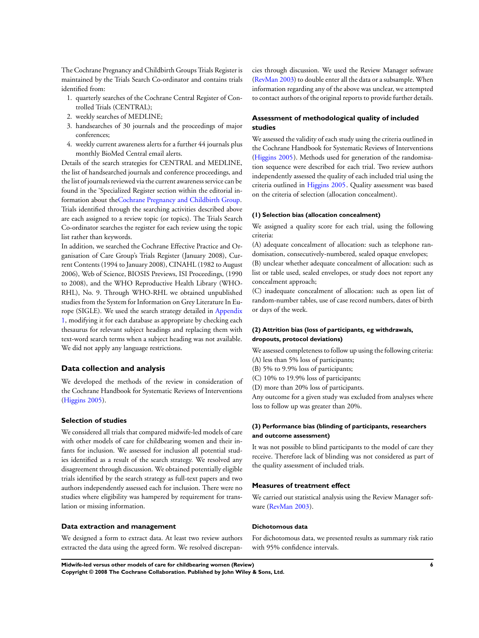The Cochrane Pregnancy and Childbirth Groups Trials Register is maintained by the Trials Search Co-ordinator and contains trials identified from:

- 1. quarterly searches of the Cochrane Central Register of Controlled Trials (CENTRAL);
- 2. weekly searches of MEDLINE;
- 3. handsearches of 30 journals and the proceedings of major conferences;
- 4. weekly current awareness alerts for a further 44 journals plus monthly BioMed Central email alerts.

Details of the search strategies for CENTRAL and MEDLINE, the list of handsearched journals and conference proceedings, and the list of journals reviewed via the current awareness service can be found in the 'Specialized Register section within the editorial information about the[Cochrane Pregnancy and Childbirth Group](http://www.mrw.interscience.wiley.com/cochrane/clabout/articles/PREG/frame.html). Trials identified through the searching activities described above are each assigned to a review topic (or topics). The Trials Search Co-ordinator searches the register for each review using the topic list rather than keywords.

In addition, we searched the Cochrane Effective Practice and Organisation of Care Group's Trials Register (January 2008), Current Contents (1994 to January 2008), CINAHL (1982 to August 2006), Web of Science, BIOSIS Previews, ISI Proceedings, (1990 to 2008), and the WHO Reproductive Health Library (WHO-RHL), No. 9. Through WHO-RHL we obtained unpublished studies from the System for Information on Grey Literature In Europe (SIGLE). We used the search strategy detailed in [Appendix](#page-127-0) [1,](#page-127-0) modifying it for each database as appropriate by checking each thesaurus for relevant subject headings and replacing them with text-word search terms when a subject heading was not available. We did not apply any language restrictions.

## **Data collection and analysis**

We developed the methods of the review in consideration of the Cochrane Handbook for Systematic Reviews of Interventions [\(Higgins 2005\)](#page-21-0).

#### **Selection of studies**

We considered all trials that compared midwife-led models of care with other models of care for childbearing women and their infants for inclusion. We assessed for inclusion all potential studies identified as a result of the search strategy. We resolved any disagreement through discussion. We obtained potentially eligible trials identified by the search strategy as full-text papers and two authors independently assessed each for inclusion. There were no studies where eligibility was hampered by requirement for translation or missing information.

#### **Data extraction and management**

We designed a form to extract data. At least two review authors extracted the data using the agreed form. We resolved discrepancies through discussion. We used the Review Manager software [\(RevMan 2003](#page-21-0)) to double enter all the data or a subsample. When information regarding any of the above was unclear, we attempted to contact authors of the original reports to provide further details.

## **Assessment of methodological quality of included studies**

We assessed the validity of each study using the criteria outlined in the Cochrane Handbook for Systematic Reviews of Interventions [\(Higgins 2005](#page-21-0)). Methods used for generation of the randomisation sequence were described for each trial. Two review authors independently assessed the quality of each included trial using the criteria outlined in [Higgins 2005](#page-21-0). Quality assessment was based on the criteria of selection (allocation concealment).

#### **(1) Selection bias (allocation concealment)**

We assigned a quality score for each trial, using the following criteria:

(A) adequate concealment of allocation: such as telephone randomisation, consecutively-numbered, sealed opaque envelopes;

(B) unclear whether adequate concealment of allocation: such as list or table used, sealed envelopes, or study does not report any concealment approach;

(C) inadequate concealment of allocation: such as open list of random-number tables, use of case record numbers, dates of birth or days of the week.

## **(2) Attrition bias (loss of participants, eg withdrawals, dropouts, protocol deviations)**

We assessed completeness to follow up using the following criteria:

- (A) less than 5% loss of participants;
- (B) 5% to 9.9% loss of participants;
- (C) 10% to 19.9% loss of participants;
- (D) more than 20% loss of participants.

Any outcome for a given study was excluded from analyses where loss to follow up was greater than 20%.

## **(3) Performance bias (blinding of participants, researchers and outcome assessment)**

It was not possible to blind participants to the model of care they receive. Therefore lack of blinding was not considered as part of the quality assessment of included trials.

## **Measures of treatment effect**

We carried out statistical analysis using the Review Manager software [\(RevMan 2003](#page-21-0)).

#### **Dichotomous data**

For dichotomous data, we presented results as summary risk ratio with 95% confidence intervals.

**Midwife-led versus other models of care for childbearing women (Review) 6 Copyright © 2008 The Cochrane Collaboration. Published by John Wiley & Sons, Ltd.**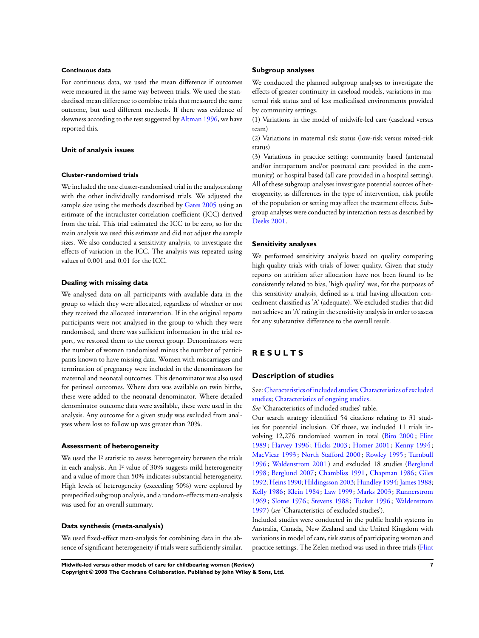#### **Continuous data**

For continuous data, we used the mean difference if outcomes were measured in the same way between trials. We used the standardised mean difference to combine trials that measured the same outcome, but used different methods. If there was evidence of skewness according to the test suggested by [Altman 1996](#page-21-0), we have reported this.

#### **Unit of analysis issues**

#### **Cluster-randomised trials**

We included the one cluster-randomised trial in the analyses along with the other individually randomised trials. We adjusted the sample size using the methods described by [Gates 2005](#page-21-0) using an estimate of the intracluster correlation coefficient (ICC) derived from the trial. This trial estimated the ICC to be zero, so for the main analysis we used this estimate and did not adjust the sample sizes. We also conducted a sensitivity analysis, to investigate the effects of variation in the ICC. The analysis was repeated using values of 0.001 and 0.01 for the ICC.

#### **Dealing with missing data**

We analysed data on all participants with available data in the group to which they were allocated, regardless of whether or not they received the allocated intervention. If in the original reports participants were not analysed in the group to which they were randomised, and there was sufficient information in the trial report, we restored them to the correct group. Denominators were the number of women randomised minus the number of participants known to have missing data. Women with miscarriages and termination of pregnancy were included in the denominators for maternal and neonatal outcomes. This denominator was also used for perineal outcomes. Where data was available on twin births, these were added to the neonatal denominator. Where detailed denominator outcome data were available, these were used in the analysis. Any outcome for a given study was excluded from analyses where loss to follow up was greater than 20%.

#### **Assessment of heterogeneity**

We used the I<sup>2</sup> statistic to assess heterogeneity between the trials in each analysis. An I² value of 30% suggests mild heterogeneity and a value of more than 50% indicates substantial heterogeneity. High levels of heterogeneity (exceeding 50%) were explored by prespecified subgroup analysis, and a random-effects meta-analysis was used for an overall summary.

#### **Data synthesis (meta-analysis)**

We used fixed-effect meta-analysis for combining data in the absence of significant heterogeneity if trials were sufficiently similar.

#### **Subgroup analyses**

We conducted the planned subgroup analyses to investigate the effects of greater continuity in caseload models, variations in maternal risk status and of less medicalised environments provided by community settings.

(1) Variations in the model of midwife-led care (caseload versus team)

(2) Variations in maternal risk status (low-risk versus mixed-risk status)

(3) Variations in practice setting: community based (antenatal and/or intrapartum and/or postnatal care provided in the community) or hospital based (all care provided in a hospital setting). All of these subgroup analyses investigate potential sources of heterogeneity, as differences in the type of intervention, risk profile of the population or setting may affect the treatment effects. Subgroup analyses were conducted by interaction tests as described by [Deeks 2001](#page-21-0).

#### **Sensitivity analyses**

We performed sensitivity analysis based on quality comparing high-quality trials with trials of lower quality. Given that study reports on attrition after allocation have not been found to be consistently related to bias, 'high quality' was, for the purposes of this sensitivity analysis, defined as a trial having allocation concealment classified as 'A' (adequate). We excluded studies that did not achieve an 'A' rating in the sensitivity analysis in order to assess for any substantive difference to the overall result.

## **R E S U L T S**

#### **Description of studies**

See:[Characteristics of included studies;](#page-25-0)[Characteristics of excluded](#page-34-0) [studies](#page-34-0); [Characteristics of ongoing studies](#page-36-0).

*See* 'Characteristics of included studies' table.

Our search strategy identified 54 citations relating to 31 studies for potential inclusion. Of those, we included 11 trials involving 12,276 randomised women in total [\(Biro 2000](#page-21-0) ; [Flint](#page-21-0) [1989](#page-21-0) ; [Harvey 1996](#page-21-0) ; [Hicks 2003](#page-21-0) ; [Homer 2001](#page-21-0) ; [Kenny 1994](#page-21-0) ; [MacVicar 1993](#page-21-0) ; [North Stafford 2000](#page-21-0) ; [Rowley 1995](#page-21-0) ; [Turnbull](#page-21-0) [1996](#page-21-0) ; [Waldenstrom 2001](#page-21-0) ) and excluded 18 studies [\(Berglund](#page-21-0) [1998](#page-21-0); [Berglund 2007](#page-21-0); [Chambliss 1991](#page-21-0), [Chapman 1986](#page-21-0); [Giles](#page-21-0) [1992;](#page-21-0) [Heins 1990;](#page-21-0) [Hildingsson 2003;](#page-21-0) [Hundley 1994;](#page-21-0) [James 1988;](#page-21-0) [Kelly 1986](#page-21-0); [Klein 1984](#page-21-0); [Law 1999](#page-21-0); [Marks 2003](#page-21-0); [Runnerstrom](#page-21-0) [1969](#page-21-0) ; [Slome 1976](#page-21-0) ; [Stevens 1988](#page-21-0) ; [Tucker 1996](#page-21-0) ; [Waldenstrom](#page-21-0) [1997](#page-21-0)) (*see* 'Characteristics of excluded studies').

Included studies were conducted in the public health systems in Australia, Canada, New Zealand and the United Kingdom with variations in model of care, risk status of participating women and practice settings. The Zelen method was used in three trials ([Flint](#page-21-0)

**Midwife-led versus other models of care for childbearing women (Review) 7 Copyright © 2008 The Cochrane Collaboration. Published by John Wiley & Sons, Ltd.**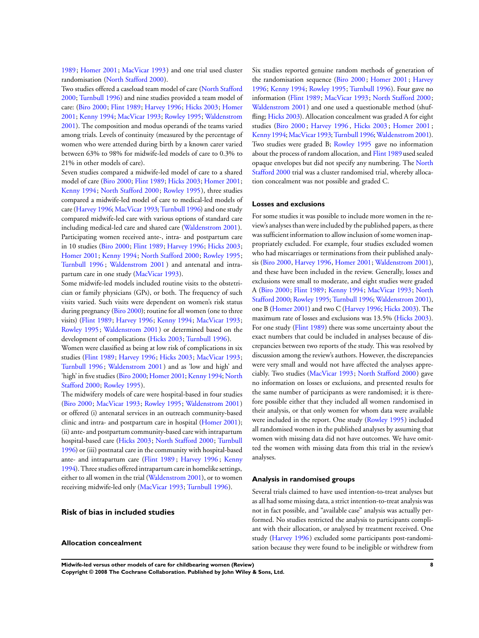[1989](#page-21-0); [Homer 2001](#page-21-0); [MacVicar 1993](#page-21-0)) and one trial used cluster randomisation ([North Stafford 2000\)](#page-21-0).

Two studies offered a caseload team model of care [\(North Stafford](#page-21-0) [2000](#page-21-0); [Turnbull 1996](#page-21-0)) and nine studies provided a team model of care: [\(Biro 2000](#page-21-0); [Flint 1989](#page-21-0); [Harvey 1996](#page-21-0); [Hicks 2003](#page-21-0); [Homer](#page-21-0) [2001](#page-21-0); [Kenny 1994;](#page-21-0) [MacVicar 1993](#page-21-0); [Rowley 1995](#page-21-0); [Waldenstrom](#page-21-0) [2001](#page-21-0)). The composition and modus operandi of the teams varied among trials. Levels of continuity (measured by the percentage of women who were attended during birth by a known carer varied between 63% to 98% for midwife-led models of care to 0.3% to 21% in other models of care).

Seven studies compared a midwife-led model of care to a shared model of care ([Biro 2000](#page-21-0); [Flint 1989](#page-21-0); [Hicks 2003](#page-21-0); [Homer 2001;](#page-21-0) [Kenny 1994](#page-21-0); [North Stafford 2000](#page-21-0); [Rowley 1995](#page-21-0)), three studies compared a midwife-led model of care to medical-led models of care [\(Harvey 1996;](#page-21-0) [MacVicar 1993;](#page-21-0) [Turnbull 1996\)](#page-21-0) and one study compared midwife-led care with various options of standard care including medical-led care and shared care [\(Waldenstrom 2001](#page-21-0)). Participating women received ante-, intra- and postpartum care in 10 studies ([Biro 2000](#page-21-0); [Flint 1989](#page-21-0); [Harvey 1996](#page-21-0); [Hicks 2003](#page-21-0); [Homer 2001](#page-21-0); [Kenny 1994](#page-21-0); [North Stafford 2000](#page-21-0); [Rowley 1995](#page-21-0); [Turnbull 1996](#page-21-0) ; [Waldenstrom 2001](#page-21-0) ) and antenatal and intrapartum care in one study [\(MacVicar 1993](#page-21-0)).

Some midwife-led models included routine visits to the obstetrician or family physicians (GPs), or both. The frequency of such visits varied. Such visits were dependent on women's risk status during pregnancy [\(Biro 2000\)](#page-21-0); routine for all women (one to three visits) ([Flint 1989](#page-21-0); [Harvey 1996](#page-21-0); [Kenny 1994](#page-21-0); [MacVicar 1993](#page-21-0); [Rowley 1995](#page-21-0) ; [Waldenstrom 2001](#page-21-0) ) or determined based on the development of complications [\(Hicks 2003;](#page-21-0) [Turnbull 1996](#page-21-0)).

Women were classified as being at low risk of complications in six studies [\(Flint 1989](#page-21-0); [Harvey 1996](#page-21-0); [Hicks 2003](#page-21-0); [MacVicar 1993](#page-21-0); [Turnbull 1996](#page-21-0); [Waldenstrom 2001](#page-21-0)) and as 'low and high' and 'high' in five studies [\(Biro 2000;](#page-21-0) Homer 2001; Kenny 1994; [North](#page-21-0) [Stafford 2000](#page-21-0); [Rowley 1995\)](#page-21-0).

The midwifery models of care were hospital-based in four studies [\(Biro 2000](#page-21-0); [MacVicar 1993](#page-21-0); [Rowley 1995](#page-21-0); [Waldenstrom 2001](#page-21-0)) or offered (i) antenatal services in an outreach community-based clinic and intra- and postpartum care in hospital [\(Homer 2001](#page-21-0)); (ii) ante- and postpartum community-based care with intrapartum hospital-based care [\(Hicks 2003](#page-21-0); [North Stafford 2000](#page-21-0); [Turnbull](#page-21-0) [1996\)](#page-21-0) or (iii) postnatal care in the community with hospital-based ante- and intrapartum care [\(Flint 1989](#page-21-0) ; [Harvey 1996](#page-21-0) ; [Kenny](#page-21-0) [1994\)](#page-21-0). Three studies offered intrapartum care in homelike settings, either to all women in the trial [\(Waldenstrom 2001\)](#page-21-0), or to women receiving midwife-led only ([MacVicar 1993](#page-21-0); [Turnbull 1996](#page-21-0)).

#### **Risk of bias in included studies**

#### **Allocation concealment**

Six studies reported genuine random methods of generation of the randomisation sequence ([Biro 2000](#page-21-0) ; [Homer 2001](#page-21-0) ; [Harvey](#page-21-0) [1996](#page-21-0); [Kenny 1994](#page-21-0); [Rowley 1995](#page-21-0); [Turnbull 1996](#page-21-0)). Four gave no information ([Flint 1989](#page-21-0); [MacVicar 1993](#page-21-0); [North Stafford 2000](#page-21-0); [Waldenstrom 2001](#page-21-0)) and one used a questionable method (shuf-fling; [Hicks 2003\)](#page-21-0). Allocation concealment was graded A for eight studies [\(Biro 2000](#page-21-0) ; [Harvey 1996](#page-21-0) , [Hicks 2003](#page-21-0) ; [Homer 2001](#page-21-0) ; Kenny 1994; MacVicar 1993; Turnbull 1996; Waldenstrom 2001). Two studies were graded B; [Rowley 1995](#page-21-0) gave no information about the process of random allocation, and [Flint 1989](#page-21-0) used sealed opaque envelopes but did not specify any numbering. The [North](#page-21-0) [Stafford 2000](#page-21-0) trial was a cluster randomised trial, whereby allocation concealment was not possible and graded C.

#### **Losses and exclusions**

For some studies it was possible to include more women in the review's analyses than were included by the published papers, as there was sufficient information to allow inclusion of some women inappropriately excluded. For example, four studies excluded women who had miscarriages or terminations from their published analysis [\(Biro 2000,](#page-21-0) [Harvey 1996,](#page-21-0) [Homer 2001;](#page-21-0) [Waldenstrom 2001](#page-21-0)), and these have been included in the review. Generally, losses and exclusions were small to moderate, and eight studies were graded A [\(Biro 2000](#page-21-0); [Flint 1989](#page-21-0); [Kenny 1994](#page-21-0); [MacVicar 1993](#page-21-0); [North](#page-21-0) [Stafford 2000](#page-21-0); [Rowley 1995](#page-21-0); [Turnbull 1996](#page-21-0); [Waldenstrom 2001](#page-21-0)), one B ([Homer 2001\)](#page-21-0) and two C [\(Harvey 1996](#page-21-0); [Hicks 2003](#page-21-0)). The maximum rate of losses and exclusions was 13.5% [\(Hicks 2003](#page-21-0)). For one study [\(Flint 1989](#page-21-0)) there was some uncertainty about the exact numbers that could be included in analyses because of discrepancies between two reports of the study. This was resolved by discussion among the review's authors. However, the discrepancies were very small and would not have affected the analyses appreciably. Two studies [\(MacVicar 1993](#page-21-0); [North Stafford 2000](#page-21-0)) gave no information on losses or exclusions, and presented results for the same number of participants as were randomised; it is therefore possible either that they included all women randomised in their analysis, or that only women for whom data were available were included in the report. One study ([Rowley 1995](#page-21-0)) included all randomised women in the published analyses by assuming that women with missing data did not have outcomes. We have omitted the women with missing data from this trial in the review's analyses.

#### **Analysis in randomised groups**

Several trials claimed to have used intention-to-treat analyses but as all had some missing data, a strict intention-to-treat analysis was not in fact possible, and "available case" analysis was actually performed. No studies restricted the analysis to participants compliant with their allocation, or analysed by treatment received. One study ([Harvey 1996](#page-21-0)) excluded some participants post-randomisation because they were found to be ineligible or withdrew from

**Midwife-led versus other models of care for childbearing women (Review) 8 Copyright © 2008 The Cochrane Collaboration. Published by John Wiley & Sons, Ltd.**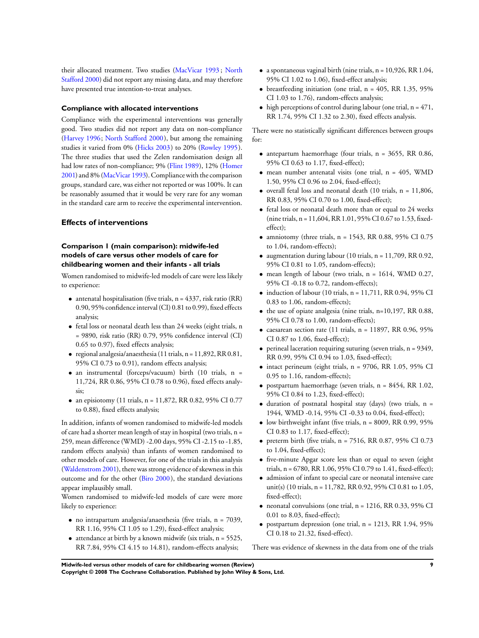their allocated treatment. Two studies [\(MacVicar 1993](#page-21-0) ; [North](#page-21-0) [Stafford 2000\)](#page-21-0) did not report any missing data, and may therefore have presented true intention-to-treat analyses.

#### **Compliance with allocated interventions**

Compliance with the experimental interventions was generally good. Two studies did not report any data on non-compliance [\(Harvey 1996](#page-21-0); [North Stafford 2000](#page-21-0)), but among the remaining studies it varied from 0% ([Hicks 2003](#page-21-0)) to 20% [\(Rowley 1995](#page-21-0)). The three studies that used the Zelen randomisation design all had low rates of non-compliance; 9% [\(Flint 1989](#page-21-0)), 12% [\(Homer](#page-21-0) [2001\)](#page-21-0) and 8% [\(MacVicar 1993\)](#page-21-0). Compliance with the comparison groups, standard care, was either not reported or was 100%. It can be reasonably assumed that it would be very rare for any woman in the standard care arm to receive the experimental intervention.

#### **Effects of interventions**

## **Comparison 1 (main comparison): midwife-led models of care versus other models of care for childbearing women and their infants - all trials**

Women randomised to midwife-led models of care were less likely to experience:

- $\bullet$  antenatal hospitalisation (five trials, n = 4337, risk ratio (RR) 0.90, 95% confidence interval (CI) 0.81 to 0.99), fixed effects analysis;
- fetal loss or neonatal death less than 24 weeks (eight trials, n = 9890, risk ratio (RR) 0.79, 95% confidence interval (CI) 0.65 to 0.97), fixed effects analysis;
- $\bullet$  regional analgesia/anaesthesia (11 trials, n = 11,892, RR 0.81, 95% CI 0.73 to 0.91), random effects analysis;
- an instrumental (forceps/vacuum) birth (10 trials, n = 11,724, RR 0.86, 95% CI 0.78 to 0.96), fixed effects analysis;
- an episiotomy (11 trials,  $n = 11,872, RR$  0.82, 95% CI 0.77 to 0.88), fixed effects analysis;

In addition, infants of women randomised to midwife-led models of care had a shorter mean length of stay in hospital (two trials, n = 259, mean difference (WMD) -2.00 days, 95% CI -2.15 to -1.85, random effects analysis) than infants of women randomised to other models of care. However, for one of the trials in this analysis [\(Waldenstrom 2001\)](#page-21-0), there was strong evidence of skewness in this outcome and for the other ([Biro 2000](#page-21-0)), the standard deviations appear implausibly small.

Women randomised to midwife-led models of care were more likely to experience:

- $\bullet$  no intrapartum analgesia/anaesthesia (five trials, n = 7039, RR 1.16, 95% CI 1.05 to 1.29), fixed-effect analysis;
- attendance at birth by a known midwife (six trials,  $n = 5525$ , RR 7.84, 95% CI 4.15 to 14.81), random-effects analysis;
- a spontaneous vaginal birth (nine trials,  $n = 10,926, RR 1.04$ , 95% CI 1.02 to 1.06), fixed-effect analysis;
- breastfeeding initiation (one trial, n = 405, RR 1.35, 95% CI 1.03 to 1.76), random-effects analysis;
- $\bullet$  high perceptions of control during labour (one trial,  $n = 471$ , RR 1.74, 95% CI 1.32 to 2.30), fixed effects analysis.

There were no statistically significant differences between groups for:

- antepartum haemorrhage (four trials, n = 3655, RR 0.86, 95% CI 0.63 to 1.17, fixed-effect);
- $\bullet$  mean number antenatal visits (one trial,  $n = 405$ , WMD 1.50, 95% CI 0.96 to 2.04, fixed-effect);
- $\bullet$  overall fetal loss and neonatal death (10 trials, n = 11,806, RR 0.83, 95% CI 0.70 to 1.00, fixed-effect);
- fetal loss or neonatal death more than or equal to 24 weeks (nine trials,  $n = 11,604$ , RR 1.01, 95% CI 0.67 to 1.53, fixedeffect);
- amniotomy (three trials,  $n = 1543$ , RR 0.88, 95% CI 0.75 to 1.04, random-effects);
- augmentation during labour (10 trials, n = 11,709, RR 0.92, 95% CI 0.81 to 1.05, random-effects);
- mean length of labour (two trials, n = 1614, WMD 0.27, 95% CI -0.18 to 0.72, random-effects);
- $\bullet$  induction of labour (10 trials, n = 11,711, RR 0.94, 95% CI 0.83 to 1.06, random-effects);
- the use of opiate analgesia (nine trials, n=10,197, RR 0.88, 95% CI 0.78 to 1.00, random-effects);
- caesarean section rate  $(11 \text{ trials}, n = 11897, RR 0.96, 95\%)$ CI 0.87 to 1.06, fixed-effect);
- perineal laceration requiring suturing (seven trials,  $n = 9349$ , RR 0.99, 95% CI 0.94 to 1.03, fixed-effect);
- intact perineum (eight trials, n = 9706, RR 1.05, 95% CI 0.95 to 1.16, random-effects);
- postpartum haemorrhage (seven trials,  $n = 8454$ , RR 1.02, 95% CI 0.84 to 1.23, fixed-effect);
- $\bullet$  duration of postnatal hospital stay (days) (two trials, n = 1944, WMD -0.14, 95% CI -0.33 to 0.04, fixed-effect);
- low birthweight infant (five trials,  $n = 8009$ , RR 0.99, 95% CI 0.83 to 1.17, fixed-effect);
- preterm birth (five trials,  $n = 7516$ , RR 0.87, 95% CI 0.73 to 1.04, fixed-effect);
- five-minute Apgar score less than or equal to seven (eight trials, n = 6780, RR 1.06, 95% CI 0.79 to 1.41, fixed-effect);
- admission of infant to special care or neonatal intensive care unit(s) (10 trials, n = 11,782, RR 0.92, 95% CI 0.81 to 1.05, fixed-effect);
- $\bullet$  neonatal convulsions (one trial, n = 1216, RR 0.33, 95% CI 0.01 to 8.03, fixed-effect);
- postpartum depression (one trial,  $n = 1213$ , RR 1.94, 95% CI 0.18 to 21.32, fixed-effect).

There was evidence of skewness in the data from one of the trials

**Midwife-led versus other models of care for childbearing women (Review) 9 Copyright © 2008 The Cochrane Collaboration. Published by John Wiley & Sons, Ltd.**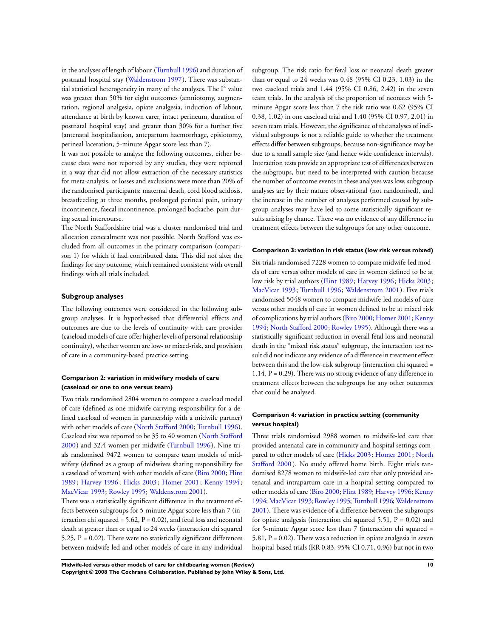in the analyses of length of labour ([Turnbull 1996\)](#page-21-0) and duration of postnatal hospital stay ([Waldenstrom 1997](#page-21-0)). There was substantial statistical heterogeneity in many of the analyses. The I<sup>2</sup> value was greater than 50% for eight outcomes (amniotomy, augmentation, regional analgesia, opiate analgesia, induction of labour, attendance at birth by known carer, intact perineum, duration of postnatal hospital stay) and greater than 30% for a further five (antenatal hospitalisation, antepartum haemorrhage, episiotomy, perineal laceration, 5-minute Apgar score less than 7).

It was not possible to analyse the following outcomes, either because data were not reported by any studies, they were reported in a way that did not allow extraction of the necessary statistics for meta-analysis, or losses and exclusions were more than 20% of the randomised participants: maternal death, cord blood acidosis, breastfeeding at three months, prolonged perineal pain, urinary incontinence, faecal incontinence, prolonged backache, pain during sexual intercourse.

The North Staffordshire trial was a cluster randomised trial and allocation concealment was not possible. North Stafford was excluded from all outcomes in the primary comparison (comparison 1) for which it had contributed data. This did not alter the findings for any outcome, which remained consistent with overall findings with all trials included.

#### **Subgroup analyses**

The following outcomes were considered in the following subgroup analyses. It is hypothesised that differential effects and outcomes are due to the levels of continuity with care provider (caseload models of care offer higher levels of personal relationship continuity), whether women are low- or mixed-risk, and provision of care in a community-based practice setting.

#### **Comparison 2: variation in midwifery models of care (caseload or one to one versus team)**

Two trials randomised 2804 women to compare a caseload model of care (defined as one midwife carrying responsibility for a defined caseload of women in partnership with a midwife partner) with other models of care [\(North Stafford 2000;](#page-21-0) [Turnbull 1996](#page-21-0)). Caseload size was reported to be 35 to 40 women ([North Stafford](#page-21-0) [2000](#page-21-0)) and 32.4 women per midwife [\(Turnbull 1996](#page-21-0)). Nine trials randomised 9472 women to compare team models of midwifery (defined as a group of midwives sharing responsibility for a caseload of women) with other models of care [\(Biro 2000](#page-21-0); [Flint](#page-21-0) [1989](#page-21-0) ; [Harvey 1996](#page-21-0) ; [Hicks 2003](#page-21-0) ; [Homer 2001](#page-21-0) ; [Kenny 1994](#page-21-0) ; [MacVicar 1993](#page-21-0); [Rowley 1995](#page-21-0); [Waldenstrom 2001\)](#page-21-0).

There was a statistically significant difference in the treatment effects between subgroups for 5-minute Apgar score less than 7 (interaction chi squared = 5.62,  $P = 0.02$ ), and fetal loss and neonatal death at greater than or equal to 24 weeks (interaction chi squared 5.25,  $P = 0.02$ ). There were no statistically significant differences between midwife-led and other models of care in any individual subgroup. The risk ratio for fetal loss or neonatal death greater than or equal to 24 weeks was 0.48 (95% CI 0.23, 1.03) in the two caseload trials and 1.44 (95% CI 0.86, 2.42) in the seven team trials. In the analysis of the proportion of neonates with 5 minute Apgar score less than 7 the risk ratio was 0.62 (95% CI 0.38, 1.02) in one caseload trial and 1.40 (95% CI 0.97, 2.01) in seven team trials. However, the significance of the analyses of individual subgroups is not a reliable guide to whether the treatment effects differ between subgroups, because non-significance may be due to a small sample size (and hence wide confidence intervals). Interaction tests provide an appropriate test of differences between the subgroups, but need to be interpreted with caution because the number of outcome events in these analyses was low, subgroup analyses are by their nature observational (not randomised), and the increase in the number of analyses performed caused by subgroup analyses may have led to some statistically significant results arising by chance. There was no evidence of any difference in treatment effects between the subgroups for any other outcome.

#### **Comparison 3: variation in risk status (low risk versus mixed)**

Six trials randomised 7228 women to compare midwife-led models of care versus other models of care in women defined to be at low risk by trial authors ([Flint 1989](#page-21-0); [Harvey 1996](#page-21-0); [Hicks 2003](#page-21-0); [MacVicar 1993](#page-21-0); [Turnbull 1996](#page-21-0); [Waldenstrom 2001](#page-21-0)). Five trials randomised 5048 women to compare midwife-led models of care versus other models of care in women defined to be at mixed risk of complications by trial authors [\(Biro 2000;](#page-21-0) [Homer 2001;](#page-21-0) [Kenny](#page-21-0) [1994](#page-21-0); [North Stafford 2000](#page-21-0); [Rowley 1995](#page-21-0)). Although there was a statistically significant reduction in overall fetal loss and neonatal death in the "mixed risk status" subgroup, the interaction test result did not indicate any evidence of a difference in treatment effect between this and the low-risk subgroup (interaction chi squared = 1.14,  $P = 0.29$ ). There was no strong evidence of any difference in treatment effects between the subgroups for any other outcomes that could be analysed.

#### **Comparison 4: variation in practice setting (community versus hospital)**

Three trials randomised 2988 women to midwife-led care that provided antenatal care in community and hospital settings compared to other models of care [\(Hicks 2003](#page-21-0); [Homer 2001;](#page-21-0) [North](#page-21-0) [Stafford 2000](#page-21-0) ). No study offered home birth. Eight trials randomised 8278 women to midwife-led care that only provided antenatal and intrapartum care in a hospital setting compared to other models of care [\(Biro 2000;](#page-21-0) [Flint 1989](#page-21-0); [Harvey 1996](#page-21-0); [Kenny](#page-21-0) [1994;](#page-21-0) [MacVicar 1993;](#page-21-0) [Rowley 1995;Turnbull 1996;](#page-21-0) [Waldenstrom](#page-21-0) [2001](#page-21-0)). There was evidence of a difference between the subgroups for opiate analgesia (interaction chi squared 5.51,  $P = 0.02$ ) and for 5-minute Apgar score less than 7 (interaction chi squared = 5.81,  $P = 0.02$ ). There was a reduction in opiate analgesia in seven hospital-based trials (RR 0.83, 95% CI 0.71, 0.96) but not in two

**Midwife-led versus other models of care for childbearing women (Review) 10 Copyright © 2008 The Cochrane Collaboration. Published by John Wiley & Sons, Ltd.**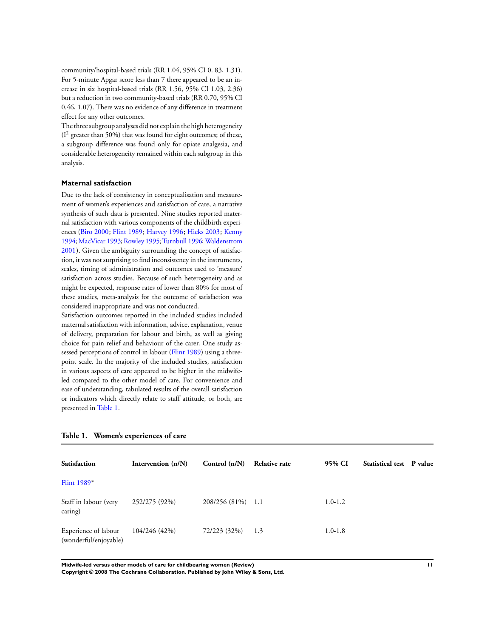community/hospital-based trials (RR 1.04, 95% CI 0. 83, 1.31). For 5-minute Apgar score less than 7 there appeared to be an increase in six hospital-based trials (RR 1.56, 95% CI 1.03, 2.36) but a reduction in two community-based trials (RR 0.70, 95% CI 0.46, 1.07). There was no evidence of any difference in treatment effect for any other outcomes.

The three subgroup analyses did not explain the high heterogeneity  $(I<sup>2</sup>$  greater than 50%) that was found for eight outcomes; of these, a subgroup difference was found only for opiate analgesia, and considerable heterogeneity remained within each subgroup in this analysis.

#### **Maternal satisfaction**

Due to the lack of consistency in conceptualisation and measurement of women's experiences and satisfaction of care, a narrative synthesis of such data is presented. Nine studies reported maternal satisfaction with various components of the childbirth experiences ([Biro 2000](#page-21-0); [Flint 1989](#page-21-0); [Harvey 1996](#page-21-0); [Hicks 2003](#page-21-0); [Kenny](#page-21-0) [1994;](#page-21-0) [MacVicar 1993;](#page-21-0) Rowley 1995; Turnbull 1996; [Waldenstrom](#page-21-0) [2001](#page-21-0)). Given the ambiguity surrounding the concept of satisfaction, it was not surprising to find inconsistency in the instruments, scales, timing of administration and outcomes used to 'measure' satisfaction across studies. Because of such heterogeneity and as might be expected, response rates of lower than 80% for most of these studies, meta-analysis for the outcome of satisfaction was considered inappropriate and was not conducted.

Satisfaction outcomes reported in the included studies included maternal satisfaction with information, advice, explanation, venue of delivery, preparation for labour and birth, as well as giving choice for pain relief and behaviour of the carer. One study assessed perceptions of control in labour ([Flint 1989\)](#page-21-0) using a threepoint scale. In the majority of the included studies, satisfaction in various aspects of care appeared to be higher in the midwifeled compared to the other model of care. For convenience and ease of understanding, tabulated results of the overall satisfaction or indicators which directly relate to staff attitude, or both, are presented in Table 1.

| <b>Satisfaction</b>                           | Intervention (n/N) | Control $(n/N)$   | <b>Relative rate</b> | 95% CI      | Statistical test P value |  |
|-----------------------------------------------|--------------------|-------------------|----------------------|-------------|--------------------------|--|
| Flint $1989*$                                 |                    |                   |                      |             |                          |  |
| Staff in labour (very<br>caring)              | 252/275 (92%)      | 208/256 (81%) 1.1 |                      | $1.0 - 1.2$ |                          |  |
| Experience of labour<br>(wonderful/enjoyable) | 104/246 (42%)      | 72/223 (32%)      | 1.3                  | $1.0 - 1.8$ |                          |  |

#### **Table 1. Women's experiences of care**

**Midwife-led versus other models of care for childbearing women (Review) 11 Copyright © 2008 The Cochrane Collaboration. Published by John Wiley & Sons, Ltd.**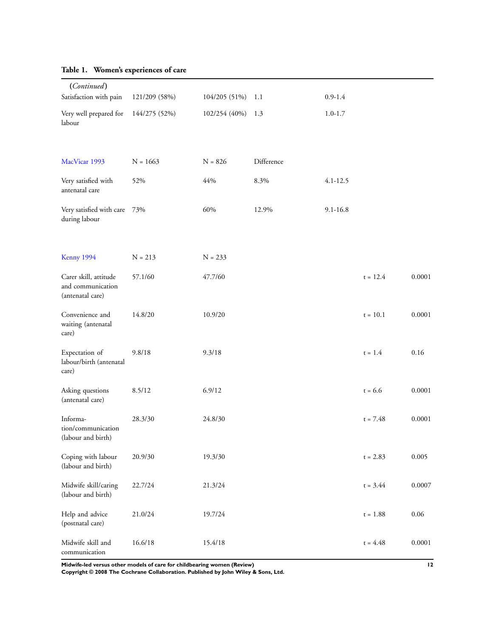|  |  |  |  | Table 1. Women's experiences of care |  |  |
|--|--|--|--|--------------------------------------|--|--|
|--|--|--|--|--------------------------------------|--|--|

| (Continued)                                                    |               |               |            |              |            |          |
|----------------------------------------------------------------|---------------|---------------|------------|--------------|------------|----------|
| Satisfaction with pain                                         | 121/209 (58%) | 104/205 (51%) | 1.1        | $0.9 - 1.4$  |            |          |
| Very well prepared for<br>labour                               | 144/275 (52%) | 102/254 (40%) | 1.3        | $1.0 - 1.7$  |            |          |
|                                                                |               |               |            |              |            |          |
| MacVicar 1993                                                  | $N = 1663$    | $N = 826$     | Difference |              |            |          |
| Very satisfied with<br>antenatal care                          | 52%           | 44%           | 8.3%       | $4.1 - 12.5$ |            |          |
| Very satisfied with care 73%<br>during labour                  |               | 60%           | 12.9%      | $9.1 - 16.8$ |            |          |
|                                                                |               |               |            |              |            |          |
| Kenny 1994                                                     | $N = 213$     | $N = 233$     |            |              |            |          |
| Carer skill, attitude<br>and communication<br>(antenatal care) | 57.1/60       | 47.7/60       |            |              | $t = 12.4$ | 0.0001   |
| Convenience and<br>waiting (antenatal<br>care)                 | 14.8/20       | 10.9/20       |            |              | $t = 10.1$ | 0.0001   |
| Expectation of<br>labour/birth (antenatal<br>care)             | 9.8/18        | 9.3/18        |            |              | $t = 1.4$  | 0.16     |
| Asking questions<br>(antenatal care)                           | 8.5/12        | 6.9/12        |            |              | $t = 6.6$  | 0.0001   |
| Informa-<br>tion/communication<br>(labour and birth)           | 28.3/30       | 24.8/30       |            |              | $t = 7.48$ | 0.0001   |
| Coping with labour<br>(labour and birth)                       | 20.9/30       | 19.3/30       |            |              | $t = 2.83$ | 0.005    |
| Midwife skill/caring<br>(labour and birth)                     | 22.7/24       | 21.3/24       |            |              | $t = 3.44$ | 0.0007   |
| Help and advice<br>(postnatal care)                            | 21.0/24       | 19.7/24       |            |              | $t = 1.88$ | $0.06\,$ |
| Midwife skill and<br>communication                             | 16.6/18       | 15.4/18       |            |              | $t = 4.48$ | 0.0001   |

**Midwife-led versus other models of care for childbearing women (Review) 12**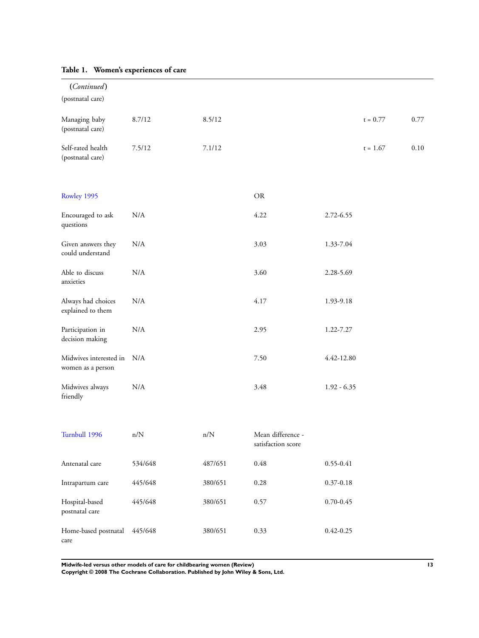| 8.7/12    | 8.5/12    |                                         |               | $t = 0.77$ | 0.77 |
|-----------|-----------|-----------------------------------------|---------------|------------|------|
| 7.5/12    | 7.1/12    |                                         |               | $t = 1.67$ | 0.10 |
|           |           | <b>OR</b>                               |               |            |      |
| $\rm N/A$ |           | 4.22                                    | 2.72-6.55     |            |      |
| $\rm N/A$ |           | 3.03                                    | 1.33-7.04     |            |      |
| $\rm N/A$ |           | 3.60                                    | 2.28-5.69     |            |      |
| $\rm N/A$ |           | 4.17                                    | 1.93-9.18     |            |      |
| $\rm N/A$ |           | 2.95                                    | 1.22-7.27     |            |      |
| N/A       |           | 7.50                                    | 4.42-12.80    |            |      |
| $\rm N/A$ |           | 3.48                                    | $1.92 - 6.35$ |            |      |
|           |           |                                         |               |            |      |
| n/N       | $\rm n/N$ | Mean difference -<br>satisfaction score |               |            |      |
| 534/648   | 487/651   | $0.48\,$                                | $0.55 - 0.41$ |            |      |
| 445/648   | 380/651   | 0.28                                    | $0.37 - 0.18$ |            |      |
| 445/648   | 380/651   | 0.57                                    | $0.70 - 0.45$ |            |      |
| 445/648   | 380/651   | 0.33                                    | $0.42 - 0.25$ |            |      |
|           |           |                                         |               |            |      |

## **Table 1. Women's experiences of care**

**Midwife-led versus other models of care for childbearing women (Review) 13**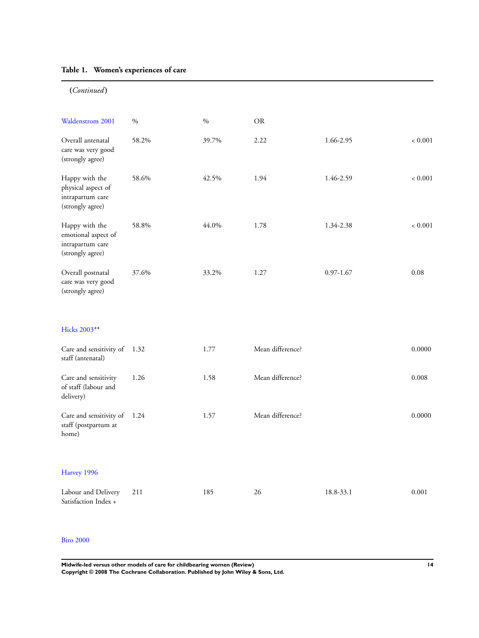|  |  | Table 1. Women's experiences of care |  |
|--|--|--------------------------------------|--|
|--|--|--------------------------------------|--|

| (Continued)                                                                   |       |       |                  |               |         |
|-------------------------------------------------------------------------------|-------|-------|------------------|---------------|---------|
|                                                                               |       |       |                  |               |         |
| Waldenstrom 2001                                                              | $\%$  | $\%$  | <b>OR</b>        |               |         |
| Overall antenatal<br>care was very good<br>(strongly agree)                   | 58.2% | 39.7% | 2.22             | 1.66-2.95     | < 0.001 |
| Happy with the<br>physical aspect of<br>intrapartum care<br>(strongly agree)  | 58.6% | 42.5% | 1.94             | 1.46-2.59     | < 0.001 |
| Happy with the<br>emotional aspect of<br>intrapartum care<br>(strongly agree) | 58.8% | 44.0% | 1.78             | 1.34-2.38     | < 0.001 |
| Overall postnatal<br>care was very good<br>(strongly agree)                   | 37.6% | 33.2% | 1.27             | $0.97 - 1.67$ | 0.08    |
| Hicks 2003**                                                                  |       |       |                  |               |         |
| Care and sensitivity of<br>staff (antenatal)                                  | 1.32  | 1.77  | Mean difference? |               | 0.0000  |
| Care and sensitivity<br>of staff (labour and<br>delivery)                     | 1.26  | 1.58  | Mean difference? |               | 0.008   |
| Care and sensitivity of<br>staff (postpartum at<br>home)                      | 1.24  | 1.57  | Mean difference? |               | 0.0000  |
| Harvey 1996                                                                   |       |       |                  |               |         |
| Labour and Delivery<br>Satisfaction Index +                                   | 211   | 185   | 26               | 18.8-33.1     | 0.001   |

## [Biro 2000](#page-21-0)

**Midwife-led versus other models of care for childbearing women (Review) 14**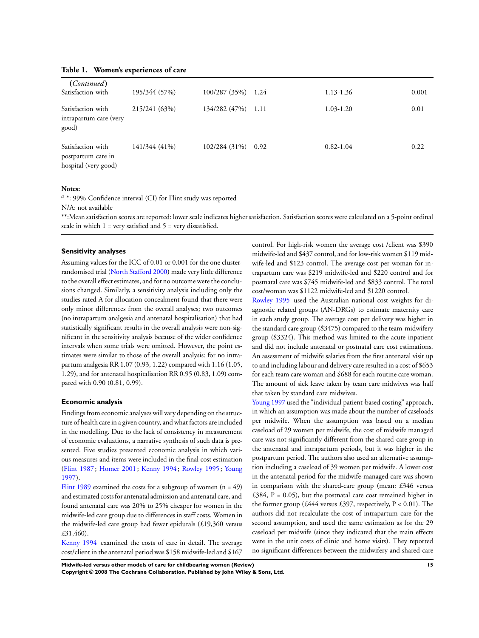| (Continued)<br>Satisfaction with                                | 195/344 (57%) | 100/287 (35%) | 1.24  | $1.13 - 1.36$ | 0.001 |
|-----------------------------------------------------------------|---------------|---------------|-------|---------------|-------|
| Satisfaction with<br>intrapartum care (very<br>good)            | 215/241 (63%) | 134/282 (47%) | -1.11 | $1.03 - 1.20$ | 0.01  |
| Satisfaction with<br>postpartum care in<br>hospital (very good) | 141/344 (41%) | 102/284 (31%) | 0.92  | $0.82 - 1.04$ | 0.22  |

**Table 1. Women's experiences of care**

#### **Notes:**

<sup>a</sup> \*: 99% Confidence interval (CI) for Flint study was reported

N/A: not available

\*\*:Mean satisfaction scores are reported: lower scale indicates higher satisfaction. Satisfaction scores were calculated on a 5-point ordinal scale in which  $1 = \text{very satisfied}$  and  $5 = \text{very dissatisfied}$ .

### **Sensitivity analyses**

Assuming values for the ICC of 0.01 or 0.001 for the one clusterrandomised trial [\(North Stafford 2000\)](#page-21-0) made very little difference to the overall effect estimates, and for no outcome were the conclusions changed. Similarly, a sensitivity analysis including only the studies rated A for allocation concealment found that there were only minor differences from the overall analyses; two outcomes (no intrapartum analgesia and antenatal hospitalisation) that had statistically significant results in the overall analysis were non-significant in the sensitivity analysis because of the wider confidence intervals when some trials were omitted. However, the point estimates were similar to those of the overall analysis: for no intrapartum analgesia RR 1.07 (0.93, 1.22) compared with 1.16 (1.05, 1.29), and for antenatal hospitalisation RR 0.95 (0.83, 1.09) compared with 0.90 (0.81, 0.99).

#### **Economic analysis**

Findings from economic analyses will vary depending on the structure of health care in a given country, and what factors are included in the modelling. Due to the lack of consistency in measurement of economic evaluations, a narrative synthesis of such data is presented. Five studies presented economic analysis in which various measures and items were included in the final cost estimation [\(Flint 1987](#page-21-0); [Homer 2001](#page-21-0); [Kenny 1994](#page-21-0); [Rowley 1995](#page-21-0); [Young](#page-21-0) [1997](#page-21-0)).

[Flint 1989](#page-21-0) examined the costs for a subgroup of women  $(n = 49)$ and estimated costsfor antenatal admission and antenatal care, and found antenatal care was 20% to 25% cheaper for women in the midwife-led care group due to differences in staff costs. Women in the midwife-led care group had fewer epidurals (£19,360 versus £31,460).

[Kenny 1994](#page-21-0) examined the costs of care in detail. The average cost/client in the antenatal period was \$158 midwife-led and \$167 control. For high-risk women the average cost /client was \$390 midwife-led and \$437 control, and for low-risk women \$119 midwife-led and \$123 control. The average cost per woman for intrapartum care was \$219 midwife-led and \$220 control and for postnatal care was \$745 midwife-led and \$833 control. The total cost/woman was \$1122 midwife-led and \$1220 control.

[Rowley 1995](#page-21-0) used the Australian national cost weights for diagnostic related groups (AN-DRGs) to estimate maternity care in each study group. The average cost per delivery was higher in the standard care group (\$3475) compared to the team-midwifery group (\$3324). This method was limited to the acute inpatient and did not include antenatal or postnatal care cost estimations. An assessment of midwife salaries from the first antenatal visit up to and including labour and delivery care resulted in a cost of \$653 for each team care woman and \$688 for each routine care woman. The amount of sick leave taken by team care midwives was half that taken by standard care midwives.

[Young 1997](#page-21-0) used the "individual patient-based costing" approach, in which an assumption was made about the number of caseloads per midwife. When the assumption was based on a median caseload of 29 women per midwife, the cost of midwife managed care was not significantly different from the shared-care group in the antenatal and intrapartum periods, but it was higher in the postpartum period. The authors also used an alternative assumption including a caseload of 39 women per midwife. A lower cost in the antenatal period for the midwife-managed care was shown in comparison with the shared-care group (mean: £346 versus £384,  $P = 0.05$ ), but the postnatal care cost remained higher in the former group (£444 versus £397, respectively,  $P < 0.01$ ). The authors did not recalculate the cost of intrapartum care for the second assumption, and used the same estimation as for the 29 caseload per midwife (since they indicated that the main effects were in the unit costs of clinic and home visits). They reported no significant differences between the midwifery and shared-care

**Midwife-led versus other models of care for childbearing women (Review) 15 Copyright © 2008 The Cochrane Collaboration. Published by John Wiley & Sons, Ltd.**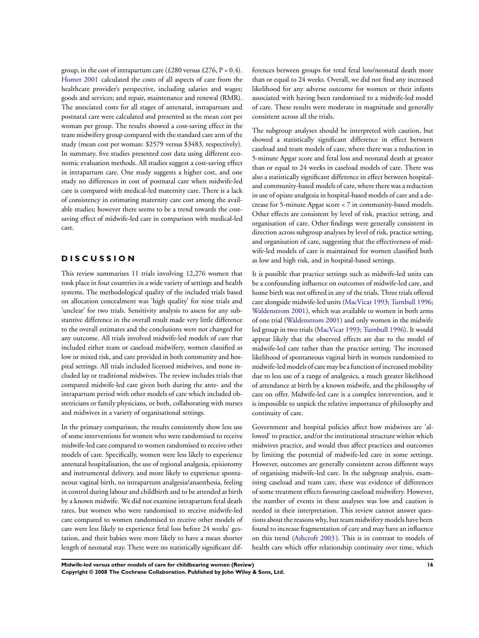group, in the cost of intrapartum care (£280 versus £276,  $P = 0.4$ ). [Homer 2001](#page-21-0) calculated the costs of all aspects of care from the healthcare provider's perspective, including salaries and wages; goods and services; and repair, maintenance and renewal (RMR). The associated costs for all stages of antenatal, intrapartum and postnatal care were calculated and presented as the mean cost per woman per group. The results showed a cost-saving effect in the team midwifery group compared with the standard care arm of the study (mean cost per woman: \$2579 versus \$3483, respectively). In summary, five studies presented cost data using different economic evaluation methods. All studies suggest a cost-saving effect in intrapartum care. One study suggests a higher cost, and one study no differences in cost of postnatal care when midwife-led care is compared with medical-led maternity care. There is a lack of consistency in estimating maternity care cost among the available studies; however there seems to be a trend towards the costsaving effect of midwife-led care in comparison with medical-led care.

## **D I S C U S S I O N**

This review summarises 11 trials involving 12,276 women that took place in four countries in a wide variety of settings and health systems. The methodological quality of the included trials based on allocation concealment was 'high quality' for nine trials and 'unclear' for two trials. Sensitivity analysis to assess for any substantive difference in the overall result made very little difference to the overall estimates and the conclusions were not changed for any outcome. All trials involved midwife-led models of care that included either team or caseload midwifery, women classified as low or mixed risk, and care provided in both community and hospital settings. All trials included licensed midwives, and none included lay or traditional midwives. The review includes trials that compared midwife-led care given both during the ante- and the intrapartum period with other models of care which included obstetricians or family physicians, or both, collaborating with nurses and midwives in a variety of organisational settings.

In the primary comparison, the results consistently show less use of some interventions for women who were randomised to receive midwife-led care compared to women randomised to receive other models of care. Specifically, women were less likely to experience antenatal hospitalisation, the use of regional analgesia, episiotomy and instrumental delivery, and more likely to experience spontaneous vaginal birth, no intrapartum analgesia/anaesthesia, feeling in control during labour and childbirth and to be attended at birth by a known midwife. We did not examine intrapartum fetal death rates, but women who were randomised to receive midwife-led care compared to women randomised to receive other models of care were less likely to experience fetal loss before 24 weeks' gestation, and their babies were more likely to have a mean shorter length of neonatal stay. There were no statistically significant differences between groups for total fetal loss/neonatal death more than or equal to 24 weeks. Overall, we did not find any increased likelihood for any adverse outcome for women or their infants associated with having been randomised to a midwife-led model of care. These results were moderate in magnitude and generally consistent across all the trials.

The subgroup analyses should be interpreted with caution, but showed a statistically significant difference in effect between caseload and team models of care, where there was a reduction in 5-minute Apgar score and fetal loss and neonatal death at greater than or equal to 24 weeks in caseload models of care. There was also a statistically significant difference in effect between hospitaland community-based models of care, where there was a reduction in use of opiate analgesia in hospital-based models of care and a decrease for 5-minute Apgar score < 7 in community-based models. Other effects are consistent by level of risk, practice setting, and organisation of care. Other findings were generally consistent in direction across subgroup analyses by level of risk, practice setting, and organisation of care, suggesting that the effectiveness of midwife-led models of care is maintained for women classified both as low and high risk, and in hospital-based settings.

It is possible that practice settings such as midwife-led units can be a confounding influence on outcomes of midwife-led care, and home birth was not offered in any of the trials. Three trials offered care alongside midwife-led units [\(MacVicar 1993;](#page-21-0) [Turnbull 1996;](#page-21-0) [Waldenstrom 2001](#page-21-0)), which was available to women in both arms of one trial ([Waldenstrom 2001\)](#page-21-0) and only women in the midwife led group in two trials [\(MacVicar 1993](#page-21-0); [Turnbull 1996\)](#page-21-0). It would appear likely that the observed effects are due to the model of midwife-led care rather than the practice setting. The increased likelihood of spontaneous vaginal birth in women randomised to midwife-led models of care may be afunction of increased mobility due to less use of a range of analgesics, a much greater likelihood of attendance at birth by a known midwife, and the philosophy of care on offer. Midwife-led care is a complex intervention, and it is impossible to unpick the relative importance of philosophy and continuity of care.

Government and hospital policies affect how midwives are 'allowed' to practice, and/or the institutional structure within which midwives practice, and would thus affect practices and outcomes by limiting the potential of midwife-led care in some settings. However, outcomes are generally consistent across different ways of organising midwife-led care. In the subgroup analysis, examining caseload and team care, there was evidence of differences of some treatment effects favouring caseload midwifery. However, the number of events in these analyses was low and caution is needed in their interpretation. This review cannot answer questions about the reasons why, but team midwifery models have been found to increase fragmentation of care and may have an influence on this trend ([Ashcroft 2003](#page-21-0) ). This is in contrast to models of health care which offer relationship continuity over time, which

**Midwife-led versus other models of care for childbearing women (Review) 16 Copyright © 2008 The Cochrane Collaboration. Published by John Wiley & Sons, Ltd.**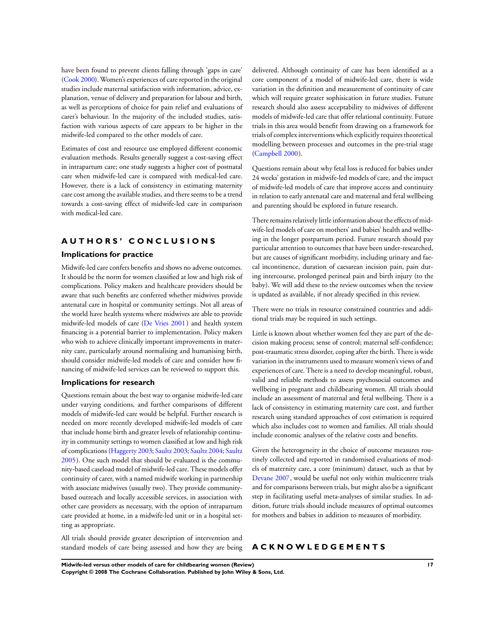have been found to prevent clients falling through 'gaps in care' [\(Cook 2000\)](#page-21-0). Women's experiences of care reported in the original studies include maternal satisfaction with information, advice, explanation, venue of delivery and preparation for labour and birth, as well as perceptions of choice for pain relief and evaluations of carer's behaviour. In the majority of the included studies, satisfaction with various aspects of care appears to be higher in the midwife-led compared to the other models of care.

Estimates of cost and resource use employed different economic evaluation methods. Results generally suggest a cost-saving effect in intrapartum care; one study suggests a higher cost of postnatal care when midwife-led care is compared with medical-led care. However, there is a lack of consistency in estimating maternity care cost among the available studies, and there seems to be a trend towards a cost-saving effect of midwife-led care in comparison with medical-led care.

## **A U T H O R S ' C O N C L U S I O N S**

#### **Implications for practice**

Midwife-led care confers benefits and shows no adverse outcomes. It should be the norm for women classified at low and high risk of complications. Policy makers and healthcare providers should be aware that such benefits are conferred whether midwives provide antenatal care in hospital or community settings. Not all areas of the world have health systems where midwives are able to provide midwife-led models of care ([De Vries 2001](#page-21-0) ) and health system financing is a potential barrier to implementation. Policy makers who wish to achieve clinically important improvements in maternity care, particularly around normalising and humanising birth, should consider midwife-led models of care and consider how financing of midwife-led services can be reviewed to support this.

#### **Implications for research**

Questions remain about the best way to organise midwife-led care under varying conditions, and further comparisons of different models of midwife-led care would be helpful. Further research is needed on more recently developed midwife-led models of care that include home birth and greater levels of relationship continuity in community settings to women classified at low and high risk of complications ([Haggerty 2003;](#page-21-0) [Saultz 2003;](#page-21-0) [Saultz 2004;](#page-21-0) [Saultz](#page-21-0) [2005](#page-21-0)). One such model that should be evaluated is the community-based caseload model of midwife-led care. These models offer continuity of carer, with a named midwife working in partnership with associate midwives (usually two). They provide communitybased outreach and locally accessible services, in association with other care providers as necessary, with the option of intrapartum care provided at home, in a midwife-led unit or in a hospital setting as appropriate.

All trials should provide greater description of intervention and standard models of care being assessed and how they are being

delivered. Although continuity of care has been identified as a core component of a model of midwife-led care, there is wide variation in the definition and measurement of continuity of care which will require greater sophisication in future studies. Future research should also assess acceptability to midwives of different models of midwife-led care that offer relational continuity. Future trials in this area would benefit from drawing on a framework for trials of complex interventions which explicitly requires theoretical modelling between processes and outcomes in the pre-trial stage [\(Campbell 2000](#page-21-0)).

Questions remain about why fetal loss is reduced for babies under 24 weeks' gestation in midwife-led models of care, and the impact of midwife-led models of care that improve access and continuity in relation to early antenatal care and maternal and fetal wellbeing and parenting should be explored in future research.

There remains relatively little information about the effects of midwife-led models of care on mothers' and babies' health and wellbeing in the longer postpartum period. Future research should pay particular attention to outcomes that have been under-researched, but are causes of significant morbidity, including urinary and faecal incontinence, duration of caesarean incision pain, pain during intercourse, prolonged perineal pain and birth injury (to the baby). We will add these to the review outcomes when the review is updated as available, if not already specified in this review.

There were no trials in resource constrained countries and additional trials may be required in such settings.

Little is known about whether women feel they are part of the decision making process; sense of control; maternal self-confidence; post-traumatic stress disorder, coping after the birth. There is wide variation in the instruments used to measure women's views of and experiences of care. There is a need to develop meaningful, robust, valid and reliable methods to assess psychosocial outcomes and wellbeing in pregnant and childbearing women. All trials should include an assessment of maternal and fetal wellbeing. There is a lack of consistency in estimating maternity care cost, and further research using standard approaches of cost estimation is required which also includes cost to women and families. All trials should include economic analyses of the relative costs and benefits.

Given the heterogeneity in the choice of outcome measures routinely collected and reported in randomised evaluations of models of maternity care, a core (minimum) dataset, such as that by [Devane 2007](#page-21-0), would be useful not only within multicentre trials and for comparisons between trials, but might also be a significant step in facilitating useful meta-analyses of similar studies. In addition, future trials should include measures of optimal outcomes for mothers and babies in addition to measures of morbidity.

## **A C K N O W L E D G E M E N T S**

**Midwife-led versus other models of care for childbearing women (Review) 17 Copyright © 2008 The Cochrane Collaboration. Published by John Wiley & Sons, Ltd.**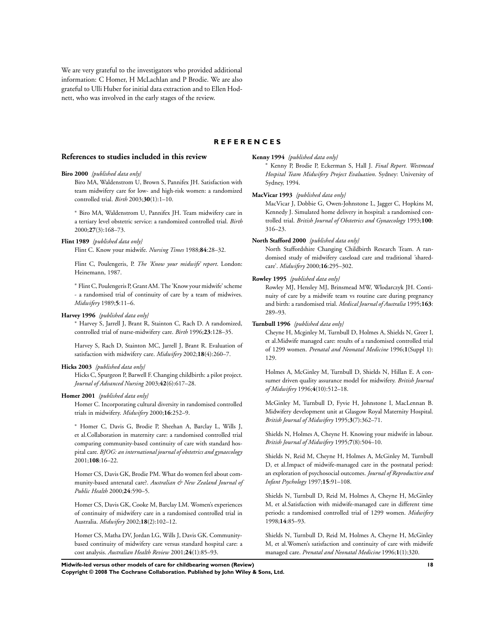<span id="page-21-0"></span>We are very grateful to the investigators who provided additional information: C Homer, H McLachlan and P Brodie. We are also grateful to Ulli Huber for initial data extraction and to Ellen Hodnett, who was involved in the early stages of the review.

#### **R E F E R E N C E S**

### **References to studies included in this review**

**Biro 2000** *{published data only}*

Biro MA, Waldenstrom U, Brown S, Pannifex JH. Satisfaction with team midwifery care for low- and high-risk women: a randomized controlled trial. *Birth* 2003;**30**(1):1–10.

<sup>∗</sup> Biro MA, Waldenstrom U, Pannifex JH. Team midwifery care in a tertiary level obstetric service: a randomized controlled trial. *Birth* 2000;**27**(3):168–73.

#### **Flint 1989** *{published data only}*

Flint C. Know your midwife. *Nursing Times* 1988;**84**:28–32.

Flint C, Poulengeris, P. *The 'Know your midwife' report*. London: Heinemann, 1987.

<sup>∗</sup> Flint C, Poulengeris P, Grant AM. The 'Know your midwife' scheme - a randomised trial of continuity of care by a team of midwives. *Midwifery* 1989;**5**:11–6.

#### **Harvey 1996** *{published data only}*

<sup>∗</sup> Harvey S, Jarrell J, Brant R, Stainton C, Rach D. A randomized, controlled trial of nurse-midwifery care. *Birth* 1996;**23**:128–35.

Harvey S, Rach D, Stainton MC, Jarrell J, Brant R. Evaluation of satisfaction with midwifery care. *Midwifery* 2002;**18**(4):260–7.

#### **Hicks 2003** *{published data only}*

Hicks C, Spurgeon P, Barwell F. Changing childbirth: a pilot project. *Journal of Advanced Nursing* 2003;**42**(6):617–28.

#### **Homer 2001** *{published data only}*

Homer C. Incorporating cultural diversity in randomised controlled trials in midwifery. *Midwifery* 2000;**16**:252–9.

<sup>∗</sup> Homer C, Davis G, Brodie P, Sheehan A, Barclay L, Wills J, et al.Collaboration in maternity care: a randomised controlled trial comparing community-based continuity of care with standard hospital care. *BJOG: an international journal of obstetrics and gynaecology* 2001;**108**:16–22.

Homer CS, Davis GK, Brodie PM. What do women feel about community-based antenatal care?. *Australian & New Zealand Journal of Public Health* 2000;**24**:590–5.

Homer CS, Davis GK, Cooke M, Barclay LM. Women's experiences of continuity of midwifery care in a randomised controlled trial in Australia. *Midwifery* 2002;**18**(2):102–12.

Homer CS, Matha DV, Jordan LG, Wills J, Davis GK. Communitybased continuity of midwifery care versus standard hospital care: a cost analysis. *Australian Health Review* 2001;**24**(1):85–93.

#### **Kenny 1994** *{published data only}*

<sup>∗</sup> Kenny P, Brodie P, Eckerman S, Hall J. *Final Report. Westmead Hospital Team Midwifery Project Evaluation*. Sydney: University of Sydney, 1994.

#### **MacVicar 1993** *{published data only}*

MacVicar J, Dobbie G, Owen-Johnstone L, Jagger C, Hopkins M, Kennedy J. Simulated home delivery in hospital: a randomised controlled trial. *British Journal of Obstetrics and Gynaecology* 1993;**100**: 316–23.

#### **North Stafford 2000** *{published data only}*

North Staffordshire Changing Childbirth Research Team. A randomised study of midwifery caseload care and traditional 'sharedcare'. *Midwifery* 2000;**16**:295–302.

#### **Rowley 1995** *{published data only}*

Rowley MJ, Hensley MJ, Brinsmead MW, Wlodarczyk JH. Continuity of care by a midwife team vs routine care during pregnancy and birth: a randomised trial. *Medical Journal of Australia* 1995;**163**: 289–93.

#### **Turnbull 1996** *{published data only}*

Cheyne H, Mcginley M, Turnbull D, Holmes A, Shields N, Greer I, et al.Midwife managed care: results of a randomised controlled trial of 1299 women. *Prenatal and Neonatal Medicine* 1996;**1**(Suppl 1): 129.

Holmes A, McGinley M, Turnbull D, Shields N, Hillan E. A consumer driven quality assurance model for midwifery. *British Journal of Midwifery* 1996;**4**(10):512–18.

McGinley M, Turnbull D, Fyvie H, Johnstone I, MacLennan B. Midwifery development unit at Glasgow Royal Maternity Hospital. *British Journal of Midwifery* 1995;**3**(7):362–71.

Shields N, Holmes A, Cheyne H. Knowing your midwife in labour. *British Journal of Midwifery* 1995;**7**(8):504–10.

Shields N, Reid M, Cheyne H, Holmes A, McGinley M, Turnbull D, et al.Impact of midwife-managed care in the postnatal period: an exploration of psychosocial outcomes. *Journal of Reproductive and Infant Psychology* 1997;**15**:91–108.

Shields N, Turnbull D, Reid M, Holmes A, Cheyne H, McGinley M, et al.Satisfaction with midwife-managed care in different time periods: a randomised controlled trial of 1299 women. *Midwifery* 1998;**14**:85–93.

Shields N, Turnbull D, Reid M, Holmes A, Cheyne H, McGinley M, et al.Women's satisfaction and continuity of care with midwife managed care. *Prenatal and Neonatal Medicine* 1996;**1**(1):320.

**Midwife-led versus other models of care for childbearing women (Review) 18**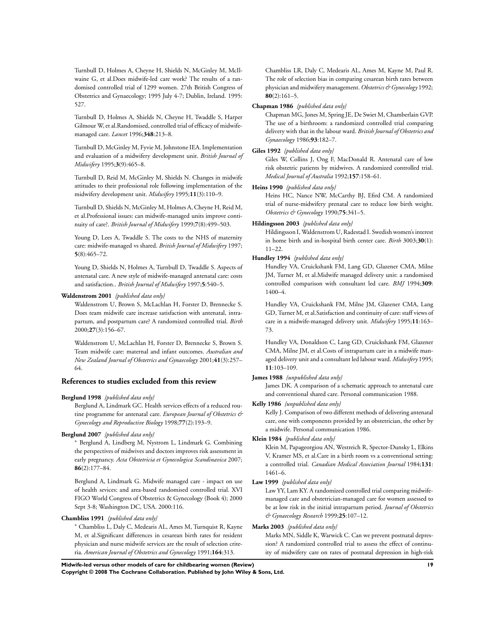Turnbull D, Holmes A, Cheyne H, Shields N, McGinley M, McIlwaine G, et al.Does midwife-led care work? The results of a randomised controlled trial of 1299 women. 27th British Congress of Obstetrics and Gynaecology; 1995 July 4-7; Dublin, Ireland. 1995: 527.

Turnbull D, Holmes A, Shields N, Cheyne H, Twaddle S, Harper Gilmour W, et al.Randomised, controlled trial of efficacy of midwifemanaged care. *Lancet* 1996;**348**:213–8.

Turnbull D, McGinley M, Fyvie M, Johnstone IEA. Implementation and evaluation of a midwifery development unit. *British Journal of Midwifery* 1995;**3**(9):465–8.

Turnbull D, Reid M, McGinley M, Shields N. Changes in midwife attitudes to their professional role following implementation of the midwifery development unit. *Midwifery* 1995;**11**(3):110–9.

Turnbull D, Shields N, McGinley M, Holmes A, Cheyne H, Reid M, et al.Professional issues: can midwife-managed units improve continuity of care?. *British Journal of Midwifery* 1999;**7**(8):499–503.

Young D, Lees A, Twaddle S. The costs to the NHS of maternity care: midwife-managed vs shared. *British Journal of Midwifery* 1997; **5**(8):465–72.

Young D, Shields N, Holmes A, Turnbull D, Twaddle S. Aspects of antenatal care. A new style of midwife-managed antenatal care: costs and satisfaction.. *British Journal of Midwifery* 1997;**5**:540–5.

#### **Waldenstrom 2001** *{published data only}*

Waldenstrom U, Brown S, McLachlan H, Forster D, Brennecke S. Does team midwife care increase satisfaction with antenatal, intrapartum, and postpartum care? A randomized controlled trial. *Birth* 2000;**27**(3):156–67.

Waldenstrom U, McLachlan H, Forster D, Brennecke S, Brown S. Team midwife care: maternal and infant outcomes. *Australian and New Zealand Journal of Obstetrics and Gynaecology* 2001;**41**(3):257– 64.

#### **References to studies excluded from this review**

#### **Berglund 1998** *{published data only}*

Berglund A, Lindmark GC. Health services effects of a reduced routine programme for antenatal care. *European Journal of Obstetrics & Gynecology and Reproductive Biology* 1998;**77**(2):193–9.

#### **Berglund 2007** *{published data only}*

<sup>∗</sup> Berglund A, Lindberg M, Nystrom L, Lindmark G. Combining the perspectives of midwives and doctors improves risk assessment in early pregnancy. *Acta Obstetricia et Gynecologica Scandinavica* 2007; **86**(2):177–84.

Berglund A, Lindmark G. Midwife managed care - impact on use of health sevices: and area-based randomised controlled trial. XVI FIGO World Congress of Obstetrics & Gynecology (Book 4); 2000 Sept 3-8; Washington DC, USA. 2000:116.

#### **Chambliss 1991** *{published data only}*

<sup>∗</sup> Chambliss L, Daly C, Medearis AL, Ames M, Turnquist R, Kayne M, et al.Significant differences in cesarean birth rates for resident physician and nurse midwife services are the result of selection criteria. *American Journal of Obstetrics and Gynecology* 1991;**164**:313.

Chambliss LR, Daly C, Medearis AL, Ames M, Kayne M, Paul R. The role of selection bias in comparing cesarean birth rates between physician and midwifery management. *Obstetrics & Gynecology* 1992; **80**(2):161–5.

#### **Chapman 1986** *{published data only}*

Chapman MG, Jones M, Spring JE, De Swiet M, Chamberlain GVP. The use of a birthroom: a randomized controlled trial comparing delivery with that in the labour ward. *British Journal of Obstetrics and Gynaecology* 1986;**93**:182–7.

#### **Giles 1992** *{published data only}*

Giles W, Collins J, Ong F, MacDonald R. Antenatal care of low risk obstetric patients by midwives. A randomized controlled trial. *Medical Journal of Australia* 1992;**157**:158–61.

#### **Heins 1990** *{published data only}*

Heins HC, Nance NW, McCarthy BJ, Efird CM. A randomized trial of nurse-midwifery prenatal care to reduce low birth weight. *Obstetrics & Gynecology* 1990;**75**:341–5.

#### **Hildingsson 2003** *{published data only}*

Hildingsson I, Waldenstrom U, Radestad I. Swedish women's interest in home birth and in-hospital birth center care. *Birth* 3003;**30**(1): 11–22.

#### **Hundley 1994** *{published data only}*

Hundley VA, Cruickshank FM, Lang GD, Glazener CMA, Milne JM, Turner M, et al.Midwife managed delivery unit: a randomised controlled comparison with consultant led care. *BMJ* 1994;**309**: 1400–4.

Hundley VA, Cruickshank FM, Milne JM, Glazener CMA, Lang GD, Turner M, et al.Satisfaction and continuity of care: staff views of care in a midwife-managed delivery unit. *Midwifery* 1995;**11**:163– 73.

Hundley VA, Donaldson C, Lang GD, Cruickshank FM, Glazener CMA, Milne JM, et al.Costs of intrapartum care in a midwife managed delivery unit and a consultant led labour ward. *Midwifery* 1995; **11**:103–109.

#### **James 1988** *{unpublished data only}*

James DK. A comparison of a schematic approach to antenatal care and conventional shared care. Personal communication 1988.

#### **Kelly 1986** *{unpublished data only}*

Kelly J. Comparison of two different methods of delivering antenatal care, one with components provided by an obstetrician, the other by a midwife. Personal communication 1986.

#### **Klein 1984** *{published data only}*

Klein M, Papageorgiou AN, Westreich R, Spector-Dunsky L, Elkins V, Kramer MS, et al.Care in a birth room vs a conventional setting: a controlled trial. *Canadian Medical Association Journal* 1984;**131**: 1461–6.

#### **Law 1999** *{published data only}*

Law YY, Lam KY. A randomized controlled trial comparing midwifemanaged care and obstetrician-managed care for women assessed to be at low risk in the initial intrapartum period. *Journal of Obstetrics & Gynaecology Research* 1999;**25**:107–12.

#### **Marks 2003** *{published data only}*

Marks MN, Siddle K, Warwick C. Can we prevent postnatal depression? A randomized controlled trial to assess the effect of continuity of midwifery care on rates of postnatal depression in high-risk

**Midwife-led versus other models of care for childbearing women (Review) 19**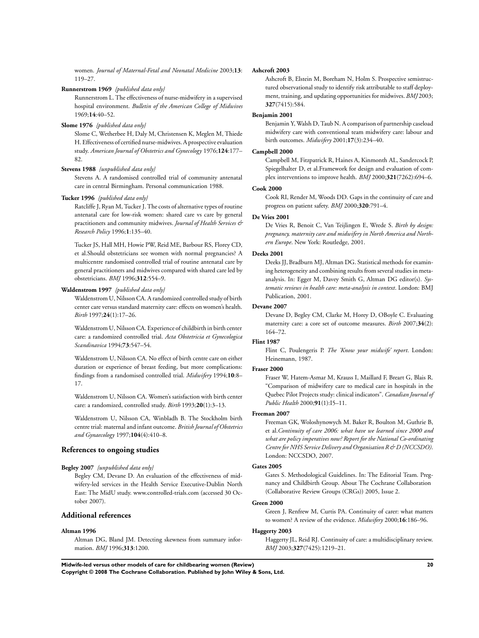women. *Journal of Maternal-Fetal and Neonatal Medicine* 2003;**13**: 119–27.

**Runnerstrom 1969** *{published data only}*

Runnerstrom L. The effectiveness of nurse-midwifery in a supervised hospital environment. *Bulletin of the American College of Midwives* 1969;**14**:40–52.

#### **Slome 1976** *{published data only}*

Slome C, Wetherbee H, Daly M, Christensen K, Meglen M, Thiede H. Effectiveness of certified nurse-midwives. A prospective evaluation study. *American Journal of Obstetrics and Gynecology* 1976;**124**:177– 82.

#### **Stevens 1988** *{unpublished data only}*

Stevens A. A randomised controlled trial of community antenatal care in central Birmingham. Personal communication 1988.

#### **Tucker 1996** *{published data only}*

Ratcliffe J, Ryan M, Tucker J. The costs of alternative types of routine antenatal care for low-risk women: shared care vs care by general practitioners and community midwives. *Journal of Health Services & Research Policy* 1996;**1**:135–40.

Tucker JS, Hall MH, Howie PW, Reid ME, Barbour RS, Florey CD, et al.Should obstetricians see women with normal pregnancies? A multicentre randomised controlled trial of routine antenatal care by general practitioners and midwives compared with shared care led by obstetricians. *BMJ* 1996;**312**:554–9.

#### **Waldenstrom 1997** *{published data only}*

Waldenstrom U, Nilsson CA. A randomized controlled study of birth center care versus standard maternity care: effects on women's health. *Birth* 1997;**24**(1):17–26.

Waldenstrom U, Nilsson CA. Experience of childbirth in birth center care: a randomized controlled trial. *Acta Obstetricia et Gynecologica Scandinavica* 1994;**73**:547–54.

Waldenstrom U, Nilsson CA. No effect of birth centre care on either duration or experience of breast feeding, but more complications: findings from a randomised controlled trial. *Midwifery* 1994;**10**:8– 17.

Waldenstrom U, Nilsson CA. Women's satisfaction with birth center care: a randomized, controlled study. *Birth* 1993;**20**(1):3–13.

Waldenstrom U, Nilsson CA, Winbladh B. The Stockholm birth centre trial: maternal and infant outcome. *British Journal of Obstetrics and Gynaecology* 1997;**104**(4):410–8.

#### **References to ongoing studies**

#### **Begley 2007** *{unpublished data only}*

Begley CM, Devane D. An evaluation of the effectiveness of midwifery-led services in the Health Service Executive-Dublin North East: The MidU study. www.controlled-trials.com (accessed 30 October 2007).

## **Additional references**

#### **Altman 1996**

Altman DG, Bland JM. Detecting skewness from summary information. *BMJ* 1996;**313**:1200.

#### **Ashcroft 2003**

Ashcroft B, Elstein M, Boreham N, Holm S. Prospective semistructured observational study to identify risk attributable to staff deployment, training, and updating opportunities for midwives. *BMJ* 2003; **327**(7415):584.

#### **Benjamin 2001**

Benjamin Y,Walsh D, Taub N. A comparison of partnership caseload midwifery care with conventional team midwifery care: labour and birth outcomes. *Midwifery* 2001;**17**(3):234–40.

## **Campbell 2000**

Campbell M, Fitzpatrick R, Haines A, Kinmonth AL, Sandercock P, Spiegelhalter D, et al.Framework for design and evaluation of complex interventions to improve health. *BMJ* 2000;**321**(7262):694–6.

#### **Cook 2000**

Cook RI, Render M, Woods DD. Gaps in the continuity of care and progress on patient safety. *BMJ* 2000;**320**:791–4.

#### **De Vries 2001**

De Vries R, Benoit C, Van Teijlingen E, Wrede S. *Birth by design: pregnancy, maternity care and midwifery in North America and Northern Europe*. New York: Routledge, 2001.

#### **Deeks 2001**

Deeks JJ, Bradburn MJ, Altman DG. Statistical methods for examining heterogeneity and combining results from several studies in metaanalysis. In: Egger M, Davey Smith G, Altman DG editor(s). *Systematic reviews in health care: meta-analysis in context*. London: BMJ Publication, 2001.

#### **Devane 2007**

Devane D, Begley CM, Clarke M, Horey D, OBoyle C. Evaluating maternity care: a core set of outcome measures. *Birth* 2007;**34**(2): 164–72.

#### **Flint 1987**

Flint C, Poulengeris P. *The 'Know your midwife' report*. London: Heinemann, 1987.

#### **Fraser 2000**

Fraser W, Hatem-Asmar M, Krauss I, Maillard F, Breart G, Blais R. "Comparison of midwifery care to medical care in hospitals in the Quebec Pilot Projects study: clinical indicators". *Canadian Journal of Public Health* 2000;**91**(1):I5–11.

### **Freeman 2007**

Freeman GK, Woloshynowych M. Baker R, Boulton M, Guthrie B, et al.*Continuity of care 2006: what have we learned since 2000 and what are policy imperatives now? Report for the National Co-ordinating Centre for NHS Service Delivery and Organisation R & D (NCCSDO)*. London: NCCSDO, 2007.

#### **Gates 2005**

Gates S. Methodological Guidelines. In: The Editorial Team. Pregnancy and Childbirth Group. About The Cochrane Collaboration (Collaborative Review Groups (CRGs)) 2005, Issue 2.

#### **Green 2000**

Green J, Renfrew M, Curtis PA. Continuity of carer: what matters to women? A review of the evidence. *Midwifery* 2000;**16**:186–96.

#### **Haggerty 2003**

Haggerty JL, Reid RJ. Continuity of care: a multidisciplinary review. *BMJ* 2003;**327**(7425):1219–21.

**Midwife-led versus other models of care for childbearing women (Review) 20 Copyright © 2008 The Cochrane Collaboration. Published by John Wiley & Sons, Ltd.**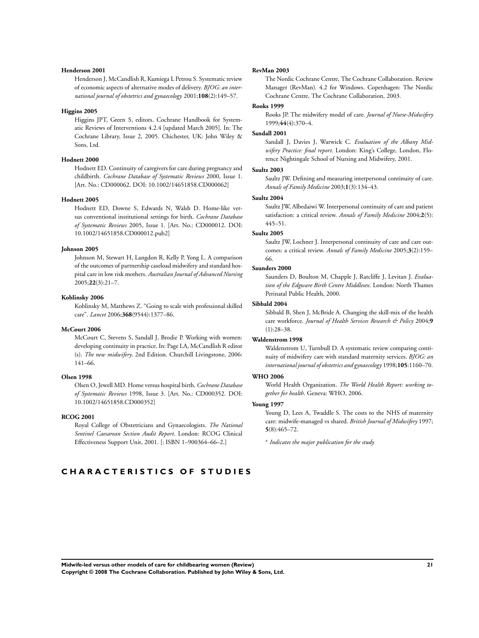#### **Henderson 2001**

Henderson J, McCandlish R, Kumiega L Petrou S. Systematic review of economic aspects of alternative modes of delivery. *BJOG: an international journal of obstetrics and gynaecology* 2001;**108**(2):149–57.

#### **Higgins 2005**

Higgins JPT, Green S, editors. Cochrane Handbook for Systematic Reviews of Interventions 4.2.4 [updated March 2005]. In: The Cochrane Library, Issue 2, 2005. Chichester, UK: John Wiley & Sons, Ltd.

#### **Hodnett 2000**

Hodnett ED. Continuity of caregivers for care during pregnancy and childbirth. *Cochrane Database of Systematic Reviews* 2000, Issue 1. [Art. No.: CD000062. DOI: 10.1002/14651858.CD000062]

#### **Hodnett 2005**

Hodnett ED, Downe S, Edwards N, Walsh D. Home-like versus conventional institutional settings for birth. *Cochrane Database of Systematic Reviews* 2005, Issue 1. [Art. No.: CD000012. DOI: 10.1002/14651858.CD000012.pub2]

#### **Johnson 2005**

Johnson M, Stewart H, Langdon R, Kelly P, Yong L. A comparison of the outcomes of partnership caseload midwifery and standard hospital care in low risk mothers. *Australian Journal of Advanced Nursing* 2005;**22**(3):21–7.

#### **Koblinsky 2006**

Koblinsky M, Matthews Z. "Going to scale with professional skilled care". *Lancet* 2006;**368**(9544):1377–86.

#### **McCourt 2006**

McCourt C, Stevens S, Sandall J, Brodie P. Working with women: developing continuity in practice. In: Page LA, McCandlish R editor (s). *The new midwifery*. 2nd Edition. Churchill Livingstone, 2006: 141–66.

#### **Olsen 1998**

Olsen O, Jewell MD. Home versus hospital birth. *Cochrane Database of Systematic Reviews* 1998, Issue 3. [Art. No.: CD000352. DOI: 10.1002/14651858.CD000352]

#### **RCOG 2001**

Royal College of Obstetricians and Gynaecologists. *The National Sentinel Caesarean Section Audit Report*. London: RCOG Clinical Effectiveness Support Unit, 2001. [: ISBN 1–900364–66–2.]

## **C H A R A C T E R I S T I C S O F S T U D I E S**

#### **RevMan 2003**

The Nordic Cochrane Centre, The Cochrane Collaboration. Review Manager (RevMan). 4.2 for Windows. Copenhagen: The Nordic Cochrane Centre, The Cochrane Collaboration, 2003.

#### **Rooks 1999**

Rooks JP. The midwifery model of care. *Journal of Nurse-Midwifery* 1999;**44**(4):370–4.

#### **Sandall 2001**

Sandall J, Davies J, Warwick C. *Evaluation of the Albany Midwifery Practice: final report*. London: King's College, London, Florence Nightingale School of Nursing and Midwifery, 2001.

#### **Saultz 2003**

Saultz JW. Defining and measuring interpersonal continuity of care. *Annals of Family Medicine* 2003;**1**(3):134–43.

#### **Saultz 2004**

Saultz JW, Albedaiwi W. Interpersonal continuity of care and patient satisfaction: a critical review. *Annals of Family Medicine* 2004;**2**(5): 445–51.

#### **Saultz 2005**

Saultz JW, Lochner J. Interpersonal continuity of care and care outcomes: a critical review. *Annals of Family Medicine* 2005;**3**(2):159– 66.

#### **Saunders 2000**

Saunders D, Boulton M, Chapple J, Ratcliffe J, Levitan J. *Evaluation of the Edgware Birth Centre Middlesex*. London: North Thames Perinatal Public Health, 2000.

#### **Sibbald 2004**

Sibbald B, Shen J, McBride A. Changing the skill-mix of the health care workforce. *Journal of Health Services Research & Policy* 2004;**9**  $(1):28-38.$ 

#### **Waldenstrom 1998**

Waldenstrom U, Turnbull D. A systematic review comparing continuity of midwifery care with standard maternity services. *BJOG: an international journal of obstetrics and gynaecology* 1998;**105**:1160–70.

#### **WHO 2006**

World Health Organization. *The World Health Report: working together for health*. Geneva: WHO, 2006.

#### **Young 1997**

Young D, Lees A, Twaddle S. The costs to the NHS of maternity care: midwife-managed vs shared. *British Journal of Midwifery* 1997; **5**(8):465–72.

∗ *Indicates the major publication for the study*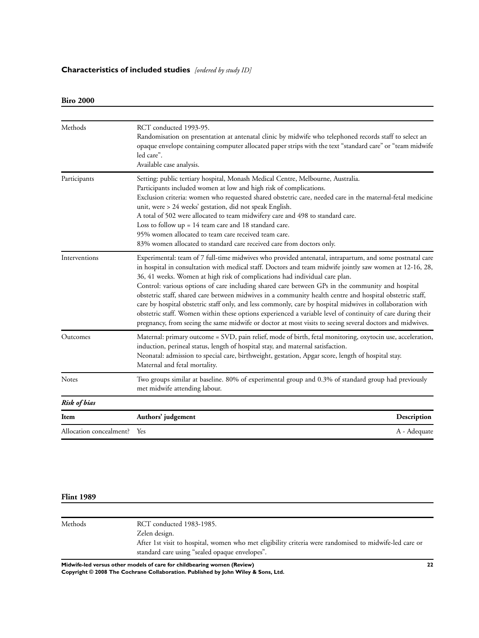## <span id="page-25-0"></span>**Characteristics of included studies** *[ordered by study ID]*

## **Biro 2000**

| Methods                 | RCT conducted 1993-95.<br>Randomisation on presentation at antenatal clinic by midwife who telephoned records staff to select an<br>opaque envelope containing computer allocated paper strips with the text "standard care" or "team midwife<br>led care".<br>Available case analysis.                                                                                                                                                                                                                                                                                                                                                                                                                                                                                                                                                                    |
|-------------------------|------------------------------------------------------------------------------------------------------------------------------------------------------------------------------------------------------------------------------------------------------------------------------------------------------------------------------------------------------------------------------------------------------------------------------------------------------------------------------------------------------------------------------------------------------------------------------------------------------------------------------------------------------------------------------------------------------------------------------------------------------------------------------------------------------------------------------------------------------------|
| Participants            | Setting: public tertiary hospital, Monash Medical Centre, Melbourne, Australia.<br>Participants included women at low and high risk of complications.<br>Exclusion criteria: women who requested shared obstetric care, needed care in the maternal-fetal medicine<br>unit, were > 24 weeks' gestation, did not speak English.<br>A total of 502 were allocated to team midwifery care and 498 to standard care.<br>Loss to follow $up = 14$ team care and 18 standard care.<br>95% women allocated to team care received team care.<br>83% women allocated to standard care received care from doctors only.                                                                                                                                                                                                                                              |
| Interventions           | Experimental: team of 7 full-time midwives who provided antenatal, intrapartum, and some postnatal care<br>in hospital in consultation with medical staff. Doctors and team midwife jointly saw women at 12-16, 28,<br>36, 41 weeks. Women at high risk of complications had individual care plan.<br>Control: various options of care including shared care between GPs in the community and hospital<br>obstetric staff, shared care between midwives in a community health centre and hospital obstetric staff,<br>care by hospital obstetric staff only, and less commonly, care by hospital midwives in collaboration with<br>obstetric staff. Women within these options experienced a variable level of continuity of care during their<br>pregnancy, from seeing the same midwife or doctor at most visits to seeing several doctors and midwives. |
| Outcomes                | Maternal: primary outcome = SVD, pain relief, mode of birth, fetal monitoring, oxytocin use, acceleration,<br>induction, perineal status, length of hospital stay, and maternal satisfaction.<br>Neonatal: admission to special care, birthweight, gestation, Apgar score, length of hospital stay.<br>Maternal and fetal mortality.                                                                                                                                                                                                                                                                                                                                                                                                                                                                                                                       |
| Notes                   | Two groups similar at baseline. 80% of experimental group and 0.3% of standard group had previously<br>met midwife attending labour.                                                                                                                                                                                                                                                                                                                                                                                                                                                                                                                                                                                                                                                                                                                       |
| <b>Risk of bias</b>     |                                                                                                                                                                                                                                                                                                                                                                                                                                                                                                                                                                                                                                                                                                                                                                                                                                                            |
| Item                    | Authors' judgement<br>Description                                                                                                                                                                                                                                                                                                                                                                                                                                                                                                                                                                                                                                                                                                                                                                                                                          |
| Allocation concealment? | A - Adequate<br>Yes                                                                                                                                                                                                                                                                                                                                                                                                                                                                                                                                                                                                                                                                                                                                                                                                                                        |

## **Flint 1989**

| Methods | RCT conducted 1983-1985.                                                                               |  |
|---------|--------------------------------------------------------------------------------------------------------|--|
|         | Zelen design.                                                                                          |  |
|         | After 1st visit to hospital, women who met eligibility criteria were randomised to midwife-led care or |  |
|         | standard care using "sealed opaque envelopes".                                                         |  |
|         |                                                                                                        |  |

**Midwife-led versus other models of care for childbearing women (Review) 22 Copyright © 2008 The Cochrane Collaboration. Published by John Wiley & Sons, Ltd.**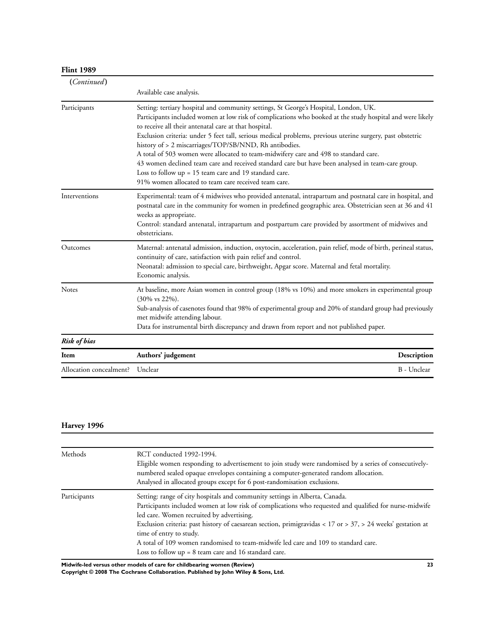| (Continued)             |                                                                                                                                                                                                                                                                                                                                                                                                                                                                                                                                                                                                                                                                                                                                                  |             |
|-------------------------|--------------------------------------------------------------------------------------------------------------------------------------------------------------------------------------------------------------------------------------------------------------------------------------------------------------------------------------------------------------------------------------------------------------------------------------------------------------------------------------------------------------------------------------------------------------------------------------------------------------------------------------------------------------------------------------------------------------------------------------------------|-------------|
|                         | Available case analysis.                                                                                                                                                                                                                                                                                                                                                                                                                                                                                                                                                                                                                                                                                                                         |             |
| Participants            | Setting: tertiary hospital and community settings, St George's Hospital, London, UK.<br>Participants included women at low risk of complications who booked at the study hospital and were likely<br>to receive all their antenatal care at that hospital.<br>Exclusion criteria: under 5 feet tall, serious medical problems, previous uterine surgery, past obstetric<br>history of > 2 miscarriages/TOP/SB/NND, Rh antibodies.<br>A total of 503 women were allocated to team-midwifery care and 498 to standard care.<br>43 women declined team care and received standard care but have been analysed in team-care group.<br>Loss to follow up = 15 team care and 19 standard care.<br>91% women allocated to team care received team care. |             |
| Interventions           | Experimental: team of 4 midwives who provided antenatal, intrapartum and postnatal care in hospital, and<br>postnatal care in the community for women in predefined geographic area. Obstetrician seen at 36 and 41<br>weeks as appropriate.<br>Control: standard antenatal, intrapartum and postpartum care provided by assortment of midwives and<br>obstetricians.                                                                                                                                                                                                                                                                                                                                                                            |             |
| Outcomes                | Maternal: antenatal admission, induction, oxytocin, acceleration, pain relief, mode of birth, perineal status,<br>continuity of care, satisfaction with pain relief and control.<br>Neonatal: admission to special care, birthweight, Apgar score. Maternal and fetal mortality.<br>Economic analysis.                                                                                                                                                                                                                                                                                                                                                                                                                                           |             |
| <b>Notes</b>            | At baseline, more Asian women in control group (18% vs 10%) and more smokers in experimental group<br>$(30\% \text{ vs } 22\%).$<br>Sub-analysis of casenotes found that 98% of experimental group and 20% of standard group had previously<br>met midwife attending labour.<br>Data for instrumental birth discrepancy and drawn from report and not published paper.                                                                                                                                                                                                                                                                                                                                                                           |             |
| <b>Risk of bias</b>     |                                                                                                                                                                                                                                                                                                                                                                                                                                                                                                                                                                                                                                                                                                                                                  |             |
| Item                    | Authors' judgement                                                                                                                                                                                                                                                                                                                                                                                                                                                                                                                                                                                                                                                                                                                               | Description |
| Allocation concealment? | Unclear                                                                                                                                                                                                                                                                                                                                                                                                                                                                                                                                                                                                                                                                                                                                          | B - Unclear |

## **Harvey 1996**

| Methods      | RCT conducted 1992-1994.<br>Eligible women responding to advertisement to join study were randomised by a series of consecutively-<br>numbered sealed opaque envelopes containing a computer-generated random allocation.<br>Analysed in allocated groups except for 6 post-randomisation exclusions.                                                                                                                                                                                                                         |
|--------------|-------------------------------------------------------------------------------------------------------------------------------------------------------------------------------------------------------------------------------------------------------------------------------------------------------------------------------------------------------------------------------------------------------------------------------------------------------------------------------------------------------------------------------|
| Participants | Setting: range of city hospitals and community settings in Alberta, Canada.<br>Participants included women at low risk of complications who requested and qualified for nurse-midwife<br>led care. Women recruited by advertising.<br>Exclusion criteria: past history of caesarean section, primigravidas < 17 or > 37, > 24 weeks' gestation at<br>time of entry to study.<br>A total of 109 women randomised to team-midwife led care and 109 to standard care.<br>Loss to follow $up = 8$ team care and 16 standard care. |

**Midwife-led versus other models of care for childbearing women (Review) 23**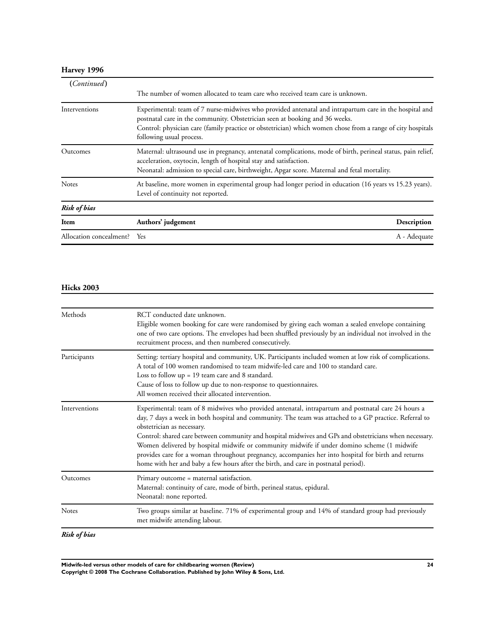## **Harvey 1996**

| (Continued)             |                                                                                                                                                                                                                                                                                                                                 |
|-------------------------|---------------------------------------------------------------------------------------------------------------------------------------------------------------------------------------------------------------------------------------------------------------------------------------------------------------------------------|
|                         | The number of women allocated to team care who received team care is unknown.                                                                                                                                                                                                                                                   |
| Interventions           | Experimental: team of 7 nurse-midwives who provided antenatal and intrapartum care in the hospital and<br>postnatal care in the community. Obstetrician seen at booking and 36 weeks.<br>Control: physician care (family practice or obstetrician) which women chose from a range of city hospitals<br>following usual process. |
| Outcomes                | Maternal: ultrasound use in pregnancy, antenatal complications, mode of birth, perineal status, pain relief,<br>acceleration, oxytocin, length of hospital stay and satisfaction.<br>Neonatal: admission to special care, birthweight, Apgar score. Maternal and fetal mortality.                                               |
| <b>Notes</b>            | At baseline, more women in experimental group had longer period in education (16 years vs 15.23 years).<br>Level of continuity not reported.                                                                                                                                                                                    |
| <b>Risk of bias</b>     |                                                                                                                                                                                                                                                                                                                                 |
| Item                    | Authors' judgement<br>Description                                                                                                                                                                                                                                                                                               |
| Allocation concealment? | A - Adequate<br><b>Yes</b>                                                                                                                                                                                                                                                                                                      |

## **Hicks 2003**

| Methods       | RCT conducted date unknown.<br>Eligible women booking for care were randomised by giving each woman a sealed envelope containing<br>one of two care options. The envelopes had been shuffled previously by an individual not involved in the<br>recruitment process, and then numbered consecutively.                                                                                                                                                                                                                                                                                                                                           |
|---------------|-------------------------------------------------------------------------------------------------------------------------------------------------------------------------------------------------------------------------------------------------------------------------------------------------------------------------------------------------------------------------------------------------------------------------------------------------------------------------------------------------------------------------------------------------------------------------------------------------------------------------------------------------|
| Participants  | Setting: tertiary hospital and community, UK. Participants included women at low risk of complications.<br>A total of 100 women randomised to team midwife-led care and 100 to standard care.<br>Loss to follow $up = 19$ team care and 8 standard.<br>Cause of loss to follow up due to non-response to questionnaires.<br>All women received their allocated intervention.                                                                                                                                                                                                                                                                    |
| Interventions | Experimental: team of 8 midwives who provided antenatal, intrapartum and postnatal care 24 hours a<br>day, 7 days a week in both hospital and community. The team was attached to a GP practice. Referral to<br>obstetrician as necessary.<br>Control: shared care between community and hospital midwives and GPs and obstetricians when necessary.<br>Women delivered by hospital midwife or community midwife if under domino scheme (1 midwife<br>provides care for a woman throughout pregnancy, accompanies her into hospital for birth and returns<br>home with her and baby a few hours after the birth, and care in postnatal period). |
| Outcomes      | Primary outcome = maternal satisfaction.<br>Maternal: continuity of care, mode of birth, perineal status, epidural.<br>Neonatal: none reported.                                                                                                                                                                                                                                                                                                                                                                                                                                                                                                 |
| <b>Notes</b>  | Two groups similar at baseline. 71% of experimental group and 14% of standard group had previously<br>met midwife attending labour.                                                                                                                                                                                                                                                                                                                                                                                                                                                                                                             |

## *Risk of bias*

**Midwife-led versus other models of care for childbearing women (Review) 24 Copyright © 2008 The Cochrane Collaboration. Published by John Wiley & Sons, Ltd.**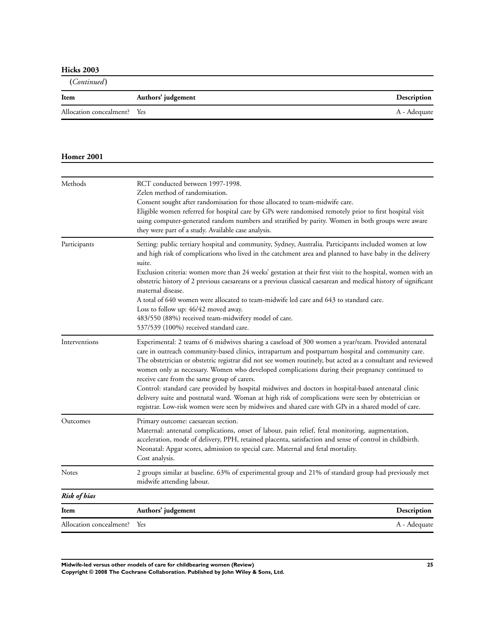## **Hicks 2003**

| (Continued) |                                                   |  |
|-------------|---------------------------------------------------|--|
|             | Description                                       |  |
|             | A - Adequate                                      |  |
|             | Authors' judgement<br>Allocation concealment? Yes |  |

## **Homer 2001**

| Methods                 | RCT conducted between 1997-1998.                                                                                                                                                                                                                                                                                                                                                                                                                                                                                                                                                                                                                                                                                                                                                              |
|-------------------------|-----------------------------------------------------------------------------------------------------------------------------------------------------------------------------------------------------------------------------------------------------------------------------------------------------------------------------------------------------------------------------------------------------------------------------------------------------------------------------------------------------------------------------------------------------------------------------------------------------------------------------------------------------------------------------------------------------------------------------------------------------------------------------------------------|
|                         | Zelen method of randomisation.                                                                                                                                                                                                                                                                                                                                                                                                                                                                                                                                                                                                                                                                                                                                                                |
|                         | Consent sought after randomisation for those allocated to team-midwife care.<br>Eligible women referred for hospital care by GPs were randomised remotely prior to first hospital visit<br>using computer-generated random numbers and stratified by parity. Women in both groups were aware<br>they were part of a study. Available case analysis.                                                                                                                                                                                                                                                                                                                                                                                                                                           |
| Participants            | Setting: public tertiary hospital and community, Sydney, Australia. Participants included women at low<br>and high risk of complications who lived in the catchment area and planned to have baby in the delivery<br>suite.                                                                                                                                                                                                                                                                                                                                                                                                                                                                                                                                                                   |
|                         | Exclusion criteria: women more than 24 weeks' gestation at their first visit to the hospital, women with an<br>obstetric history of 2 previous caesareans or a previous classical caesarean and medical history of significant<br>maternal disease.                                                                                                                                                                                                                                                                                                                                                                                                                                                                                                                                           |
|                         | A total of 640 women were allocated to team-midwife led care and 643 to standard care.                                                                                                                                                                                                                                                                                                                                                                                                                                                                                                                                                                                                                                                                                                        |
|                         | Loss to follow up: 46/42 moved away.<br>483/550 (88%) received team-midwifery model of care.                                                                                                                                                                                                                                                                                                                                                                                                                                                                                                                                                                                                                                                                                                  |
|                         | 537/539 (100%) received standard care.                                                                                                                                                                                                                                                                                                                                                                                                                                                                                                                                                                                                                                                                                                                                                        |
| Interventions           | Experimental: 2 teams of 6 midwives sharing a caseload of 300 women a year/team. Provided antenatal<br>care in outreach community-based clinics, intrapartum and postpartum hospital and community care.<br>The obstetrician or obstetric registrar did not see women routinely, but acted as a consultant and reviewed<br>women only as necessary. Women who developed complications during their pregnancy continued to<br>receive care from the same group of carers.<br>Control: standard care provided by hospital midwives and doctors in hospital-based antenatal clinic<br>delivery suite and postnatal ward. Woman at high risk of complications were seen by obstetrician or<br>registrar. Low-risk women were seen by midwives and shared care with GPs in a shared model of care. |
| Outcomes                | Primary outcome: caesarean section.<br>Maternal: antenatal complications, onset of labour, pain relief, fetal monitoring, augmentation,<br>acceleration, mode of delivery, PPH, retained placenta, satisfaction and sense of control in childbirth.<br>Neonatal: Apgar scores, admission to special care. Maternal and fetal mortality.<br>Cost analysis.                                                                                                                                                                                                                                                                                                                                                                                                                                     |
| Notes                   | 2 groups similar at baseline. 63% of experimental group and 21% of standard group had previously met<br>midwife attending labour.                                                                                                                                                                                                                                                                                                                                                                                                                                                                                                                                                                                                                                                             |
| <b>Risk of bias</b>     |                                                                                                                                                                                                                                                                                                                                                                                                                                                                                                                                                                                                                                                                                                                                                                                               |
| Item                    | Authors' judgement<br>Description                                                                                                                                                                                                                                                                                                                                                                                                                                                                                                                                                                                                                                                                                                                                                             |
| Allocation concealment? | Yes<br>A - Adequate                                                                                                                                                                                                                                                                                                                                                                                                                                                                                                                                                                                                                                                                                                                                                                           |
|                         |                                                                                                                                                                                                                                                                                                                                                                                                                                                                                                                                                                                                                                                                                                                                                                                               |

**Midwife-led versus other models of care for childbearing women (Review) 25 Copyright © 2008 The Cochrane Collaboration. Published by John Wiley & Sons, Ltd.**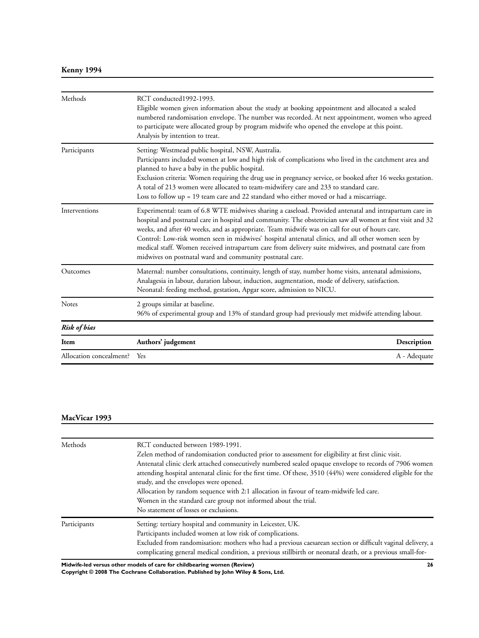| Methods                 | RCT conducted1992-1993.<br>Eligible women given information about the study at booking appointment and allocated a sealed<br>numbered randomisation envelope. The number was recorded. At next appointment, women who agreed<br>to participate were allocated group by program midwife who opened the envelope at this point.<br>Analysis by intention to treat.                                                                                                                                                                                                                                |
|-------------------------|-------------------------------------------------------------------------------------------------------------------------------------------------------------------------------------------------------------------------------------------------------------------------------------------------------------------------------------------------------------------------------------------------------------------------------------------------------------------------------------------------------------------------------------------------------------------------------------------------|
| Participants            | Setting: Westmead public hospital, NSW, Australia.<br>Participants included women at low and high risk of complications who lived in the catchment area and<br>planned to have a baby in the public hospital.<br>Exclusion criteria: Women requiring the drug use in pregnancy service, or booked after 16 weeks gestation.<br>A total of 213 women were allocated to team-midwifery care and 233 to standard care.<br>Loss to follow up = 19 team care and 22 standard who either moved or had a miscarriage.                                                                                  |
| Interventions           | Experimental: team of 6.8 WTE midwives sharing a caseload. Provided antenatal and intrapartum care in<br>hospital and postnatal care in hospital and community. The obstetrician saw all women at first visit and 32<br>weeks, and after 40 weeks, and as appropriate. Team midwife was on call for out of hours care.<br>Control: Low-risk women seen in midwives' hospital antenatal clinics, and all other women seen by<br>medical staff. Women received intrapartum care from delivery suite midwives, and postnatal care from<br>midwives on postnatal ward and community postnatal care. |
| Outcomes                | Maternal: number consultations, continuity, length of stay, number home visits, antenatal admissions,<br>Analagesia in labour, duration labour, induction, augmentation, mode of delivery, satisfaction.<br>Neonatal: feeding method, gestation, Apgar score, admission to NICU.                                                                                                                                                                                                                                                                                                                |
| Notes                   | 2 groups similar at baseline.<br>96% of experimental group and 13% of standard group had previously met midwife attending labour.                                                                                                                                                                                                                                                                                                                                                                                                                                                               |
| <b>Risk of bias</b>     |                                                                                                                                                                                                                                                                                                                                                                                                                                                                                                                                                                                                 |
| Item                    | Authors' judgement<br>Description                                                                                                                                                                                                                                                                                                                                                                                                                                                                                                                                                               |
| Allocation concealment? | Yes<br>A - Adequate                                                                                                                                                                                                                                                                                                                                                                                                                                                                                                                                                                             |

## **MacVicar 1993**

| Methods      | RCT conducted between 1989-1991.<br>Zelen method of randomisation conducted prior to assessment for eligibility at first clinic visit.<br>Antenatal clinic clerk attached consecutively numbered sealed opaque envelope to records of 7906 women<br>attending hospital antenatal clinic for the first time. Of these, 3510 (44%) were considered eligible for the<br>study, and the envelopes were opened.<br>Allocation by random sequence with 2:1 allocation in favour of team-midwife led care.<br>Women in the standard care group not informed about the trial.<br>No statement of losses or exclusions. |
|--------------|----------------------------------------------------------------------------------------------------------------------------------------------------------------------------------------------------------------------------------------------------------------------------------------------------------------------------------------------------------------------------------------------------------------------------------------------------------------------------------------------------------------------------------------------------------------------------------------------------------------|
| Participants | Setting: tertiary hospital and community in Leicester, UK.<br>Participants included women at low risk of complications.<br>Excluded from randomisation: mothers who had a previous caesarean section or difficult vaginal delivery, a<br>complicating general medical condition, a previous stillbirth or neonatal death, or a previous small-for-                                                                                                                                                                                                                                                             |

**Midwife-led versus other models of care for childbearing women (Review) 26**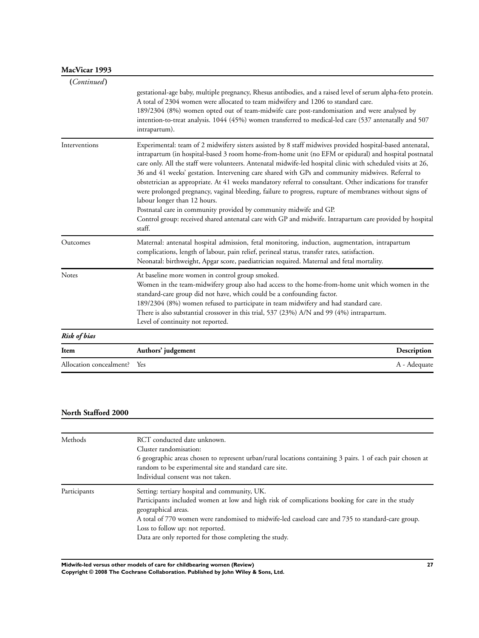| MacVicar 1993           |                                                                                                                                                                                                                                                                                                                                                                                                                                                                                                                                                                                                                                                                                                                                                                                                                                                                                          |              |
|-------------------------|------------------------------------------------------------------------------------------------------------------------------------------------------------------------------------------------------------------------------------------------------------------------------------------------------------------------------------------------------------------------------------------------------------------------------------------------------------------------------------------------------------------------------------------------------------------------------------------------------------------------------------------------------------------------------------------------------------------------------------------------------------------------------------------------------------------------------------------------------------------------------------------|--------------|
| (Continued)             | gestational-age baby, multiple pregnancy, Rhesus antibodies, and a raised level of serum alpha-feto protein.<br>A total of 2304 women were allocated to team midwifery and 1206 to standard care.<br>189/2304 (8%) women opted out of team-midwife care post-randomisation and were analysed by<br>intention-to-treat analysis. 1044 (45%) women transferred to medical-led care (537 antenatally and 507<br>intrapartum).                                                                                                                                                                                                                                                                                                                                                                                                                                                               |              |
| Interventions           | Experimental: team of 2 midwifery sisters assisted by 8 staff midwives provided hospital-based antenatal,<br>intrapartum (in hospital-based 3 room home-from-home unit (no EFM or epidural) and hospital postnatal<br>care only. All the staff were volunteers. Antenatal midwife-led hospital clinic with scheduled visits at 26,<br>36 and 41 weeks' gestation. Intervening care shared with GPs and community midwives. Referral to<br>obstetrician as appropriate. At 41 weeks mandatory referral to consultant. Other indications for transfer<br>were prolonged pregnancy, vaginal bleeding, failure to progress, rupture of membranes without signs of<br>labour longer than 12 hours.<br>Postnatal care in community provided by community midwife and GP.<br>Control group: received shared antenatal care with GP and midwife. Intrapartum care provided by hospital<br>staff. |              |
| Outcomes                | Maternal: antenatal hospital admission, fetal monitoring, induction, augmentation, intrapartum<br>complications, length of labour, pain relief, perineal status, transfer rates, satisfaction.<br>Neonatal: birthweight, Apgar score, paediatrician required. Maternal and fetal mortality.                                                                                                                                                                                                                                                                                                                                                                                                                                                                                                                                                                                              |              |
| Notes                   | At baseline more women in control group smoked.<br>Women in the team-midwifery group also had access to the home-from-home unit which women in the<br>standard-care group did not have, which could be a confounding factor.<br>189/2304 (8%) women refused to participate in team midwifery and had standard care.<br>There is also substantial crossover in this trial, 537 (23%) A/N and 99 (4%) intrapartum.<br>Level of continuity not reported.                                                                                                                                                                                                                                                                                                                                                                                                                                    |              |
| <b>Risk of bias</b>     |                                                                                                                                                                                                                                                                                                                                                                                                                                                                                                                                                                                                                                                                                                                                                                                                                                                                                          |              |
| Item                    | Authors' judgement                                                                                                                                                                                                                                                                                                                                                                                                                                                                                                                                                                                                                                                                                                                                                                                                                                                                       | Description  |
| Allocation concealment? | Yes                                                                                                                                                                                                                                                                                                                                                                                                                                                                                                                                                                                                                                                                                                                                                                                                                                                                                      | A - Adequate |

## **North Stafford 2000**

| Methods      | RCT conducted date unknown.<br>Cluster randomisation:<br>6 geographic areas chosen to represent urban/rural locations containing 3 pairs. 1 of each pair chosen at<br>random to be experimental site and standard care site.<br>Individual consent was not taken.                                                                                                          |
|--------------|----------------------------------------------------------------------------------------------------------------------------------------------------------------------------------------------------------------------------------------------------------------------------------------------------------------------------------------------------------------------------|
| Participants | Setting: tertiary hospital and community, UK.<br>Participants included women at low and high risk of complications booking for care in the study<br>geographical areas.<br>A total of 770 women were randomised to midwife-led caseload care and 735 to standard-care group.<br>Loss to follow up: not reported.<br>Data are only reported for those completing the study. |

**Midwife-led versus other models of care for childbearing women (Review) 27**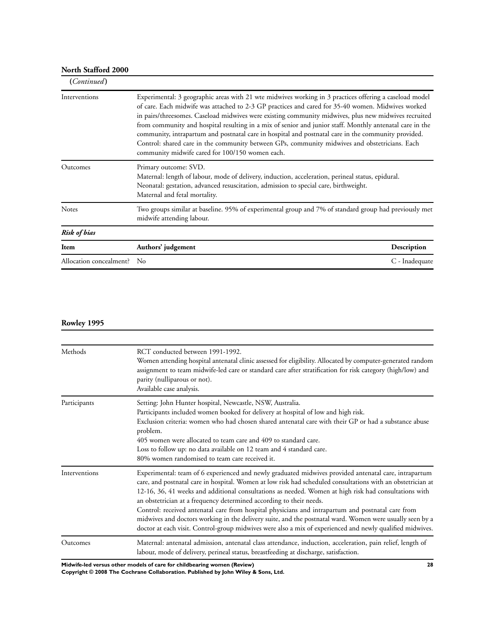## **North Stafford 2000**

| (Continued)             |                                                                                                                                                                                                                                                                                                                                                                                                                                                                                                                                                                                                                                                                                            |  |
|-------------------------|--------------------------------------------------------------------------------------------------------------------------------------------------------------------------------------------------------------------------------------------------------------------------------------------------------------------------------------------------------------------------------------------------------------------------------------------------------------------------------------------------------------------------------------------------------------------------------------------------------------------------------------------------------------------------------------------|--|
| Interventions           | Experimental: 3 geographic areas with 21 wte midwives working in 3 practices offering a caseload model<br>of care. Each midwife was attached to 2-3 GP practices and cared for 35-40 women. Midwives worked<br>in pairs/threesomes. Caseload midwives were existing community midwives, plus new midwives recruited<br>from community and hospital resulting in a mix of senior and junior staff. Monthly antenatal care in the<br>community, intrapartum and postnatal care in hospital and postnatal care in the community provided.<br>Control: shared care in the community between GPs, community midwives and obstetricians. Each<br>community midwife cared for 100/150 women each. |  |
| Outcomes                | Primary outcome: SVD.<br>Maternal: length of labour, mode of delivery, induction, acceleration, perineal status, epidural.<br>Neonatal: gestation, advanced resuscitation, admission to special care, birthweight.<br>Maternal and fetal mortality.                                                                                                                                                                                                                                                                                                                                                                                                                                        |  |
| <b>Notes</b>            | Two groups similar at baseline. 95% of experimental group and 7% of standard group had previously met<br>midwife attending labour.                                                                                                                                                                                                                                                                                                                                                                                                                                                                                                                                                         |  |
| <b>Risk of bias</b>     |                                                                                                                                                                                                                                                                                                                                                                                                                                                                                                                                                                                                                                                                                            |  |
| Item                    | Authors' judgement<br>Description                                                                                                                                                                                                                                                                                                                                                                                                                                                                                                                                                                                                                                                          |  |
| Allocation concealment? | C - Inadequate<br>$\rm No$                                                                                                                                                                                                                                                                                                                                                                                                                                                                                                                                                                                                                                                                 |  |
|                         |                                                                                                                                                                                                                                                                                                                                                                                                                                                                                                                                                                                                                                                                                            |  |

## **Rowley 1995**

| Methods       | RCT conducted between 1991-1992.<br>Women attending hospital antenatal clinic assessed for eligibility. Allocated by computer-generated random<br>assignment to team midwife-led care or standard care after stratification for risk category (high/low) and<br>parity (nulliparous or not).<br>Available case analysis.                                                                                                                                                                                                                                                                                                                                                                                                           |  |
|---------------|------------------------------------------------------------------------------------------------------------------------------------------------------------------------------------------------------------------------------------------------------------------------------------------------------------------------------------------------------------------------------------------------------------------------------------------------------------------------------------------------------------------------------------------------------------------------------------------------------------------------------------------------------------------------------------------------------------------------------------|--|
| Participants  | Setting: John Hunter hospital, Newcastle, NSW, Australia.<br>Participants included women booked for delivery at hospital of low and high risk.<br>Exclusion criteria: women who had chosen shared antenatal care with their GP or had a substance abuse<br>problem.<br>405 women were allocated to team care and 409 to standard care.<br>Loss to follow up: no data available on 12 team and 4 standard care.<br>80% women randomised to team care received it.                                                                                                                                                                                                                                                                   |  |
| Interventions | Experimental: team of 6 experienced and newly graduated midwives provided antenatal care, intrapartum<br>care, and postnatal care in hospital. Women at low risk had scheduled consultations with an obstetrician at<br>12-16, 36, 41 weeks and additional consultations as needed. Women at high risk had consultations with<br>an obstetrician at a frequency determined according to their needs.<br>Control: received antenatal care from hospital physicians and intrapartum and postnatal care from<br>midwives and doctors working in the delivery suite, and the postnatal ward. Women were usually seen by a<br>doctor at each visit. Control-group midwives were also a mix of experienced and newly qualified midwives. |  |
| Outcomes      | Maternal: antenatal admission, antenatal class attendance, induction, acceleration, pain relief, length of<br>labour, mode of delivery, perineal status, breastfeeding at discharge, satisfaction.                                                                                                                                                                                                                                                                                                                                                                                                                                                                                                                                 |  |

**Midwife-led versus other models of care for childbearing women (Review) 28**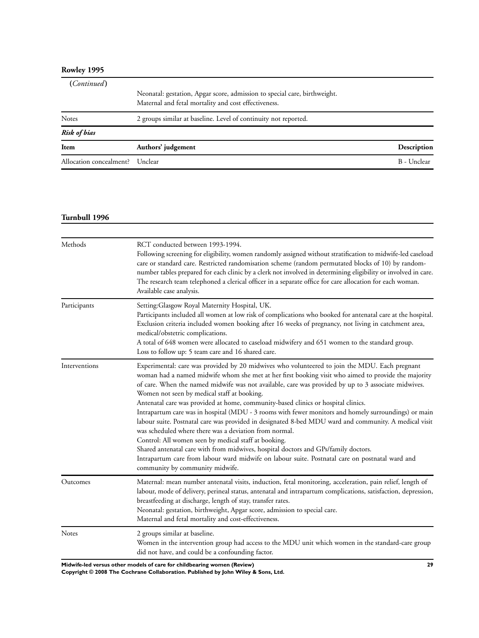| Rowley 1995             |                                                                                                                                   |             |
|-------------------------|-----------------------------------------------------------------------------------------------------------------------------------|-------------|
| <i>(Continued)</i>      |                                                                                                                                   |             |
|                         | Neonatal: gestation, Apgar score, admission to special care, birthweight.<br>Maternal and fetal mortality and cost effectiveness. |             |
| <b>Notes</b>            | 2 groups similar at baseline. Level of continuity not reported.                                                                   |             |
| <b>Risk of bias</b>     |                                                                                                                                   |             |
| Item                    | Authors' judgement                                                                                                                | Description |
| Allocation concealment? | - Unclear                                                                                                                         | B - Unclear |

# **Turnbull 1996**

| Methods       | RCT conducted between 1993-1994.<br>Following screening for eligibility, women randomly assigned without stratification to midwife-led caseload<br>care or standard care. Restricted randomisation scheme (random permutated blocks of 10) by random-<br>number tables prepared for each clinic by a clerk not involved in determining eligibility or involved in care.<br>The research team telephoned a clerical officer in a separate office for care allocation for each woman.<br>Available case analysis.                                                                                                                                                                                                                                                                                                                                                                                                                                                                                                |
|---------------|----------------------------------------------------------------------------------------------------------------------------------------------------------------------------------------------------------------------------------------------------------------------------------------------------------------------------------------------------------------------------------------------------------------------------------------------------------------------------------------------------------------------------------------------------------------------------------------------------------------------------------------------------------------------------------------------------------------------------------------------------------------------------------------------------------------------------------------------------------------------------------------------------------------------------------------------------------------------------------------------------------------|
| Participants  | Setting: Glasgow Royal Maternity Hospital, UK.<br>Participants included all women at low risk of complications who booked for antenatal care at the hospital.<br>Exclusion criteria included women booking after 16 weeks of pregnancy, not living in catchment area,<br>medical/obstetric complications.<br>A total of 648 women were allocated to caseload midwifery and 651 women to the standard group.<br>Loss to follow up: 5 team care and 16 shared care.                                                                                                                                                                                                                                                                                                                                                                                                                                                                                                                                              |
| Interventions | Experimental: care was provided by 20 midwives who volunteered to join the MDU. Each pregnant<br>woman had a named midwife whom she met at her first booking visit who aimed to provide the majority<br>of care. When the named midwife was not available, care was provided by up to 3 associate midwives.<br>Women not seen by medical staff at booking.<br>Antenatal care was provided at home, community-based clinics or hospital clinics.<br>Intrapartum care was in hospital (MDU - 3 rooms with fewer monitors and homely surroundings) or main<br>labour suite. Postnatal care was provided in designated 8-bed MDU ward and community. A medical visit<br>was scheduled where there was a deviation from normal.<br>Control: All women seen by medical staff at booking.<br>Shared antenatal care with from midwives, hospital doctors and GPs/family doctors.<br>Intrapartum care from labour ward midwife on labour suite. Postnatal care on postnatal ward and<br>community by community midwife. |
| Outcomes      | Maternal: mean number antenatal visits, induction, fetal monitoring, acceleration, pain relief, length of<br>labour, mode of delivery, perineal status, antenatal and intrapartum complications, satisfaction, depression,<br>breastfeeding at discharge, length of stay, transfer rates.<br>Neonatal: gestation, birthweight, Apgar score, admission to special care.<br>Maternal and fetal mortality and cost-effectiveness.                                                                                                                                                                                                                                                                                                                                                                                                                                                                                                                                                                                 |
| Notes         | 2 groups similar at baseline.<br>Women in the intervention group had access to the MDU unit which women in the standard-care group<br>did not have, and could be a confounding factor.                                                                                                                                                                                                                                                                                                                                                                                                                                                                                                                                                                                                                                                                                                                                                                                                                         |

**Midwife-led versus other models of care for childbearing women (Review) 29**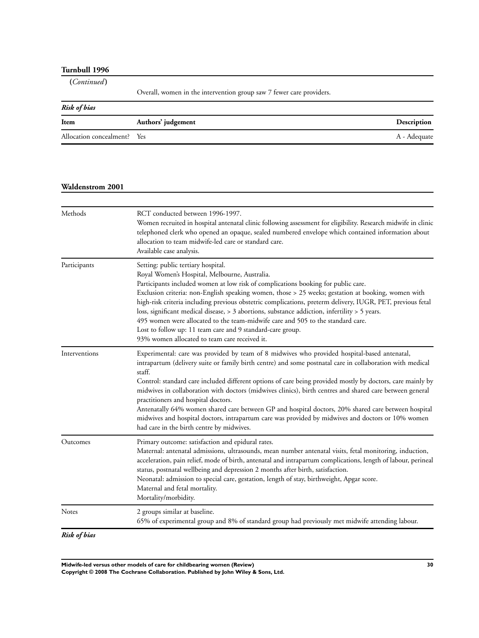## **Turnbull 1996**

**(***Continued* **)**

Overall, women in the intervention group saw 7 fewer care providers.

## *Risk of bias*

| Item                        | Authors' judgement | Description  |
|-----------------------------|--------------------|--------------|
| Allocation concealment? Yes |                    | A - Adequate |

## **Waldenstrom 2001**

| Methods       | RCT conducted between 1996-1997.<br>Women recruited in hospital antenatal clinic following assessment for eligibility. Research midwife in clinic<br>telephoned clerk who opened an opaque, sealed numbered envelope which contained information about<br>allocation to team midwife-led care or standard care.<br>Available case analysis.                                                                                                                                                                                                                                                                                                                                                                                                   |  |
|---------------|-----------------------------------------------------------------------------------------------------------------------------------------------------------------------------------------------------------------------------------------------------------------------------------------------------------------------------------------------------------------------------------------------------------------------------------------------------------------------------------------------------------------------------------------------------------------------------------------------------------------------------------------------------------------------------------------------------------------------------------------------|--|
| Participants  | Setting: public tertiary hospital.<br>Royal Women's Hospital, Melbourne, Australia.<br>Participants included women at low risk of complications booking for public care.<br>Exclusion criteria: non-English speaking women, those > 25 weeks; gestation at booking, women with<br>high-risk criteria including previous obstetric complications, preterm delivery, IUGR, PET, previous fetal<br>loss, significant medical disease, > 3 abortions, substance addiction, infertility > 5 years.<br>495 women were allocated to the team-midwife care and 505 to the standard care.<br>Lost to follow up: 11 team care and 9 standard-care group.<br>93% women allocated to team care received it.                                               |  |
| Interventions | Experimental: care was provided by team of 8 midwives who provided hospital-based antenatal,<br>intrapartum (delivery suite or family birth centre) and some postnatal care in collaboration with medical<br>staff.<br>Control: standard care included different options of care being provided mostly by doctors, care mainly by<br>midwives in collaboration with doctors (midwives clinics), birth centres and shared care between general<br>practitioners and hospital doctors.<br>Antenatally 64% women shared care between GP and hospital doctors, 20% shared care between hospital<br>midwives and hospital doctors, intrapartum care was provided by midwives and doctors or 10% women<br>had care in the birth centre by midwives. |  |
| Outcomes      | Primary outcome: satisfaction and epidural rates.<br>Maternal: antenatal admissions, ultrasounds, mean number antenatal visits, fetal monitoring, induction,<br>acceleration, pain relief, mode of birth, antenatal and intrapartum complications, length of labour, perineal<br>status, postnatal wellbeing and depression 2 months after birth, satisfaction.<br>Neonatal: admission to special care, gestation, length of stay, birthweight, Apgar score.<br>Maternal and fetal mortality.<br>Mortality/morbidity.                                                                                                                                                                                                                         |  |
| Notes         | 2 groups similar at baseline.<br>65% of experimental group and 8% of standard group had previously met midwife attending labour.                                                                                                                                                                                                                                                                                                                                                                                                                                                                                                                                                                                                              |  |

*Risk of bias*

**Midwife-led versus other models of care for childbearing women (Review) 30 Copyright © 2008 The Cochrane Collaboration. Published by John Wiley & Sons, Ltd.**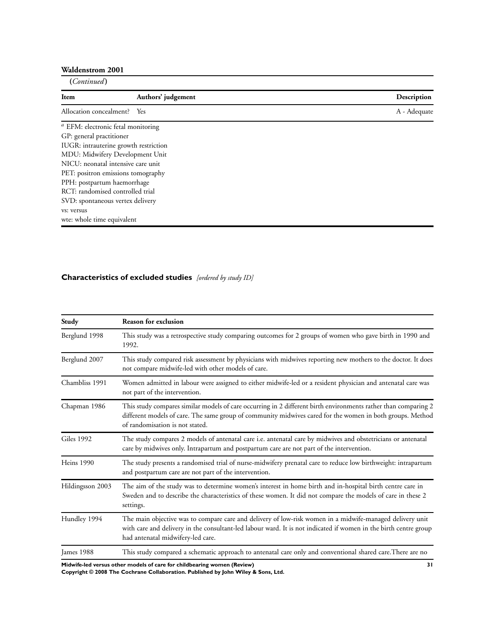## <span id="page-34-0"></span>**Waldenstrom 2001**

| (Continued)                      |                                                      |              |
|----------------------------------|------------------------------------------------------|--------------|
| Item                             | Authors' judgement                                   | Description  |
| Allocation concealment?          | Yes.                                                 | A - Adequate |
|                                  | <sup><i>a</i></sup> EFM: electronic fetal monitoring |              |
| GP: general practitioner         |                                                      |              |
|                                  | IUGR: intrauterine growth restriction                |              |
| MDU: Midwifery Development Unit  |                                                      |              |
|                                  | NICU: neonatal intensive care unit                   |              |
|                                  | PET: positron emissions tomography                   |              |
| PPH: postpartum haemorrhage      |                                                      |              |
|                                  | RCT: randomised controlled trial                     |              |
| SVD: spontaneous vertex delivery |                                                      |              |
| vs: versus                       |                                                      |              |
| wte: whole time equivalent       |                                                      |              |

## **Characteristics of excluded studies** *[ordered by study ID]*

| Study            | <b>Reason for exclusion</b>                                                                                                                                                                                                                                       |
|------------------|-------------------------------------------------------------------------------------------------------------------------------------------------------------------------------------------------------------------------------------------------------------------|
| Berglund 1998    | This study was a retrospective study comparing outcomes for 2 groups of women who gave birth in 1990 and<br>1992.                                                                                                                                                 |
| Berglund 2007    | This study compared risk assessment by physicians with midwives reporting new mothers to the doctor. It does<br>not compare midwife-led with other models of care.                                                                                                |
| Chambliss 1991   | Women admitted in labour were assigned to either midwife-led or a resident physician and antenatal care was<br>not part of the intervention.                                                                                                                      |
| Chapman 1986     | This study compares similar models of care occurring in 2 different birth environments rather than comparing 2<br>different models of care. The same group of community midwives cared for the women in both groups. Method<br>of randomisation is not stated.    |
| Giles 1992       | The study compares 2 models of antenatal care i.e. antenatal care by midwives and obstetricians or antenatal<br>care by midwives only. Intrapartum and postpartum care are not part of the intervention.                                                          |
| Heins 1990       | The study presents a randomised trial of nurse-midwifery prenatal care to reduce low birthweight: intrapartum<br>and postpartum care are not part of the intervention.                                                                                            |
| Hildingsson 2003 | The aim of the study was to determine women's interest in home birth and in-hospital birth centre care in<br>Sweden and to describe the characteristics of these women. It did not compare the models of care in these 2<br>settings.                             |
| Hundley 1994     | The main objective was to compare care and delivery of low-risk women in a midwife-managed delivery unit<br>with care and delivery in the consultant-led labour ward. It is not indicated if women in the birth centre group<br>had antenatal midwifery-led care. |
| James 1988       | This study compared a schematic approach to antenatal care only and conventional shared care. There are no                                                                                                                                                        |

**Midwife-led versus other models of care for childbearing women (Review) 31**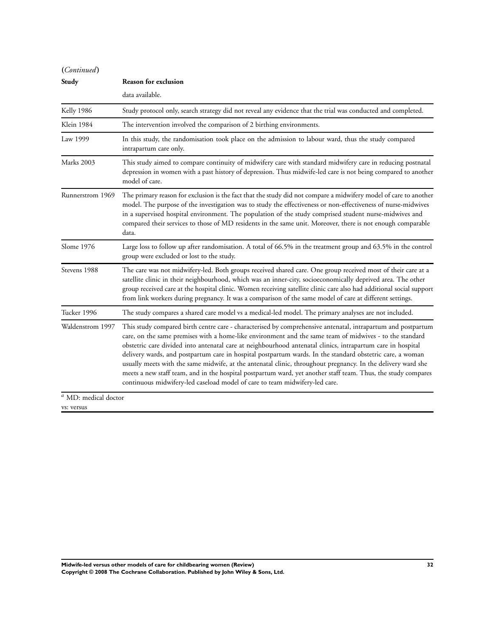| (Continued)                                   |                                                                                                                                                                                                                                                                                                                                                                                                                                                                                                                                                                                                                                                                                                                                                                     |
|-----------------------------------------------|---------------------------------------------------------------------------------------------------------------------------------------------------------------------------------------------------------------------------------------------------------------------------------------------------------------------------------------------------------------------------------------------------------------------------------------------------------------------------------------------------------------------------------------------------------------------------------------------------------------------------------------------------------------------------------------------------------------------------------------------------------------------|
| Study                                         | <b>Reason for exclusion</b>                                                                                                                                                                                                                                                                                                                                                                                                                                                                                                                                                                                                                                                                                                                                         |
|                                               | data available.                                                                                                                                                                                                                                                                                                                                                                                                                                                                                                                                                                                                                                                                                                                                                     |
| Kelly 1986                                    | Study protocol only, search strategy did not reveal any evidence that the trial was conducted and completed.                                                                                                                                                                                                                                                                                                                                                                                                                                                                                                                                                                                                                                                        |
| Klein 1984                                    | The intervention involved the comparison of 2 birthing environments.                                                                                                                                                                                                                                                                                                                                                                                                                                                                                                                                                                                                                                                                                                |
| Law 1999                                      | In this study, the randomisation took place on the admission to labour ward, thus the study compared<br>intrapartum care only.                                                                                                                                                                                                                                                                                                                                                                                                                                                                                                                                                                                                                                      |
| Marks 2003                                    | This study aimed to compare continuity of midwifery care with standard midwifery care in reducing postnatal<br>depression in women with a past history of depression. Thus midwife-led care is not being compared to another<br>model of care.                                                                                                                                                                                                                                                                                                                                                                                                                                                                                                                      |
| Runnerstrom 1969                              | The primary reason for exclusion is the fact that the study did not compare a midwifery model of care to another<br>model. The purpose of the investigation was to study the effectiveness or non-effectiveness of nurse-midwives<br>in a supervised hospital environment. The population of the study comprised student nurse-midwives and<br>compared their services to those of MD residents in the same unit. Moreover, there is not enough comparable<br>data.                                                                                                                                                                                                                                                                                                 |
| Slome 1976                                    | Large loss to follow up after randomisation. A total of 66.5% in the treatment group and 63.5% in the control<br>group were excluded or lost to the study.                                                                                                                                                                                                                                                                                                                                                                                                                                                                                                                                                                                                          |
| Stevens 1988                                  | The care was not midwifery-led. Both groups received shared care. One group received most of their care at a<br>satellite clinic in their neighbourhood, which was an inner-city, socioeconomically deprived area. The other<br>group received care at the hospital clinic. Women receiving satellite clinic care also had additional social support<br>from link workers during pregnancy. It was a comparison of the same model of care at different settings.                                                                                                                                                                                                                                                                                                    |
| Tucker 1996                                   | The study compares a shared care model vs a medical-led model. The primary analyses are not included.                                                                                                                                                                                                                                                                                                                                                                                                                                                                                                                                                                                                                                                               |
| Waldenstrom 1997                              | This study compared birth centre care - characterised by comprehensive antenatal, intrapartum and postpartum<br>care, on the same premises with a home-like environment and the same team of midwives - to the standard<br>obstetric care divided into antenatal care at neighbourhood antenatal clinics, intrapartum care in hospital<br>delivery wards, and postpartum care in hospital postpartum wards. In the standard obstetric care, a woman<br>usually meets with the same midwife, at the antenatal clinic, throughout pregnancy. In the delivery ward she<br>meets a new staff team, and in the hospital postpartum ward, yet another staff team. Thus, the study compares<br>continuous midwifery-led caseload model of care to team midwifery-led care. |
| <sup>a</sup> MD: medical doctor<br>vs: versus |                                                                                                                                                                                                                                                                                                                                                                                                                                                                                                                                                                                                                                                                                                                                                                     |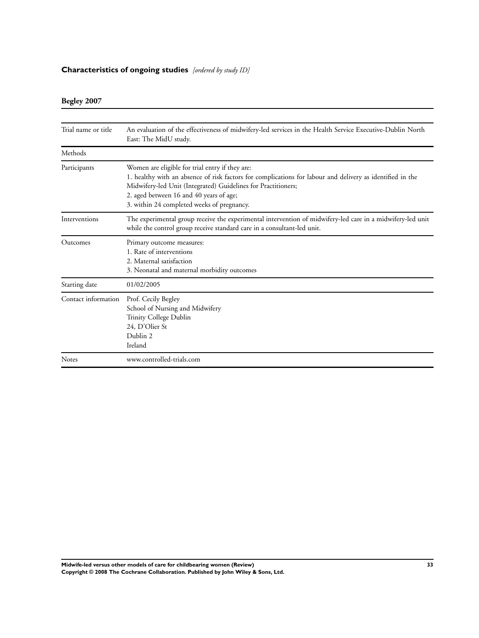# **Characteristics of ongoing studies** *[ordered by study ID]*

# **Begley 2007**

| Trial name or title | An evaluation of the effectiveness of midwifery-led services in the Health Service Executive-Dublin North<br>East: The MidU study.                                                                                                                                                                                     |
|---------------------|------------------------------------------------------------------------------------------------------------------------------------------------------------------------------------------------------------------------------------------------------------------------------------------------------------------------|
| Methods             |                                                                                                                                                                                                                                                                                                                        |
| Participants        | Women are eligible for trial entry if they are:<br>1. healthy with an absence of risk factors for complications for labour and delivery as identified in the<br>Midwifery-led Unit (Integrated) Guidelines for Practitioners;<br>2. aged between 16 and 40 years of age;<br>3. within 24 completed weeks of pregnancy. |
| Interventions       | The experimental group receive the experimental intervention of midwifery-led care in a midwifery-led unit<br>while the control group receive standard care in a consultant-led unit.                                                                                                                                  |
| Outcomes            | Primary outcome measures:<br>1. Rate of interventions<br>2. Maternal satisfaction<br>3. Neonatal and maternal morbidity outcomes                                                                                                                                                                                       |
| Starting date       | 01/02/2005                                                                                                                                                                                                                                                                                                             |
| Contact information | Prof. Cecily Begley<br>School of Nursing and Midwifery<br>Trinity College Dublin<br>24, D'Olier St<br>Dublin 2<br>Ireland                                                                                                                                                                                              |
| <b>Notes</b>        | www.controlled-trials.com                                                                                                                                                                                                                                                                                              |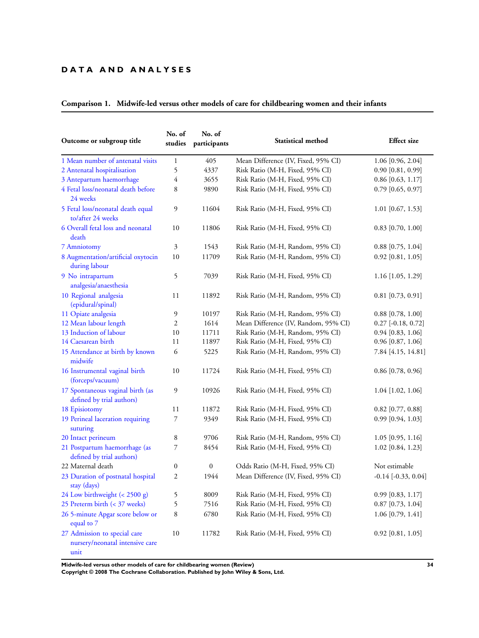# **D A T A A N D A N A L Y S E S**

# **Comparison 1. Midwife-led versus other models of care for childbearing women and their infants**

| Outcome or subgroup title                                               | No. of<br>No. of<br>participants<br>studies |                  | <b>Statistical method</b>            | <b>Effect</b> size           |  |
|-------------------------------------------------------------------------|---------------------------------------------|------------------|--------------------------------------|------------------------------|--|
| 1 Mean number of antenatal visits                                       | $\mathbf{1}$                                | 405              | Mean Difference (IV, Fixed, 95% CI)  | 1.06 [0.96, 2.04]            |  |
| 2 Antenatal hospitalisation                                             | 5                                           | 4337             | Risk Ratio (M-H, Fixed, 95% CI)      | 0.90 [0.81, 0.99]            |  |
| 3 Antepartum haemorrhage                                                | 4                                           | 3655             | Risk Ratio (M-H, Fixed, 95% CI)      | $0.86$ [0.63, 1.17]          |  |
| 4 Fetal loss/neonatal death before<br>24 weeks                          | 8                                           | 9890             | Risk Ratio (M-H, Fixed, 95% CI)      | $0.79$ [0.65, 0.97]          |  |
| 5 Fetal loss/neonatal death equal<br>to/after 24 weeks                  | 9                                           | 11604            | Risk Ratio (M-H, Fixed, 95% CI)      | $1.01$ [0.67, 1.53]          |  |
| 6 Overall fetal loss and neonatal<br>death                              | 10                                          | 11806            | Risk Ratio (M-H, Fixed, 95% CI)      | $0.83$ [0.70, 1.00]          |  |
| 7 Amniotomy                                                             | $\boldsymbol{\beta}$                        | 1543             | Risk Ratio (M-H, Random, 95% CI)     | $0.88$ [0.75, 1.04]          |  |
| 8 Augmentation/artificial oxytocin<br>during labour                     | 10                                          | 11709            | Risk Ratio (M-H, Random, 95% CI)     | $0.92$ [0.81, 1.05]          |  |
| 9 No intrapartum<br>analgesia/anaesthesia                               | 5                                           | 7039             | Risk Ratio (M-H, Fixed, 95% CI)      | 1.16 [1.05, 1.29]            |  |
| 10 Regional analgesia<br>(epidural/spinal)                              | 11                                          | 11892            | Risk Ratio (M-H, Random, 95% CI)     | $0.81$ [0.73, 0.91]          |  |
| 11 Opiate analgesia                                                     | 9                                           | 10197            | Risk Ratio (M-H, Random, 95% CI)     | $0.88$ [0.78, 1.00]          |  |
| 12 Mean labour length                                                   | $\sqrt{2}$                                  | 1614             | Mean Difference (IV, Random, 95% CI) | $0.27$ [-0.18, 0.72]         |  |
| 13 Induction of labour                                                  | 10                                          | 11711            | Risk Ratio (M-H, Random, 95% CI)     | $0.94$ [0.83, 1.06]          |  |
| 14 Caesarean birth                                                      | 11                                          | 11897            | Risk Ratio (M-H, Fixed, 95% CI)      | $0.96$ [0.87, 1.06]          |  |
| 15 Attendance at birth by known<br>midwife                              | 6                                           | 5225             | Risk Ratio (M-H, Random, 95% CI)     | 7.84 [4.15, 14.81]           |  |
| 16 Instrumental vaginal birth<br>(forceps/vacuum)                       | 10                                          | 11724            | Risk Ratio (M-H, Fixed, 95% CI)      | $0.86$ [0.78, 0.96]          |  |
| 17 Spontaneous vaginal birth (as<br>defined by trial authors)           | 9                                           | 10926            | Risk Ratio (M-H, Fixed, 95% CI)      | $1.04$ [1.02, 1.06]          |  |
| 18 Episiotomy                                                           | 11                                          | 11872            | Risk Ratio (M-H, Fixed, 95% CI)      | $0.82$ [0.77, 0.88]          |  |
| 19 Perineal laceration requiring<br>suturing                            | 7                                           | 9349             | Risk Ratio (M-H, Fixed, 95% CI)      | 0.99 [0.94, 1.03]            |  |
| 20 Intact perineum                                                      | 8                                           | 9706             | Risk Ratio (M-H, Random, 95% CI)     | $1.05$ [0.95, 1.16]          |  |
| 21 Postpartum haemorrhage (as<br>defined by trial authors)              | 7                                           | 8454             | Risk Ratio (M-H, Fixed, 95% CI)      | 1.02 [0.84, 1.23]            |  |
| 22 Maternal death                                                       | $\boldsymbol{0}$                            | $\boldsymbol{0}$ | Odds Ratio (M-H, Fixed, 95% CI)      | Not estimable                |  |
| 23 Duration of postnatal hospital<br>stay (days)                        | $\sqrt{2}$                                  | 1944             | Mean Difference (IV, Fixed, 95% CI)  | $-0.14$ [ $-0.33$ , $0.04$ ] |  |
| 24 Low birthweight (< 2500 g)                                           | 5                                           | 8009             | Risk Ratio (M-H, Fixed, 95% CI)      | 0.99 [0.83, 1.17]            |  |
| 25 Preterm birth (< 37 weeks)                                           | 5                                           | 7516             | Risk Ratio (M-H, Fixed, 95% CI)      | $0.87$ [0.73, 1.04]          |  |
| 26 5-minute Apgar score below or<br>equal to 7                          | 8                                           | 6780             | Risk Ratio (M-H, Fixed, 95% CI)      | $1.06$ [0.79, 1.41]          |  |
| 27 Admission to special care<br>nursery/neonatal intensive care<br>unit | 10                                          | 11782            | Risk Ratio (M-H, Fixed, 95% CI)      | $0.92$ [0.81, 1.05]          |  |

**Midwife-led versus other models of care for childbearing women (Review) 34**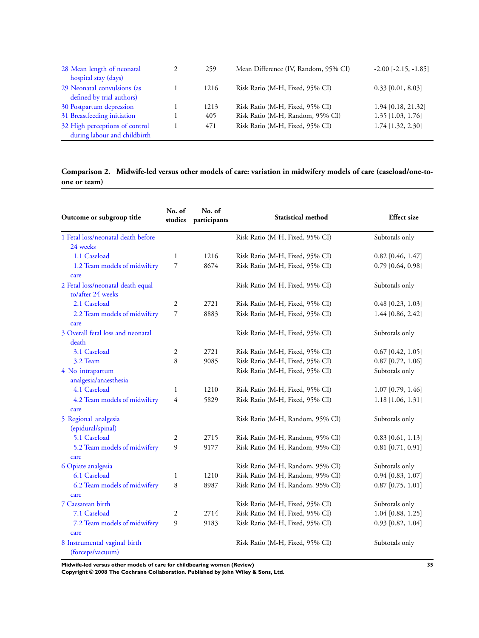| 28 Mean length of neonatal                          | 259  | Mean Difference (IV, Random, 95% CI) | $-2.00$ $[-2.15, -1.85]$ |
|-----------------------------------------------------|------|--------------------------------------|--------------------------|
| hospital stay (days)<br>29 Neonatal convulsions (as | 1216 | Risk Ratio (M-H, Fixed, 95% CI)      | $0.33$ [0.01, 8.03]      |
| defined by trial authors)                           |      |                                      |                          |
| 30 Postpartum depression                            | 1213 | Risk Ratio (M-H, Fixed, 95% CI)      | 1.94 [0.18, 21.32]       |
| 31 Breastfeeding initiation                         | 405  | Risk Ratio (M-H, Random, 95% CI)     | $1.35$ [1.03, 1.76]      |
| 32 High perceptions of control                      | 471  | Risk Ratio (M-H, Fixed, 95% CI)      | 1.74 [1.32, 2.30]        |
| during labour and childbirth                        |      |                                      |                          |

# **Comparison 2. Midwife-led versus other models of care: variation in midwifery models of care (caseload/one-toone or team)**

| Outcome or subgroup title                              | No. of<br>studies | No. of<br>participants | <b>Statistical method</b>                                          | <b>Effect</b> size                  |  |  |
|--------------------------------------------------------|-------------------|------------------------|--------------------------------------------------------------------|-------------------------------------|--|--|
| 1 Fetal loss/neonatal death before                     |                   |                        | Risk Ratio (M-H, Fixed, 95% CI)                                    | Subtotals only                      |  |  |
| 24 weeks                                               |                   |                        |                                                                    |                                     |  |  |
| 1.1 Caseload                                           | $\mathbf{1}$      | 1216                   | Risk Ratio (M-H, Fixed, 95% CI)                                    | $0.82$ [0.46, 1.47]                 |  |  |
| 1.2 Team models of midwifery<br>care                   | 7                 | 8674                   | Risk Ratio (M-H, Fixed, 95% CI)                                    | $0.79$ [0.64, 0.98]                 |  |  |
| 2 Fetal loss/neonatal death equal<br>to/after 24 weeks |                   |                        | Risk Ratio (M-H, Fixed, 95% CI)                                    | Subtotals only                      |  |  |
| 2.1 Caseload                                           | $\overline{2}$    | 2721                   | Risk Ratio (M-H, Fixed, 95% CI)                                    | $0.48$ [0.23, 1.03]                 |  |  |
| 2.2 Team models of midwifery<br>care                   | 7                 | 8883                   | Risk Ratio (M-H, Fixed, 95% CI)                                    | 1.44 [0.86, 2.42]                   |  |  |
| 3 Overall fetal loss and neonatal<br>death             |                   |                        | Risk Ratio (M-H, Fixed, 95% CI)                                    | Subtotals only                      |  |  |
| 3.1 Caseload                                           | $\mathfrak{2}$    | 2721                   | Risk Ratio (M-H, Fixed, 95% CI)                                    | $0.67$ [0.42, 1.05]                 |  |  |
| 3.2 Team                                               | 8                 | 9085                   | Risk Ratio (M-H, Fixed, 95% CI)                                    | $0.87$ [0.72, 1.06]                 |  |  |
| 4 No intrapartum<br>analgesia/anaesthesia              |                   |                        | Risk Ratio (M-H, Fixed, 95% CI)                                    | Subtotals only                      |  |  |
| 4.1 Caseload                                           | $\mathbf{1}$      | 1210                   | Risk Ratio (M-H, Fixed, 95% CI)                                    | 1.07 [0.79, 1.46]                   |  |  |
| 4.2 Team models of midwifery                           | 4                 | 5829                   | Risk Ratio (M-H, Fixed, 95% CI)                                    | 1.18 [1.06, 1.31]                   |  |  |
| care<br>5 Regional analgesia<br>(epidural/spinal)      |                   |                        | Risk Ratio (M-H, Random, 95% CI)                                   | Subtotals only                      |  |  |
| 5.1 Caseload                                           | 2                 | 2715                   | Risk Ratio (M-H, Random, 95% CI)                                   | $0.83$ [0.61, 1.13]                 |  |  |
| 5.2 Team models of midwifery<br>care                   | 9                 | 9177                   | Risk Ratio (M-H, Random, 95% CI)                                   | $0.81$ [0.71, 0.91]                 |  |  |
| 6 Opiate analgesia                                     |                   |                        | Risk Ratio (M-H, Random, 95% CI)                                   | Subtotals only                      |  |  |
| 6.1 Caseload                                           | 1                 | 1210                   | Risk Ratio (M-H, Random, 95% CI)                                   | $0.94$ [0.83, 1.07]                 |  |  |
| 6.2 Team models of midwifery                           | 8                 | 8987                   | Risk Ratio (M-H, Random, 95% CI)                                   | $0.87$ [0.75, 1.01]                 |  |  |
| care<br>7 Caesarean birth                              |                   |                        |                                                                    |                                     |  |  |
| 7.1 Caseload                                           | $\mathfrak{2}$    | 2714                   | Risk Ratio (M-H, Fixed, 95% CI)<br>Risk Ratio (M-H, Fixed, 95% CI) | Subtotals only<br>1.04 [0.88, 1.25] |  |  |
|                                                        |                   | 9183                   |                                                                    |                                     |  |  |
| 7.2 Team models of midwifery<br>care                   | 9                 |                        | Risk Ratio (M-H, Fixed, 95% CI)                                    | $0.93$ [0.82, 1.04]                 |  |  |
| 8 Instrumental vaginal birth<br>(forceps/vacuum)       |                   |                        | Risk Ratio (M-H, Fixed, 95% CI)                                    | Subtotals only                      |  |  |

**Midwife-led versus other models of care for childbearing women (Review) 35**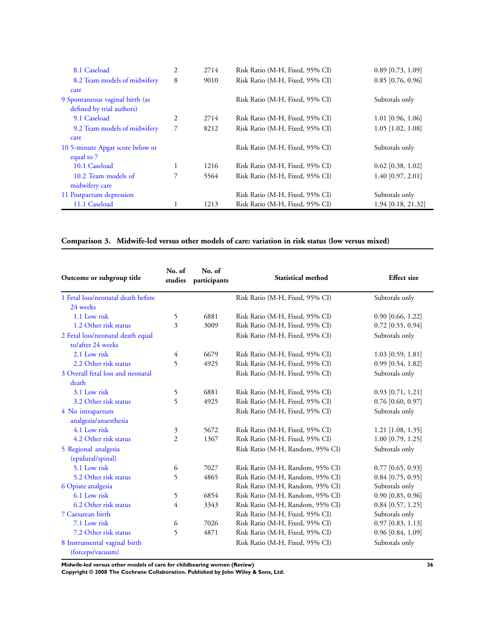| 8.1 Caseload                                                 | 2 | 2714 | Risk Ratio (M-H, Fixed, 95% CI) | $0.89$ [0.73, 1.09] |
|--------------------------------------------------------------|---|------|---------------------------------|---------------------|
| 8.2 Team models of midwifery                                 | 8 | 9010 | Risk Ratio (M-H, Fixed, 95% CI) | $0.85$ [0.76, 0.96] |
| care                                                         |   |      |                                 |                     |
| 9 Spontaneous vaginal birth (as<br>defined by trial authors) |   |      | Risk Ratio (M-H, Fixed, 95% CI) | Subtotals only      |
| 9.1 Caseload                                                 | 2 | 2714 | Risk Ratio (M-H, Fixed, 95% CI) | $1.01$ [0.96, 1.06] |
| 9.2 Team models of midwifery                                 | 7 | 8212 | Risk Ratio (M-H, Fixed, 95% CI) | $1.05$ [1.02, 1.08] |
| care                                                         |   |      |                                 |                     |
| 10 5-minute Apgar score below or                             |   |      | Risk Ratio (M-H, Fixed, 95% CI) | Subtotals only      |
| equal to 7                                                   |   |      |                                 |                     |
| 10.1 Caseload                                                | 1 | 1216 | Risk Ratio (M-H, Fixed, 95% CI) | $0.62$ [0.38, 1.02] |
| 10.2 Team models of                                          | 7 | 5564 | Risk Ratio (M-H, Fixed, 95% CI) | $1.40$ [0.97, 2.01] |
| midwifery care                                               |   |      |                                 |                     |
| 11 Postpartum depression                                     |   |      | Risk Ratio (M-H, Fixed, 95% CI) | Subtotals only      |
| 11.1 Caseload                                                |   | 1213 | Risk Ratio (M-H, Fixed, 95% CI) | 1.94 [0.18, 21.32]  |

# **Comparison 3. Midwife-led versus other models of care: variation in risk status (low versus mixed)**

| Outcome or subgroup title                              | No. of<br>studies | No. of<br>participants | Statistical method               | <b>Effect</b> size  |  |  |
|--------------------------------------------------------|-------------------|------------------------|----------------------------------|---------------------|--|--|
| 1 Fetal loss/neonatal death before                     |                   |                        | Risk Ratio (M-H, Fixed, 95% CI)  | Subtotals only      |  |  |
| 24 weeks                                               |                   |                        |                                  |                     |  |  |
| 1.1 Low risk                                           | 5                 | 6881                   | Risk Ratio (M-H, Fixed, 95% CI)  | $0.90$ [0.66, 1.22] |  |  |
| 1.2 Other risk status                                  | 3                 | 3009                   | Risk Ratio (M-H, Fixed, 95% CI)  | $0.72$ [0.55, 0.94] |  |  |
| 2 Fetal loss/neonatal death equal<br>to/after 24 weeks |                   |                        | Risk Ratio (M-H, Fixed, 95% CI)  | Subtotals only      |  |  |
| 2.1 Low risk                                           | $\overline{4}$    | 6679                   | Risk Ratio (M-H, Fixed, 95% CI)  | $1.03$ [0.59, 1.81] |  |  |
| 2.2 Other risk status                                  | 5                 | 4925                   | Risk Ratio (M-H, Fixed, 95% CI)  | $0.99$ [0.54, 1.82] |  |  |
| 3 Overall fetal loss and neonatal<br>death             |                   |                        | Risk Ratio (M-H, Fixed, 95% CI)  | Subtotals only      |  |  |
| 3.1 Low risk                                           | 5                 | 6881                   | Risk Ratio (M-H, Fixed, 95% CI)  | $0.93$ [0.71, 1.21] |  |  |
| 3.2 Other risk status                                  | 5                 | 4925                   | Risk Ratio (M-H, Fixed, 95% CI)  | $0.76$ [0.60, 0.97] |  |  |
| 4 No intrapartum<br>analgesia/anaesthesia              |                   |                        | Risk Ratio (M-H, Fixed, 95% CI)  | Subtotals only      |  |  |
| 4.1 Low risk                                           | 3                 | 5672                   | Risk Ratio (M-H, Fixed, 95% CI)  | $1.21$ [1.08, 1.35] |  |  |
| 4.2 Other risk status                                  | $\overline{2}$    | 1367                   | Risk Ratio (M-H, Fixed, 95% CI)  | $1.00$ [0.79, 1.25] |  |  |
| 5 Regional analgesia<br>(epidural/spinal)              |                   |                        | Risk Ratio (M-H, Random, 95% CI) | Subtotals only      |  |  |
| 5.1 Low risk                                           | 6                 | 7027                   | Risk Ratio (M-H, Random, 95% CI) | $0.77$ [0.65, 0.93] |  |  |
| 5.2 Other risk status                                  | 5                 | 4865                   | Risk Ratio (M-H, Random, 95% CI) | $0.84$ [0.75, 0.95] |  |  |
| 6 Opiate analgesia                                     |                   |                        | Risk Ratio (M-H, Random, 95% CI) | Subtotals only      |  |  |
| 6.1 Low risk                                           | 5                 | 6854                   | Risk Ratio (M-H, Random, 95% CI) | $0.90$ [0.85, 0.96] |  |  |
| 6.2 Other risk status                                  | 4                 | 3343                   | Risk Ratio (M-H, Random, 95% CI) | $0.84$ [0.57, 1.25] |  |  |
| 7 Caesarean birth                                      |                   |                        | Risk Ratio (M-H, Fixed, 95% CI)  | Subtotals only      |  |  |
| 7.1 Low risk                                           | 6                 | 7026                   | Risk Ratio (M-H, Fixed, 95% CI)  | $0.97$ [0.83, 1.13] |  |  |
| 7.2 Other risk status                                  | 5                 | 4871                   | Risk Ratio (M-H, Fixed, 95% CI)  | $0.96$ [0.84, 1.09] |  |  |
| 8 Instrumental vaginal birth<br>(forceps/vacuum)       |                   |                        | Risk Ratio (M-H, Fixed, 95% CI)  | Subtotals only      |  |  |

**Midwife-led versus other models of care for childbearing women (Review) 36**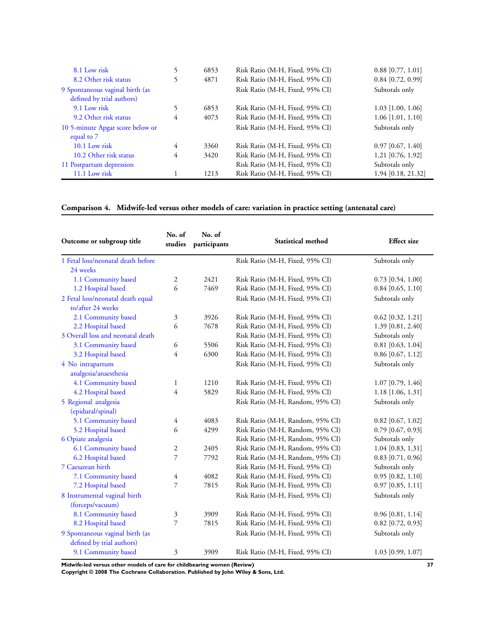| 8.1 Low risk<br>8.2 Other risk status                        |   | 6853<br>4871 | Risk Ratio (M-H, Fixed, 95% CI)<br>Risk Ratio (M-H, Fixed, 95% CI) | $0.88$ [0.77, 1.01]<br>$0.84$ [0.72, 0.99] |
|--------------------------------------------------------------|---|--------------|--------------------------------------------------------------------|--------------------------------------------|
| 9 Spontaneous vaginal birth (as<br>defined by trial authors) |   |              | Risk Ratio (M-H, Fixed, 95% CI)                                    | Subtotals only                             |
| 9.1 Low risk                                                 |   | 6853         | Risk Ratio (M-H, Fixed, 95% CI)                                    | $1.03$ [1.00, 1.06]                        |
| 9.2 Other risk status                                        | 4 | 4073         | Risk Ratio (M-H, Fixed, 95% CI)                                    | $1.06$ [1.01, 1.10]                        |
| 10 5-minute Apgar score below or<br>equal to 7               |   |              | Risk Ratio (M-H, Fixed, 95% CI)                                    | Subtotals only                             |
| $10.1$ Low risk                                              | 4 | 3360         | Risk Ratio (M-H, Fixed, 95% CI)                                    | $0.97$ [0.67, 1.40]                        |
| 10.2 Other risk status                                       | 4 | 3420         | Risk Ratio (M-H, Fixed, 95% CI)                                    | $1.21$ [0.76, 1.92]                        |
| 11 Postpartum depression                                     |   |              | Risk Ratio (M-H, Fixed, 95% CI)                                    | Subtotals only                             |
| 11.1 Low risk                                                |   | 1213         | Risk Ratio (M-H, Fixed, 95% CI)                                    | 1.94 [0.18, 21.32]                         |

# **Comparison 4. Midwife-led versus other models of care: variation in practice setting (antenatal care)**

| Outcome or subgroup title                              | No. of<br>studies | No. of<br>participants | Statistical method               | <b>Effect</b> size  |
|--------------------------------------------------------|-------------------|------------------------|----------------------------------|---------------------|
| 1 Fetal loss/neonatal death before                     |                   |                        | Risk Ratio (M-H, Fixed, 95% CI)  | Subtotals only      |
| 24 weeks                                               |                   |                        |                                  |                     |
| 1.1 Community based                                    | 2                 | 2421                   | Risk Ratio (M-H, Fixed, 95% CI)  | $0.73$ [0.54, 1.00] |
| 1.2 Hospital based                                     | 6                 | 7469                   | Risk Ratio (M-H, Fixed, 95% CI)  | $0.84$ [0.65, 1.10] |
| 2 Fetal loss/neonatal death equal<br>to/after 24 weeks |                   |                        | Risk Ratio (M-H, Fixed, 95% CI)  | Subtotals only      |
| 2.1 Community based                                    | $\mathfrak{Z}$    | 3926                   | Risk Ratio (M-H, Fixed, 95% CI)  | $0.62$ [0.32, 1.21] |
| 2.2 Hospital based                                     | 6                 | 7678                   | Risk Ratio (M-H, Fixed, 95% CI)  | 1.39 [0.81, 2.40]   |
| 3 Overall loss and neonatal death                      |                   |                        | Risk Ratio (M-H, Fixed, 95% CI)  | Subtotals only      |
| 3.1 Community based                                    | 6                 | 5506                   | Risk Ratio (M-H, Fixed, 95% CI)  | $0.81$ [0.63, 1.04] |
| 3.2 Hospital based                                     | 4                 | 6300                   | Risk Ratio (M-H, Fixed, 95% CI)  | $0.86$ [0.67, 1.12] |
| 4 No intrapartum                                       |                   |                        | Risk Ratio (M-H, Fixed, 95% CI)  | Subtotals only      |
| analgesia/anaesthesia                                  |                   |                        |                                  |                     |
| 4.1 Community based                                    | $\mathbf{1}$      | 1210                   | Risk Ratio (M-H, Fixed, 95% CI)  | $1.07$ [0.79, 1.46] |
| 4.2 Hospital based                                     | $\overline{4}$    | 5829                   | Risk Ratio (M-H, Fixed, 95% CI)  | 1.18 [1.06, 1.31]   |
| 5 Regional analgesia                                   |                   |                        | Risk Ratio (M-H, Random, 95% CI) | Subtotals only      |
| (epidural/spinal)                                      |                   |                        |                                  |                     |
| 5.1 Community based                                    | 4                 | 4083                   | Risk Ratio (M-H, Random, 95% CI) | $0.82$ [0.67, 1.02] |
| 5.2 Hospital based                                     | 6                 | 4299                   | Risk Ratio (M-H, Random, 95% CI) | 0.79 [0.67, 0.93]   |
| 6 Opiate analgesia                                     |                   |                        | Risk Ratio (M-H, Random, 95% CI) | Subtotals only      |
| 6.1 Community based                                    | $\overline{c}$    | 2405                   | Risk Ratio (M-H, Random, 95% CI) | 1.04 [0.83, 1.31]   |
| 6.2 Hospital based                                     | 7                 | 7792                   | Risk Ratio (M-H, Random, 95% CI) | $0.83$ [0.71, 0.96] |
| 7 Caesarean birth                                      |                   |                        | Risk Ratio (M-H, Fixed, 95% CI)  | Subtotals only      |
| 7.1 Community based                                    | 4                 | 4082                   | Risk Ratio (M-H, Fixed, 95% CI)  | $0.95$ [0.82, 1.10] |
| 7.2 Hospital based                                     | 7                 | 7815                   | Risk Ratio (M-H, Fixed, 95% CI)  | $0.97$ [0.85, 1.11] |
| 8 Instrumental vaginal birth                           |                   |                        | Risk Ratio (M-H, Fixed, 95% CI)  | Subtotals only      |
| (forceps/vacuum)                                       |                   |                        |                                  |                     |
| 8.1 Community based                                    | $\mathfrak{Z}$    | 3909                   | Risk Ratio (M-H, Fixed, 95% CI)  | $0.96$ [0.81, 1.14] |
| 8.2 Hospital based                                     | 7                 | 7815                   | Risk Ratio (M-H, Fixed, 95% CI)  | $0.82$ [0.72, 0.93] |
| 9 Spontaneous vaginal birth (as                        |                   |                        | Risk Ratio (M-H, Fixed, 95% CI)  | Subtotals only      |
| defined by trial authors)                              |                   |                        |                                  |                     |
| 9.1 Community based                                    | 3                 | 3909                   | Risk Ratio (M-H, Fixed, 95% CI)  | $1.03$ [0.99, 1.07] |

**Midwife-led versus other models of care for childbearing women (Review) 37**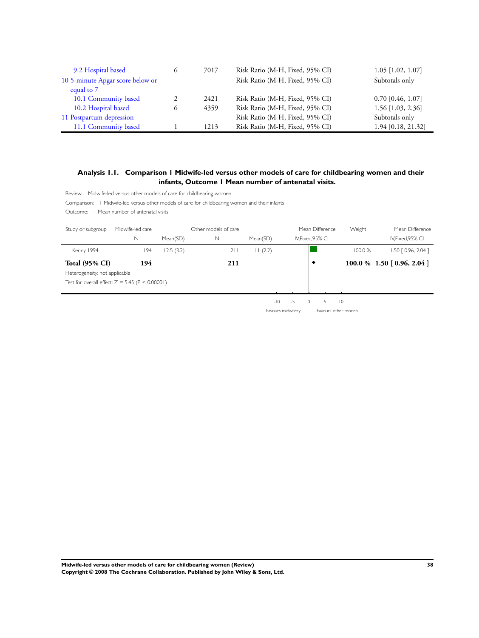<span id="page-41-0"></span>

| 9.2 Hospital based<br>10 5-minute Apgar score below or<br>equal to 7 | O        | 7017 | Risk Ratio (M-H, Fixed, 95% CI)<br>Risk Ratio (M-H, Fixed, 95% CI) | $1.05$ [1.02, 1.07]<br>Subtotals only |
|----------------------------------------------------------------------|----------|------|--------------------------------------------------------------------|---------------------------------------|
| 10.1 Community based                                                 | 2        | 2421 | Risk Ratio (M-H, Fixed, 95% CI)                                    | $0.70$ [0.46, 1.07]                   |
| 10.2 Hospital based                                                  | $\sigma$ | 4359 | Risk Ratio (M-H, Fixed, 95% CI)                                    | $1.56$ [1.03, 2.36]                   |
| 11 Postpartum depression                                             |          |      | Risk Ratio (M-H, Fixed, 95% CI)                                    | Subtotals only                        |
| 11.1 Community based                                                 |          | 1213 | Risk Ratio (M-H, Fixed, 95% CI)                                    | 1.94 [0.18, 21.32]                    |

# **Analysis 1.1. Comparison 1 Midwife-led versus other models of care for childbearing women and their infants, Outcome 1 Mean number of antenatal visits.**

Review: Midwife-led versus other models of care for childbearing women

Comparison: 1 Midwife-led versus other models of care for childbearing women and their infants

Outcome: 1 Mean number of antenatal visits

| Study or subgroup                                 | Midwife-led care |           | Other models of care |          |                   | Mean Difference   | Weight               | Mean Difference             |
|---------------------------------------------------|------------------|-----------|----------------------|----------|-------------------|-------------------|----------------------|-----------------------------|
|                                                   | Ν                | Mean(SD)  | N                    | Mean(SD) |                   | IV, Fixed, 95% CI |                      | IV, Fixed, 95% CI           |
| Kenny 1994                                        | 194              | 12.5(3.2) | 211                  | 11(2.2)  |                   |                   | 100.0%               | 1.50 [ 0.96, 2.04 ]         |
| <b>Total (95% CI)</b>                             | 194              |           | 211                  |          |                   | ٠                 |                      | $100.0\%$ 1.50 [0.96, 2.04] |
| Heterogeneity: not applicable                     |                  |           |                      |          |                   |                   |                      |                             |
| Test for overall effect: $Z = 5.45$ (P < 0.00001) |                  |           |                      |          |                   |                   |                      |                             |
|                                                   |                  |           |                      |          |                   |                   |                      |                             |
|                                                   |                  |           |                      |          | $-10$<br>$-5$     |                   | $\overline{0}$       |                             |
|                                                   |                  |           |                      |          | Favours midwifery |                   | Favours other models |                             |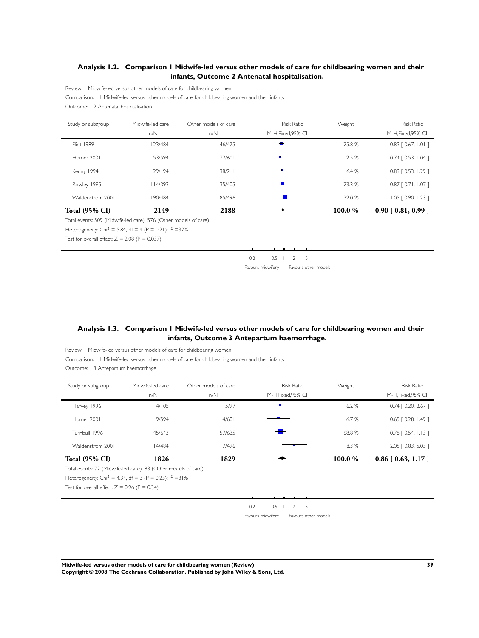# <span id="page-42-0"></span>**Analysis 1.2. Comparison 1 Midwife-led versus other models of care for childbearing women and their infants, Outcome 2 Antenatal hospitalisation.**

Review: Midwife-led versus other models of care for childbearing women

Comparison: 1 Midwife-led versus other models of care for childbearing women and their infants

Outcome: 2 Antenatal hospitalisation

| Study or subgroup                                                     | Midwife-led care | Other models of care | <b>Risk Ratio</b>  | Weight | <b>Risk Ratio</b>                 |
|-----------------------------------------------------------------------|------------------|----------------------|--------------------|--------|-----------------------------------|
|                                                                       | n/N              | n/N                  | M-H, Fixed, 95% CI |        | M-H, Fixed, 95% CI                |
| Flint 1989                                                            | 123/484          | 146/475              |                    | 25.8%  | $0.83$ $\lceil 0.67, 1.01 \rceil$ |
| Homer 2001                                                            | 53/594           | 72/601               |                    | 12.5%  | $0.74$ $[0.53, 1.04]$             |
| Kenny 1994                                                            | 29/194           | $38/2$               |                    | 6.4%   | $0.83$ $\lceil 0.53, 1.29 \rceil$ |
| Rowley 1995                                                           | 114/393          | 135/405              |                    | 23.3 % | $0.87$ [ 0.71, 1.07 ]             |
| Waldenstrom 2001                                                      | 190/484          | 185/496              |                    | 32.0 % | $1.05$ $[0.90, 1.23]$             |
| <b>Total (95% CI)</b>                                                 | 2149             | 2188                 |                    | 100.0% | $0.90$ [ $0.81, 0.99$ ]           |
| Total events: 509 (Midwife-led care), 576 (Other models of care)      |                  |                      |                    |        |                                   |
| Heterogeneity: Chi <sup>2</sup> = 5.84, df = 4 (P = 0.21); $1^2$ =32% |                  |                      |                    |        |                                   |
| Test for overall effect: $Z = 2.08$ (P = 0.037)                       |                  |                      |                    |        |                                   |
|                                                                       |                  |                      |                    |        |                                   |

0.2 0.5 1 2 5

Favours midwifery Favours other models

#### **Analysis 1.3. Comparison 1 Midwife-led versus other models of care for childbearing women and their infants, Outcome 3 Antepartum haemorrhage.**

Review: Midwife-led versus other models of care for childbearing women Comparison: 1 Midwife-led versus other models of care for childbearing women and their infants Outcome: 3 Antepartum haemorrhage

| Study or subgroup                                                       | Midwife-led care<br>n/N                                                                                                                          | Other models of care<br>n/N |                          |     | <b>Risk Ratio</b><br>M-H, Fixed, 95% CI |                           | Weight | <b>Risk Ratio</b><br>M-H, Fixed, 95% CI |
|-------------------------------------------------------------------------|--------------------------------------------------------------------------------------------------------------------------------------------------|-----------------------------|--------------------------|-----|-----------------------------------------|---------------------------|--------|-----------------------------------------|
| Harvey 1996                                                             | 4/105                                                                                                                                            | 5/97                        |                          |     |                                         |                           | 6.2%   | $0.74$ $[0.20, 2.67]$                   |
| Homer 2001                                                              | 9/594                                                                                                                                            | 14/601                      |                          |     |                                         |                           | 16.7%  | $0.65$ $[0.28, 1.49]$                   |
| Tumbull 1996                                                            | 45/643                                                                                                                                           | 57/635                      |                          |     |                                         |                           | 68.8%  | $0.78$ $[0.54, 1.13]$                   |
| Waldenstrom 2001                                                        | 14/484                                                                                                                                           | 7/496                       |                          |     |                                         |                           | 8.3 %  | $2.05$ $[0.83, 5.03]$                   |
| <b>Total (95% CI)</b><br>Test for overall effect: $Z = 0.96$ (P = 0.34) | 1826<br>Total events: 72 (Midwife-led care), 83 (Other models of care)<br>Heterogeneity: Chi <sup>2</sup> = 4.34, df = 3 (P = 0.23); $1^2$ = 31% | 1829                        |                          |     |                                         |                           | 100.0% | $0.86$ [ 0.63, 1.17 ]                   |
|                                                                         |                                                                                                                                                  |                             | 0.2<br>Favours midwifery | 0.5 | $\overline{2}$                          | 5<br>Favours other models |        |                                         |

**Midwife-led versus other models of care for childbearing women (Review) 39 Copyright © 2008 The Cochrane Collaboration. Published by John Wiley & Sons, Ltd.**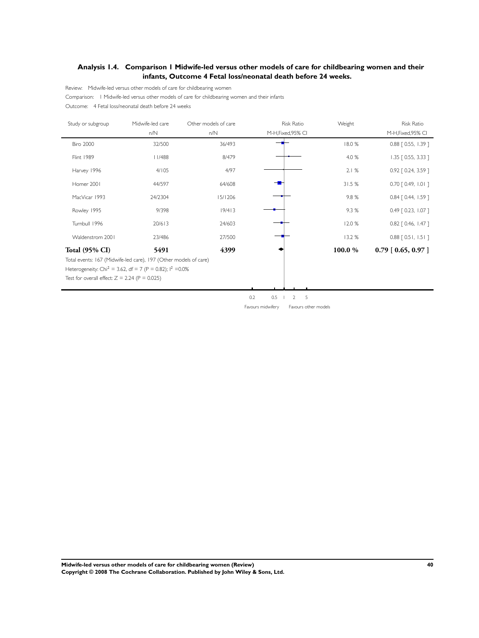# **Analysis 1.4. Comparison 1 Midwife-led versus other models of care for childbearing women and their infants, Outcome 4 Fetal loss/neonatal death before 24 weeks.**

Review: Midwife-led versus other models of care for childbearing women

Comparison: 1 Midwife-led versus other models of care for childbearing women and their infants

Outcome: 4 Fetal loss/neonatal death before 24 weeks

 $\overline{a}$ 

| Study or subgroup                                                       | Midwife-led care | Other models of care | <b>Risk Ratio</b>  | Weight | Risk Ratio            |
|-------------------------------------------------------------------------|------------------|----------------------|--------------------|--------|-----------------------|
|                                                                         | n/N              | n/N                  | M-H, Fixed, 95% CI |        | M-H, Fixed, 95% CI    |
| <b>Biro 2000</b>                                                        | 32/500           | 36/493               |                    | 18.0%  | $0.88$ $[0.55, 1.39]$ |
| Flint 1989                                                              | 1/488            | 8/479                |                    | 4.0 %  | $1.35$ $[0.55, 3.33]$ |
| Harvey 1996                                                             | 4/105            | 4/97                 |                    | 2.1%   | $0.92$ $[0.24, 3.59]$ |
| Homer 2001                                                              | 44/597           | 64/608               |                    | 31.5%  | $0.70$ $[0.49, 1.01]$ |
| MacVicar 1993                                                           | 24/2304          | 15/1206              |                    | 9.8%   | $0.84$ $[0.44, 1.59]$ |
| Rowley 1995                                                             | 9/398            | 19/413               |                    | 9.3%   | $0.49$ $[0.23, 1.07]$ |
| Turnbull 1996                                                           | 20/613           | 24/603               |                    | 12.0%  | $0.82$ [ 0.46, 1.47 ] |
| Waldenstrom 2001                                                        | 23/486           | 27/500               |                    | 13.2 % | $0.88$ $[0.51, 1.51]$ |
| <b>Total (95% CI)</b>                                                   | 5491             | 4399                 |                    | 100.0% | $0.79$ [ 0.65, 0.97 ] |
| Total events: 167 (Midwife-led care), 197 (Other models of care)        |                  |                      |                    |        |                       |
| Heterogeneity: Chi <sup>2</sup> = 3.62, df = 7 (P = 0.82); $1^2$ = 0.0% |                  |                      |                    |        |                       |
| Test for overall effect: $Z = 2.24$ (P = 0.025)                         |                  |                      |                    |        |                       |

0.2 0.5 1 2 5 Favours midwifery Favours other models

**Midwife-led versus other models of care for childbearing women (Review) 40 Copyright © 2008 The Cochrane Collaboration. Published by John Wiley & Sons, Ltd.**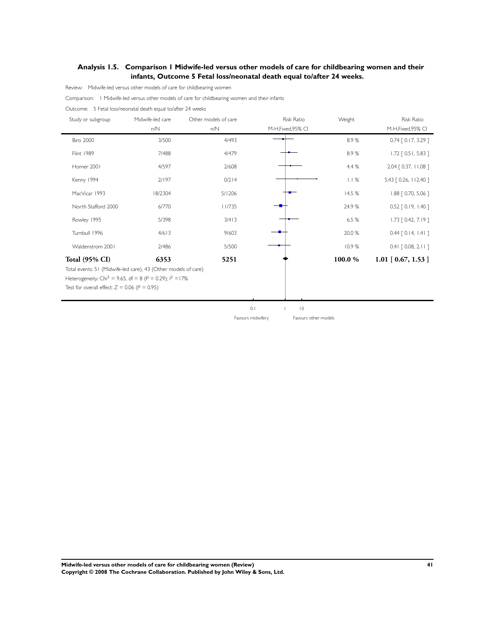# <span id="page-44-0"></span>**Analysis 1.5. Comparison 1 Midwife-led versus other models of care for childbearing women and their infants, Outcome 5 Fetal loss/neonatal death equal to/after 24 weeks.**

Review: Midwife-led versus other models of care for childbearing women

Comparison: 1 Midwife-led versus other models of care for childbearing women and their infants

Outcome: 5 Fetal loss/neonatal death equal to/after 24 weeks

| Study or subgroup                                                      | Midwife-led care | Other models of care | <b>Risk Ratio</b> | Weight | <b>Risk Ratio</b>     |
|------------------------------------------------------------------------|------------------|----------------------|-------------------|--------|-----------------------|
|                                                                        | n/N              | n/N                  | M-H,Fixed,95% Cl  |        | M-H,Fixed,95% Cl      |
| <b>Biro 2000</b>                                                       | 3/500            | 4/493                |                   | 8.9%   | $0.74$ $[0.17, 3.29]$ |
| Flint 1989                                                             | 7/488            | 4/479                |                   | 8.9%   | $1.72$ $[0.51, 5.83]$ |
| Homer 2001                                                             | 4/597            | 2/608                |                   | 4.4 %  | 2.04 [ 0.37, 11.08 ]  |
| Kenny 1994                                                             | 2/197            | 0/214                |                   | 1.1%   | 5.43 [ 0.26, 112.40 ] |
| MacVicar 1993                                                          | 18/2304          | 5/1206               |                   | 14.5 % | 1.88 [ 0.70, 5.06 ]   |
| North Stafford 2000                                                    | 6/770            | 11/735               |                   | 24.9%  | $0.52$ $[0.19, 1.40]$ |
| Rowley 1995                                                            | 5/398            | 3/413                |                   | 6.5 %  | $1.73$ $[0.42, 7.19]$ |
| Turnbull 1996                                                          | 4/613            | 9/603                |                   | 20.0 % | $0.44$ $[0.14, 1.41]$ |
| Waldenstrom 2001                                                       | 2/486            | 5/500                |                   | 10.9%  | $0.41$ $[0.08, 2.11]$ |
| <b>Total (95% CI)</b>                                                  | 6353             | 5251                 |                   | 100.0% | $1.01$ [ 0.67, 1.53 ] |
| Total events: 51 (Midwife-led care), 43 (Other models of care)         |                  |                      |                   |        |                       |
| Heterogeneity: Chi <sup>2</sup> = 9.65, df = 8 (P = 0.29); $1^2$ = 17% |                  |                      |                   |        |                       |
| Test for overall effect: $Z = 0.06$ (P = 0.95)                         |                  |                      |                   |        |                       |

0.1 10

Favours midwifery Favours other models

**Midwife-led versus other models of care for childbearing women (Review) 41 Copyright © 2008 The Cochrane Collaboration. Published by John Wiley & Sons, Ltd.**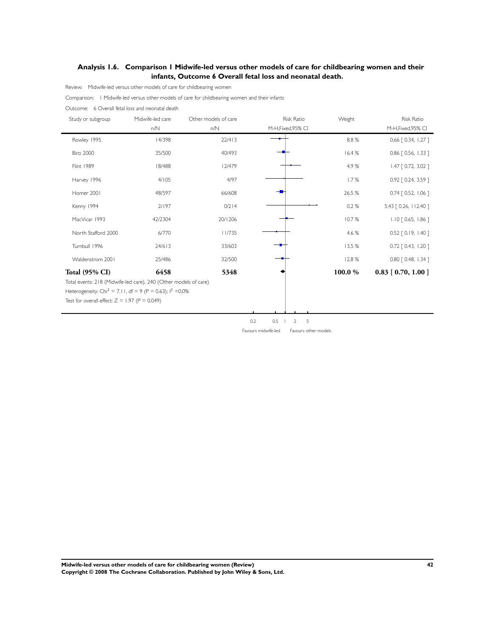# <span id="page-45-0"></span>**Analysis 1.6. Comparison 1 Midwife-led versus other models of care for childbearing women and their infants, Outcome 6 Overall fetal loss and neonatal death.**

Review: Midwife-led versus other models of care for childbearing women

Comparison: 1 Midwife-led versus other models of care for childbearing women and their infants

Outcome: 6 Overall fetal loss and neonatal death

 $\ddot{\phantom{a}}$ 

| Study or subgroup                                                      | Midwife-led care | Other models of care | <b>Risk Ratio</b>  | Weight | Risk Ratio            |
|------------------------------------------------------------------------|------------------|----------------------|--------------------|--------|-----------------------|
|                                                                        | n/N              | n/N                  | M-H, Fixed, 95% CI |        | M-H, Fixed, 95% CI    |
| Rowley 1995                                                            | 14/398           | 22/413               |                    | 8.8 %  | $0.66$ $[0.34, 1.27]$ |
| <b>Biro 2000</b>                                                       | 35/500           | 40/493               |                    | 16.4%  | $0.86$ $[0.56, 1.33]$ |
| Flint 1989                                                             | 18/488           | 12/479               |                    | 4.9%   | $1.47$ $[0.72, 3.02]$ |
| Harvey 1996                                                            | 4/105            | 4/97                 |                    | 1.7%   | 0.92 [ 0.24, 3.59 ]   |
| Homer 2001                                                             | 48/597           | 66/608               |                    | 26.5 % | $0.74$ $[0.52, 1.06]$ |
| Kenny 1994                                                             | 2/197            | $0/2$   4            |                    | 0.2 %  | 5.43 [ 0.26, 112.40 ] |
| MacVicar 1993                                                          | 42/2304          | 20/1206              |                    | 10.7%  | $1.10$ $[0.65, 1.86]$ |
| North Stafford 2000                                                    | 6/770            | 11/735               |                    | 4.6 %  | $0.52$ $[0.19, 1.40]$ |
| Turnbull 1996                                                          | 24/613           | 33/603               |                    | 13.5 % | $0.72$ $[0.43, 1.20]$ |
| Waldenstrom 2001                                                       | 25/486           | 32/500               |                    | 12.8%  | $0.80$ $[0.48, 1.34]$ |
| <b>Total (95% CI)</b>                                                  | 6458             | 5348                 |                    | 100.0% | $0.83$ [ 0.70, 1.00 ] |
| Total events: 218 (Midwife-led care), 240 (Other models of care)       |                  |                      |                    |        |                       |
| Heterogeneity: Chi <sup>2</sup> = 7.11, df = 9 (P = 0.63); $1^2$ =0.0% |                  |                      |                    |        |                       |
| Test for overall effect: $Z = 1.97$ (P = 0.049)                        |                  |                      |                    |        |                       |

0.2 0.5 1 2 5

Favours midwife-led Favours other models

**Midwife-led versus other models of care for childbearing women (Review) 42 Copyright © 2008 The Cochrane Collaboration. Published by John Wiley & Sons, Ltd.**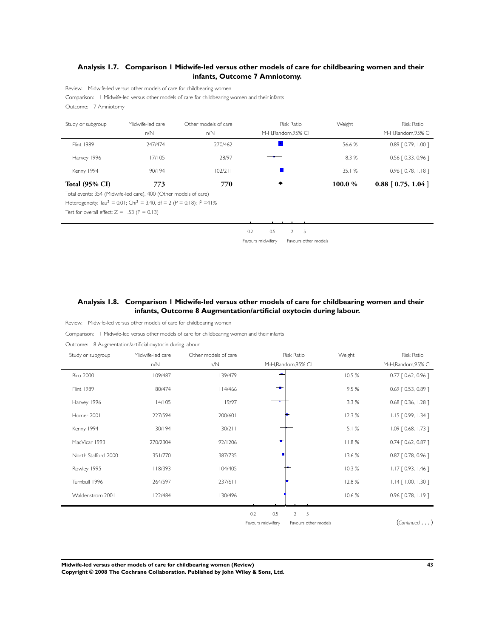# <span id="page-46-0"></span>**Analysis 1.7. Comparison 1 Midwife-led versus other models of care for childbearing women and their infants, Outcome 7 Amniotomy.**

Review: Midwife-led versus other models of care for childbearing women

Comparison: 1 Midwife-led versus other models of care for childbearing women and their infants

Outcome: 7 Amniotomy

| Study or subgroup                              | Midwife-led care                                                                               | Other models of care |     |                     | <b>Risk Ratio</b> | Weight | <b>Risk Ratio</b>     |
|------------------------------------------------|------------------------------------------------------------------------------------------------|----------------------|-----|---------------------|-------------------|--------|-----------------------|
|                                                | n/N                                                                                            | n/N                  |     | M-H, Random, 95% CI |                   |        | M-H, Random, 95% CI   |
| Flint 1989                                     | 247/474                                                                                        | 270/462              |     |                     |                   | 56.6 % | $0.89$ $[0.79, 1.00]$ |
| Harvey 1996                                    | 17/105                                                                                         | 28/97                |     |                     |                   | 8.3%   | $0.56$ $[0.33, 0.96]$ |
| Kenny 1994                                     | 90/194                                                                                         | 102/211              |     |                     |                   | 35.1%  | $0.96$ $[0.78, 1.18]$ |
| <b>Total (95% CI)</b>                          | 773                                                                                            | 770                  |     |                     |                   | 100.0% | $0.88$ [ 0.75, 1.04 ] |
|                                                | Total events: 354 (Midwife-led care), 400 (Other models of care)                               |                      |     |                     |                   |        |                       |
|                                                | Heterogeneity: Tau <sup>2</sup> = 0.01; Chi <sup>2</sup> = 3.40, df = 2 (P = 0.18); $1^2$ =41% |                      |     |                     |                   |        |                       |
| Test for overall effect: $Z = 1.53$ (P = 0.13) |                                                                                                |                      |     |                     |                   |        |                       |
|                                                |                                                                                                |                      |     |                     |                   |        |                       |
|                                                |                                                                                                |                      | 0.2 | 0.5                 | $\mathbf{2}$      |        |                       |

# **Analysis 1.8. Comparison 1 Midwife-led versus other models of care for childbearing women and their infants, Outcome 8 Augmentation/artificial oxytocin during labour.**

Favours midwifery Favours other models

Review: Midwife-led versus other models of care for childbearing women

Comparison: 1 Midwife-led versus other models of care for childbearing women and their infants

Outcome: 8 Augmentation/ar tificial oxytocin during labour

| Study or subgroup   | Midwife-led care | Other models of care | <b>Risk Ratio</b>                         | Weight | <b>Risk Ratio</b>          |
|---------------------|------------------|----------------------|-------------------------------------------|--------|----------------------------|
|                     | n/N              | n/N                  | M-H, Random, 95% CI                       |        | M-H, Random, 95% CI        |
| <b>Biro 2000</b>    | 109/487          | 139/479              |                                           | 10.5 % | $0.77$ $[0.62, 0.96]$      |
| Flint 1989          | 80/474           | 4/466                |                                           | 9.5 %  | $0.69$ $[0.53, 0.89]$      |
| Harvey 1996         | 14/105           | 19/97                |                                           | 3.3%   | $0.68$ $[0.36, 1.28]$      |
| Homer 2001          | 227/594          | 200/601              |                                           | 12.3%  | $1.15$ $[0.99, 1.34]$      |
| Kenny 1994          | 30/194           | 30/211               |                                           | 5.1%   | $1.09$ $[0.68, 1.73]$      |
| MacVicar 1993       | 270/2304         | 192/1206             |                                           | 11.8%  | $0.74$ $[0.62, 0.87]$      |
| North Stafford 2000 | 351/770          | 387/735              |                                           | 13.6 % | $0.87$ $[$ 0.78, 0.96 $]$  |
| Rowley 1995         | 18/393           | 104/405              |                                           | 10.3 % | $1.17$ $[0.93, 1.46]$      |
| Turnbull 1996       | 264/597          | 237/611              |                                           | 12.8%  | $1.14$ [ $1.00$ , $1.30$ ] |
| Waldenstrom 2001    | 122/484          | 130/496              |                                           | 10.6 % | $0.96$ $[0.78, 1.19]$      |
|                     |                  |                      | 0.2<br>0.5<br>$\overline{2}$<br>5         |        |                            |
|                     |                  |                      | Favours midwifery<br>Favours other models |        | $(Continued \dots)$        |

**Midwife-led versus other models of care for childbearing women (Review) 43**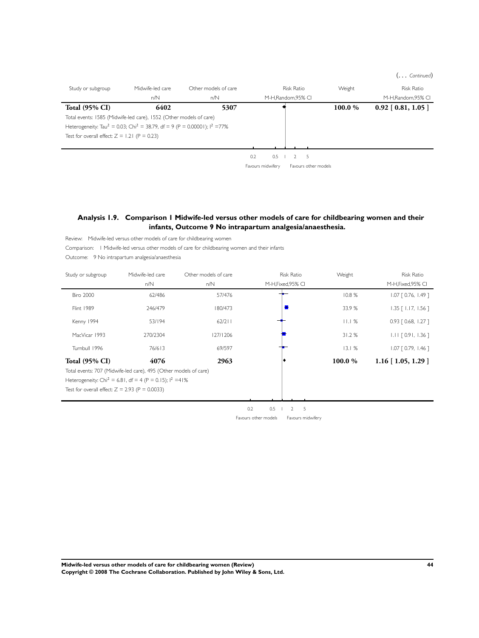# (... *Continued*)

<span id="page-47-0"></span>

| Study or subgroup                                                                                  | Midwife-led care<br>n/N | Other models of care<br>n/N |     | M-H.Random.95% CI | <b>Risk Ratio</b> |                      | Weight    | <b>Risk Ratio</b><br>M-H.Random.95% CI |
|----------------------------------------------------------------------------------------------------|-------------------------|-----------------------------|-----|-------------------|-------------------|----------------------|-----------|----------------------------------------|
| <b>Total (95% CI)</b>                                                                              | 6402                    | 5307                        |     |                   |                   |                      | 100.0 $%$ | $0.92$ [ 0.81, 1.05 ]                  |
| Total events: 1585 (Midwife-led care), 1552 (Other models of care)                                 |                         |                             |     |                   |                   |                      |           |                                        |
| Heterogeneity: Tau <sup>2</sup> = 0.03; Chi <sup>2</sup> = 38.79, df = 9 (P = 0.00001); $1^2$ =77% |                         |                             |     |                   |                   |                      |           |                                        |
| Test for overall effect: $Z = 1.21$ (P = 0.23)                                                     |                         |                             |     |                   |                   |                      |           |                                        |
|                                                                                                    |                         |                             |     |                   |                   |                      |           |                                        |
|                                                                                                    |                         |                             | 0.2 | 0.5               | $2^{\circ}$       | 5                    |           |                                        |
|                                                                                                    |                         |                             |     | Favours midwifery |                   | Favours other models |           |                                        |
|                                                                                                    |                         |                             |     |                   |                   |                      |           |                                        |

# **Analysis 1.9. Comparison 1 Midwife-led versus other models of care for childbearing women and their infants, Outcome 9 No intrapartum analgesia/anaesthesia.**

Review: Midwife-led versus other models of care for childbearing women

Comparison: 1 Midwife-led versus other models of care for childbearing women and their infants

Outcome: 9 No intrapartum analgesia/anaesthesia

 $\blacksquare$ 

÷.

| Study or subgroup                                | Midwife-led care<br>n/N                                               | Other models of care<br>n/N | <b>Risk Ratio</b><br>M-H,Fixed,95% Cl     | Weight | <b>Risk Ratio</b><br>M-H, Fixed, 95% CI |
|--------------------------------------------------|-----------------------------------------------------------------------|-----------------------------|-------------------------------------------|--------|-----------------------------------------|
| <b>Biro 2000</b>                                 | 62/486                                                                | 57/476                      |                                           | 10.8%  | $1.07$ $[0.76, 1.49]$                   |
| Flint 1989                                       | 246/479                                                               | 180/473                     |                                           | 33.9%  | $1.35$ [ $1.17$ , $1.56$ ]              |
| Kenny 1994                                       | 53/194                                                                | 62/211                      |                                           | 11.1%  | 0.93 [ 0.68, 1.27 ]                     |
| MacVicar 1993                                    | 270/2304                                                              | 127/1206                    |                                           | 31.2%  | $1.11$ $[0.91, 1.36]$                   |
| Turnbull 1996                                    | 76/613                                                                | 69/597                      |                                           | 13.1%  | $1.07$ $[0.79, 1.46]$                   |
| <b>Total (95% CI)</b>                            | 4076                                                                  | 2963                        |                                           | 100.0% | $1.16$ [ 1.05, 1.29 ]                   |
| Test for overall effect: $Z = 2.93$ (P = 0.0033) | Heterogeneity: Chi <sup>2</sup> = 6.81, df = 4 (P = 0.15); $1^2$ =41% |                             |                                           |        |                                         |
|                                                  |                                                                       |                             | 0.5<br>0.2<br>$\overline{2}$<br>5         |        |                                         |
|                                                  |                                                                       |                             | Favours other models<br>Favours midwifery |        |                                         |
|                                                  |                                                                       |                             |                                           |        |                                         |
|                                                  |                                                                       |                             |                                           |        |                                         |
|                                                  |                                                                       |                             |                                           |        |                                         |
|                                                  |                                                                       |                             |                                           |        |                                         |
|                                                  |                                                                       |                             |                                           |        |                                         |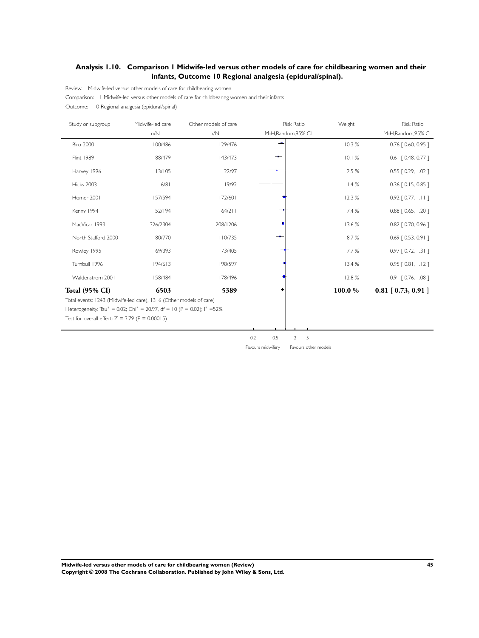# <span id="page-48-0"></span>**Analysis 1.10. Comparison 1 Midwife-led versus other models of care for childbearing women and their infants, Outcome 10 Regional analgesia (epidural/spinal).**

Review: Midwife-led versus other models of care for childbearing women

Comparison: 1 Midwife-led versus other models of care for childbearing women and their infants

Outcome: 10 Regional analgesia (epidural/spinal)

j.

| Study or subgroup                                                                                 | Midwife-led care | Other models of care | <b>Risk Ratio</b>   | Weight | <b>Risk Ratio</b>     |
|---------------------------------------------------------------------------------------------------|------------------|----------------------|---------------------|--------|-----------------------|
|                                                                                                   | n/N              | n/N                  | M-H, Random, 95% CI |        | M-H, Random, 95% CI   |
| <b>Biro 2000</b>                                                                                  | 100/486          | 129/476              |                     | 10.3 % | $0.76$ $[0.60, 0.95]$ |
| Flint 1989                                                                                        | 88/479           | 143/473              |                     | 10.1%  | $0.61$ $[0.48, 0.77]$ |
| Harvey 1996                                                                                       | 13/105           | 22/97                |                     | 2.5 %  | $0.55$ $[0.29, 1.02]$ |
| Hicks 2003                                                                                        | 6/8              | 19/92                |                     | 1.4%   | $0.36$ $[0.15, 0.85]$ |
| Homer 2001                                                                                        | 157/594          | 172/601              |                     | 12.3%  | $0.92$ $[0.77, 1.11]$ |
| Kenny 1994                                                                                        | 52/194           | $64/2$               |                     | 7.4 %  | $0.88$ $[0.65, 1.20]$ |
| MacVicar 1993                                                                                     | 326/2304         | 208/1206             |                     | 13.6 % | 0.82 [ 0.70, 0.96 ]   |
| North Stafford 2000                                                                               | 80/770           | 110/735              |                     | 8.7%   | $0.69$ $[0.53, 0.91]$ |
| Rowley 1995                                                                                       | 69/393           | 73/405               |                     | 7.7 %  | $0.97$ $[0.72, 1.31]$ |
| Turnbull 1996                                                                                     | 194/613          | 198/597              |                     | 13.4%  | $0.95$ $[0.81, 1.12]$ |
| Waldenstrom 2001                                                                                  | 158/484          | 178/496              |                     | 12.8%  | 0.91 [ 0.76, 1.08 ]   |
| <b>Total (95% CI)</b>                                                                             | 6503             | 5389                 |                     | 100.0% | $0.81$ [ 0.73, 0.91 ] |
| Total events: 1243 (Midwife-led care), 1316 (Other models of care)                                |                  |                      |                     |        |                       |
| Heterogeneity: Tau <sup>2</sup> = 0.02; Chi <sup>2</sup> = 20.97, df = 10 (P = 0.02); $1^2$ = 52% |                  |                      |                     |        |                       |
| Test for overall effect: $Z = 3.79$ (P = 0.00015)                                                 |                  |                      |                     |        |                       |

0.2 0.5 1 2 5 Favours midwifery Favours other models

**Midwife-led versus other models of care for childbearing women (Review) 45 Copyright © 2008 The Cochrane Collaboration. Published by John Wiley & Sons, Ltd.**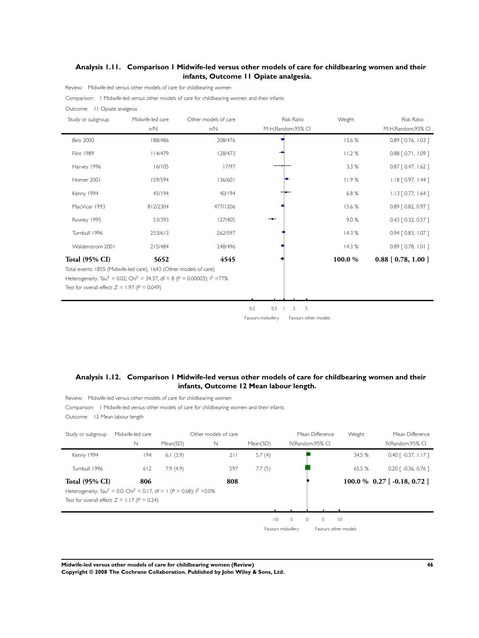# <span id="page-49-0"></span>**Analysis 1.11. Comparison 1 Midwife-led versus other models of care for childbearing women and their infants, Outcome 11 Opiate analgesia.**

Review: Midwife-led versus other models of care for childbearing women

Comparison: 1 Midwife-led versus other models of care for childbearing women and their infants

| Outcome: | II Opiate analgesia |
|----------|---------------------|
|----------|---------------------|

| Study or subgroup                                                                                  | Midwife-led care | Other models of care | <b>Risk Ratio</b>   | Weight | <b>Risk Ratio</b>     |
|----------------------------------------------------------------------------------------------------|------------------|----------------------|---------------------|--------|-----------------------|
|                                                                                                    | n/N              | n/N                  | M-H, Random, 95% CI |        | M-H, Random, 95% CI   |
| <b>Biro 2000</b>                                                                                   | 188/486          | 208/476              |                     | 13.6 % | $0.89$ $[0.76, 1.03]$ |
| Flint 1989                                                                                         | 4/479            | 128/473              |                     | 11.2%  | $0.88$ [ 0.71, 1.09 ] |
| Harvey 1996                                                                                        | 16/105           | 17/97                |                     | 3.3 %  | $0.87$ $[0.47, 1.62]$ |
| Homer 2001                                                                                         | 159/594          | 136/601              |                     | 11.9%  | $1.18$ $[0.97, 1.44]$ |
| Kenny 1994                                                                                         | 45/194           | 40/194               |                     | 6.8%   | $1.13$ $[0.77, 1.64]$ |
| MacVicar 1993                                                                                      | 812/2304         | 477/1206             |                     | 15.6 % | 0.89 [ 0.82, 0.97 ]   |
| Rowley 1995                                                                                        | 53/393           | 127/405              |                     | 9.0%   | $0.43$ $[0.32, 0.57]$ |
| Tumbull 1996                                                                                       | 253/613          | 262/597              |                     | 14.3 % | $0.94$ $[0.83, 1.07]$ |
| Waldenstrom 2001                                                                                   | 215/484          | 248/496              |                     | 14.3 % | $0.89$ $[0.78, 1.01]$ |
| <b>Total (95% CI)</b>                                                                              | 5652             | 4545                 |                     | 100.0% | $0.88$ [ 0.78, 1.00 ] |
| Total events: 1855 (Midwife-led care), 1643 (Other models of care)                                 |                  |                      |                     |        |                       |
| Heterogeneity: Tau <sup>2</sup> = 0.02; Chi <sup>2</sup> = 34.37, df = 8 (P = 0.00003); $1^2$ =77% |                  |                      |                     |        |                       |
| Test for overall effect: $Z = 1.97$ (P = 0.049)                                                    |                  |                      |                     |        |                       |

Favours midwifery Favours other models

0.2 0.5 1 2 5

#### **Analysis 1.12. Comparison 1 Midwife-led versus other models of care for childbearing women and their infants, Outcome 12 Mean labour length.**

Review: Midwife-led versus other models of care for childbearing women

Comparison: 1 Midwife-led versus other models of care for childbearing women and their infants

Outcome: 12 Mean labour length

| Study or subgroup                                                                                                                 | Midwife-led care |          | Other models of care |                   |      | Mean Difference      | Weight          | Mean Difference                    |
|-----------------------------------------------------------------------------------------------------------------------------------|------------------|----------|----------------------|-------------------|------|----------------------|-----------------|------------------------------------|
|                                                                                                                                   | $\mathbb N$      | Mean(SD) | $\mathbb N$          | Mean(SD)          |      | IV, Random, 95% CI   |                 | IV, Random, 95% CI                 |
| Kenny 1994                                                                                                                        | 194              | 6.1(3.9) | 211                  | 5.7 $(4)$         |      |                      | 34.5 %          | $0.40$ [ $-0.37$ , $1.17$ ]        |
| Turnbull 1996                                                                                                                     | 612              | 7.9(4.9) | 597                  | 7.7(5)            |      |                      | 65.5 %          | $0.20$ $\lceil -0.36, 0.76 \rceil$ |
| <b>Total (95% CI)</b><br>Heterogeneity: Tau <sup>2</sup> = 0.0; Chi <sup>2</sup> = 0.17, df = 1 (P = 0.68); l <sup>2</sup> = 0.0% | 806              |          | 808                  |                   |      |                      |                 | 100.0 % 0.27 [ -0.18, 0.72 ]       |
| Test for overall effect: $Z = 1.17$ (P = 0.24)                                                                                    |                  |          |                      |                   |      |                      |                 |                                    |
|                                                                                                                                   |                  |          |                      |                   |      |                      |                 |                                    |
|                                                                                                                                   |                  |          |                      | $-10$             | $-5$ | 5                    | $\overline{10}$ |                                    |
|                                                                                                                                   |                  |          |                      | Favours midwifery |      | Favours other models |                 |                                    |
|                                                                                                                                   |                  |          |                      |                   |      |                      |                 |                                    |
|                                                                                                                                   |                  |          |                      |                   |      |                      |                 |                                    |
|                                                                                                                                   |                  |          |                      |                   |      |                      |                 |                                    |

**Midwife-led versus other models of care for childbearing women (Review) 46 Copyright © 2008 The Cochrane Collaboration. Published by John Wiley & Sons, Ltd.**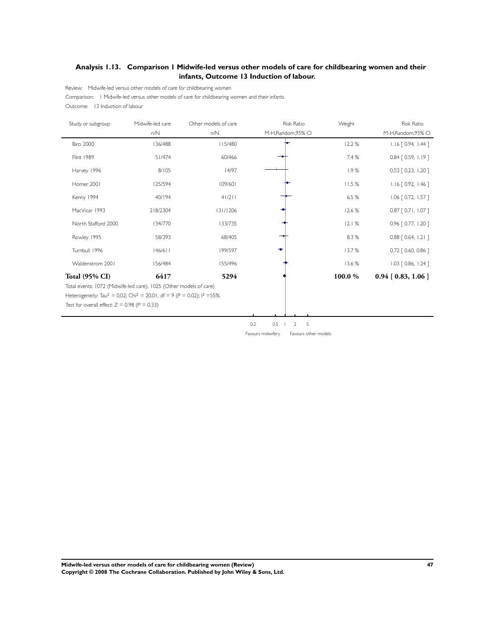# **Analysis 1.13. Comparison 1 Midwife-led versus other models of care for childbearing women and their infants, Outcome 13 Induction of labour.**

Review: Midwife-led versus other models of care for childbearing women

Comparison: 1 Midwife-led versus other models of care for childbearing women and their infants

Outcome: 13 Induction of labour

÷.

| Study or subgroup                                                                                | Midwife-led care | Other models of care | <b>Risk Ratio</b>   | Weight | Risk Ratio            |
|--------------------------------------------------------------------------------------------------|------------------|----------------------|---------------------|--------|-----------------------|
|                                                                                                  | n/N              | n/N                  | M-H, Random, 95% CI |        | M-H, Random, 95% CI   |
| <b>Biro 2000</b>                                                                                 | 136/488          | 115/480              |                     | 12.2 % | $1.16$ $[0.94, 1.44]$ |
| Flint 1989                                                                                       | 51/474           | 60/466               |                     | 7.4 %  | $0.84$ $[0.59, 1.19]$ |
| Harvey 1996                                                                                      | 8/105            | 14/97                |                     | 1.9%   | 0.53 [ 0.23, 1.20 ]   |
| Homer 2001                                                                                       | 125/594          | 109/601              |                     | 11.5%  | $1.16$ $[0.92, 1.46]$ |
| Kenny 1994                                                                                       | 40/194           | 41/211               |                     | 6.5 %  | $1.06$ $[0.72, 1.57]$ |
| MacVicar 1993                                                                                    | 218/2304         | 131/1206             |                     | 12.6%  | $0.87$ [ 0.71, 1.07 ] |
| North Stafford 2000                                                                              | 134/770          | 133/735              |                     | 12.1%  | 0.96 [ 0.77, 1.20 ]   |
| Rowley 1995                                                                                      | 58/393           | 68/405               |                     | 8.3 %  | $0.88$ $[0.64, 1.21]$ |
| Turnbull 1996                                                                                    | 146/611          | 199/597              |                     | 13.7 % | $0.72$ $[0.60, 0.86]$ |
| Waldenstrom 2001                                                                                 | 156/484          | 155/496              |                     | 13.6 % | $1.03$ $[0.86, 1.24]$ |
| <b>Total (95% CI)</b>                                                                            | 6417             | 5294                 |                     | 100.0% | $0.94$ [ 0.83, 1.06 ] |
| Total events: 1072 (Midwife-led care), 1025 (Other models of care)                               |                  |                      |                     |        |                       |
| Heterogeneity: Tau <sup>2</sup> = 0.02; Chi <sup>2</sup> = 20.01, df = 9 (P = 0.02); $1^2$ = 55% |                  |                      |                     |        |                       |
| Test for overall effect: $Z = 0.98$ (P = 0.33)                                                   |                  |                      |                     |        |                       |

0.2 0.5 1 2 5

Favours midwifery Favours other models

**Midwife-led versus other models of care for childbearing women (Review) 47 Copyright © 2008 The Cochrane Collaboration. Published by John Wiley & Sons, Ltd.**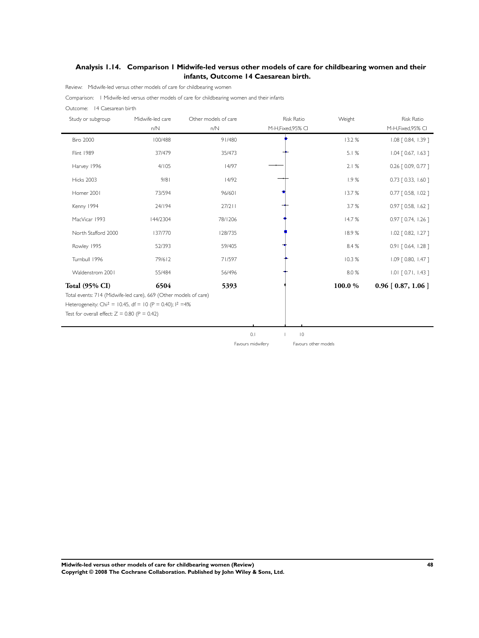# <span id="page-51-0"></span>**Analysis 1.14. Comparison 1 Midwife-led versus other models of care for childbearing women and their infants, Outcome 14 Caesarean birth.**

Review: Midwife-led versus other models of care for childbearing women

Comparison: 1 Midwife-led versus other models of care for childbearing women and their infants

Outcome: 14 Caesarean birth

| Study or subgroup                                                      | Midwife-led care | Other models of care | <b>Risk Ratio</b>  | Weight | <b>Risk Ratio</b>     |
|------------------------------------------------------------------------|------------------|----------------------|--------------------|--------|-----------------------|
|                                                                        | n/N              | n/N                  | M-H, Fixed, 95% CI |        | M-H, Fixed, 95% CI    |
| <b>Biro 2000</b>                                                       | 100/488          | 91/480               |                    | 13.2 % | $1.08$ $[0.84, 1.39]$ |
| Flint 1989                                                             | 37/479           | 35/473               |                    | 5.1%   | $1.04$ $[0.67, 1.63]$ |
| Harvey 1996                                                            | 4/105            | 14/97                |                    | 2.1%   | $0.26$ $[0.09, 0.77]$ |
| Hicks 2003                                                             | 9/81             | 14/92                |                    | 1.9%   | $0.73$ $[0.33, 1.60]$ |
| Homer 2001                                                             | 73/594           | 96/601               |                    | 13.7%  | $0.77$ $[0.58, 1.02]$ |
| Kenny 1994                                                             | 24/194           | 27/211               |                    | 3.7%   | $0.97$ $[0.58, 1.62]$ |
| MacVicar 1993                                                          | 144/2304         | 78/1206              |                    | 14.7%  | 0.97 [ 0.74, 1.26 ]   |
| North Stafford 2000                                                    | 137/770          | 128/735              |                    | 18.9%  | $1.02$ $[0.82, 1.27]$ |
| Rowley 1995                                                            | 52/393           | 59/405               |                    | 8.4 %  | 0.91   0.64, 1.28 ]   |
| Turnbull 1996                                                          | 79/612           | 71/597               |                    | 10.3 % | $1.09$ $[0.80, 1.47]$ |
| Waldenstrom 2001                                                       | 55/484           | 56/496               |                    | 8.0 %  | $1.01$ $[0.71, 1.43]$ |
| <b>Total (95% CI)</b>                                                  | 6504             | 5393                 |                    | 100.0% | $0.96$ [ 0.87, 1.06 ] |
| Total events: 714 (Midwife-led care), 669 (Other models of care)       |                  |                      |                    |        |                       |
| Heterogeneity: Chi <sup>2</sup> = 10.45, df = 10 (P = 0.40); $1^2$ =4% |                  |                      |                    |        |                       |
| Test for overall effect: $Z = 0.80$ (P = 0.42)                         |                  |                      |                    |        |                       |
|                                                                        |                  |                      |                    |        |                       |

0.1 1 10

Favours midwifery Favours other models

| Midwife-led versus other models of care for childbearing women (Review)           | 48 |
|-----------------------------------------------------------------------------------|----|
| Copyright © 2008 The Cochrane Collaboration. Published by John Wiley & Sons, Ltd. |    |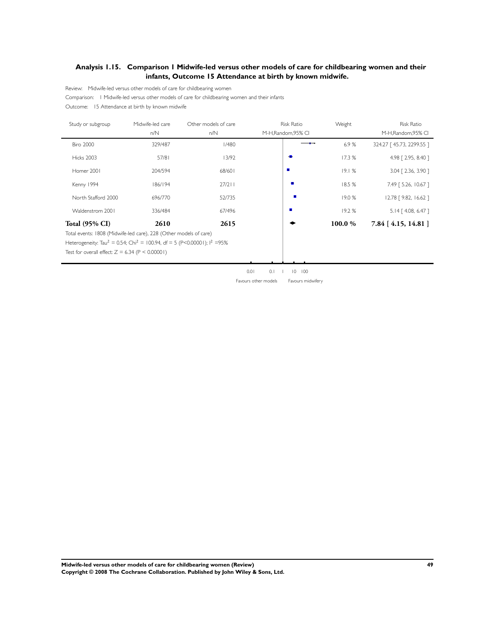# <span id="page-52-0"></span>**Analysis 1.15. Comparison 1 Midwife-led versus other models of care for childbearing women and their infants, Outcome 15 Attendance at birth by known midwife.**

Review: Midwife-led versus other models of care for childbearing women

Comparison: 1 Midwife-led versus other models of care for childbearing women and their infants

Outcome: 15 Attendance at birth by known midwife

| Study or subgroup                                                                                 | Midwife-led care | Other models of care | Risk Ratio          | Weight | <b>Risk Ratio</b>            |  |
|---------------------------------------------------------------------------------------------------|------------------|----------------------|---------------------|--------|------------------------------|--|
|                                                                                                   | n/N              | n/N                  | M-H, Random, 95% CI |        | M-H, Random, 95% CI          |  |
| <b>Biro 2000</b>                                                                                  | 329/487          | 1/480                |                     | 6.9%   | 324.27 [45.73, 2299.55 ]     |  |
| Hicks 2003                                                                                        | 57/81            | 13/92                |                     | 17.3%  | 4.98 [ 2.95, 8.40 ]          |  |
| Homer 2001                                                                                        | 204/594          | 68/601               |                     | 19.1%  | 3.04   2.36, 3.90 ]          |  |
| Kenny 1994                                                                                        | 186/194          | $27/2$               | ₩                   | 18.5 % | 7.49 [5.26, 10.67]           |  |
| North Stafford 2000                                                                               | 696/770          | 52/735               | Ŧ.                  | 19.0 % | 12.78 [ 9.82, 16.62 ]        |  |
| Waldenstrom 2001                                                                                  | 336/484          | 67/496               | $\overline{+}$      | 19.2%  | 5.14 [4.08, 6.47]            |  |
| <b>Total (95% CI)</b>                                                                             | 2610             | 2615                 |                     | 100.0% | $7.84 \mid 4.15, 14.81 \mid$ |  |
| Total events: 1808 (Midwife-led care), 228 (Other models of care)                                 |                  |                      |                     |        |                              |  |
| Heterogeneity: Tau <sup>2</sup> = 0.54; Chi <sup>2</sup> = 100.94, df = 5 (P<0.00001); $1^2$ =95% |                  |                      |                     |        |                              |  |
| Test for overall effect: $Z = 6.34$ (P < 0.00001)                                                 |                  |                      |                     |        |                              |  |

0.01 0.1 1 10 100

Favours other models Favours midwifery

**Midwife-led versus other models of care for childbearing women (Review) 49 Copyright © 2008 The Cochrane Collaboration. Published by John Wiley & Sons, Ltd.**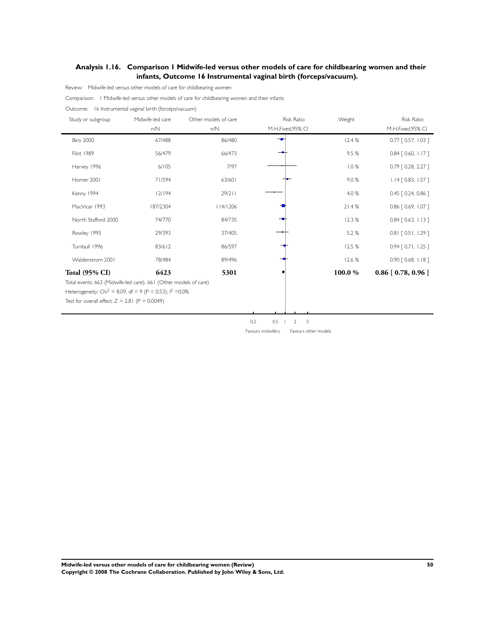# <span id="page-53-0"></span>**Analysis 1.16. Comparison 1 Midwife-led versus other models of care for childbearing women and their infants, Outcome 16 Instrumental vaginal birth (forceps/vacuum).**

Review: Midwife-led versus other models of care for childbearing women

Comparison: 1 Midwife-led versus other models of care for childbearing women and their infants

Outcome: 16 Instrumental vaginal birth (forceps/vacuum)

Ĭ.

| Study or subgroup                                                       | Midwife-led care | Other models of care | <b>Risk Ratio</b>  | Weight | <b>Risk Ratio</b>          |
|-------------------------------------------------------------------------|------------------|----------------------|--------------------|--------|----------------------------|
|                                                                         | n/N              | n/N                  | M-H, Fixed, 95% CI |        | M-H,Fixed,95% Cl           |
| <b>Biro 2000</b>                                                        | 67/488           | 86/480               |                    | 12.4%  | $0.77$ $[0.57, 1.03]$      |
| <b>Flint 1989</b>                                                       | 56/479           | 66/473               |                    | 9.5 %  | $0.84$ $[0.60, 1.17]$      |
| Harvey 1996                                                             | $6/105$          | 7/97                 |                    | 1.0%   | $0.79$ $[0.28, 2.27]$      |
| Homer 2001                                                              | 71/594           | 63/601               |                    | 9.0%   | $1.14$ [ 0.83, 1.57 ]      |
| Kenny 1994                                                              | 12/194           | 29/211               |                    | 4.0 %  | $0.45$ $[0.24, 0.86]$      |
| MacVicar 1993                                                           | 187/2304         | 4/   206             |                    | 21.4%  | $0.86$ $[0.69, 1.07]$      |
| North Stafford 2000                                                     | 74/770           | 84/735               |                    | 12.3%  | $0.84$ $[0.63, 1.13]$      |
| Rowley 1995                                                             | 29/393           | 37/405               |                    | 5.2 %  | $0.81$ $[0.51, 1.29]$      |
| Turnbull 1996                                                           | 83/612           | 86/597               |                    | 12.5 % | $0.94$ $[0.71, 1.25]$      |
| Waldenstrom 2001                                                        | 78/484           | 89/496               |                    | 12.6 % | $0.90$ $[0.68, 1.18]$      |
| <b>Total (95% CI)</b>                                                   | 6423             | 5301                 |                    | 100.0% | $0.86$ [ $0.78$ , $0.96$ ] |
| Total events: 663 (Midwife-led care), 661 (Other models of care)        |                  |                      |                    |        |                            |
| Heterogeneity: Chi <sup>2</sup> = 8.09, df = 9 (P = 0.53); $1^2$ = 0.0% |                  |                      |                    |        |                            |
| Test for overall effect: $Z = 2.81$ (P = 0.0049)                        |                  |                      |                    |        |                            |

0.2 0.5 1 2 5

Favours midwifery Favours other models

**Midwife-led versus other models of care for childbearing women (Review) 50 Copyright © 2008 The Cochrane Collaboration. Published by John Wiley & Sons, Ltd.**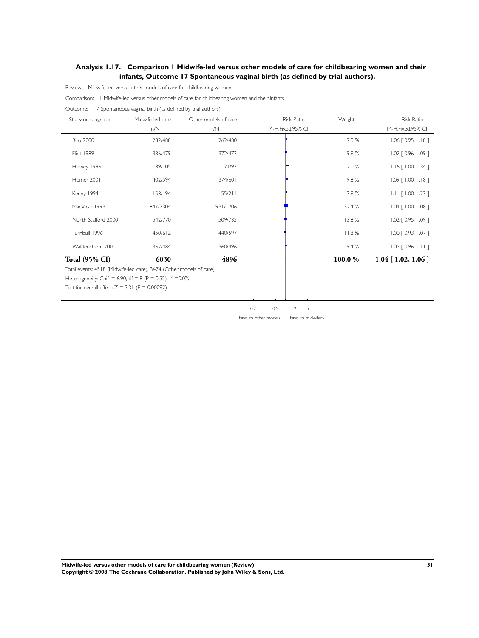# <span id="page-54-0"></span>**Analysis 1.17. Comparison 1 Midwife-led versus other models of care for childbearing women and their infants, Outcome 17 Spontaneous vaginal birth (as defined by trial authors).**

Review: Midwife-led versus other models of care for childbearing women

Comparison: 1 Midwife-led versus other models of care for childbearing women and their infants

Outcome: 17 Spontaneous vaginal birth (as defined by trial authors)

| Study or subgroup                                                                | Midwife-led care | Other models of care | <b>Risk Ratio</b>  | Weight | <b>Risk Ratio</b>              |
|----------------------------------------------------------------------------------|------------------|----------------------|--------------------|--------|--------------------------------|
|                                                                                  | n/N              | n/N                  | M-H, Fixed, 95% CI |        | M-H, Fixed, 95% CI             |
| <b>Biro 2000</b>                                                                 | 282/488          | 262/480              |                    | 7.0 %  | $1.06$ $[0.95, 1.18]$          |
| Flint 1989                                                                       | 386/479          | 372/473              |                    | 9.9%   | $1.02$ $[0.96, 1.09]$          |
| Harvey 1996                                                                      | 89/105           | 71/97                |                    | 2.0 %  | $1.16$ $[ 1.00, 1.34 ]$        |
| Homer 2001                                                                       | 402/594          | 374/601              |                    | 9.8%   | $1.09$ $[ 1.00, 1.18 ]$        |
| Kenny 1994                                                                       | 158/194          | 155/211              |                    | 3.9%   | $1.11$ $[1.00, 1.23]$          |
| MacVicar 1993                                                                    | 1847/2304        | 931/1206             |                    | 32.4 % | $1.04$ $[$ $1.00$ , $1.08$ $]$ |
| North Stafford 2000                                                              | 542/770          | 509/735              |                    | 13.8%  | $1.02$ $[0.95, 1.09]$          |
| Turnbull 1996                                                                    | 450/612          | 440/597              |                    | 11.8%  | $1.00$ $[0.93, 1.07]$          |
| Waldenstrom 2001                                                                 | 362/484          | 360/496              |                    | 9.4%   | $1.03$ $[0.96, 1.11]$          |
| <b>Total (95% CI)</b>                                                            | 6030             | 4896                 |                    | 100.0% | $1.04$ [ 1.02, 1.06 ]          |
| Total events: 4518 (Midwife-led care), 3474 (Other models of care)               |                  |                      |                    |        |                                |
| Heterogeneity: Chi <sup>2</sup> = 6.90, df = 8 (P = 0.55); l <sup>2</sup> = 0.0% |                  |                      |                    |        |                                |
| Test for overall effect: $Z = 3.31$ (P = 0.00092)                                |                  |                      |                    |        |                                |

0.2 0.5 1 2 5

Favours other models Favours midwifery

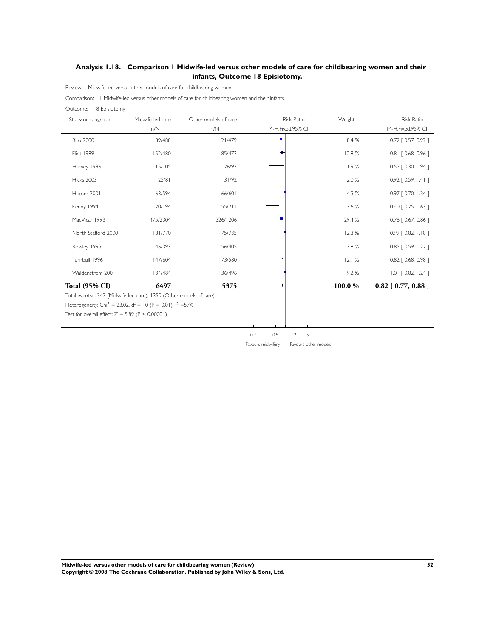# <span id="page-55-0"></span>**Analysis 1.18. Comparison 1 Midwife-led versus other models of care for childbearing women and their infants, Outcome 18 Episiotomy.**

Review: Midwife-led versus other models of care for childbearing women

Comparison: 1 Midwife-led versus other models of care for childbearing women and their infants

Outcome: 18 Episiotomy

j.

| Study or subgroup                                                       | Midwife-led care | Other models of care | <b>Risk Ratio</b> | Weight | <b>Risk Ratio</b>         |
|-------------------------------------------------------------------------|------------------|----------------------|-------------------|--------|---------------------------|
|                                                                         | n/N              | n/N                  | M-H,Fixed,95% CI  |        | M-H, Fixed, 95% CI        |
| <b>Biro 2000</b>                                                        | 89/488           | 121/479              |                   | 8.4 %  | $0.72$ $[0.57, 0.92]$     |
| <b>Flint 1989</b>                                                       | 152/480          | 185/473              |                   | 12.8 % | $0.81$ $[0.68, 0.96]$     |
| Harvey 1996                                                             | 15/105           | 26/97                |                   | 1.9%   | 0.53 [ 0.30, 0.94 ]       |
| Hicks 2003                                                              | 25/81            | 31/92                |                   | 2.0 %  | $0.92$ $[0.59, 1.41]$     |
| Homer 2001                                                              | 63/594           | 66/601               |                   | 4.5 %  | 0.97 [ 0.70, 1.34 ]       |
| Kenny 1994                                                              | 20/194           | $55/2$               |                   | 3.6%   | $0.40$ $[0.25, 0.63]$     |
| MacVicar 1993                                                           | 475/2304         | 326/1206             |                   | 29.4%  | $0.76$ $[0.67, 0.86]$     |
| North Stafford 2000                                                     | 181/770          | 175/735              |                   | 12.3%  | $0.99$ $[0.82, 1.18]$     |
| Rowley 1995                                                             | 46/393           | 56/405               |                   | 3.8 %  | $0.85$ $[0.59, 1.22]$     |
| Turnbull 1996                                                           | 147/604          | 173/580              |                   | 12.1%  | $0.82$ $[$ 0.68, 0.98 $]$ |
| Waldenstrom 2001                                                        | 134/484          | 136/496              |                   | 9.2%   | $1.01$ $[0.82, 1.24]$     |
| <b>Total (95% CI)</b>                                                   | 6497             | 5375                 |                   | 100.0% | $0.82$ [ $0.77, 0.88$ ]   |
| Total events: 1347 (Midwife-led care), 1350 (Other models of care)      |                  |                      |                   |        |                           |
| Heterogeneity: Chi <sup>2</sup> = 23.02, df = 10 (P = 0.01); $1^2$ =57% |                  |                      |                   |        |                           |
| Test for overall effect: $Z = 5.89$ (P < 0.00001)                       |                  |                      |                   |        |                           |
|                                                                         |                  |                      |                   |        |                           |

0.2 0.5 2 5

Favours midwifery Favours other models

**Midwife-led versus other models of care for childbearing women (Review) 52 Copyright © 2008 The Cochrane Collaboration. Published by John Wiley & Sons, Ltd.**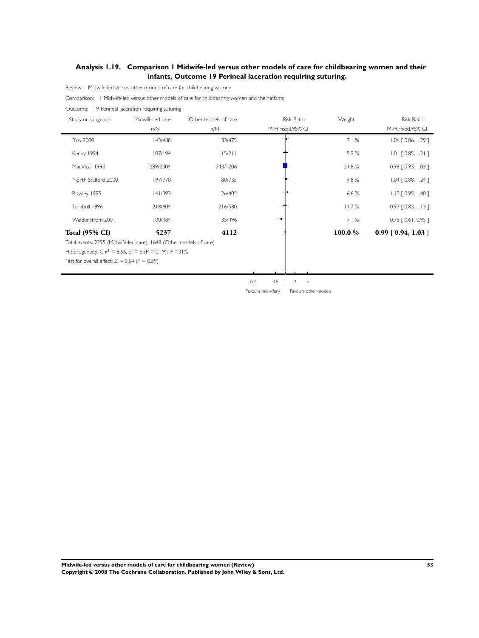# <span id="page-56-0"></span>**Analysis 1.19. Comparison 1 Midwife-led versus other models of care for childbearing women and their infants, Outcome 19 Perineal laceration requiring suturing.**

Review: Midwife-led versus other models of care for childbearing women

Comparison: 1 Midwife-led versus other models of care for childbearing women and their infants

Outcome: 19 Perineal laceration requiring suturing

| Study or subgroup                                                      | Midwife-led care | Other models of care | <b>Risk Ratio</b>    | Weight | <b>Risk Ratio</b>          |
|------------------------------------------------------------------------|------------------|----------------------|----------------------|--------|----------------------------|
|                                                                        | n/N              | n/N                  | M-H, Fixed, 95% CI   |        | M-H, Fixed, 95% CI         |
| <b>Biro 2000</b>                                                       | 143/488          | 133/479              |                      | 7.1%   | $1.06$ $[0.86, 1.29]$      |
| Kenny 1994                                                             | 107/194          | 115/211              |                      | 5.9%   | $1.01$ $[0.85, 1.21]$      |
| MacVicar 1993                                                          | 1389/2304        | 743/1206             |                      | 51.8%  | $0.98$ $[0.93, 1.03]$      |
| North Stafford 2000                                                    | 197/770          | 180/735              |                      | 9.8%   | $1.04$ $[0.88, 1.24]$      |
| Rowley 1995                                                            | 141/393          | 126/405              |                      | 6.6 %  | $1.15$ $[0.95, 1.40]$      |
| Turnbull 1996                                                          | 218/604          | 216/580              |                      | 11.7%  | $0.97$ $[0.83, 1.13]$      |
| Waldenstrom 2001                                                       | 100/484          | 135/496              |                      | 7.1%   | $0.76$ $[0.61, 0.95]$      |
| <b>Total (95% CI)</b>                                                  | 5237             | 4112                 |                      | 100.0% | $0.99$ [ $0.94$ , $1.03$ ] |
| Total events: 2295 (Midwife-led care), 1648 (Other models of care)     |                  |                      |                      |        |                            |
| Heterogeneity: Chi <sup>2</sup> = 8.66, df = 6 (P = 0.19); $1^2$ = 31% |                  |                      |                      |        |                            |
| Test for overall effect: $Z = 0.54$ (P = 0.59)                         |                  |                      |                      |        |                            |
|                                                                        |                  |                      |                      |        |                            |
|                                                                        |                  |                      | 0.2<br>0.5<br>5<br>2 |        |                            |

Favours midwifery Favours other models

**Midwife-led versus other models of care for childbearing women (Review) 53 Copyright © 2008 The Cochrane Collaboration. Published by John Wiley & Sons, Ltd.**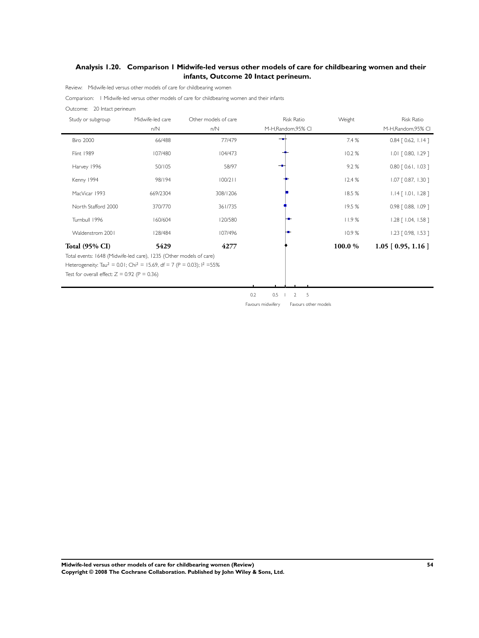# <span id="page-57-0"></span>**Analysis 1.20. Comparison 1 Midwife-led versus other models of care for childbearing women and their infants, Outcome 20 Intact perineum.**

Review: Midwife-led versus other models of care for childbearing women

Comparison: 1 Midwife-led versus other models of care for childbearing women and their infants

Outcome: 20 Intact perineum

| Study or subgroup                                                                                         | Midwife-led care | Other models of care | <b>Risk Ratio</b>   | Weight | <b>Risk Ratio</b>          |
|-----------------------------------------------------------------------------------------------------------|------------------|----------------------|---------------------|--------|----------------------------|
|                                                                                                           | n/N              | n/N                  | M-H, Random, 95% CI |        | M-H, Random, 95% CI        |
| <b>Biro 2000</b>                                                                                          | 66/488           | 77/479               |                     | 7.4 %  | $0.84$ $[0.62, 1.14]$      |
| Flint 1989                                                                                                | 107/480          | 104/473              |                     | 10.2%  | $1.01$ $[0.80, 1.29]$      |
| Harvey 1996                                                                                               | 50/105           | 58/97                |                     | 9.2%   | $0.80$ $[0.61, 1.03]$      |
| Kenny 1994                                                                                                | 98/194           | 100/211              |                     | 12.4%  | $1.07$ $[0.87, 1.30]$      |
| MacVicar 1993                                                                                             | 669/2304         | 308/1206             |                     | 18.5 % | $1.14$ [ $1.01$ , $1.28$ ] |
| North Stafford 2000                                                                                       | 370/770          | 361/735              |                     | 19.5 % | $0.98$ $[0.88, 1.09]$      |
| Tumbull 1996                                                                                              | 160/604          | 120/580              |                     | 11.9%  | $1.28$ $[$ 1.04, 1.58 ]    |
| Waldenstrom 2001                                                                                          | 128/484          | 107/496              |                     | 10.9%  | $1.23$ [ 0.98, 1.53 ]      |
| <b>Total (95% CI)</b>                                                                                     | 5429             | 4277                 |                     | 100.0% | $1.05$ [ 0.95, 1.16 ]      |
| Total events: 1648 (Midwife-led care), 1235 (Other models of care)                                        |                  |                      |                     |        |                            |
| Heterogeneity: Tau <sup>2</sup> = 0.01; Chi <sup>2</sup> = 15.69, df = 7 (P = 0.03); l <sup>2</sup> = 55% |                  |                      |                     |        |                            |
| Test for overall effect: $Z = 0.92$ (P = 0.36)                                                            |                  |                      |                     |        |                            |

 $0.2 \t 0.5 \t 2 \t 5$ 

Favours midwifery Favours other models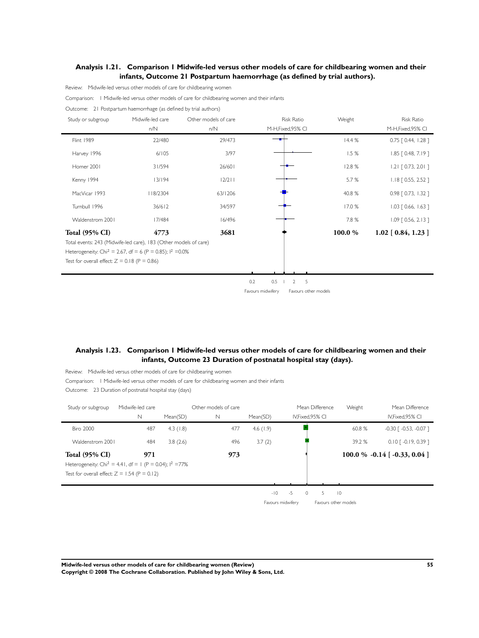# <span id="page-58-0"></span>**Analysis 1.21. Comparison 1 Midwife-led versus other models of care for childbearing women and their infants, Outcome 21 Postpartum haemorrhage (as defined by trial authors).**

Review: Midwife-led versus other models of care for childbearing women

Comparison: 1 Midwife-led versus other models of care for childbearing women and their infants

Outcome: 21 Postpartum haemorrhage (as defined by trial authors)

| Study or subgroup                                                       | Midwife-led care | Other models of care |            | <b>Risk Ratio</b>   | Weight | <b>Risk Ratio</b>     |
|-------------------------------------------------------------------------|------------------|----------------------|------------|---------------------|--------|-----------------------|
|                                                                         | n/N              | n/N                  |            | M-H, Fixed, 95% CI  |        | M-H, Fixed, 95% CI    |
| Flint 1989                                                              | 22/480           | 29/473               |            |                     | 14.4 % | $0.75$ $[0.44, 1.28]$ |
| Harvey 1996                                                             | 6/105            | 3/97                 |            |                     | 1.5%   | $1.85$ $[0.48, 7.19]$ |
| Homer 2001                                                              | 31/594           | 26/601               |            |                     | 12.8 % | $1.21$ $[0.73, 2.01]$ |
| Kenny 1994                                                              | 13/194           | 12/211               |            |                     | 5.7 %  | $1.18$ $[0.55, 2.52]$ |
| MacVicar 1993                                                           | 18/2304          | 63/1206              |            |                     | 40.8 % | $0.98$ $[0.73, 1.32]$ |
| Tumbull 1996                                                            | 36/612           | 34/597               |            |                     | 17.0 % | $1.03$ $[0.66, 1.63]$ |
| Waldenstrom 2001                                                        | 17/484           | 16/496               |            |                     | 7.8 %  | $1.09$ $[0.56, 2.13]$ |
| <b>Total (95% CI)</b>                                                   | 4773             | 3681                 |            |                     | 100.0% | $1.02$ [ 0.84, 1.23 ] |
| Total events: 243 (Midwife-led care), 183 (Other models of care)        |                  |                      |            |                     |        |                       |
| Heterogeneity: Chi <sup>2</sup> = 2.67, df = 6 (P = 0.85); $1^2$ = 0.0% |                  |                      |            |                     |        |                       |
| Test for overall effect: $Z = 0.18$ (P = 0.86)                          |                  |                      |            |                     |        |                       |
|                                                                         |                  |                      |            |                     |        |                       |
|                                                                         |                  |                      | 0.5<br>0.2 | 5<br>$\overline{2}$ |        |                       |

Favours midwifery Favours other models

#### **Analysis 1.23. Comparison 1 Midwife-led versus other models of care for childbearing women and their infants, Outcome 23 Duration of postnatal hospital stay (days).**

Review: Midwife-led versus other models of care for childbearing women

Comparison: 1 Midwife-led versus other models of care for childbearing women and their infants

Outcome: 23 Duration of postnatal hospital stay (days)

| Study or subgroup                                                                                                                                | Midwife-led care |          | Other models of care |                            |      | Mean Difference           | Weight         | Mean Difference                      |
|--------------------------------------------------------------------------------------------------------------------------------------------------|------------------|----------|----------------------|----------------------------|------|---------------------------|----------------|--------------------------------------|
|                                                                                                                                                  | $\mathbb N$      | Mean(SD) | $\mathbb N$          | Mean(SD)                   |      | IV, Fixed, 95% CI         |                | IV, Fixed, 95% CI                    |
| <b>Biro 2000</b>                                                                                                                                 | 487              | 4.3(1.8) | 477                  | 4.6 $(1.9)$                |      |                           | 60.8%          | $-0.30$ $\lceil -0.53, -0.07 \rceil$ |
| Waldenstrom 2001                                                                                                                                 | 484              | 3.8(2.6) | 496                  | 3.7(2)                     |      |                           | 39.2 %         | $0.10$ [ -0.19, 0.39 ]               |
| <b>Total (95% CI)</b><br>Heterogeneity: Chi <sup>2</sup> = 4.41, df = 1 (P = 0.04); $1^2$ =77%<br>Test for overall effect: $Z = 1.54$ (P = 0.12) | 971              |          | 973                  |                            |      |                           |                | $100.0 \% -0.14$ [ -0.33, 0.04 ]     |
|                                                                                                                                                  |                  |          |                      | $-10$<br>Favours midwifery | $-5$ | 5<br>Favours other models | $\overline{0}$ |                                      |

**Midwife-led versus other models of care for childbearing women (Review) 55 Copyright © 2008 The Cochrane Collaboration. Published by John Wiley & Sons, Ltd.**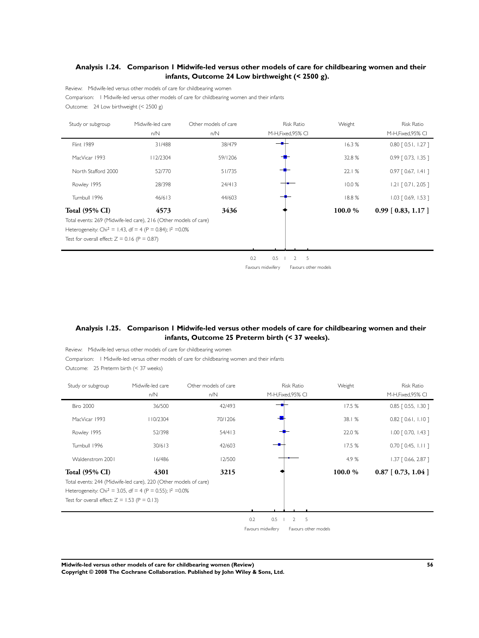# <span id="page-59-0"></span>**Analysis 1.24. Comparison 1 Midwife-led versus other models of care for childbearing women and their infants, Outcome 24 Low birthweight (< 2500 g).**

Review: Midwife-led versus other models of care for childbearing women

Comparison: 1 Midwife-led versus other models of care for childbearing women and their infants

Outcome: 24 Low birthweight (< 2500 g)

| Study or subgroup                                                       | Midwife-led care | Other models of care | <b>Risk Ratio</b>  | Weight | <b>Risk Ratio</b>     |
|-------------------------------------------------------------------------|------------------|----------------------|--------------------|--------|-----------------------|
|                                                                         | n/N              | n/N                  | M-H, Fixed, 95% CI |        | M-H, Fixed, 95% CI    |
| Flint 1989                                                              | 31/488           | 38/479               |                    | 16.3%  | $0.80$ $[0.51, 1.27]$ |
| MacVicar 1993                                                           | 12/2304          | 59/1206              |                    | 32.8 % | $0.99$ $[0.73, 1.35]$ |
| North Stafford 2000                                                     | 52/770           | 51/735               |                    | 22.1%  | $0.97$ $[0.67, 1.41]$ |
| Rowley 1995                                                             | 28/398           | 24/413               |                    | 10.0%  | $1.21$ $[0.71, 2.05]$ |
| Turnbull 1996                                                           | 46/613           | 44/603               |                    | 18.8%  | $1.03$ $[0.69, 1.53]$ |
| <b>Total (95% CI)</b>                                                   | 4573             | 3436                 |                    | 100.0% | $0.99$ [ 0.83, 1.17 ] |
| Total events: 269 (Midwife-led care), 216 (Other models of care)        |                  |                      |                    |        |                       |
| Heterogeneity: Chi <sup>2</sup> = 1.43, df = 4 (P = 0.84); $1^2$ = 0.0% |                  |                      |                    |        |                       |
| Test for overall effect: $Z = 0.16$ (P = 0.87)                          |                  |                      |                    |        |                       |
|                                                                         |                  |                      |                    |        |                       |

 $0.2$  0.5 2 5

Favours midwifery Favours other models

### **Analysis 1.25. Comparison 1 Midwife-led versus other models of care for childbearing women and their infants, Outcome 25 Preterm birth (< 37 weeks).**

Review: Midwife-led versus other models of care for childbearing women Comparison: 1 Midwife-led versus other models of care for childbearing women and their infants Outcome: 25 Preterm birth (< 37 weeks)

| Study or subgroup                                                       | Midwife-led care<br>n/N | Other models of care<br>n/N |            | <b>Risk Ratio</b><br>M-H, Fixed, 95% CI | Weight | <b>Risk Ratio</b><br>M-H, Fixed, 95% CI |
|-------------------------------------------------------------------------|-------------------------|-----------------------------|------------|-----------------------------------------|--------|-----------------------------------------|
| <b>Biro 2000</b>                                                        | 36/500                  | 42/493                      |            |                                         | 17.5 % | $0.85$ $\lceil 0.55, 1.30 \rceil$       |
| MacVicar 1993                                                           | 10/2304                 | 70/1206                     |            |                                         | 38.1 % | $0.82$ [ $0.61$ , $1.10$ ]              |
| Rowley 1995                                                             | 52/398                  | 54/413                      |            |                                         | 22.0 % | $1.00$ $[0.70, 1.43]$                   |
| Turnbull 1996                                                           | 30/613                  | 42/603                      |            |                                         | 17.5 % | $0.70$ $[0.45, 1.11]$                   |
| Waldenstrom 2001                                                        | 16/486                  | 12/500                      |            |                                         | 4.9 %  | $1.37$ $[0.66, 2.87]$                   |
| <b>Total (95% CI)</b>                                                   | 4301                    | 3215                        |            |                                         | 100.0% | $0.87$ [ 0.73, 1.04 ]                   |
| Total events: 244 (Midwife-led care), 220 (Other models of care)        |                         |                             |            |                                         |        |                                         |
| Heterogeneity: Chi <sup>2</sup> = 3.05, df = 4 (P = 0.55); $1^2$ = 0.0% |                         |                             |            |                                         |        |                                         |
| Test for overall effect: $Z = 1.53$ (P = 0.13)                          |                         |                             |            |                                         |        |                                         |
|                                                                         |                         |                             |            |                                         |        |                                         |
|                                                                         |                         |                             | 0.5<br>0.2 | 5<br>$\mathcal{D}$                      |        |                                         |
|                                                                         |                         |                             |            |                                         |        |                                         |

Favours midwifery Favours other models

**Midwife-led versus other models of care for childbearing women (Review) 56 Copyright © 2008 The Cochrane Collaboration. Published by John Wiley & Sons, Ltd.**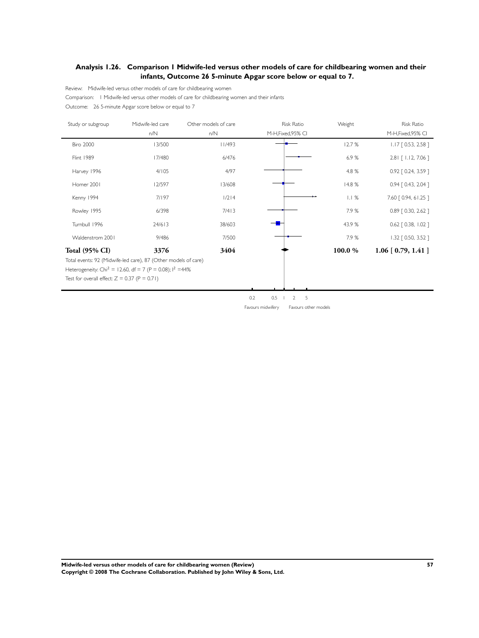# **Analysis 1.26. Comparison 1 Midwife-led versus other models of care for childbearing women and their infants, Outcome 26 5-minute Apgar score below or equal to 7.**

Review: Midwife-led versus other models of care for childbearing women

Comparison: 1 Midwife-led versus other models of care for childbearing women and their infants

Outcome: 26 5-minute Apgar score below or equal to 7

| Study or subgroup                                                      | Midwife-led care | Other models of care | <b>Risk Ratio</b>  | Weight | <b>Risk Ratio</b>       |
|------------------------------------------------------------------------|------------------|----------------------|--------------------|--------|-------------------------|
|                                                                        | n/N              | n/N                  | M-H, Fixed, 95% CI |        | M-H, Fixed, 95% CI      |
| <b>Biro 2000</b>                                                       | 13/500           | 1/493                |                    | 12.7 % | $1.17$ [ 0.53, 2.58 ]   |
| Flint 1989                                                             | 17/480           | 6/476                |                    | 6.9%   | 2.81 [1.12, 7.06]       |
| Harvey 1996                                                            | 4/105            | 4/97                 |                    | 4.8 %  | $0.92$ $[0.24, 3.59]$   |
| Homer 2001                                                             | 12/597           | 13/608               |                    | 14.8 % | $0.94$ $[0.43, 2.04]$   |
| Kenny 1994                                                             | 7/197            | $1/2$ $14$           |                    | 1.1%   | 7.60 [ 0.94, 61.25 ]    |
| Rowley 1995                                                            | 6/398            | 7/413                |                    | 7.9%   | $0.89$ $[0.30, 2.62]$   |
| Turnbull 1996                                                          | 24/613           | 38/603               |                    | 43.9%  | $0.62$ $[ 0.38, 1.02 ]$ |
| Waldenstrom 2001                                                       | 9/486            | 7/500                |                    | 7.9%   | $1.32$ $[0.50, 3.52]$   |
| <b>Total (95% CI)</b>                                                  | 3376             | 3404                 |                    | 100.0% | $1.06$ [ 0.79, 1.41 ]   |
| Total events: 92 (Midwife-led care), 87 (Other models of care)         |                  |                      |                    |        |                         |
| Heterogeneity: Chi <sup>2</sup> = 12.60, df = 7 (P = 0.08); $1^2$ =44% |                  |                      |                    |        |                         |
| Test for overall effect: $Z = 0.37$ (P = 0.71)                         |                  |                      |                    |        |                         |

0.2 0.5 1 2 5

Favours midwifery Favours other models

```
Midwife-led versus other models of care for childbearing women (Review) 57
Copyright © 2008 The Cochrane Collaboration. Published by John Wiley & Sons, Ltd.
```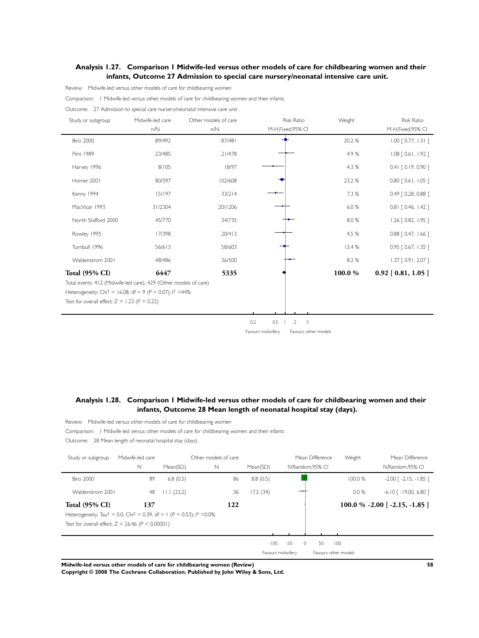# <span id="page-61-0"></span>**Analysis 1.27. Comparison 1 Midwife-led versus other models of care for childbearing women and their infants, Outcome 27 Admission to special care nursery/neonatal intensive care unit.**

Review: Midwife-led versus other models of care for childbearing women

Comparison: 1 Midwife-led versus other models of care for childbearing women and their infants

Outcome: 27 Admission to special care nursery/neonatal intensive care unit

| Study or subgroup                                                      | Midwife-led care | Other models of care | <b>Risk Ratio</b>  | Weight    | <b>Risk Ratio</b>       |
|------------------------------------------------------------------------|------------------|----------------------|--------------------|-----------|-------------------------|
|                                                                        | n/N              | n/N                  | M-H, Fixed, 95% CI |           | M-H, Fixed, 95% CI      |
| <b>Biro 2000</b>                                                       | 89/492           | 87/481               |                    | 20.2 %    | $1.00$ $[0.77, 1.31]$   |
| Flint 1989                                                             | 23/485           | 21/478               |                    | 4.9%      | $1.08$ $[0.61, 1.92]$   |
| Harvey 1996                                                            | 8/105            | 18/97                |                    | 4.3 %     | $0.41$ $[0.19, 0.90]$   |
| Homer 2001                                                             | 80/597           | 102/608              |                    | 23.2 %    | $0.80$ $[0.61, 1.05]$   |
| Kenny 1994                                                             | 15/197           | 33/214               |                    | 7.3 %     | 0.49 [ 0.28, 0.88 ]     |
| MacVicar 1993                                                          | 31/2304          | 20/1206              |                    | 6.0%      | $0.81$ $[0.46, 1.42]$   |
| North Stafford 2000                                                    | 45/770           | 34/735               |                    | 8.0%      | $1.26$ $[0.82, 1.95]$   |
| Rowley 1995                                                            | 17/398           | 20/413               |                    | 4.5 %     | $0.88$ $[0.47, 1.66]$   |
| Turnbull 1996                                                          | 56/613           | 58/603               |                    | 13.4 %    | $0.95$ $[0.67, 1.35]$   |
| Waldenstrom 2001                                                       | 48/486           | 36/500               |                    | 8.2 %     | $1.37$ $[0.91, 2.07]$   |
| <b>Total (95% CI)</b>                                                  | 6447             | 5335                 |                    | 100.0 $%$ | $0.92$ [ $0.81, 1.05$ ] |
| Total events: 412 (Midwife-led care), 429 (Other models of care)       |                  |                      |                    |           |                         |
| Heterogeneity: Chi <sup>2</sup> = 16.08, df = 9 (P = 0.07); $1^2$ =44% |                  |                      |                    |           |                         |
| Test for overall effect: $Z = 1.23$ (P = 0.22)                         |                  |                      |                    |           |                         |

 $0.2$   $0.5$   $1$   $2$   $5$ 

Favours midwifery Favours other models

# **Analysis 1.28. Comparison 1 Midwife-led versus other models of care for childbearing women and their infants, Outcome 28 Mean length of neonatal hospital stay (days).**

| Review: Midwife-led versus other models of care for childbearing women                         |
|------------------------------------------------------------------------------------------------|
| Comparison:   Midwife-led versus other models of care for childbearing women and their infants |
| Outcome: 28 Mean length of neonatal hospital stay (days)                                       |

| Study or subgroup                                                                                        | Midwife-led care |            | Other models of care |                   |       | Mean Difference  | Weight               | Mean Difference                      |
|----------------------------------------------------------------------------------------------------------|------------------|------------|----------------------|-------------------|-------|------------------|----------------------|--------------------------------------|
|                                                                                                          | N                | Mean(SD)   | N                    | Mean(SD)          |       | IV.Random.95% CI |                      | IV.Random.95% CI                     |
| <b>Biro 2000</b>                                                                                         | 89               | 6.8(0.5)   | 86                   | 8.8(0.5)          |       |                  | 100.0%               | $-2.00$ $\lceil -2.15, -1.85 \rceil$ |
| Waldenstrom 2001                                                                                         | 48               | 11.1(23.2) | 36                   | 17.2(34)          |       |                  | 0.0%                 | $-6.10$ [ $-19.00$ , 6.80 ]          |
| <b>Total (95% CI)</b>                                                                                    | 137              |            | 122                  |                   |       |                  |                      | $100.0 \% -2.00$ [ -2.15, -1.85 ]    |
| Heterogeneity: Tau <sup>2</sup> = 0.0; Chi <sup>2</sup> = 0.39, df = 1 (P = 0.53); l <sup>2</sup> = 0.0% |                  |            |                      |                   |       |                  |                      |                                      |
| Test for overall effect: $Z = 26.46$ (P < 0.00001)                                                       |                  |            |                      |                   |       |                  |                      |                                      |
|                                                                                                          |                  |            |                      |                   |       |                  |                      |                                      |
|                                                                                                          |                  |            |                      | $-100$            | $-50$ | 50               | 100                  |                                      |
|                                                                                                          |                  |            |                      | Favours midwifery |       |                  | Favours other models |                                      |
| Midwife-led versus other models of care for childbearing women (Review)                                  |                  |            |                      |                   |       |                  |                      | 58                                   |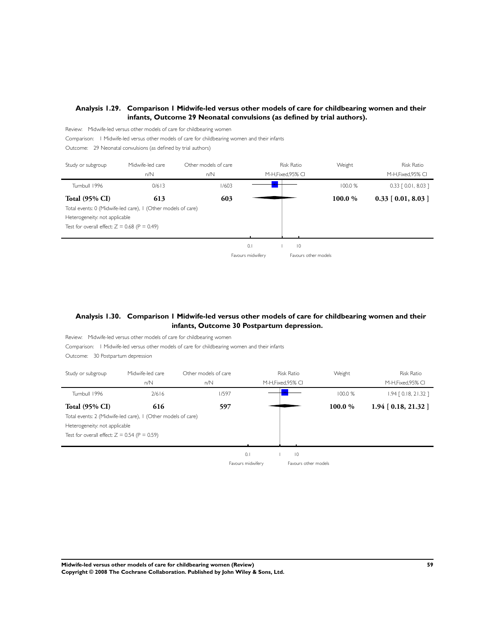#### <span id="page-62-0"></span>**Analysis 1.29. Comparison 1 Midwife-led versus other models of care for childbearing women and their infants, Outcome 29 Neonatal convulsions (as defined by trial authors).**

Review: Midwife-led versus other models of care for childbearing women

Comparison: 1 Midwife-led versus other models of care for childbearing women and their infants

Outcome: 29 Neonatal convulsions (as defined by trial authors)

l.

| Study or subgroup                              | Midwife-led care                                             | Other models of care | <b>Risk Ratio</b>     | Weight               | <b>Risk Ratio</b>     |
|------------------------------------------------|--------------------------------------------------------------|----------------------|-----------------------|----------------------|-----------------------|
|                                                | n/N                                                          | n/N                  | M-H, Fixed, 95% CI    |                      | M-H, Fixed, 95% CI    |
| Tumbull 1996                                   | 0/613                                                        | 1/603                |                       | 100.0%               | $0.33$ $[0.01, 8.03]$ |
| <b>Total (95% CI)</b>                          | 613                                                          | 603                  |                       | 100.0%               | $0.33$ [ 0.01, 8.03 ] |
|                                                | Total events: 0 (Midwife-led care), 1 (Other models of care) |                      |                       |                      |                       |
| Heterogeneity: not applicable                  |                                                              |                      |                       |                      |                       |
| Test for overall effect: $Z = 0.68$ (P = 0.49) |                                                              |                      |                       |                      |                       |
|                                                |                                                              |                      |                       |                      |                       |
|                                                |                                                              |                      | 0.1<br>$\overline{0}$ |                      |                       |
|                                                |                                                              |                      | Favours midwifery     | Favours other models |                       |
|                                                |                                                              |                      |                       |                      |                       |
|                                                |                                                              |                      |                       |                      |                       |

## **Analysis 1.30. Comparison 1 Midwife-led versus other models of care for childbearing women and their infants, Outcome 30 Postpartum depression.**

Review: Midwife-led versus other models of care for childbearing women Comparison: 1 Midwife-led versus other models of care for childbearing women and their infants Outcome: 30 Postpartum depression

| Study or subgroup                              | Midwife-led care<br>n/N                                      | Other models of care<br>n/N | <b>Risk Ratio</b><br>M-H, Fixed, 95% CI | Weight  | <b>Risk Ratio</b><br>M-H, Fixed, 95% CI |
|------------------------------------------------|--------------------------------------------------------------|-----------------------------|-----------------------------------------|---------|-----------------------------------------|
| Turnbull 1996                                  | 2/616                                                        | 1/597                       |                                         | 100.0 % | $1.94$ [ 0.18, 21.32 ]                  |
| <b>Total (95% CI)</b>                          | 616                                                          | 597                         |                                         | 100.0%  | 1.94 [0.18, 21.32]                      |
|                                                | Total events: 2 (Midwife-led care), 1 (Other models of care) |                             |                                         |         |                                         |
| Heterogeneity: not applicable                  |                                                              |                             |                                         |         |                                         |
| Test for overall effect: $Z = 0.54$ (P = 0.59) |                                                              |                             |                                         |         |                                         |
|                                                |                                                              |                             |                                         |         |                                         |
|                                                |                                                              | 0.1                         | $\overline{0}$                          |         |                                         |
|                                                |                                                              | Favours midwifery           | Favours other models                    |         |                                         |
|                                                |                                                              |                             |                                         |         |                                         |
|                                                |                                                              |                             |                                         |         |                                         |
|                                                |                                                              |                             |                                         |         |                                         |
|                                                |                                                              |                             |                                         |         |                                         |
|                                                |                                                              |                             |                                         |         |                                         |
|                                                |                                                              |                             |                                         |         |                                         |
|                                                |                                                              |                             |                                         |         |                                         |
|                                                |                                                              |                             |                                         |         |                                         |
|                                                |                                                              |                             |                                         |         |                                         |
|                                                |                                                              |                             |                                         |         |                                         |

**Midwife-led versus other models of care for childbearing women (Review) 59**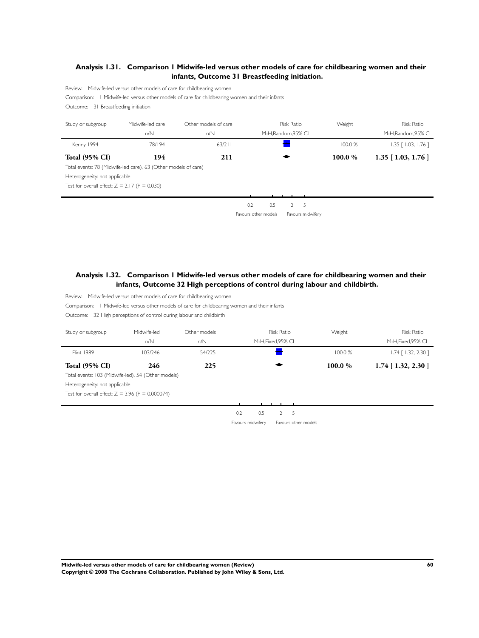#### <span id="page-63-0"></span>**Analysis 1.31. Comparison 1 Midwife-led versus other models of care for childbearing women and their infants, Outcome 31 Breastfeeding initiation.**

Review: Midwife-led versus other models of care for childbearing women

Comparison: 1 Midwife-led versus other models of care for childbearing women and their infants

Outcome: 31 Breastfeeding initiation

| Midwife-led care                                | Other models of care |                                                                |                                  | Weight                                   | <b>Risk Ratio</b>     |
|-------------------------------------------------|----------------------|----------------------------------------------------------------|----------------------------------|------------------------------------------|-----------------------|
| n/N                                             | n/N                  |                                                                |                                  |                                          | M-H, Random, 95% CI   |
| 78/194                                          | 63/211               |                                                                |                                  | 100.0%                                   | $1.35$ $[1.03, 1.76]$ |
| 194                                             | 211                  |                                                                |                                  | 100.0%                                   | $1.35$ [ 1.03, 1.76 ] |
|                                                 |                      |                                                                |                                  |                                          |                       |
| Heterogeneity: not applicable                   |                      |                                                                |                                  |                                          |                       |
| Test for overall effect: $Z = 2.17$ (P = 0.030) |                      |                                                                |                                  |                                          |                       |
|                                                 |                      |                                                                |                                  |                                          |                       |
|                                                 |                      | 0.5                                                            | $\overline{2}$<br>5 <sup>5</sup> |                                          |                       |
|                                                 |                      |                                                                | Favours midwifery                |                                          |                       |
|                                                 |                      |                                                                |                                  |                                          |                       |
|                                                 |                      |                                                                |                                  |                                          |                       |
|                                                 |                      | Total events: 78 (Midwife-led care), 63 (Other models of care) | 0.2<br>Favours other models      | <b>Risk Ratio</b><br>M-H, Random, 95% CI |                       |

#### **Analysis 1.32. Comparison 1 Midwife-led versus other models of care for childbearing women and their infants, Outcome 32 High perceptions of control during labour and childbirth.**

Review: Midwife-led versus other models of care for childbearing women Comparison: 1 Midwife-led versus other models of care for childbearing women and their infants Outcome: 32 High perceptions of control during labour and childbirth

| Study or subgroup                                  | Midwife-led<br>n/N | Other models<br>n/N |                   | Risk Ratio<br>M-H, Fixed, 95% CI | Weight  | Risk Ratio<br>M-H, Fixed, 95% CI |
|----------------------------------------------------|--------------------|---------------------|-------------------|----------------------------------|---------|----------------------------------|
| Flint 1989                                         | 103/246            | 54/225              |                   |                                  | 100.0 % | 1.74 [ 1.32, 2.30 ]              |
| Total (95% CI)                                     | 246                | 225                 |                   |                                  | 100.0%  | 1.74 [1.32, 2.30]                |
| Total events: 103 (Midwife-led), 54 (Other models) |                    |                     |                   |                                  |         |                                  |
| Heterogeneity: not applicable                      |                    |                     |                   |                                  |         |                                  |
| Test for overall effect: $Z = 3.96$ (P = 0.000074) |                    |                     |                   |                                  |         |                                  |
|                                                    |                    |                     |                   |                                  |         |                                  |
|                                                    |                    |                     | 0.5<br>0.2        | 5<br>$\overline{2}$              |         |                                  |
|                                                    |                    |                     | Favours midwifery | Favours other models             |         |                                  |
|                                                    |                    |                     |                   |                                  |         |                                  |
|                                                    |                    |                     |                   |                                  |         |                                  |
|                                                    |                    |                     |                   |                                  |         |                                  |
|                                                    |                    |                     |                   |                                  |         |                                  |
|                                                    |                    |                     |                   |                                  |         |                                  |
|                                                    |                    |                     |                   |                                  |         |                                  |
|                                                    |                    |                     |                   |                                  |         |                                  |
|                                                    |                    |                     |                   |                                  |         |                                  |
|                                                    |                    |                     |                   |                                  |         |                                  |
|                                                    |                    |                     |                   |                                  |         |                                  |
|                                                    |                    |                     |                   |                                  |         |                                  |
|                                                    |                    |                     |                   |                                  |         |                                  |
|                                                    |                    |                     |                   |                                  |         |                                  |
|                                                    |                    |                     |                   |                                  |         |                                  |

**Midwife-led versus other models of care for childbearing women (Review) 60 Copyright © 2008 The Cochrane Collaboration. Published by John Wiley & Sons, Ltd.**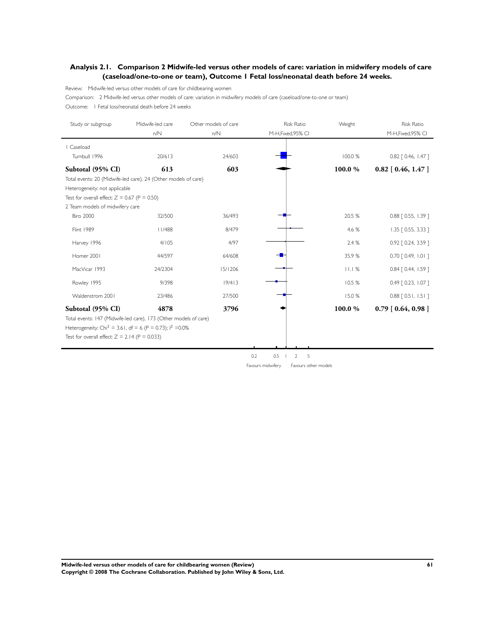# <span id="page-64-0"></span>**Analysis 2.1. Comparison 2 Midwife-led versus other models of care: variation in midwifery models of care (caseload/one-to-one or team), Outcome 1 Fetal loss/neonatal death before 24 weeks.**

Review: Midwife-led versus other models of care for childbearing women

Comparison: 2 Midwife-led versus other models of care: variation in midwifery models of care (caseload/one-to-one or team)

Outcome: 1 Fetal loss/neonatal death before 24 weeks

| Study or subgroup                                                      | Midwife-led care | Other models of care | <b>Risk Ratio</b>                                       | Weight  | <b>Risk Ratio</b>          |
|------------------------------------------------------------------------|------------------|----------------------|---------------------------------------------------------|---------|----------------------------|
|                                                                        | n/N              | n/N                  | M-H, Fixed, 95% CI                                      |         | M-H,Fixed,95% CI           |
| Caseload                                                               |                  |                      |                                                         |         |                            |
| Tumbull 1996                                                           | 20/613           | 24/603               |                                                         | 100.0 % | $0.82$ $[0.46, 1.47]$      |
| Subtotal (95% CI)                                                      | 613              | 603                  |                                                         | 100.0%  | $0.82$ [ 0.46, 1.47 ]      |
| Total events: 20 (Midwife-led care), 24 (Other models of care)         |                  |                      |                                                         |         |                            |
| Heterogeneity: not applicable                                          |                  |                      |                                                         |         |                            |
| Test for overall effect: $Z = 0.67$ (P = 0.50)                         |                  |                      |                                                         |         |                            |
| 2 Team models of midwifery care                                        |                  |                      |                                                         |         |                            |
| <b>Biro 2000</b>                                                       | 32/500           | 36/493               |                                                         | 20.5 %  | 0.88 [ 0.55, 1.39 ]        |
| Flint 1989                                                             | /488             | 8/479                |                                                         | 4.6 %   | $1.35$ $[0.55, 3.33]$      |
| Harvey 1996                                                            | 4/105            | 4/97                 |                                                         | 2.4 %   | 0.92 [ 0.24, 3.59 ]        |
| Homer 2001                                                             | 44/597           | 64/608               |                                                         | 35.9%   | 0.70 [ 0.49, 1.01 ]        |
| MacVicar 1993                                                          | 24/2304          | 15/1206              |                                                         | 11.1%   | $0.84$ $[0.44, 1.59]$      |
| Rowley 1995                                                            | 9/398            | 19/413               |                                                         | 10.5 %  | 0.49 [ 0.23, 1.07 ]        |
| Waldenstrom 2001                                                       | 23/486           | 27/500               |                                                         | 15.0%   | $0.88$ $[0.51, 1.51]$      |
| Subtotal (95% CI)                                                      | 4878             | 3796                 |                                                         | 100.0%  | $0.79$ [ $0.64$ , $0.98$ ] |
| Total events: 147 (Midwife-led care), 173 (Other models of care)       |                  |                      |                                                         |         |                            |
| Heterogeneity: Chi <sup>2</sup> = 3.61, df = 6 (P = 0.73); $1^2$ =0.0% |                  |                      |                                                         |         |                            |
| Test for overall effect: $Z = 2.14$ (P = 0.033)                        |                  |                      |                                                         |         |                            |
|                                                                        |                  |                      |                                                         |         |                            |
|                                                                        |                  |                      | $\cap$ $\supset$<br>ΩE<br>$\mathcal{D}$<br>$\mathbf{r}$ |         |                            |

0.2 0.5 1 2 5

Favours midwifery Favours other models

**Midwife-led versus other models of care for childbearing women (Review) 61 Copyright © 2008 The Cochrane Collaboration. Published by John Wiley & Sons, Ltd.**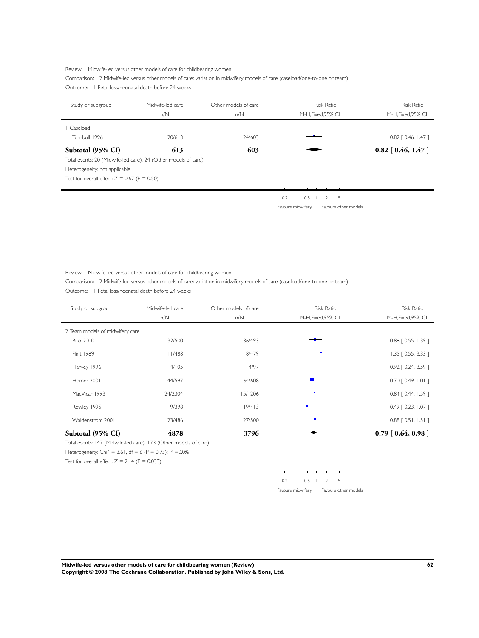#### <span id="page-65-0"></span>Review: Midwife-led versus other models of care for childbearing women

Comparison: 2 Midwife-led versus other models of care: variation in midwifery models of care (caseload/one-to-one or team) Outcome: 1 Fetal loss/neonatal death before 24 weeks

| Study or subgroup                                              | Midwife-led care | Other models of care | <b>Risk Ratio</b> |                        | <b>Risk Ratio</b>            |
|----------------------------------------------------------------|------------------|----------------------|-------------------|------------------------|------------------------------|
|                                                                | n/N              | n/N                  |                   | M-H, Fixed, 95% CI     | M-H, Fixed, 95% CI           |
| Caseload                                                       |                  |                      |                   |                        |                              |
| Tumbull 1996                                                   | 20/613           | 24/603               |                   |                        | $0.82$ $\lceil$ 0.46, 1.47 ] |
| Subtotal (95% CI)                                              | 613              | 603                  |                   |                        | $0.82$ [ 0.46, 1.47 ]        |
| Total events: 20 (Midwife-led care), 24 (Other models of care) |                  |                      |                   |                        |                              |
| Heterogeneity: not applicable                                  |                  |                      |                   |                        |                              |
| Test for overall effect: $Z = 0.67$ (P = 0.50)                 |                  |                      |                   |                        |                              |
|                                                                |                  |                      |                   |                        |                              |
|                                                                |                  |                      | 0.2<br>0.5        | $-5$<br>$\overline{2}$ |                              |
|                                                                |                  |                      | Favours midwifery | Favours other models   |                              |
|                                                                |                  |                      |                   |                        |                              |

Review: Midwife-led versus other models of care for childbearing women

Comparison: 2 Midwife-led versus other models of care: variation in midwifery models of care (caseload/one-to-one or team)

Outcome: 1 Fetal loss/neonatal death before 24 weeks

| Study or subgroup                                                       | Midwife-led care                                                 | Other models of care | <b>Risk Ratio</b>                         | <b>Risk Ratio</b>          |
|-------------------------------------------------------------------------|------------------------------------------------------------------|----------------------|-------------------------------------------|----------------------------|
|                                                                         | n/N                                                              | n/N                  | M-H, Fixed, 95% CI                        | M-H, Fixed, 95% CI         |
| 2 Team models of midwifery care                                         |                                                                  |                      |                                           |                            |
| <b>Biro 2000</b>                                                        | 32/500                                                           | 36/493               |                                           | $0.88$ $[0.55, 1.39]$      |
| Flint 1989                                                              | 11/488                                                           | 8/479                |                                           | $1.35$ $[0.55, 3.33]$      |
| Harvey 1996                                                             | 4/105                                                            | 4/97                 |                                           | $0.92$ [ 0.24, 3.59 ]      |
| Homer 2001                                                              | 44/597                                                           | 64/608               |                                           | $0.70$ $[0.49, 1.01]$      |
| MacVicar 1993                                                           | 24/2304                                                          | 15/1206              |                                           | $0.84$ $[0.44, 1.59]$      |
| Rowley 1995                                                             | 9/398                                                            | 19/413               |                                           | $0.49$ $[0.23, 1.07]$      |
| Waldenstrom 2001                                                        | 23/486                                                           | 27/500               |                                           | $0.88$ [ 0.51, 1.51 ]      |
| Subtotal (95% CI)                                                       | 4878                                                             | 3796                 |                                           | $0.79$ [ $0.64$ , $0.98$ ] |
|                                                                         | Total events: 147 (Midwife-led care), 173 (Other models of care) |                      |                                           |                            |
| Heterogeneity: Chi <sup>2</sup> = 3.61, df = 6 (P = 0.73); $1^2$ = 0.0% |                                                                  |                      |                                           |                            |
| Test for overall effect: $Z = 2.14$ (P = 0.033)                         |                                                                  |                      |                                           |                            |
|                                                                         |                                                                  |                      |                                           |                            |
|                                                                         |                                                                  |                      | 0.5<br>5<br>0.2<br>$\overline{2}$         |                            |
|                                                                         |                                                                  |                      | Favours midwifery<br>Favours other models |                            |
|                                                                         |                                                                  |                      |                                           |                            |

**Midwife-led versus other models of care for childbearing women (Review) 62 Copyright © 2008 The Cochrane Collaboration. Published by John Wiley & Sons, Ltd.**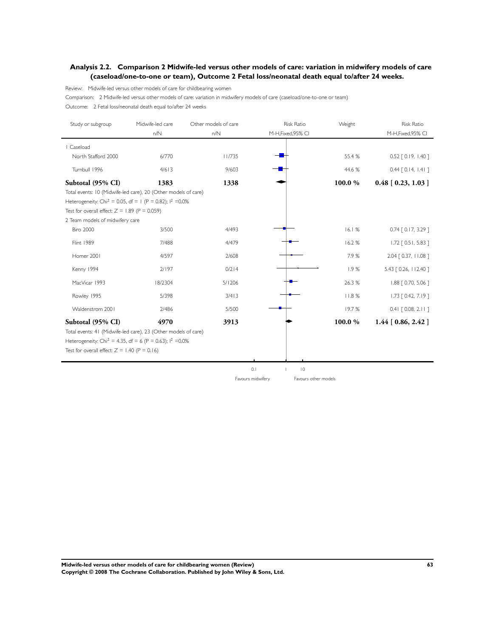# <span id="page-66-0"></span>**Analysis 2.2. Comparison 2 Midwife-led versus other models of care: variation in midwifery models of care (caseload/one-to-one or team), Outcome 2 Fetal loss/neonatal death equal to/after 24 weeks.**

Review: Midwife-led versus other models of care for childbearing women

Comparison: 2 Midwife-led versus other models of care: variation in midwifery models of care (caseload/one-to-one or team)

Outcome: 2 Fetal loss/neonatal death equal to/after 24 weeks

| Study or subgroup                                                       | Midwife-led care | Other models of care | <b>Risk Ratio</b>     | Weight | <b>Risk Ratio</b>     |
|-------------------------------------------------------------------------|------------------|----------------------|-----------------------|--------|-----------------------|
|                                                                         | n/N              | n/N                  | M-H, Fixed, 95% CI    |        | M-H, Fixed, 95% CI    |
| Caseload                                                                |                  |                      |                       |        |                       |
| North Stafford 2000                                                     | 6/770            | 11/735               |                       | 55.4%  | 0.52 [ 0.19, 1.40 ]   |
| Turnbull 1996                                                           | 4/613            | 9/603                |                       | 44.6 % | $0.44$ $[0.14, 1.41]$ |
| Subtotal (95% CI)                                                       | 1383             | 1338                 |                       | 100.0% | $0.48$ [ 0.23, 1.03 ] |
| Total events: 10 (Midwife-led care), 20 (Other models of care)          |                  |                      |                       |        |                       |
| Heterogeneity: Chi <sup>2</sup> = 0.05, df = 1 (P = 0.82); $1^2$ = 0.0% |                  |                      |                       |        |                       |
| Test for overall effect: $Z = 1.89$ (P = 0.059)                         |                  |                      |                       |        |                       |
| 2 Team models of midwifery care                                         |                  |                      |                       |        |                       |
| <b>Biro 2000</b>                                                        | 3/500            | 4/493                |                       | 16.1%  | $0.74$ $[0.17, 3.29]$ |
| Flint 1989                                                              | 7/488            | 4/479                |                       | 16.2%  | $1.72$ [ 0.51, 5.83 ] |
| Homer 2001                                                              | 4/597            | 2/608                |                       | 7.9%   | 2.04 [ 0.37, 11.08 ]  |
| Kenny 1994                                                              | 2/197            | 0/214                |                       | 1.9%   | 5.43 [ 0.26, 112.40 ] |
| MacVicar 1993                                                           | 18/2304          | 5/1206               |                       | 26.3 % | 1.88 [ 0.70, 5.06 ]   |
| Rowley 1995                                                             | 5/398            | 3/413                |                       | 11.8%  | $1.73$ $[0.42, 7.19]$ |
| Waldenstrom 2001                                                        | 2/486            | 5/500                |                       | 19.7%  | $0.41$ $[0.08, 2.11]$ |
| Subtotal (95% CI)                                                       | 4970             | 3913                 |                       | 100.0% | $1.44$ [ 0.86, 2.42 ] |
| Total events: 41 (Midwife-led care), 23 (Other models of care)          |                  |                      |                       |        |                       |
| Heterogeneity: Chi <sup>2</sup> = 4.35, df = 6 (P = 0.63); $1^2$ = 0.0% |                  |                      |                       |        |                       |
| Test for overall effect: $Z = 1.40$ (P = 0.16)                          |                  |                      |                       |        |                       |
|                                                                         |                  |                      |                       |        |                       |
|                                                                         |                  |                      | 0.1<br>$\overline{0}$ |        |                       |

Favours midwifery Favours other models

**Midwife-led versus other models of care for childbearing women (Review) 63 Copyright © 2008 The Cochrane Collaboration. Published by John Wiley & Sons, Ltd.**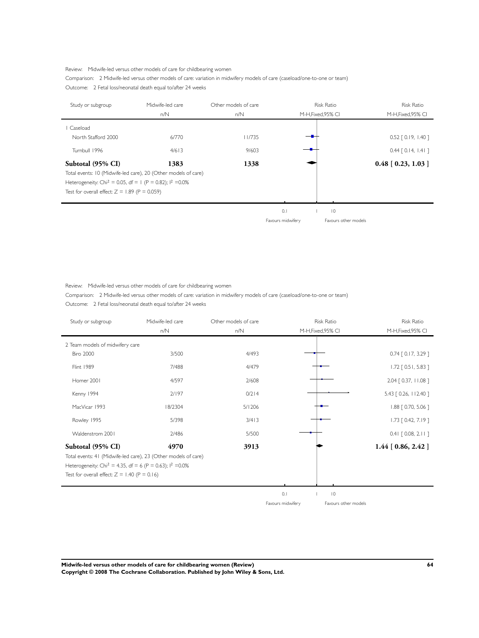#### <span id="page-67-0"></span>Review: Midwife-led versus other models of care for childbearing women

Comparison: 2 Midwife-led versus other models of care: variation in midwifery models of care (caseload/one-to-one or team) Outcome: 2 Fetal loss/neonatal death equal to/after 24 weeks

| Study or subgroup                                                      | Midwife-led care                                               | Other models of care |                   | <b>Risk Ratio</b>    | <b>Risk Ratio</b>     |
|------------------------------------------------------------------------|----------------------------------------------------------------|----------------------|-------------------|----------------------|-----------------------|
|                                                                        | n/N                                                            | n/N                  |                   | M-H, Fixed, 95% CI   | M-H, Fixed, 95% CI    |
| Caseload                                                               |                                                                |                      |                   |                      |                       |
| North Stafford 2000                                                    | 6/770                                                          | 11/735               |                   |                      | $0.52$ $[0.19, 1.40]$ |
| Turnbull 1996                                                          | 4/613                                                          | 9/603                |                   |                      | $0.44$ $[0.14, 1.41]$ |
| Subtotal (95% CI)                                                      | 1383                                                           | 1338                 |                   |                      | $0.48$ [ 0.23, 1.03 ] |
|                                                                        | Total events: 10 (Midwife-led care), 20 (Other models of care) |                      |                   |                      |                       |
| Heterogeneity: Chi <sup>2</sup> = 0.05, df = 1 (P = 0.82); $1^2$ =0.0% |                                                                |                      |                   |                      |                       |
| Test for overall effect: $Z = 1.89$ (P = 0.059)                        |                                                                |                      |                   |                      |                       |
|                                                                        |                                                                |                      |                   |                      |                       |
|                                                                        |                                                                |                      | 0.1               | $\overline{0}$       |                       |
|                                                                        |                                                                |                      | Favours midwifery | Favours other models |                       |

Review: Midwife-led versus other models of care for childbearing women

Comparison: 2 Midwife-led versus other models of care: variation in midwifery models of care (caseload/one-to-one or team) Outcome: 2 Fetal loss/neonatal death equal to/after 24 weeks

| Study or subgroup                                                       | Midwife-led care                                               | Other models of care |                   | <b>Risk Ratio</b>    | <b>Risk Ratio</b>     |
|-------------------------------------------------------------------------|----------------------------------------------------------------|----------------------|-------------------|----------------------|-----------------------|
|                                                                         | n/N                                                            | n/N                  |                   | M-H, Fixed, 95% CI   | M-H, Fixed, 95% CI    |
| 2 Team models of midwifery care                                         |                                                                |                      |                   |                      |                       |
| <b>Biro 2000</b>                                                        | 3/500                                                          | 4/493                |                   |                      | $0.74$ $[0.17, 3.29]$ |
| Flint 1989                                                              | 7/488                                                          | 4/479                |                   |                      | $1.72$ $[0.51, 5.83]$ |
| Homer 2001                                                              | 4/597                                                          | 2/608                |                   |                      | 2.04 [ 0.37, 11.08 ]  |
| Kenny 1994                                                              | 2/197                                                          | 0/214                |                   |                      | 5.43 [ 0.26, 112.40 ] |
| MacVicar 1993                                                           | 18/2304                                                        | 5/1206               |                   |                      | $1.88$ $[0.70, 5.06]$ |
| Rowley 1995                                                             | 5/398                                                          | 3/413                |                   |                      | $1.73$ $[0.42, 7.19]$ |
| Waldenstrom 2001                                                        | 2/486                                                          | 5/500                |                   |                      | $0.41$ $[0.08, 2.11]$ |
| Subtotal (95% CI)                                                       | 4970                                                           | 3913                 |                   |                      | $1.44$ [ 0.86, 2.42 ] |
|                                                                         | Total events: 41 (Midwife-led care), 23 (Other models of care) |                      |                   |                      |                       |
| Heterogeneity: Chi <sup>2</sup> = 4.35, df = 6 (P = 0.63); $1^2$ = 0.0% |                                                                |                      |                   |                      |                       |
| Test for overall effect: $Z = 1.40$ (P = 0.16)                          |                                                                |                      |                   |                      |                       |
|                                                                         |                                                                |                      |                   |                      |                       |
|                                                                         |                                                                |                      | 0.1               | $\overline{0}$       |                       |
|                                                                         |                                                                |                      | Favours midwifery | Favours other models |                       |

**Midwife-led versus other models of care for childbearing women (Review) 64 Copyright © 2008 The Cochrane Collaboration. Published by John Wiley & Sons, Ltd.**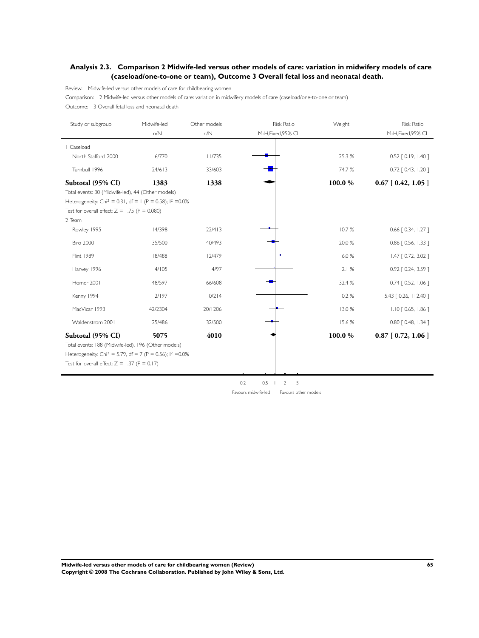# <span id="page-68-0"></span>**Analysis 2.3. Comparison 2 Midwife-led versus other models of care: variation in midwifery models of care (caseload/one-to-one or team), Outcome 3 Overall fetal loss and neonatal death.**

Review: Midwife-led versus other models of care for childbearing women

Comparison: 2 Midwife-led versus other models of care: variation in midwifery models of care (caseload/one-to-one or team)

Outcome: 3 Overall fetal loss and neonatal death

| Study or subgroup                                                      | Midwife-led | Other models | <b>Risk Ratio</b>                 | Weight | <b>Risk Ratio</b>        |
|------------------------------------------------------------------------|-------------|--------------|-----------------------------------|--------|--------------------------|
|                                                                        | n/N         | n/N          | M-H, Fixed, 95% CI                |        | M-H,Fixed,95% CI         |
| I Caseload                                                             |             |              |                                   |        |                          |
| North Stafford 2000                                                    | 6/770       | 11/735       |                                   | 25.3 % | $0.52$ $[0.19, 1.40]$    |
| Turnbull 1996                                                          | 24/613      | 33/603       |                                   | 74.7%  | 0.72 [ 0.43, 1.20 ]      |
| Subtotal (95% CI)                                                      | 1383        | 1338         |                                   | 100.0% | $0.67$ [ $0.42$ , 1.05 ] |
| Total events: 30 (Midwife-led), 44 (Other models)                      |             |              |                                   |        |                          |
| Heterogeneity: Chi <sup>2</sup> = 0.31, df = 1 (P = 0.58); $1^2$ =0.0% |             |              |                                   |        |                          |
| Test for overall effect: $Z = 1.75$ (P = 0.080)                        |             |              |                                   |        |                          |
| 2 Team                                                                 |             |              |                                   |        |                          |
| Rowley 1995                                                            | 14/398      | 22/413       |                                   | 10.7%  | $0.66$ $[0.34, 1.27]$    |
| <b>Biro 2000</b>                                                       | 35/500      | 40/493       |                                   | 20.0 % | $0.86$ $[0.56, 1.33]$    |
| <b>Flint 1989</b>                                                      | 18/488      | 12/479       |                                   | 6.0%   | 1.47 [ 0.72, 3.02 ]      |
| Harvey 1996                                                            | 4/105       | 4/97         |                                   | 2.1%   | 0.92 [ 0.24, 3.59 ]      |
| Homer 2001                                                             | 48/597      | 66/608       |                                   | 32.4 % | $0.74$ $[0.52, 1.06]$    |
| Kenny 1994                                                             | 2/197       | 0/214        |                                   | 0.2%   | 5.43 [ 0.26, 112.40 ]    |
| MacVicar 1993                                                          | 42/2304     | 20/1206      |                                   | 13.0%  | $1.10$ $[0.65, 1.86]$    |
| Waldenstrom 2001                                                       | 25/486      | 32/500       |                                   | 15.6%  | 0.80 [ 0.48, 1.34 ]      |
| Subtotal (95% CI)                                                      | 5075        | 4010         |                                   | 100.0% | $0.87$ [ 0.72, 1.06 ]    |
| Total events: 188 (Midwife-led), 196 (Other models)                    |             |              |                                   |        |                          |
| Heterogeneity: Chi <sup>2</sup> = 5.79, df = 7 (P = 0.56); $1^2$ =0.0% |             |              |                                   |        |                          |
| Test for overall effect: $Z = 1.37$ (P = 0.17)                         |             |              |                                   |        |                          |
|                                                                        |             |              |                                   |        |                          |
|                                                                        |             |              | 0.2<br>5<br>0.5<br>$\overline{2}$ |        |                          |

Favours midwife-led Favours other models

**Midwife-led versus other models of care for childbearing women (Review) 65 Copyright © 2008 The Cochrane Collaboration. Published by John Wiley & Sons, Ltd.**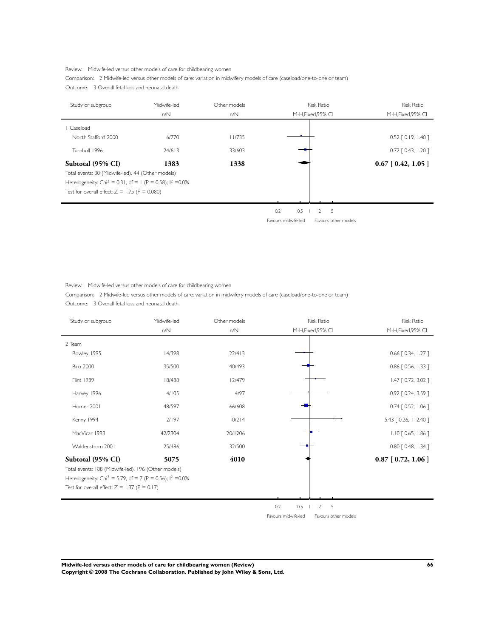<span id="page-69-0"></span>Review: Midwife-led versus other models of care for childbearing women Comparison: 2 Midwife-led versus other models of care: variation in midwifery models of care (caseload/one-to-one or team) Outcome: 3 Overall fetal loss and neonatal death

| Study or subgroup                                                      | Midwife-led | Other models |                     |     | <b>Risk Ratio</b>  |                      | <b>Risk Ratio</b>        |
|------------------------------------------------------------------------|-------------|--------------|---------------------|-----|--------------------|----------------------|--------------------------|
|                                                                        | n/N         | n/N          |                     |     | M-H, Fixed, 95% CI |                      | M-H, Fixed, 95% CI       |
| Caseload                                                               |             |              |                     |     |                    |                      |                          |
| North Stafford 2000                                                    | 6/770       | 11/735       |                     |     |                    |                      | $0.52$ $[0.19, 1.40]$    |
| Tumbull 1996                                                           | 24/613      | 33/603       |                     |     |                    |                      | $0.72$ $[0.43, 1.20]$    |
| Subtotal (95% CI)                                                      | 1383        | 1338         |                     |     |                    |                      | $0.67$ [ $0.42$ , 1.05 ] |
| Total events: 30 (Midwife-led), 44 (Other models)                      |             |              |                     |     |                    |                      |                          |
| Heterogeneity: Chi <sup>2</sup> = 0.31, df = 1 (P = 0.58); $1^2$ =0.0% |             |              |                     |     |                    |                      |                          |
| Test for overall effect: $Z = 1.75$ (P = 0.080)                        |             |              |                     |     |                    |                      |                          |
|                                                                        |             |              |                     |     |                    |                      |                          |
|                                                                        |             |              | 0.2                 | 0.5 | $\overline{2}$     | - 5                  |                          |
|                                                                        |             |              | Favours midwife-led |     |                    | Favours other models |                          |

Review: Midwife-led versus other models of care for childbearing women

Comparison: 2 Midwife-led versus other models of care: variation in midwifery models of care (caseload/one-to-one or team) Outcome: 3 Overall fetal loss and neonatal death

| Study or subgroup                                                       | Midwife-led | Other models | <b>Risk Ratio</b>                 | Risk Ratio            |
|-------------------------------------------------------------------------|-------------|--------------|-----------------------------------|-----------------------|
|                                                                         | n/N         | n/N          | M-H, Fixed, 95% CI                | M-H,Fixed,95% Cl      |
| 2 Team                                                                  |             |              |                                   |                       |
| Rowley 1995                                                             | 14/398      | 22/413       |                                   | $0.66$ $[0.34, 1.27]$ |
| <b>Biro 2000</b>                                                        | 35/500      | 40/493       |                                   | $0.86$ $[0.56, 1.33]$ |
| Flint 1989                                                              | 18/488      | 12/479       |                                   | $1.47$ [ 0.72, 3.02 ] |
| Harvey 1996                                                             | 4/105       | 4/97         |                                   | $0.92$ $[0.24, 3.59]$ |
| Homer 2001                                                              | 48/597      | 66/608       |                                   | $0.74$ $[0.52, 1.06]$ |
| Kenny 1994                                                              | 2/197       | 0/214        |                                   | 5.43 [ 0.26, 112.40 ] |
| MacVicar 1993                                                           | 42/2304     | 20/1206      |                                   | $1.10$ $[0.65, 1.86]$ |
| Waldenstrom 2001                                                        | 25/486      | 32/500       |                                   | $0.80$ $[0.48, 1.34]$ |
| Subtotal (95% CI)                                                       | 5075        | 4010         |                                   | $0.87$ [ 0.72, 1.06 ] |
| Total events: 188 (Midwife-led), 196 (Other models)                     |             |              |                                   |                       |
| Heterogeneity: Chi <sup>2</sup> = 5.79, df = 7 (P = 0.56); $1^2$ = 0.0% |             |              |                                   |                       |
| Test for overall effect: $Z = 1.37$ (P = 0.17)                          |             |              |                                   |                       |
|                                                                         |             |              |                                   |                       |
|                                                                         |             |              | 0.2<br>0.5<br>5<br>$\overline{2}$ |                       |

Favours midwife-led Favours other models

**Midwife-led versus other models of care for childbearing women (Review) 66 Copyright © 2008 The Cochrane Collaboration. Published by John Wiley & Sons, Ltd.**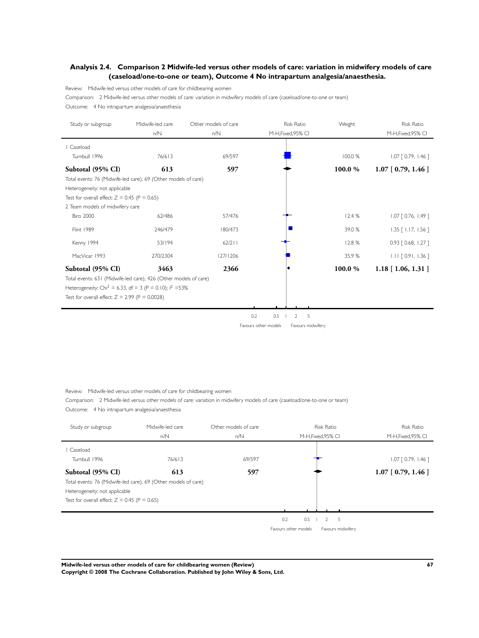# <span id="page-70-0"></span>**Analysis 2.4. Comparison 2 Midwife-led versus other models of care: variation in midwifery models of care (caseload/one-to-one or team), Outcome 4 No intrapartum analgesia/anaesthesia.**

Review: Midwife-led versus other models of care for childbearing women

Comparison: 2 Midwife-led versus other models of care: variation in midwifery models of care (caseload/one-to-one or team)

Outcome: 4 No intrapartum analgesia/anaesthesia

| Study or subgroup                                | Midwife-led care                                                      | Other models of care |                      | <b>Risk Ratio</b>   | Weight  | <b>Risk Ratio</b>          |
|--------------------------------------------------|-----------------------------------------------------------------------|----------------------|----------------------|---------------------|---------|----------------------------|
|                                                  | n/N                                                                   | n/N                  |                      | M-H,Fixed,95% Cl    |         | M-H, Fixed, 95% CI         |
| Caseload                                         |                                                                       |                      |                      |                     |         |                            |
| Turnbull 1996                                    | 76/613                                                                | 69/597               |                      |                     | 100.0 % | $1.07$ $[0.79, 1.46]$      |
| Subtotal (95% CI)                                | 613                                                                   | 597                  |                      |                     | 100.0%  | $1.07$ [ 0.79, 1.46 ]      |
|                                                  | Total events: 76 (Midwife-led care), 69 (Other models of care)        |                      |                      |                     |         |                            |
| Heterogeneity: not applicable                    |                                                                       |                      |                      |                     |         |                            |
| Test for overall effect: $Z = 0.45$ (P = 0.65)   |                                                                       |                      |                      |                     |         |                            |
| 2 Team models of midwifery care                  |                                                                       |                      |                      |                     |         |                            |
| <b>Biro 2000</b>                                 | 62/486                                                                | 57/476               |                      |                     | 12.4%   | $1.07$ $[0.76, 1.49]$      |
| Flint 1989                                       | 246/479                                                               | 180/473              |                      |                     | 39.0 %  | $1.35$ [ $1.17$ , $1.56$ ] |
| Kenny 1994                                       | 53/194                                                                | 62/211               |                      |                     | 12.8 %  | $0.93$ $[0.68, 1.27]$      |
| MacVicar 1993                                    | 270/2304                                                              | 127/1206             |                      |                     | 35.9%   | $1.11$ $[0.91, 1.36]$      |
| Subtotal (95% CI)                                | 3463                                                                  | 2366                 |                      |                     | 100.0%  | $1.18$ [ 1.06, 1.31 ]      |
|                                                  | Total events: 631 (Midwife-led care), 426 (Other models of care)      |                      |                      |                     |         |                            |
|                                                  | Heterogeneity: Chi <sup>2</sup> = 6.33, df = 3 (P = 0.10); $1^2$ =53% |                      |                      |                     |         |                            |
| Test for overall effect: $Z = 2.99$ (P = 0.0028) |                                                                       |                      |                      |                     |         |                            |
|                                                  |                                                                       |                      |                      |                     |         |                            |
|                                                  |                                                                       |                      | 0.2<br>0.5           | 5<br>$\overline{2}$ |         |                            |
|                                                  |                                                                       |                      | Favours other models | Favours midwifery   |         |                            |

Review: Midwife-led versus other models of care for childbearing women

Comparison: 2 Midwife-led versus other models of care: variation in midwifery models of care (caseload/one-to-one or team) Outcome: 4 No intrapartum analgesia/anaesthesia

| Study or subgroup                                                       | Midwife-led care                                               | Other models of care |                      | <b>Risk Ratio</b>    | <b>Risk Ratio</b>     |
|-------------------------------------------------------------------------|----------------------------------------------------------------|----------------------|----------------------|----------------------|-----------------------|
|                                                                         | n/N                                                            | n/N                  |                      | M-H, Fixed, 95% CI   | M-H, Fixed, 95% CI    |
| Caseload                                                                |                                                                |                      |                      |                      |                       |
| Turnbull 1996                                                           | 76/613                                                         | 69/597               |                      |                      | $1.07$ $[0.79, 1.46]$ |
| Subtotal (95% CI)                                                       | 613                                                            | 597                  |                      |                      | $1.07$ [ 0.79, 1.46 ] |
|                                                                         | Total events: 76 (Midwife-led care), 69 (Other models of care) |                      |                      |                      |                       |
| Heterogeneity: not applicable                                           |                                                                |                      |                      |                      |                       |
| Test for overall effect: $Z = 0.45$ (P = 0.65)                          |                                                                |                      |                      |                      |                       |
|                                                                         |                                                                |                      |                      |                      |                       |
|                                                                         |                                                                |                      | 0.5<br>0.2           | $\overline{2}$<br>-5 |                       |
|                                                                         |                                                                |                      | Favours other models | Favours midwifery    |                       |
|                                                                         |                                                                |                      |                      |                      |                       |
|                                                                         |                                                                |                      |                      |                      |                       |
|                                                                         |                                                                |                      |                      |                      |                       |
| Midwife-led versus other models of care for childbearing women (Review) |                                                                |                      |                      |                      | 67                    |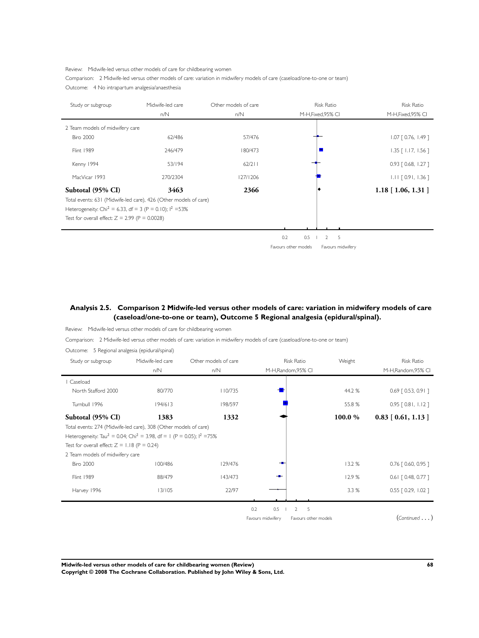Review: Midwife-led versus other models of care for childbearing women Comparison: 2 Midwife-led versus other models of care: variation in midwifery models of care (caseload/one-to-one or team) Outcome: 4 No intrapartum analgesia/anaesthesia

| Study or subgroup                                                     | Midwife-led care                                                 | Other models of care |            | <b>Risk Ratio</b>  | <b>Risk Ratio</b>          |
|-----------------------------------------------------------------------|------------------------------------------------------------------|----------------------|------------|--------------------|----------------------------|
|                                                                       | n/N                                                              | n/N                  |            | M-H, Fixed, 95% CI | M-H, Fixed, 95% CI         |
| 2 Team models of midwifery care                                       |                                                                  |                      |            |                    |                            |
| <b>Biro 2000</b>                                                      | 62/486                                                           | 57/476               |            |                    | $1.07$ $[0.76, 1.49]$      |
| Flint 1989                                                            | 246/479                                                          | 180/473              |            |                    | $1.35$ [ $1.17$ , $1.56$ ] |
| Kenny 1994                                                            | 53/194                                                           | 62/211               |            |                    | $0.93$ $[0.68, 1.27]$      |
| MacVicar 1993                                                         | 270/2304                                                         | 127/1206             |            |                    | $1.11$ $[0.91, 1.36]$      |
| Subtotal (95% CI)                                                     | 3463                                                             | 2366                 |            |                    | $1.18$ [ 1.06, 1.31 ]      |
|                                                                       | Total events: 631 (Midwife-led care), 426 (Other models of care) |                      |            |                    |                            |
| Heterogeneity: Chi <sup>2</sup> = 6.33, df = 3 (P = 0.10); $1^2$ =53% |                                                                  |                      |            |                    |                            |
| Test for overall effect: $Z = 2.99$ (P = 0.0028)                      |                                                                  |                      |            |                    |                            |
|                                                                       |                                                                  |                      |            |                    |                            |
|                                                                       |                                                                  |                      | 0.5<br>0.2 | 2<br>-5            |                            |

Favours other models Favours midwifery

#### **Analysis 2.5. Comparison 2 Midwife-led versus other models of care: variation in midwifery models of care (caseload/one-to-one or team), Outcome 5 Regional analgesia (epidural/spinal).**

Review: Midwife-led versus other models of care for childbearing women

Comparison: 2 Midwife-led versus other models of care: variation in midwifery models of care (caseload/one-to-one or team)

| Outcome: 5 Regional analgesia (epidural/spinal)                                                |                  |                      |                   |     |                      |        |                       |
|------------------------------------------------------------------------------------------------|------------------|----------------------|-------------------|-----|----------------------|--------|-----------------------|
| Study or subgroup                                                                              | Midwife-led care | Other models of care |                   |     | Risk Ratio           | Weight | <b>Risk Ratio</b>     |
|                                                                                                | n/N              | n/N                  |                   |     | M-H, Random, 95% CI  |        | M-H, Random, 95% CI   |
| Caseload                                                                                       |                  |                      |                   |     |                      |        |                       |
| North Stafford 2000                                                                            | 80/770           | 110/735              |                   |     |                      | 44.2 % | $0.69$ $[0.53, 0.91]$ |
| Tumbull 1996                                                                                   | 194/613          | 198/597              |                   |     |                      | 55.8 % | $0.95$ [ 0.81, 1.12 ] |
| Subtotal (95% CI)                                                                              | 1383             | 1332                 |                   |     |                      | 100.0% | $0.83$ [ 0.61, 1.13 ] |
| Total events: 274 (Midwife-led care), 308 (Other models of care)                               |                  |                      |                   |     |                      |        |                       |
| Heterogeneity: Tau <sup>2</sup> = 0.04; Chi <sup>2</sup> = 3.98, df = 1 (P = 0.05); $1^2$ =75% |                  |                      |                   |     |                      |        |                       |
| Test for overall effect: $Z = 1.18$ (P = 0.24)                                                 |                  |                      |                   |     |                      |        |                       |
| 2 Team models of midwifery care                                                                |                  |                      |                   |     |                      |        |                       |
| <b>Biro 2000</b>                                                                               | 100/486          | 129/476              |                   |     |                      | 13.2 % | $0.76$ $[0.60, 0.95]$ |
| Flint 1989                                                                                     | 88/479           | 143/473              |                   |     |                      | 12.9%  | $0.61$ $[0.48, 0.77]$ |
| Harvey 1996                                                                                    | 13/105           | 22/97                |                   |     |                      | 3.3%   | $0.55$ $[0.29, 1.02]$ |
|                                                                                                |                  |                      |                   |     |                      |        |                       |
|                                                                                                |                  |                      | 0.2               | 0.5 | 5<br>$\overline{2}$  |        |                       |
|                                                                                                |                  |                      | Favours midwifery |     | Favours other models |        | $(Continued \dots)$   |

**Midwife-led versus other models of care for childbearing women (Review) 68 Copyright © 2008 The Cochrane Collaboration. Published by John Wiley & Sons, Ltd.**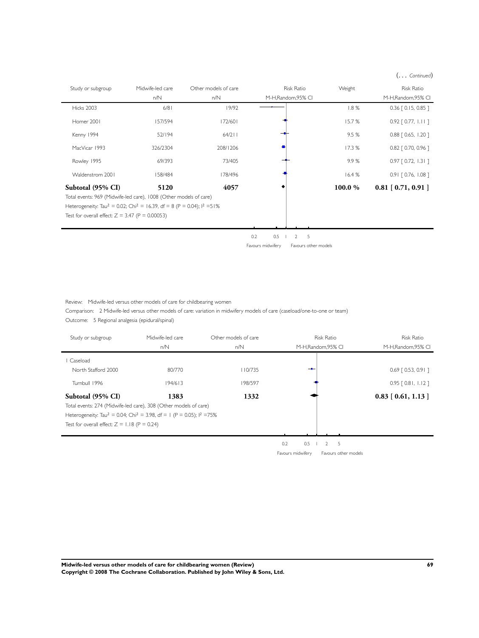|                                                                                                           |                  |                      |                     |        | $( \ldots$ Continued)   |
|-----------------------------------------------------------------------------------------------------------|------------------|----------------------|---------------------|--------|-------------------------|
| Study or subgroup                                                                                         | Midwife-led care | Other models of care | <b>Risk Ratio</b>   | Weight | <b>Risk Ratio</b>       |
|                                                                                                           | n/N              | n/N                  | M-H, Random, 95% CI |        | M-H, Random, 95% CI     |
| Hicks 2003                                                                                                | 6/8              | 19/92                |                     | 1.8%   | $0.36$ $[0.15, 0.85]$   |
| Homer 2001                                                                                                | 157/594          | 172/601              |                     | 15.7%  | $0.92$ [ 0.77, 1.11 ]   |
| Kenny 1994                                                                                                | 52/194           | 64/211               |                     | 9.5 %  | $0.88$ $[0.65, 1.20]$   |
| MacVicar 1993                                                                                             | 326/2304         | 208/1206             |                     | 17.3%  | $0.82$ $[ 0.70, 0.96 ]$ |
| Rowley 1995                                                                                               | 69/393           | 73/405               |                     | 9.9%   | $0.97$ $[0.72, 1.31]$   |
| Waldenstrom 2001                                                                                          | 158/484          | 178/496              |                     | 16.4 % | $0.91$ $[0.76, 1.08]$   |
| Subtotal (95% CI)                                                                                         | 5120             | 4057                 |                     | 100.0% | $0.81$ [ 0.71, 0.91 ]   |
| Total events: 969 (Midwife-led care), 1008 (Other models of care)                                         |                  |                      |                     |        |                         |
| Heterogeneity: Tau <sup>2</sup> = 0.02; Chi <sup>2</sup> = 16.39, df = 8 (P = 0.04); l <sup>2</sup> = 51% |                  |                      |                     |        |                         |
| Test for overall effect: $Z = 3.47$ (P = 0.00053)                                                         |                  |                      |                     |        |                         |

 $0.2$  0.5 2 5 Favours midwifery | Favours other models

Review: Midwife-led versus other models of care for childbearing women

Comparison: 2 Midwife-led versus other models of care: variation in midwifery models of care (caseload/one-to-one or team) Outcome: 5 Regional analgesia (epidural/spinal)

| Study or subgroup                                                                                                                                                                       | Midwife-led care | Other models of care | <b>Risk Ratio</b>                                                                           | <b>Risk Ratio</b>        |
|-----------------------------------------------------------------------------------------------------------------------------------------------------------------------------------------|------------------|----------------------|---------------------------------------------------------------------------------------------|--------------------------|
|                                                                                                                                                                                         | n/N              | n/N                  | M-H, Random, 95% CI                                                                         | M-H, Random, 95% CI      |
| Caseload                                                                                                                                                                                |                  |                      |                                                                                             |                          |
| North Stafford 2000                                                                                                                                                                     | 80/770           | 110/735              | ÷                                                                                           | $0.69$ $[0.53, 0.91]$    |
| Turnbull 1996                                                                                                                                                                           | 194/613          | 198/597              |                                                                                             | $0.95$ $[0.81, 1.12]$    |
| Subtotal (95% CI)<br>Total events: 274 (Midwife-led care), 308 (Other models of care)<br>Heterogeneity: Tau <sup>2</sup> = 0.04; Chi <sup>2</sup> = 3.98, df = 1 (P = 0.05); $1^2$ =75% | 1383             | 1332                 |                                                                                             | $0.83$ [ $0.61$ , 1.13 ] |
| Test for overall effect: $Z = 1.18$ (P = 0.24)                                                                                                                                          |                  |                      |                                                                                             |                          |
|                                                                                                                                                                                         |                  |                      | 0.5<br>$\overline{2}$<br>5 <sup>5</sup><br>0.2<br>Favours midwifery<br>Favours other models |                          |

**Midwife-led versus other models of care for childbearing women (Review) 69 Copyright © 2008 The Cochrane Collaboration. Published by John Wiley & Sons, Ltd.**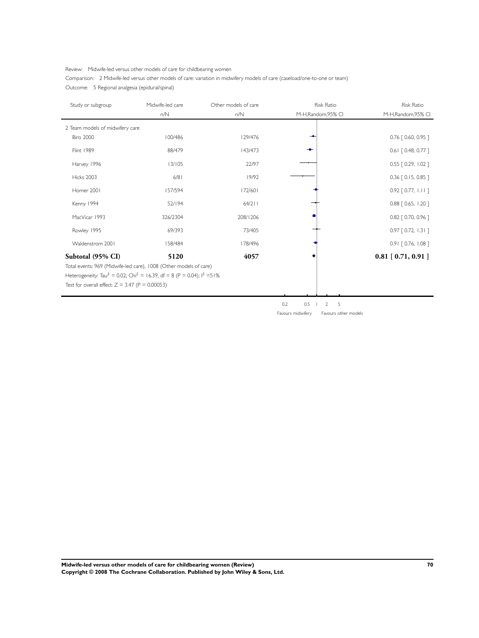### Review: Midwife-led versus other models of care for childbearing women Comparison: 2 Midwife-led versus other models of care: variation in midwifery models of care (caseload/one-to-one or team) Outcome: 5 Regional analgesia (epidural/spinal)

| Study or subgroup                                                                                | Midwife-led care | Other models of care | <b>Risk Ratio</b>            | <b>Risk Ratio</b>          |
|--------------------------------------------------------------------------------------------------|------------------|----------------------|------------------------------|----------------------------|
|                                                                                                  | n/N              | n/N                  | M-H,Random,95% CI            | M-H,Random,95% CI          |
| 2 Team models of midwifery care                                                                  |                  |                      |                              |                            |
| <b>Biro 2000</b>                                                                                 | 100/486          | 129/476              |                              | $0.76$ $[0.60, 0.95]$      |
| <b>Flint 1989</b>                                                                                | 88/479           | 143/473              |                              | $0.61$ $[0.48, 0.77]$      |
| Harvey 1996                                                                                      | 13/105           | 22/97                |                              | $0.55$ $[0.29, 1.02]$      |
| Hicks 2003                                                                                       | 6/81             | 19/92                |                              | $0.36$ $[0.15, 0.85]$      |
| Homer 2001                                                                                       | 157/594          | 172/601              |                              | $0.92$ [ 0.77, 1.11 ]      |
| Kenny 1994                                                                                       | 52/194           | 64/211               |                              | $0.88$ $[0.65, 1.20]$      |
| MacVicar 1993                                                                                    | 326/2304         | 208/1206             |                              | $0.82$ $[ 0.70, 0.96 ]$    |
| Rowley 1995                                                                                      | 69/393           | 73/405               |                              | $0.97$ $[0.72, 1.31]$      |
| Waldenstrom 2001                                                                                 | 158/484          | 178/496              |                              | $0.91$ $[0.76, 1.08]$      |
| Subtotal (95% CI)                                                                                | 5120             | 4057                 |                              | $0.81$ [ $0.71$ , $0.91$ ] |
| Total events: 969 (Midwife-led care), 1008 (Other models of care)                                |                  |                      |                              |                            |
| Heterogeneity: Tau <sup>2</sup> = 0.02; Chi <sup>2</sup> = 16.39, df = 8 (P = 0.04); $1^2$ = 51% |                  |                      |                              |                            |
| Test for overall effect: $Z = 3.47$ (P = 0.00053)                                                |                  |                      |                              |                            |
|                                                                                                  |                  |                      |                              |                            |
|                                                                                                  |                  |                      | 0.5<br>0.2<br>$\overline{2}$ | -5                         |
|                                                                                                  |                  |                      | Favours midwifery            | Favours other models       |

**Midwife-led versus other models of care for childbearing women (Review) 70 Copyright © 2008 The Cochrane Collaboration. Published by John Wiley & Sons, Ltd.**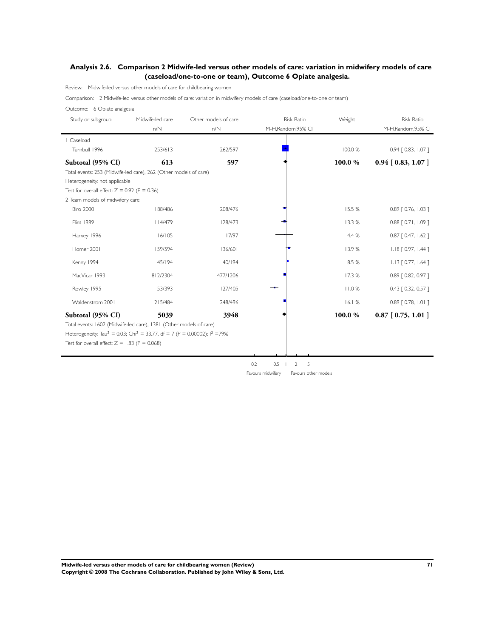### **Analysis 2.6. Comparison 2 Midwife-led versus other models of care: variation in midwifery models of care (caseload/one-to-one or team), Outcome 6 Opiate analgesia.**

Review: Midwife-led versus other models of care for childbearing women

Comparison: 2 Midwife-led versus other models of care: variation in midwifery models of care (caseload/one-to-one or team)

#### Outcome: 6 Opiate analgesia

| Study or subgroup                                                                                           | Midwife-led care | Other models of care | <b>Risk Ratio</b>   | Weight | <b>Risk Ratio</b>       |
|-------------------------------------------------------------------------------------------------------------|------------------|----------------------|---------------------|--------|-------------------------|
|                                                                                                             | n/N              | n/N                  | M-H, Random, 95% CI |        | M-H, Random, 95% CI     |
| Caseload                                                                                                    |                  |                      |                     |        |                         |
| Tumbull 1996                                                                                                | 253/613          | 262/597              |                     | 100.0% | $0.94$ $[0.83, 1.07]$   |
| Subtotal (95% CI)                                                                                           | 613              | 597                  |                     | 100.0% | $0.94$ [ 0.83, 1.07 ]   |
| Total events: 253 (Midwife-led care), 262 (Other models of care)                                            |                  |                      |                     |        |                         |
| Heterogeneity: not applicable                                                                               |                  |                      |                     |        |                         |
| Test for overall effect: $Z = 0.92$ (P = 0.36)                                                              |                  |                      |                     |        |                         |
| 2 Team models of midwifery care                                                                             |                  |                      |                     |        |                         |
| <b>Biro 2000</b>                                                                                            | 188/486          | 208/476              |                     | 15.5 % | $0.89$ $[ 0.76, 1.03 ]$ |
| <b>Flint 1989</b>                                                                                           | 114/479          | 128/473              |                     | 13.3 % | $0.88$ $[0.71, 1.09]$   |
| Harvey 1996                                                                                                 | 16/105           | 17/97                |                     | 4.4 %  | 0.87   0.47, 1.62 ]     |
| Homer 2001                                                                                                  | 159/594          | 136/601              |                     | 13.9%  | $1.18$ $[0.97, 1.44]$   |
| Kenny 1994                                                                                                  | 45/194           | 40/194               |                     | 8.5 %  | $1.13$ $[0.77, 1.64]$   |
| MacVicar 1993                                                                                               | 812/2304         | 477/1206             |                     | 17.3 % | 0.89 [ 0.82, 0.97 ]     |
| Rowley 1995                                                                                                 | 53/393           | 127/405              |                     | 11.0%  | $0.43$ $[0.32, 0.57]$   |
| Waldenstrom 2001                                                                                            | 215/484          | 248/496              |                     | 16.1%  | $0.89$ $[0.78, 1.01]$   |
| Subtotal (95% CI)                                                                                           | 5039             | 3948                 |                     | 100.0% | $0.87$ [ 0.75, 1.01 ]   |
| Total events: 1602 (Midwife-led care), 1381 (Other models of care)                                          |                  |                      |                     |        |                         |
| Heterogeneity: Tau <sup>2</sup> = 0.03; Chi <sup>2</sup> = 33.77, df = 7 (P = 0.00002); l <sup>2</sup> =79% |                  |                      |                     |        |                         |
| Test for overall effect: $Z = 1.83$ (P = 0.068)                                                             |                  |                      |                     |        |                         |
|                                                                                                             |                  |                      |                     |        |                         |

0.2 0.5 1 2 5

Favours midwifery | Favours other models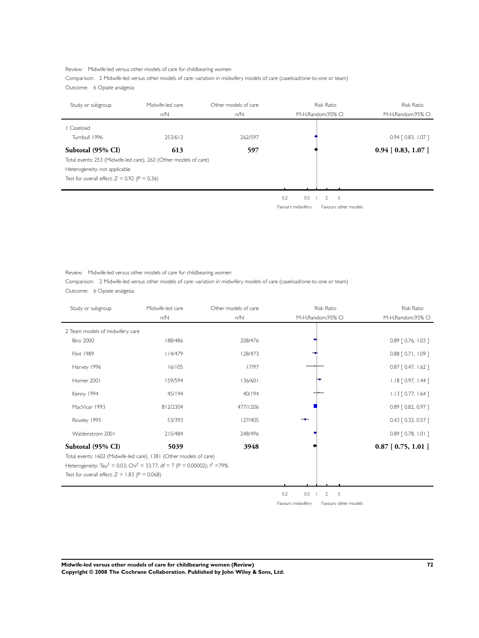## Review: Midwife-led versus other models of care for childbearing women Comparison: 2 Midwife-led versus other models of care: variation in midwifery models of care (caseload/one-to-one or team)

| Outcome: 6 Opiate analgesia |  |
|-----------------------------|--|
|                             |  |

| Study or subgroup                                                | Midwife-led care | Other models of care |                   | <b>Risk Ratio</b> |                     | <b>Risk Ratio</b>    |                       |
|------------------------------------------------------------------|------------------|----------------------|-------------------|-------------------|---------------------|----------------------|-----------------------|
|                                                                  | n/N              | n/N                  |                   |                   | M-H, Random, 95% CI |                      | M-H, Random, 95% CI   |
| Caseload                                                         |                  |                      |                   |                   |                     |                      |                       |
| Turnbull 1996                                                    | 253/613          | 262/597              |                   |                   |                     |                      | $0.94$ $[0.83, 1.07]$ |
| Subtotal (95% CI)                                                | 613              | 597                  |                   |                   |                     |                      | $0.94$ [ 0.83, 1.07 ] |
| Total events: 253 (Midwife-led care), 262 (Other models of care) |                  |                      |                   |                   |                     |                      |                       |
| Heterogeneity: not applicable                                    |                  |                      |                   |                   |                     |                      |                       |
| Test for overall effect: $Z = 0.92$ (P = 0.36)                   |                  |                      |                   |                   |                     |                      |                       |
|                                                                  |                  |                      |                   |                   |                     |                      |                       |
|                                                                  |                  |                      | 0.2               | 0.5               | $\mathbf{I}$        | $2 \quad 5$          |                       |
|                                                                  |                  |                      | Favours midwifery |                   |                     | Favours other models |                       |
|                                                                  |                  |                      |                   |                   |                     |                      |                       |
|                                                                  |                  |                      |                   |                   |                     |                      |                       |

Review: Midwife-led versus other models of care for childbearing women

Comparison: 2 Midwife-led versus other models of care: variation in midwifery models of care (caseload/one-to-one or team) Outcome: 6 Opiate analgesia

| Study or subgroup                               | Midwife-led care                                                                                            | Other models of care | <b>Risk Ratio</b>                         | <b>Risk Ratio</b>     |
|-------------------------------------------------|-------------------------------------------------------------------------------------------------------------|----------------------|-------------------------------------------|-----------------------|
|                                                 | n/N                                                                                                         | n/N                  | M-H, Random, 95% CI                       | M-H, Random, 95% CI   |
| 2 Team models of midwifery care                 |                                                                                                             |                      |                                           |                       |
| <b>Biro 2000</b>                                | 188/486                                                                                                     | 208/476              |                                           | $0.89$ $[0.76, 1.03]$ |
| Flint 1989                                      | 114/479                                                                                                     | 128/473              |                                           | $0.88$ $[0.71, 1.09]$ |
| Harvey 1996                                     | 16/105                                                                                                      | 17/97                |                                           | $0.87$ $[0.47, 1.62]$ |
| Homer 2001                                      | 159/594                                                                                                     | 136/601              |                                           | $1.18$ $[0.97, 1.44]$ |
| Kenny 1994                                      | 45/194                                                                                                      | 40/194               |                                           | $1.13$ $[0.77, 1.64]$ |
| MacVicar 1993                                   | 812/2304                                                                                                    | 477/1206             |                                           | $0.89$ $[0.82, 0.97]$ |
| Rowley 1995                                     | 53/393                                                                                                      | 127/405              |                                           | $0.43$ $[0.32, 0.57]$ |
| Waldenstrom 2001                                | 215/484                                                                                                     | 248/496              |                                           | $0.89$ $[0.78, 1.01]$ |
| Subtotal (95% CI)                               | 5039                                                                                                        | 3948                 |                                           | $0.87$ [ 0.75, 1.01 ] |
|                                                 | Total events: 1602 (Midwife-led care), 1381 (Other models of care)                                          |                      |                                           |                       |
|                                                 | Heterogeneity: Tau <sup>2</sup> = 0.03; Chi <sup>2</sup> = 33.77, df = 7 (P = 0.00002); l <sup>2</sup> =79% |                      |                                           |                       |
| Test for overall effect: $Z = 1.83$ (P = 0.068) |                                                                                                             |                      |                                           |                       |
|                                                 |                                                                                                             |                      |                                           |                       |
|                                                 |                                                                                                             |                      | 0.5<br>5<br>0.2<br>$\overline{2}$         |                       |
|                                                 |                                                                                                             |                      | Favours other models<br>Favours midwifery |                       |

**Midwife-led versus other models of care for childbearing women (Review) 72 Copyright © 2008 The Cochrane Collaboration. Published by John Wiley & Sons, Ltd.**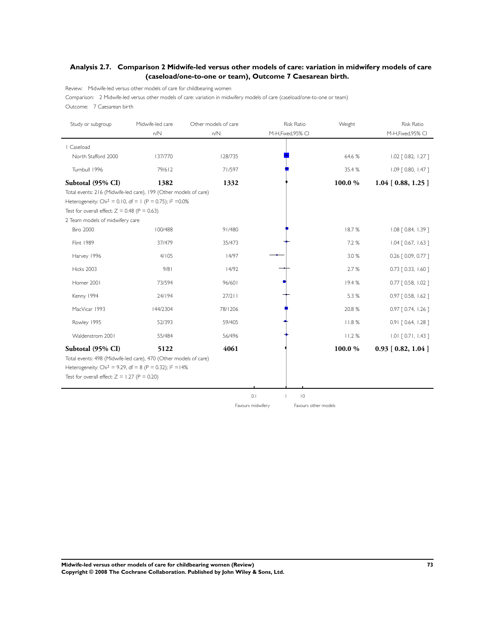### **Analysis 2.7. Comparison 2 Midwife-led versus other models of care: variation in midwifery models of care (caseload/one-to-one or team), Outcome 7 Caesarean birth.**

Review: Midwife-led versus other models of care for childbearing women

Comparison: 2 Midwife-led versus other models of care: variation in midwifery models of care (caseload/one-to-one or team) Outcome: 7 Caesarean birth

| Outcome: / Caesarean pirtr |  |  |
|----------------------------|--|--|
|                            |  |  |

| Study or subgroup                                                      | Midwife-led care | Other models of care | <b>Risk Ratio</b>  | Weight  | <b>Risk Ratio</b>          |
|------------------------------------------------------------------------|------------------|----------------------|--------------------|---------|----------------------------|
|                                                                        | n/N              | n/N                  | M-H, Fixed, 95% CI |         | M-H, Fixed, 95% CI         |
| I Caseload                                                             |                  |                      |                    |         |                            |
| North Stafford 2000                                                    | 137/770          | 128/735              |                    | 64.6 %  | $1.02$ $[0.82, 1.27]$      |
| Turnbull 1996                                                          | 79/612           | 71/597               |                    | 35.4%   | $1.09$ $[0.80, 1.47]$      |
| Subtotal (95% CI)                                                      | 1382             | 1332                 |                    | 100.0 % | $1.04$ [ 0.88, 1.25 ]      |
| Total events: 216 (Midwife-led care), 199 (Other models of care)       |                  |                      |                    |         |                            |
| Heterogeneity: Chi <sup>2</sup> = 0.10, df = 1 (P = 0.75); $1^2$ =0.0% |                  |                      |                    |         |                            |
| Test for overall effect: $Z = 0.48$ (P = 0.63)                         |                  |                      |                    |         |                            |
| 2 Team models of midwifery care                                        |                  |                      |                    |         |                            |
| <b>Biro 2000</b>                                                       | 100/488          | 91/480               |                    | 18.7%   | 1.08 [ 0.84, 1.39 ]        |
| Flint 1989                                                             | 37/479           | 35/473               |                    | 7.2 %   | $1.04$ $[0.67, 1.63]$      |
| Harvey 1996                                                            | 4/105            | 14/97                |                    | 3.0 %   | $0.26$ $[0.09, 0.77]$      |
| Hicks 2003                                                             | 9/81             | 14/92                |                    | 2.7 %   | $0.73$ $[0.33, 1.60]$      |
| Homer 2001                                                             | 73/594           | 96/601               |                    | 19.4 %  | $0.77$ $[0.58, 1.02]$      |
| Kenny 1994                                                             | 24/194           | 27/211               |                    | 5.3 %   | $0.97$ $[0.58, 1.62]$      |
| MacVicar 1993                                                          | 144/2304         | 78/1206              |                    | 20.8 %  | 0.97 [ 0.74, 1.26 ]        |
| Rowley 1995                                                            | 52/393           | 59/405               |                    | 11.8%   | 0.91   0.64, 1.28 ]        |
| Waldenstrom 2001                                                       | 55/484           | 56/496               |                    | 11.2%   | $1.01$ $[0.71, 1.43]$      |
| Subtotal (95% CI)                                                      | 5122             | 4061                 |                    | 100.0%  | $0.93$ [ $0.82$ , $1.04$ ] |
| Total events: 498 (Midwife-led care), 470 (Other models of care)       |                  |                      |                    |         |                            |
| Heterogeneity: Chi <sup>2</sup> = 9.29, df = 8 (P = 0.32); $1^2$ = 14% |                  |                      |                    |         |                            |
| Test for overall effect: $Z = 1.27$ (P = 0.20)                         |                  |                      |                    |         |                            |
|                                                                        |                  |                      |                    |         |                            |

0.1 10

Favours midwifery Favours other models

**Midwife-led versus other models of care for childbearing women (Review) 73 Copyright © 2008 The Cochrane Collaboration. Published by John Wiley & Sons, Ltd.**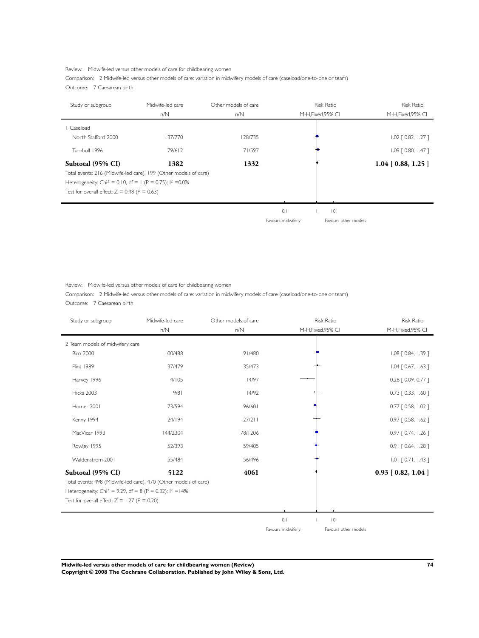#### Review: Midwife-led versus other models of care for childbearing women Comparison: 2 Midwife-led versus other models of care: variation in midwifery models of care (caseload/one-to-one or team) Outcome: 7 Caesarean birth

| Study or subgroup                                                      | Midwife-led care | Other models of care |                   | <b>Risk Ratio</b>    | <b>Risk Ratio</b>     |
|------------------------------------------------------------------------|------------------|----------------------|-------------------|----------------------|-----------------------|
|                                                                        | n/N              | n/N                  |                   | M-H, Fixed, 95% CI   | M-H, Fixed, 95% CI    |
| Caseload                                                               |                  |                      |                   |                      |                       |
| North Stafford 2000                                                    | 137/770          | 128/735              |                   |                      | $1.02$ $[0.82, 1.27]$ |
| Turnbull 1996                                                          | 79/612           | 71/597               |                   |                      | $1.09$ $[0.80, 1.47]$ |
| Subtotal (95% CI)                                                      | 1382             | 1332                 |                   |                      | $1.04$ [ 0.88, 1.25 ] |
| Total events: 216 (Midwife-led care), 199 (Other models of care)       |                  |                      |                   |                      |                       |
| Heterogeneity: Chi <sup>2</sup> = 0.10, df = 1 (P = 0.75); $1^2$ =0.0% |                  |                      |                   |                      |                       |
| Test for overall effect: $Z = 0.48$ (P = 0.63)                         |                  |                      |                   |                      |                       |
|                                                                        |                  |                      |                   |                      |                       |
|                                                                        |                  |                      | 0.1               | $\overline{0}$       |                       |
|                                                                        |                  |                      | Favours midwifery | Favours other models |                       |

Review: Midwife-led versus other models of care for childbearing women

l,

Comparison: 2 Midwife-led versus other models of care: variation in midwifery models of care (caseload/one-to-one or team) Outcome: 7 Caesarean birth

| Study or subgroup                                                      | Midwife-led care                                                 | Other models of care |                   | <b>Risk Ratio</b>    | <b>Risk Ratio</b>       |
|------------------------------------------------------------------------|------------------------------------------------------------------|----------------------|-------------------|----------------------|-------------------------|
|                                                                        | n/N                                                              | n/N                  |                   | M-H, Fixed, 95% CI   | M-H, Fixed, 95% CI      |
| 2 Team models of midwifery care                                        |                                                                  |                      |                   |                      |                         |
| <b>Biro 2000</b>                                                       | 100/488                                                          | 91/480               |                   |                      | $1.08$ $[0.84, 1.39]$   |
| Flint 1989                                                             | 37/479                                                           | 35/473               |                   |                      | $1.04$ $[0.67, 1.63]$   |
| Harvey 1996                                                            | 4/105                                                            | 14/97                |                   |                      | 0.26 [ 0.09, 0.77 ]     |
| Hicks 2003                                                             | 9/81                                                             | 14/92                |                   |                      | $0.73$ $[0.33, 1.60]$   |
| Homer 2001                                                             | 73/594                                                           | 96/601               |                   |                      | $0.77$ $[0.58, 1.02]$   |
| Kenny 1994                                                             | 24/194                                                           | 27/211               |                   |                      | 0.97 [ 0.58, 1.62 ]     |
| MacVicar 1993                                                          | 144/2304                                                         | 78/1206              |                   |                      | 0.97 [ 0.74, 1.26 ]     |
| Rowley 1995                                                            | 52/393                                                           | 59/405               |                   |                      | $0.91$ $[0.64, 1.28]$   |
| Waldenstrom 2001                                                       | 55/484                                                           | 56/496               |                   |                      | $1.01$ $[0.71, 1.43]$   |
| Subtotal (95% CI)                                                      | 5122                                                             | 4061                 |                   |                      | $0.93$ [ $0.82, 1.04$ ] |
|                                                                        | Total events: 498 (Midwife-led care), 470 (Other models of care) |                      |                   |                      |                         |
| Heterogeneity: Chi <sup>2</sup> = 9.29, df = 8 (P = 0.32); $1^2$ = 14% |                                                                  |                      |                   |                      |                         |
| Test for overall effect: $Z = 1.27$ (P = 0.20)                         |                                                                  |                      |                   |                      |                         |
|                                                                        |                                                                  |                      |                   |                      |                         |
|                                                                        |                                                                  |                      | 0.1               | $\overline{10}$      |                         |
|                                                                        |                                                                  |                      | Favours midwifery | Favours other models |                         |
|                                                                        |                                                                  |                      |                   |                      |                         |

**Midwife-led versus other models of care for childbearing women (Review) 74**

**Copyright © 2008 The Cochrane Collaboration. Published by John Wiley & Sons, Ltd.**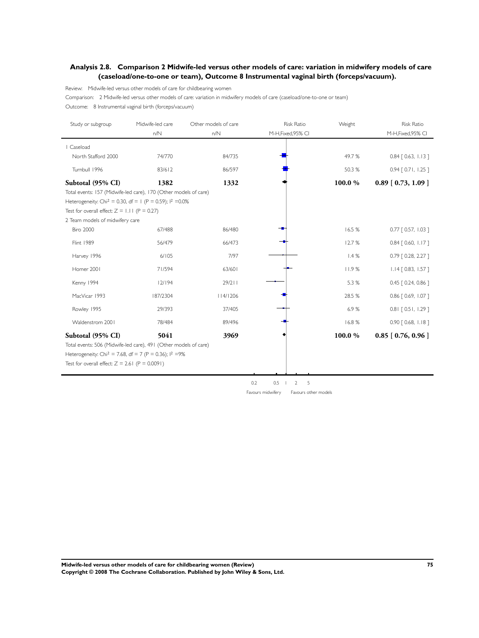### **Analysis 2.8. Comparison 2 Midwife-led versus other models of care: variation in midwifery models of care (caseload/one-to-one or team), Outcome 8 Instrumental vaginal birth (forceps/vacuum).**

Review: Midwife-led versus other models of care for childbearing women

Comparison: 2 Midwife-led versus other models of care: variation in midwifery models of care (caseload/one-to-one or team)

Outcome: 8 Instrumental vaginal birth (forceps/vacuum)

| Study or subgroup                                                      | Midwife-led care | Other models of care | <b>Risk Ratio</b>                 | Weight | Risk Ratio               |
|------------------------------------------------------------------------|------------------|----------------------|-----------------------------------|--------|--------------------------|
|                                                                        | n/N              | n/N                  | M-H,Fixed,95% CI                  |        | M-H, Fixed, 95% CI       |
| Caseload                                                               |                  |                      |                                   |        |                          |
| North Stafford 2000                                                    | 74/770           | 84/735               |                                   | 49.7%  | $0.84$ $[ 0.63, 1.13 ]$  |
| Turnbull 1996                                                          | 83/612           | 86/597               |                                   | 50.3 % | $0.94$ $[0.71, 1.25]$    |
| Subtotal (95% CI)                                                      | 1382             | 1332                 |                                   | 100.0% | $0.89$ [ $0.73$ , 1.09 ] |
| Total events: 157 (Midwife-led care), 170 (Other models of care)       |                  |                      |                                   |        |                          |
| Heterogeneity: Chi <sup>2</sup> = 0.30, df = 1 (P = 0.59); $1^2$ =0.0% |                  |                      |                                   |        |                          |
| Test for overall effect: $Z = 1.11$ (P = 0.27)                         |                  |                      |                                   |        |                          |
| 2 Team models of midwifery care                                        |                  |                      |                                   |        |                          |
| <b>Biro 2000</b>                                                       | 67/488           | 86/480               |                                   | 16.5%  | $0.77$ $[0.57, 1.03]$    |
| Flint 1989                                                             | 56/479           | 66/473               |                                   | 12.7%  | $0.84$ $[0.60, 1.17]$    |
| Harvey 1996                                                            | $6/105$          | 7/97                 |                                   | 1.4%   | 0.79 [ 0.28, 2.27 ]      |
| Homer 2001                                                             | 71/594           | 63/601               |                                   | 11.9%  | $1.14$ [ 0.83, 1.57 ]    |
| Kenny 1994                                                             | 12/194           | 29/211               |                                   | 5.3 %  | 0.45 [ 0.24, 0.86 ]      |
| MacVicar 1993                                                          | 187/2304         | 4/   206             |                                   | 28.5 % | $0.86$ $[0.69, 1.07]$    |
| Rowley 1995                                                            | 29/393           | 37/405               |                                   | 6.9%   | $0.81$ $[0.51, 1.29]$    |
| Waldenstrom 2001                                                       | 78/484           | 89/496               |                                   | 16.8%  | $0.90$ $[0.68, 1.18]$    |
| Subtotal (95% CI)                                                      | 5041             | 3969                 |                                   | 100.0% | $0.85$ [ 0.76, 0.96 ]    |
| Total events: 506 (Midwife-led care), 491 (Other models of care)       |                  |                      |                                   |        |                          |
| Heterogeneity: Chi <sup>2</sup> = 7.68, df = 7 (P = 0.36); $1^2$ = 9%  |                  |                      |                                   |        |                          |
| Test for overall effect: $Z = 2.61$ (P = 0.0091)                       |                  |                      |                                   |        |                          |
|                                                                        |                  |                      |                                   |        |                          |
|                                                                        |                  |                      | 5<br>0.2<br>0.5<br>$\overline{2}$ |        |                          |

Favours midwifery Favours other models

**Midwife-led versus other models of care for childbearing women (Review) 75 Copyright © 2008 The Cochrane Collaboration. Published by John Wiley & Sons, Ltd.**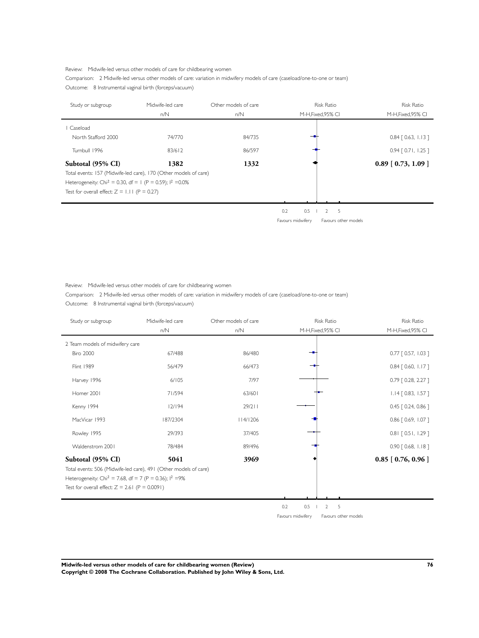#### Review: Midwife-led versus other models of care for childbearing women Comparison: 2 Midwife-led versus other models of care: variation in midwifery models of care (caseload/one-to-one or team) Outcome: 8 Instrumental vaginal birth (forceps/vacuum)

| Study or subgroup                                                      | Midwife-led care | Other models of care |                   | <b>Risk Ratio</b>      | <b>Risk Ratio</b>     |
|------------------------------------------------------------------------|------------------|----------------------|-------------------|------------------------|-----------------------|
|                                                                        | n/N              | n/N                  |                   | M-H, Fixed, 95% CI     | M-H, Fixed, 95% CI    |
| Caseload                                                               |                  |                      |                   |                        |                       |
| North Stafford 2000                                                    | 74/770           | 84/735               |                   |                        | $0.84$ $[0.63, 1.13]$ |
| Turnbull 1996                                                          | 83/612           | 86/597               |                   |                        | $0.94$ $[0.71, 1.25]$ |
| Subtotal (95% CI)                                                      | 1382             | 1332                 |                   |                        | $0.89$ [ 0.73, 1.09 ] |
| Total events: 157 (Midwife-led care), 170 (Other models of care)       |                  |                      |                   |                        |                       |
| Heterogeneity: Chi <sup>2</sup> = 0.30, df = 1 (P = 0.59); $1^2$ =0.0% |                  |                      |                   |                        |                       |
| Test for overall effect: $Z = 1.11$ (P = 0.27)                         |                  |                      |                   |                        |                       |
|                                                                        |                  |                      |                   |                        |                       |
|                                                                        |                  |                      | 0.2<br>0.5        | $\overline{2}$<br>$-5$ |                       |
|                                                                        |                  |                      | Favours midwifery | Favours other models   |                       |

Review: Midwife-led versus other models of care for childbearing women

Comparison: 2 Midwife-led versus other models of care: variation in midwifery models of care (caseload/one-to-one or team) Outcome: 8 Instrumental vaginal birth (forceps/vacuum)

| Study or subgroup                                                    | Midwife-led care | Other models of care | <b>Risk Ratio</b>  | <b>Risk Ratio</b>          |
|----------------------------------------------------------------------|------------------|----------------------|--------------------|----------------------------|
|                                                                      | n/N              | n/N                  | M-H, Fixed, 95% CI | M-H, Fixed, 95% CI         |
| 2 Team models of midwifery care                                      |                  |                      |                    |                            |
| <b>Biro 2000</b>                                                     | 67/488           | 86/480               |                    | $0.77$ [ 0.57, 1.03 ]      |
| Flint 1989                                                           | 56/479           | 66/473               |                    | $0.84$ $[0.60, 1.17]$      |
| Harvey 1996                                                          | 6/105            | 7/97                 |                    | $0.79$ $[0.28, 2.27]$      |
| Homer 2001                                                           | 71/594           | 63/601               |                    | $1.14$ [ 0.83, 1.57 ]      |
| Kenny 1994                                                           | 12/194           | 29/211               |                    | $0.45$ $[0.24, 0.86]$      |
| MacVicar 1993                                                        | 187/2304         | 4/   206             |                    | $0.86$ $[0.69, 1.07]$      |
| Rowley 1995                                                          | 29/393           | 37/405               |                    | $0.81$ $[0.51, 1.29]$      |
| Waldenstrom 2001                                                     | 78/484           | 89/496               |                    | $0.90$ $[0.68, 1.18]$      |
| Subtotal (95% CI)                                                    | 5041             | 3969                 |                    | $0.85$ [ $0.76$ , $0.96$ ] |
| Total events: 506 (Midwife-led care), 491 (Other models of care)     |                  |                      |                    |                            |
| Heterogeneity: Chi <sup>2</sup> = 7.68, df = 7 (P = 0.36); $1^2$ =9% |                  |                      |                    |                            |
| Test for overall effect: $Z = 2.61$ (P = 0.0091)                     |                  |                      |                    |                            |
|                                                                      |                  |                      |                    |                            |

0.2 0.5 1 2 5

Favours midwifery Favours other models

**Midwife-led versus other models of care for childbearing women (Review) 76 Copyright © 2008 The Cochrane Collaboration. Published by John Wiley & Sons, Ltd.**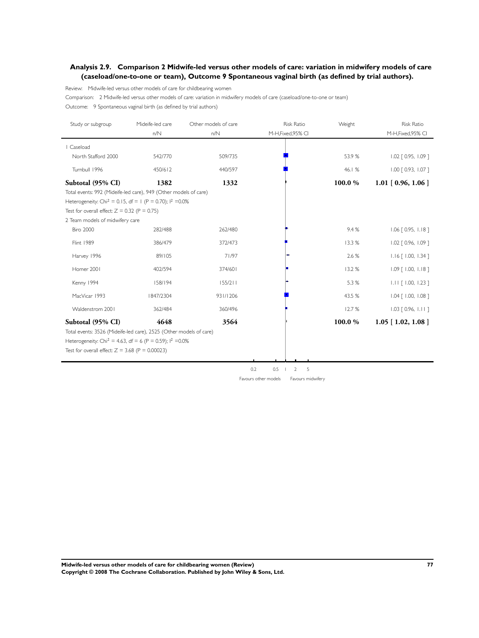### **Analysis 2.9. Comparison 2 Midwife-led versus other models of care: variation in midwifery models of care (caseload/one-to-one or team), Outcome 9 Spontaneous vaginal birth (as defined by trial authors).**

Review: Midwife-led versus other models of care for childbearing women

Comparison: 2 Midwife-led versus other models of care: variation in midwifery models of care (caseload/one-to-one or team)

Outcome: 9 Spontaneous vaginal birth (as defined by trial authors)

| Study or subgroup                                                       | Mideife-led care | Other models of care | <b>Risk Ratio</b>                 | Weight | <b>Risk Ratio</b>              |
|-------------------------------------------------------------------------|------------------|----------------------|-----------------------------------|--------|--------------------------------|
|                                                                         | n/N              | n/N                  | M-H, Fixed, 95% CI                |        | M-H, Fixed, 95% CI             |
| I Caseload                                                              |                  |                      |                                   |        |                                |
| North Stafford 2000                                                     | 542/770          | 509/735              |                                   | 53.9%  | $1.02$ $[0.95, 1.09]$          |
| Turnbull 1996                                                           | 450/612          | 440/597              |                                   | 46.1%  | $1.00$ $[0.93, 1.07]$          |
| Subtotal (95% CI)                                                       | 1382             | 1332                 |                                   | 100.0% | $1.01$ [ 0.96, 1.06 ]          |
| Total events: 992 (Mideife-led care), 949 (Other models of care)        |                  |                      |                                   |        |                                |
| Heterogeneity: Chi <sup>2</sup> = 0.15, df = 1 (P = 0.70); $1^2$ =0.0%  |                  |                      |                                   |        |                                |
| Test for overall effect: $Z = 0.32$ (P = 0.75)                          |                  |                      |                                   |        |                                |
| 2 Team models of midwifery care                                         |                  |                      |                                   |        |                                |
| <b>Biro 2000</b>                                                        | 282/488          | 262/480              |                                   | 9.4%   | $1.06$ $[0.95, 1.18]$          |
| Flint 1989                                                              | 386/479          | 372/473              |                                   | 13.3 % | $1.02$ $[0.96, 1.09]$          |
| Harvey 1996                                                             | 89/105           | 71/97                |                                   | 2.6 %  | $1.16$ $[ 1.00, 1.34 ]$        |
| Homer 2001                                                              | 402/594          | 374/601              |                                   | 13.2 % | $1.09$ $[ 1.00, 1.18 ]$        |
| Kenny 1994                                                              | 158/194          | 155/211              |                                   | 5.3%   | $1.11$ $[1.00, 1.23]$          |
| MacVicar 1993                                                           | 1847/2304        | 931/1206             |                                   | 43.5 % | $1.04$ $[$ $1.00$ , $1.08$ $]$ |
| Waldenstrom 2001                                                        | 362/484          | 360/496              |                                   | 12.7%  | $1.03$ $[0.96, 1.11]$          |
| Subtotal (95% CI)                                                       | 4648             | 3564                 |                                   | 100.0% | $1.05$ [ 1.02, 1.08 ]          |
| Total events: 3526 (Mideife-led care), 2525 (Other models of care)      |                  |                      |                                   |        |                                |
| Heterogeneity: Chi <sup>2</sup> = 4.63, df = 6 (P = 0.59); $1^2$ = 0.0% |                  |                      |                                   |        |                                |
| Test for overall effect: $Z = 3.68$ (P = 0.00023)                       |                  |                      |                                   |        |                                |
|                                                                         |                  |                      |                                   |        |                                |
|                                                                         |                  |                      | 0.2<br>5<br>0.5<br>$\overline{2}$ |        |                                |

Favours other models Favours midwifery

**Midwife-led versus other models of care for childbearing women (Review) 77 Copyright © 2008 The Cochrane Collaboration. Published by John Wiley & Sons, Ltd.**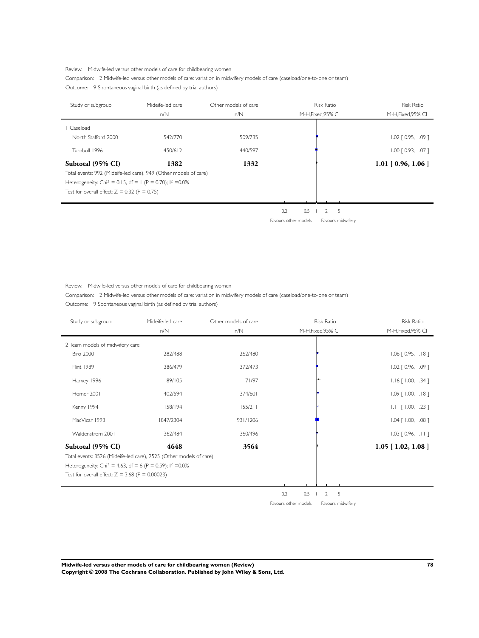#### Review: Midwife-led versus other models of care for childbearing women

Comparison: 2 Midwife-led versus other models of care: variation in midwifery models of care (caseload/one-to-one or team) Outcome: 9 Spontaneous vaginal birth (as defined by trial authors)

| Study or subgroup                                                      | Mideife-led care | Other models of care |                      | <b>Risk Ratio</b>                    | <b>Risk Ratio</b>     |
|------------------------------------------------------------------------|------------------|----------------------|----------------------|--------------------------------------|-----------------------|
|                                                                        | n/N              | n/N                  |                      | M-H, Fixed, 95% CI                   | M-H, Fixed, 95% CI    |
| Caseload                                                               |                  |                      |                      |                                      |                       |
| North Stafford 2000                                                    | 542/770          | 509/735              |                      |                                      | $1.02$ $[0.95, 1.09]$ |
| Turnbull 1996                                                          | 450/612          | 440/597              |                      |                                      | $1.00$ $[0.93, 1.07]$ |
| Subtotal (95% CI)                                                      | 1382             | 1332                 |                      |                                      | $1.01$ [ 0.96, 1.06 ] |
| Total events: 992 (Mideife-led care), 949 (Other models of care)       |                  |                      |                      |                                      |                       |
| Heterogeneity: Chi <sup>2</sup> = 0.15, df = 1 (P = 0.70); $1^2$ =0.0% |                  |                      |                      |                                      |                       |
| Test for overall effect: $Z = 0.32$ (P = 0.75)                         |                  |                      |                      |                                      |                       |
|                                                                        |                  |                      |                      |                                      |                       |
|                                                                        |                  |                      | 0.2                  | 0.5<br>$\overline{2}$<br>$5^{\circ}$ |                       |
|                                                                        |                  |                      | Favours other models | Favours midwifery                    |                       |

Review: Midwife-led versus other models of care for childbearing women

Comparison: 2 Midwife-led versus other models of care: variation in midwifery models of care (caseload/one-to-one or team) Outcome: 9 Spontaneous vaginal birth (as defined by trial authors)

| Study or subgroup                                                      | Mideife-led care | Other models of care | <b>Risk Ratio</b>                         | <b>Risk Ratio</b>       |
|------------------------------------------------------------------------|------------------|----------------------|-------------------------------------------|-------------------------|
|                                                                        | n/N              | n/N                  | M-H, Fixed, 95% CI                        | M-H, Fixed, 95% CI      |
| 2 Team models of midwifery care                                        |                  |                      |                                           |                         |
| <b>Biro 2000</b>                                                       | 282/488          | 262/480              |                                           | $1.06$ $[0.95, 1.18]$   |
| Flint 1989                                                             | 386/479          | 372/473              |                                           | $1.02$ $[0.96, 1.09]$   |
| Harvey 1996                                                            | 89/105           | 71/97                |                                           | $1.16$ $[ 1.00, 1.34 ]$ |
| Homer 2001                                                             | 402/594          | 374/601              |                                           | $1.09$ $[ 1.00, 1.18 ]$ |
| Kenny 1994                                                             | 158/194          | 155/211              |                                           | $1.11$ $[1.00, 1.23]$   |
| MacVicar 1993                                                          | 1847/2304        | 931/1206             |                                           | $1.04$ $[ 1.00, 1.08 ]$ |
| Waldenstrom 2001                                                       | 362/484          | 360/496              |                                           | $1.03$ $[0.96, 1.11]$   |
| Subtotal (95% CI)                                                      | 4648             | 3564                 |                                           | $1.05$ [ 1.02, 1.08 ]   |
| Total events: 3526 (Mideife-led care), 2525 (Other models of care)     |                  |                      |                                           |                         |
| Heterogeneity: Chi <sup>2</sup> = 4.63, df = 6 (P = 0.59); $1^2$ =0.0% |                  |                      |                                           |                         |
| Test for overall effect: $Z = 3.68$ (P = 0.00023)                      |                  |                      |                                           |                         |
|                                                                        |                  |                      |                                           |                         |
|                                                                        |                  |                      | 0.2<br>0.5<br>$\overline{2}$<br>-5        |                         |
|                                                                        |                  |                      | Favours other models<br>Favours midwifery |                         |

**Midwife-led versus other models of care for childbearing women (Review) 78 Copyright © 2008 The Cochrane Collaboration. Published by John Wiley & Sons, Ltd.**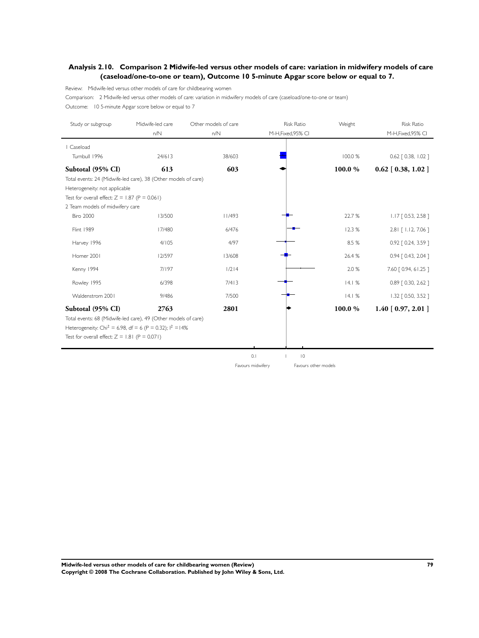### **Analysis 2.10. Comparison 2 Midwife-led versus other models of care: variation in midwifery models of care (caseload/one-to-one or team), Outcome 10 5-minute Apgar score below or equal to 7.**

Review: Midwife-led versus other models of care for childbearing women

Comparison: 2 Midwife-led versus other models of care: variation in midwifery models of care (caseload/one-to-one or team)

Outcome: 10 5-minute Apgar score below or equal to 7

| Study or subgroup                                                      | Midwife-led care | Other models of care | <b>Risk Ratio</b>     | Weight | <b>Risk Ratio</b>     |
|------------------------------------------------------------------------|------------------|----------------------|-----------------------|--------|-----------------------|
|                                                                        | n/N              | n/N                  | M-H, Fixed, 95% CI    |        | M-H, Fixed, 95% CI    |
| Caseload                                                               |                  |                      |                       |        |                       |
| Turnbull 1996                                                          | 24/613           | 38/603               |                       | 100.0% | 0.62 [ 0.38, 1.02 ]   |
| Subtotal (95% CI)                                                      | 613              | 603                  |                       | 100.0% | $0.62$ [ 0.38, 1.02 ] |
| Total events: 24 (Midwife-led care), 38 (Other models of care)         |                  |                      |                       |        |                       |
| Heterogeneity: not applicable                                          |                  |                      |                       |        |                       |
| Test for overall effect: $Z = 1.87$ (P = 0.061)                        |                  |                      |                       |        |                       |
| 2 Team models of midwifery care                                        |                  |                      |                       |        |                       |
| <b>Biro 2000</b>                                                       | 13/500           | 11/493               |                       | 22.7%  | $1.17$ $[0.53, 2.58]$ |
| Flint 1989                                                             | 17/480           | 6/476                |                       | 12.3%  | 2.81 [ 1.12, 7.06 ]   |
| Harvey 1996                                                            | 4/105            | 4/97                 |                       | 8.5 %  | 0.92 [ 0.24, 3.59 ]   |
| Homer 2001                                                             | 12/597           | 13/608               |                       | 26.4 % | 0.94 [ 0.43, 2.04 ]   |
| Kenny 1994                                                             | 7/197            | $1/2$   4            |                       | 2.0 %  | 7.60 [ 0.94, 61.25 ]  |
| Rowley 1995                                                            | 6/398            | 7/413                |                       | 14.1%  | 0.89 [ 0.30, 2.62 ]   |
| Waldenstrom 2001                                                       | 9/486            | 7/500                |                       | 14.1%  | $1.32$ $[0.50, 3.52]$ |
| Subtotal (95% CI)                                                      | 2763             | 2801                 |                       | 100.0% | $1.40$ [ 0.97, 2.01 ] |
| Total events: 68 (Midwife-led care), 49 (Other models of care)         |                  |                      |                       |        |                       |
| Heterogeneity: Chi <sup>2</sup> = 6.98, df = 6 (P = 0.32); $1^2$ = 14% |                  |                      |                       |        |                       |
| Test for overall effect: $Z = 1.81$ (P = 0.071)                        |                  |                      |                       |        |                       |
|                                                                        |                  |                      |                       |        |                       |
|                                                                        |                  |                      | 0.1<br>$\overline{0}$ |        |                       |

Favours midwifery Favours other models

**Midwife-led versus other models of care for childbearing women (Review) 79 Copyright © 2008 The Cochrane Collaboration. Published by John Wiley & Sons, Ltd.**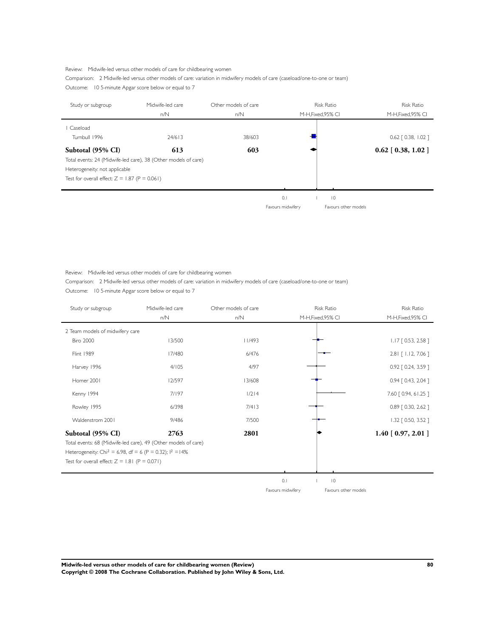#### Review: Midwife-led versus other models of care for childbearing women

Comparison: 2 Midwife-led versus other models of care: variation in midwifery models of care (caseload/one-to-one or team) Outcome: 10 5-minute Apgar score below or equal to 7

| Study or subgroup                               | Midwife-led care                                               | Other models of care |                   | <b>Risk Ratio</b>    | <b>Risk Ratio</b>     |
|-------------------------------------------------|----------------------------------------------------------------|----------------------|-------------------|----------------------|-----------------------|
|                                                 | n/N                                                            | n/N                  |                   | M-H, Fixed, 95% CI   | M-H, Fixed, 95% CI    |
| Caseload                                        |                                                                |                      |                   |                      |                       |
| Turnbull 1996                                   | 24/613                                                         | 38/603               |                   |                      | $0.62$ $[0.38, 1.02]$ |
| Subtotal (95% CI)                               | 613                                                            | 603                  |                   |                      | $0.62$ [ 0.38, 1.02 ] |
|                                                 | Total events: 24 (Midwife-led care), 38 (Other models of care) |                      |                   |                      |                       |
| Heterogeneity: not applicable                   |                                                                |                      |                   |                      |                       |
| Test for overall effect: $Z = 1.87$ (P = 0.061) |                                                                |                      |                   |                      |                       |
|                                                 |                                                                |                      |                   |                      |                       |
|                                                 |                                                                |                      | 0.1               | $\overline{0}$       |                       |
|                                                 |                                                                |                      | Favours midwifery | Favours other models |                       |
|                                                 |                                                                |                      |                   |                      |                       |
|                                                 |                                                                |                      |                   |                      |                       |

Review: Midwife-led versus other models of care for childbearing women

Comparison: 2 Midwife-led versus other models of care: variation in midwifery models of care (caseload/one-to-one or team)

Outcome: 10 5-minute Apgar score below or equal to 7

| Study or subgroup                                                                                                         | Midwife-led care<br>n/N                                        | Other models of care<br>n/N |                   | <b>Risk Ratio</b><br>M-H,Fixed,95% Cl | Risk Ratio<br>M-H, Fixed, 95% CI |
|---------------------------------------------------------------------------------------------------------------------------|----------------------------------------------------------------|-----------------------------|-------------------|---------------------------------------|----------------------------------|
| 2 Team models of midwifery care                                                                                           |                                                                |                             |                   |                                       |                                  |
| <b>Biro 2000</b>                                                                                                          | 13/500                                                         | 11/493                      |                   |                                       | $1.17$ [ 0.53, 2.58 ]            |
| Flint 1989                                                                                                                | 17/480                                                         | 6/476                       |                   |                                       | 2.81 [1.12, 7.06]                |
| Harvey 1996                                                                                                               | 4/105                                                          | 4/97                        |                   |                                       | $0.92$ $[0.24, 3.59]$            |
| Homer 2001                                                                                                                | 12/597                                                         | 13/608                      |                   |                                       | $0.94$ $[0.43, 2.04]$            |
| Kenny 1994                                                                                                                | 7/197                                                          | $1/2$   4                   |                   |                                       | 7.60 [ 0.94, 61.25 ]             |
| Rowley 1995                                                                                                               | 6/398                                                          | 7/413                       |                   |                                       | 0.89 [0.30, 2.62 ]               |
| Waldenstrom 2001                                                                                                          | 9/486                                                          | 7/500                       |                   |                                       | $1.32$ $[0.50, 3.52]$            |
| Subtotal (95% CI)                                                                                                         | 2763                                                           | 2801                        |                   |                                       | $1.40$ [ 0.97, 2.01 ]            |
| Heterogeneity: Chi <sup>2</sup> = 6.98, df = 6 (P = 0.32); $1^2$ = 14%<br>Test for overall effect: $Z = 1.81$ (P = 0.071) | Total events: 68 (Midwife-led care), 49 (Other models of care) |                             |                   |                                       |                                  |
|                                                                                                                           |                                                                |                             | 0.1               | $ 0\rangle$                           |                                  |
|                                                                                                                           |                                                                |                             | Favours midwifery | Favours other models                  |                                  |

**Midwife-led versus other models of care for childbearing women (Review) 80 Copyright © 2008 The Cochrane Collaboration. Published by John Wiley & Sons, Ltd.**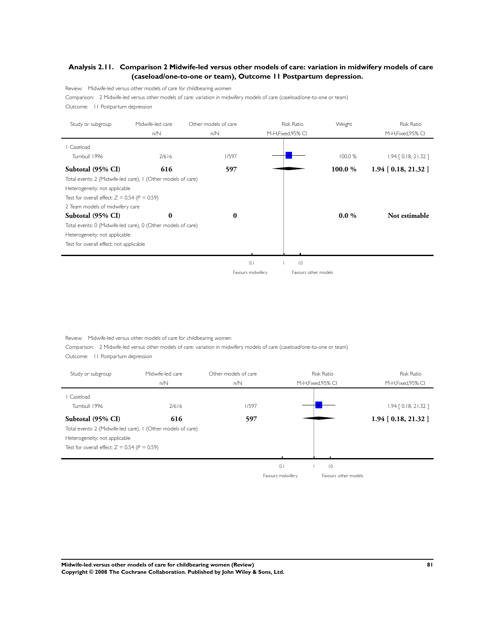### **Analysis 2.11. Comparison 2 Midwife-led versus other models of care: variation in midwifery models of care (caseload/one-to-one or team), Outcome 11 Postpartum depression.**

Review: Midwife-led versus other models of care for childbearing women

Comparison: 2 Midwife-led versus other models of care: variation in midwifery models of care (caseload/one-to-one or team)

Outcome: II Postpartum depression

| Study or subgroup                                            | Midwife-led care | Other models of care | <b>Risk Ratio</b>  | Weight               | <b>Risk Ratio</b>      |
|--------------------------------------------------------------|------------------|----------------------|--------------------|----------------------|------------------------|
|                                                              | n/N              | n/N                  | M-H, Fixed, 95% CI |                      | M-H, Fixed, 95% CI     |
| Caseload                                                     |                  |                      |                    |                      |                        |
| Turnbull 1996                                                | 2/616            | 1/597                |                    | 100.0 %              | $1.94$ $[0.18, 21.32]$ |
| Subtotal (95% CI)                                            | 616              | 597                  |                    | 100.0%               | $1.94$ [ 0.18, 21.32 ] |
| Total events: 2 (Midwife-led care), 1 (Other models of care) |                  |                      |                    |                      |                        |
| Heterogeneity: not applicable                                |                  |                      |                    |                      |                        |
| Test for overall effect: $Z = 0.54$ (P = 0.59)               |                  |                      |                    |                      |                        |
| 2 Team models of midwifery care                              |                  |                      |                    |                      |                        |
| Subtotal (95% CI)                                            | $\bf{0}$         | $\bf{0}$             |                    | $0.0\%$              | Not estimable          |
| Total events: 0 (Midwife-led care), 0 (Other models of care) |                  |                      |                    |                      |                        |
| Heterogeneity: not applicable                                |                  |                      |                    |                      |                        |
| Test for overall effect: not applicable                      |                  |                      |                    |                      |                        |
|                                                              |                  |                      |                    |                      |                        |
|                                                              |                  |                      | 0.1<br>$ 0\rangle$ |                      |                        |
|                                                              |                  |                      | Favours midwifery  | Favours other models |                        |

Review: Midwife-led versus other models of care for childbearing women

Comparison: 2 Midwife-led versus other models of care: variation in midwifery models of care (caseload/one-to-one or team) Outcome: II Postpartum depression

| Study or subgroup                                            | Midwife-led care<br>n/N | Other models of care<br>n/N | M-H, Fixed, 95% CI | <b>Risk Ratio</b>    | <b>Risk Ratio</b><br>M-H, Fixed, 95% CI |
|--------------------------------------------------------------|-------------------------|-----------------------------|--------------------|----------------------|-----------------------------------------|
| L Caseload<br>Tumbull 1996                                   | $2/6$ 16                | 1/597                       |                    |                      | $1.94$ $[0.18, 21.32]$                  |
| Subtotal (95% CI)                                            | 616                     | 597                         |                    |                      | $1.94$ [ 0.18, 21.32 ]                  |
| Total events: 2 (Midwife-led care), 1 (Other models of care) |                         |                             |                    |                      |                                         |
| Heterogeneity: not applicable                                |                         |                             |                    |                      |                                         |
| Test for overall effect: $Z = 0.54$ (P = 0.59)               |                         |                             |                    |                      |                                         |
|                                                              |                         |                             |                    |                      |                                         |
|                                                              |                         | 0.1                         |                    | $\overline{0}$       |                                         |
|                                                              |                         | Favours midwifery           |                    | Favours other models |                                         |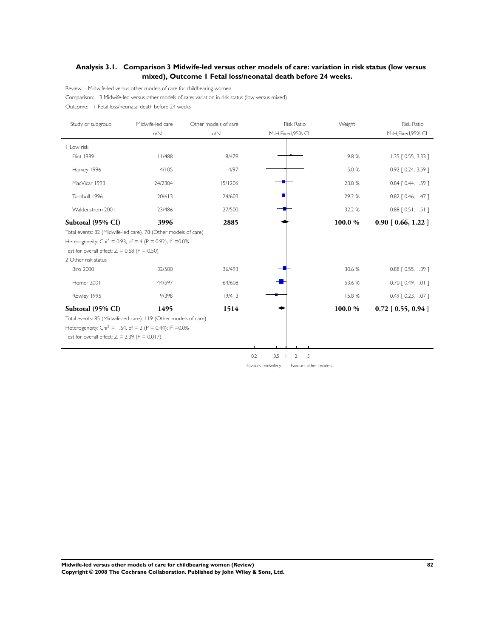### **Analysis 3.1. Comparison 3 Midwife-led versus other models of care: variation in risk status (low versus mixed), Outcome 1 Fetal loss/neonatal death before 24 weeks.**

Review: Midwife-led versus other models of care for childbearing women

Comparison: 3 Midwife-led versus other models of care: variation in risk status (low versus mixed)

Outcome: 1 Fetal loss/neonatal death before 24 weeks

| n/N<br>n/N<br>    /488<br>4/105<br>24/2304<br>20/613<br>23/486                                                                                                                               | 8/479<br>4/97<br>15/1206<br>24/603 | M-H, Fixed, 95% CI | 9.8%<br>5.0%<br>23.8% | M-H, Fixed, 95% CI<br>$1.35$ $[0.55, 3.33]$<br>$0.92$ $[0.24, 3.59]$<br>$0.84$ $[0.44, 1.59]$ |
|----------------------------------------------------------------------------------------------------------------------------------------------------------------------------------------------|------------------------------------|--------------------|-----------------------|-----------------------------------------------------------------------------------------------|
|                                                                                                                                                                                              |                                    |                    |                       |                                                                                               |
|                                                                                                                                                                                              |                                    |                    |                       |                                                                                               |
|                                                                                                                                                                                              |                                    |                    |                       |                                                                                               |
|                                                                                                                                                                                              |                                    |                    |                       |                                                                                               |
|                                                                                                                                                                                              |                                    |                    |                       |                                                                                               |
|                                                                                                                                                                                              |                                    |                    | 29.2 %                | $0.82$ $[0.46, 1.47]$                                                                         |
|                                                                                                                                                                                              | 27/500                             |                    | 32.2 %                | $0.88$ $[0.51, 1.51]$                                                                         |
| 3996<br>Total events: 82 (Midwife-led care), 78 (Other models of care)<br>Heterogeneity: Chi <sup>2</sup> = 0.93, df = 4 (P = 0.92); $1^2$ = 0.0%                                            | 2885                               | 100.0%             |                       | $0.90$ [ $0.66$ , 1.22 ]                                                                      |
| Test for overall effect: $Z = 0.68$ (P = 0.50)                                                                                                                                               |                                    |                    |                       |                                                                                               |
| 32/500                                                                                                                                                                                       | 36/493                             |                    | 30.6 %                | $0.88$ $[0.55, 1.39]$                                                                         |
| 44/597                                                                                                                                                                                       | 64/608                             |                    |                       | $0.70$ $[0.49, 1.01]$                                                                         |
| 9/398                                                                                                                                                                                        | 19/413                             |                    |                       | $0.49$ $[0.23, 1.07]$                                                                         |
| 1495                                                                                                                                                                                         | 1514                               |                    |                       | $0.72$ [ 0.55, 0.94 ]                                                                         |
| Total events: 85 (Midwife-led care), 119 (Other models of care)<br>Heterogeneity: Chi <sup>2</sup> = 1.64, df = 2 (P = 0.44); $1^2$ =0.0%<br>Test for overall effect: $Z = 2.39$ (P = 0.017) |                                    |                    |                       |                                                                                               |
|                                                                                                                                                                                              |                                    |                    |                       | 53.6 %<br>15.8%<br>100.0 %<br>0.2<br>0.5<br>$\overline{2}$<br>5                               |

Favours midwifery | Favours other models

**Midwife-led versus other models of care for childbearing women (Review) 82 Copyright © 2008 The Cochrane Collaboration. Published by John Wiley & Sons, Ltd.**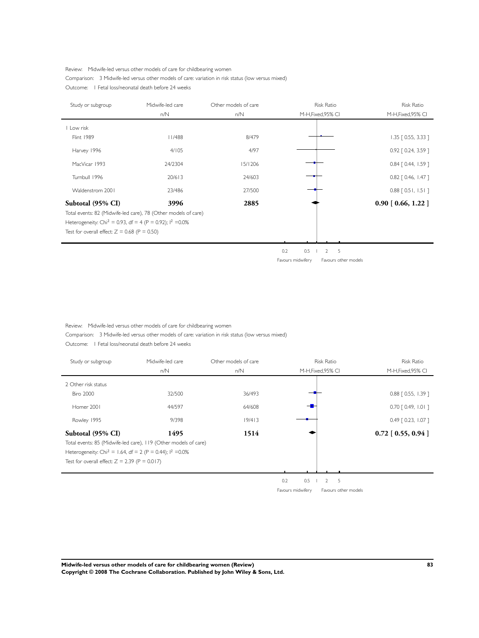#### Review: Midwife-led versus other models of care for childbearing women Comparison: 3 Midwife-led versus other models of care: variation in risk status (low versus mixed) Outcome: 1 Fetal loss/neonatal death before 24 weeks

| I Low risk<br>Flint 1989<br>Harvey 1996<br>MacVicar 1993<br>Turnbull 1996                                                                       | n/N<br>11/488                                                                                                                                                                | n/N                  |                                                                                                  |                            |
|-------------------------------------------------------------------------------------------------------------------------------------------------|------------------------------------------------------------------------------------------------------------------------------------------------------------------------------|----------------------|--------------------------------------------------------------------------------------------------|----------------------------|
|                                                                                                                                                 |                                                                                                                                                                              |                      | M-H,Fixed,95% CI                                                                                 | M-H,Fixed,95% CI           |
|                                                                                                                                                 |                                                                                                                                                                              |                      |                                                                                                  |                            |
|                                                                                                                                                 |                                                                                                                                                                              | 8/479                |                                                                                                  | $1.35$ $[0.55, 3.33]$      |
|                                                                                                                                                 | 4/105                                                                                                                                                                        | 4/97                 |                                                                                                  | $0.92$ [ 0.24, 3.59 ]      |
|                                                                                                                                                 | 24/2304                                                                                                                                                                      | 15/1206              |                                                                                                  | 0.84   0.44, 1.59 ]        |
|                                                                                                                                                 | 20/613                                                                                                                                                                       | 24/603               |                                                                                                  | $0.82$ [ 0.46, 1.47 ]      |
| Waldenstrom 2001                                                                                                                                | 23/486                                                                                                                                                                       | 27/500               |                                                                                                  | $0.88$ [ $0.51$ , $1.51$ ] |
| Subtotal (95% CI)                                                                                                                               | 3996                                                                                                                                                                         | 2885                 |                                                                                                  | $0.90$ [ $0.66$ , 1.22 ]   |
| Heterogeneity: Chi <sup>2</sup> = 0.93, df = 4 (P = 0.92); l <sup>2</sup> = 0.0%<br>Test for overall effect: $Z = 0.68$ (P = 0.50)              | Total events: 82 (Midwife-led care), 78 (Other models of care)                                                                                                               |                      |                                                                                                  |                            |
|                                                                                                                                                 |                                                                                                                                                                              |                      |                                                                                                  |                            |
|                                                                                                                                                 |                                                                                                                                                                              |                      | 0.2<br>0.5<br>5<br>$\overline{2}$<br>$\blacksquare$<br>Favours midwifery<br>Favours other models |                            |
| Outcome: I Fetal loss/neonatal death before 24 weeks                                                                                            | Review: Midwife-led versus other models of care for childbearing women<br>Comparison: 3 Midwife-led versus other models of care: variation in risk status (low versus mixed) |                      |                                                                                                  |                            |
| Study or subgroup                                                                                                                               | Midwife-led care                                                                                                                                                             | Other models of care | <b>Risk Ratio</b>                                                                                | <b>Risk Ratio</b>          |
|                                                                                                                                                 | n/N                                                                                                                                                                          | n/N                  | M-H,Fixed,95% CI                                                                                 | M-H,Fixed,95% CI           |
| 2 Other risk status                                                                                                                             |                                                                                                                                                                              |                      |                                                                                                  |                            |
| <b>Biro 2000</b>                                                                                                                                | 32/500                                                                                                                                                                       | 36/493               |                                                                                                  | $0.88$ [ 0.55, 1.39 ]      |
| Homer 2001                                                                                                                                      | 44/597                                                                                                                                                                       | 64/608               |                                                                                                  | $0.70$ $[0.49, 1.01]$      |
|                                                                                                                                                 | 9/398                                                                                                                                                                        | 19/413               |                                                                                                  | 0.49 [ 0.23, 1.07 ]        |
| Rowley 1995                                                                                                                                     |                                                                                                                                                                              | 1514                 |                                                                                                  |                            |
| Subtotal (95% CI)<br>Heterogeneity: Chi <sup>2</sup> = 1.64, df = 2 (P = 0.44); $1^2$ = 0.0%<br>Test for overall effect: $Z = 2.39$ (P = 0.017) | 1495<br>Total events: 85 (Midwife-led care), 119 (Other models of care)                                                                                                      |                      |                                                                                                  | $0.72$ [ 0.55, 0.94 ]      |

**Midwife-led versus other models of care for childbearing women (Review) 83 Copyright © 2008 The Cochrane Collaboration. Published by John Wiley & Sons, Ltd.**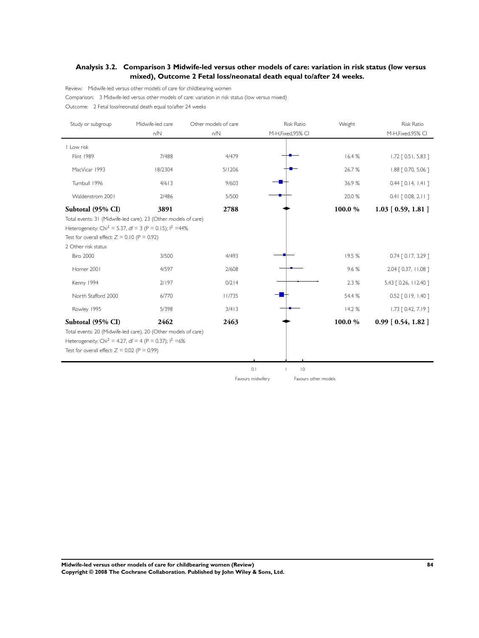### **Analysis 3.2. Comparison 3 Midwife-led versus other models of care: variation in risk status (low versus mixed), Outcome 2 Fetal loss/neonatal death equal to/after 24 weeks.**

Review: Midwife-led versus other models of care for childbearing women

Comparison: 3 Midwife-led versus other models of care: variation in risk status (low versus mixed)

Outcome: 2 Fetal loss/neonatal death equal to/after 24 weeks

| Study or subgroup                                                     | Midwife-led care | Other models of care | <b>Risk Ratio</b>     | Weight | <b>Risk Ratio</b>        |
|-----------------------------------------------------------------------|------------------|----------------------|-----------------------|--------|--------------------------|
|                                                                       | n/N              | n/N                  | M-H,Fixed,95% CI      |        | M-H,Fixed,95% CI         |
| I Low risk                                                            |                  |                      |                       |        |                          |
| Flint 1989                                                            | 7/488            | 4/479                |                       | 16.4%  | $1.72$ $[0.51, 5.83]$    |
| MacVicar 1993                                                         | 18/2304          | 5/1206               |                       | 26.7%  | 1.88 [ 0.70, 5.06 ]      |
| Turnbull 1996                                                         | 4/613            | 9/603                |                       | 36.9%  | $0.44$ $[0.14, 1.41]$    |
| Waldenstrom 2001                                                      | 2/486            | 5/500                |                       | 20.0 % | $0.41$ $[0.08, 2.11]$    |
| Subtotal (95% CI)                                                     | 3891             | 2788                 |                       | 100.0% | $1.03$ [ 0.59, 1.81 ]    |
| Total events: 31 (Midwife-led care), 23 (Other models of care)        |                  |                      |                       |        |                          |
| Heterogeneity: Chi <sup>2</sup> = 5.37, df = 3 (P = 0.15); $1^2$ =44% |                  |                      |                       |        |                          |
| Test for overall effect: $Z = 0.10$ (P = 0.92)                        |                  |                      |                       |        |                          |
| 2 Other risk status                                                   |                  |                      |                       |        |                          |
| <b>Biro 2000</b>                                                      | 3/500            | 4/493                |                       | 19.5 % | $0.74$ $[0.17, 3.29]$    |
| Homer 2001                                                            | 4/597            | 2/608                |                       | 9.6%   | 2.04 [ 0.37, 11.08 ]     |
| Kenny 1994                                                            | 2/197            | 0/214                |                       | 2.3 %  | 5.43 [ 0.26, 112.40 ]    |
| North Stafford 2000                                                   | 6/770            | 11/735               |                       | 54.4 % | $0.52$ $[0.19, 1.40]$    |
| Rowley 1995                                                           | 5/398            | 3/413                |                       | 14.2 % | $1.73$ $[0.42, 7.19]$    |
| Subtotal (95% CI)                                                     | 2462             | 2463                 |                       | 100.0% | $0.99$ [ $0.54$ , 1.82 ] |
| Total events: 20 (Midwife-led care), 20 (Other models of care)        |                  |                      |                       |        |                          |
| Heterogeneity: Chi <sup>2</sup> = 4.27, df = 4 (P = 0.37); $1^2$ =6%  |                  |                      |                       |        |                          |
| Test for overall effect: $Z = 0.02$ (P = 0.99)                        |                  |                      |                       |        |                          |
|                                                                       |                  |                      |                       |        |                          |
|                                                                       |                  |                      | 0.1<br>$\overline{0}$ |        |                          |

Favours midwifery Favours other models

**Midwife-led versus other models of care for childbearing women (Review) 84 Copyright © 2008 The Cochrane Collaboration. Published by John Wiley & Sons, Ltd.**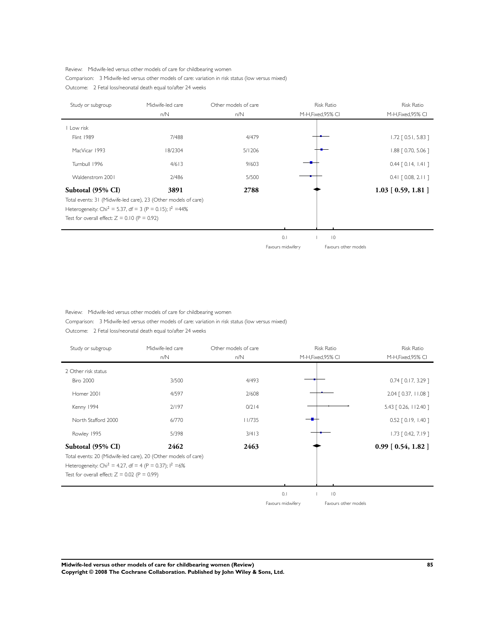#### Review: Midwife-led versus other models of care for childbearing women Comparison: 3 Midwife-led versus other models of care: variation in risk status (low versus mixed) Outcome: 2 Fetal loss/neonatal death equal to/after 24 weeks

| Study or subgroup                                                                                                                                                                                                       | Midwife-led care | Other models of care                                                                               | <b>Risk Ratio</b>                         | <b>Risk Ratio</b>                             |
|-------------------------------------------------------------------------------------------------------------------------------------------------------------------------------------------------------------------------|------------------|----------------------------------------------------------------------------------------------------|-------------------------------------------|-----------------------------------------------|
|                                                                                                                                                                                                                         | n/N              | n/N                                                                                                | M-H,Fixed,95% CI                          | M-H.Fixed.95% CI                              |
| I Low risk                                                                                                                                                                                                              |                  |                                                                                                    |                                           |                                               |
| Flint 1989                                                                                                                                                                                                              | 7/488            | 4/479                                                                                              |                                           | $1.72$ [ 0.51, 5.83 ]                         |
| MacVicar 1993                                                                                                                                                                                                           | 18/2304          | 5/1206                                                                                             |                                           | 1.88 [ 0.70, 5.06 ]                           |
| Turnbull 1996                                                                                                                                                                                                           | 4/613            | 9/603                                                                                              |                                           | $0.44$ $[0.14, 1.41]$                         |
| Waldenstrom 2001                                                                                                                                                                                                        | 2/486            | 5/500                                                                                              |                                           | $0.41$ [ 0.08, 2.11 ]                         |
| Subtotal (95% CI)                                                                                                                                                                                                       | 3891             | 2788                                                                                               |                                           | $1.03$ [ 0.59, 1.81 ]                         |
| Total events: 31 (Midwife-led care), 23 (Other models of care)<br>Heterogeneity: Chi <sup>2</sup> = 5.37, df = 3 (P = 0.15); $1^2$ =44%<br>Test for overall effect: $Z = 0.10$ (P = 0.92)                               |                  |                                                                                                    |                                           |                                               |
|                                                                                                                                                                                                                         |                  |                                                                                                    | 0.1<br>$\overline{0}$<br>$\overline{1}$   |                                               |
|                                                                                                                                                                                                                         |                  |                                                                                                    | Favours other models<br>Favours midwifery |                                               |
| Review: Midwife-led versus other models of care for childbearing women                                                                                                                                                  |                  | Comparison: 3 Midwife-led versus other models of care: variation in risk status (low versus mixed) |                                           |                                               |
| Outcome: 2 Fetal loss/neonatal death equal to/after 24 weeks<br>Study or subgroup                                                                                                                                       | Midwife-led care | Other models of care                                                                               | Risk Ratio                                | <b>Risk Ratio</b>                             |
|                                                                                                                                                                                                                         | n/N              | n/N                                                                                                | M-H,Fixed,95% CI                          | M-H,Fixed,95% CI                              |
| 2 Other risk status                                                                                                                                                                                                     |                  |                                                                                                    |                                           |                                               |
| <b>Biro 2000</b><br>Homer 2001                                                                                                                                                                                          | 3/500<br>4/597   | 4/493<br>2/608                                                                                     |                                           | $0.74$ $[0.17, 3.29]$<br>2.04 [ 0.37, 11.08 ] |
| Kenny 1994                                                                                                                                                                                                              | 2/197            | $0/2$   4                                                                                          |                                           | 5.43 [0.26, 112.40]                           |
| North Stafford 2000                                                                                                                                                                                                     | 6/770            | 11/735                                                                                             |                                           | $0.52$ [ 0.19, 1.40 ]                         |
| Rowley 1995                                                                                                                                                                                                             | 5/398            | 3/413                                                                                              |                                           | $1.73$ [ 0.42, 7.19 ]                         |
|                                                                                                                                                                                                                         | 2462             | 2463                                                                                               |                                           |                                               |
| Subtotal (95% CI)<br>Total events: 20 (Midwife-led care), 20 (Other models of care)<br>Heterogeneity: Chi <sup>2</sup> = 4.27, df = 4 (P = 0.37); l <sup>2</sup> = 6%<br>Test for overall effect: $Z = 0.02$ (P = 0.99) |                  |                                                                                                    |                                           | $0.99$ [ $0.54$ , $1.82$ ]                    |
|                                                                                                                                                                                                                         |                  |                                                                                                    | 0.1<br>$\overline{0}$                     |                                               |

**Midwife-led versus other models of care for childbearing women (Review) 85 Copyright © 2008 The Cochrane Collaboration. Published by John Wiley & Sons, Ltd.**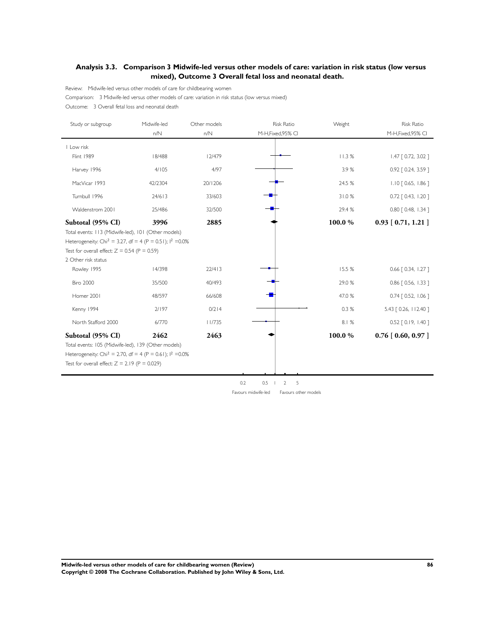### **Analysis 3.3. Comparison 3 Midwife-led versus other models of care: variation in risk status (low versus mixed), Outcome 3 Overall fetal loss and neonatal death.**

Review: Midwife-led versus other models of care for childbearing women

Comparison: 3 Midwife-led versus other models of care: variation in risk status (low versus mixed)

Outcome: 3 Overall fetal loss and neonatal death

| Study or subgroup                                                                                                                                                                                    | Midwife-led | Other models | <b>Risk Ratio</b>                 | Weight | <b>Risk Ratio</b>        |
|------------------------------------------------------------------------------------------------------------------------------------------------------------------------------------------------------|-------------|--------------|-----------------------------------|--------|--------------------------|
|                                                                                                                                                                                                      | n/N         | n/N          | M-H,Fixed,95% Cl                  |        | M-H, Fixed, 95% CI       |
| I Low risk                                                                                                                                                                                           |             |              |                                   |        |                          |
| Flint 1989                                                                                                                                                                                           | 18/488      | 12/479       |                                   | 11.3%  | 1.47 [ 0.72, 3.02 ]      |
| Harvey 1996                                                                                                                                                                                          | 4/105       | 4/97         |                                   | 3.9%   | 0.92 [ 0.24, 3.59 ]      |
| MacVicar 1993                                                                                                                                                                                        | 42/2304     | 20/1206      |                                   | 24.5 % | $1.10$ $[0.65, 1.86]$    |
| Turnbull 1996                                                                                                                                                                                        | 24/613      | 33/603       |                                   | 31.0%  | 0.72 [ 0.43, 1.20 ]      |
| Waldenstrom 2001                                                                                                                                                                                     | 25/486      | 32/500       |                                   | 29.4 % | 0.80 [ 0.48, 1.34 ]      |
| Subtotal (95% CI)<br>Total events: 113 (Midwife-led), 101 (Other models)<br>Heterogeneity: Chi <sup>2</sup> = 3.27, df = 4 (P = 0.51); $1^2$ =0.0%<br>Test for overall effect: $Z = 0.54$ (P = 0.59) | 3996        | 2885         |                                   | 100.0% | $0.93$ [ $0.71$ , 1.21 ] |
| 2 Other risk status                                                                                                                                                                                  |             |              |                                   |        |                          |
| Rowley 1995                                                                                                                                                                                          | 14/398      | 22/413       |                                   | 15.5 % | 0.66 [ 0.34, 1.27 ]      |
| <b>Biro 2000</b>                                                                                                                                                                                     | 35/500      | 40/493       |                                   | 29.0 % | 0.86 [ 0.56, 1.33 ]      |
| Homer 2001                                                                                                                                                                                           | 48/597      | 66/608       |                                   | 47.0%  | $0.74$ $[0.52, 1.06]$    |
| Kenny 1994                                                                                                                                                                                           | 2/197       | $0/2$  4     |                                   | 0.3 %  | 5.43 [ 0.26, 112.40 ]    |
| North Stafford 2000                                                                                                                                                                                  | 6/770       | 11/735       |                                   | 8.1%   | $0.52$ $[0.19, 1.40]$    |
| Subtotal (95% CI)                                                                                                                                                                                    | 2462        | 2463         |                                   | 100.0% | $0.76$ [ 0.60, 0.97 ]    |
| Total events: 105 (Midwife-led), 139 (Other models)<br>Heterogeneity: Chi <sup>2</sup> = 2.70, df = 4 (P = 0.61); $1^2$ =0.0%<br>Test for overall effect: $Z = 2.19$ (P = 0.029)                     |             |              |                                   |        |                          |
|                                                                                                                                                                                                      |             |              | 0.2<br>0.5<br>$\overline{2}$<br>5 |        |                          |

Favours midwife-led Favours other models

**Midwife-led versus other models of care for childbearing women (Review) 86 Copyright © 2008 The Cochrane Collaboration. Published by John Wiley & Sons, Ltd.**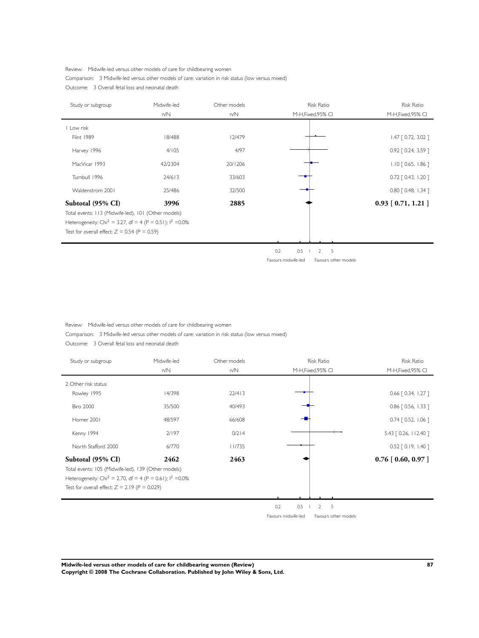#### Review: Midwife-led versus other models of care for childbearing women Comparison: 3 Midwife-led versus other models of care: variation in risk status (low versus mixed) Outcome: 3 Overall fetal loss and neonatal death

| Study or subgroup                                                                                                                                   | Midwife-led | Other models | <b>Risk Ratio</b>  | <b>Risk Ratio</b>       |
|-----------------------------------------------------------------------------------------------------------------------------------------------------|-------------|--------------|--------------------|-------------------------|
|                                                                                                                                                     | n/N         | n/N          | M-H, Fixed, 95% CI | M-H, Fixed, 95% CI      |
| Low risk                                                                                                                                            |             |              |                    |                         |
| Flint 1989                                                                                                                                          | 18/488      | 12/479       |                    | $1.47$ $[0.72, 3.02]$   |
| Harvey 1996                                                                                                                                         | 4/105       | 4/97         |                    | $0.92$ $[0.24, 3.59]$   |
| MacVicar 1993                                                                                                                                       | 42/2304     | 20/1206      |                    | $1.10$ $[0.65, 1.86]$   |
| Turnbull 1996                                                                                                                                       | 24/613      | 33/603       |                    | $0.72$ $[0.43, 1.20]$   |
| Waldenstrom 2001                                                                                                                                    | 25/486      | 32/500       |                    | $0.80$ $[0.48, 1.34]$   |
| Subtotal (95% CI)<br>Total events: 113 (Midwife-led), 101 (Other models)<br>Heterogeneity: Chi <sup>2</sup> = 3.27, df = 4 (P = 0.51); $1^2$ = 0.0% | 3996        | 2885         |                    | $0.93$ [ $0.71, 1.21$ ] |
| Test for overall effect: $Z = 0.54$ (P = 0.59)                                                                                                      |             |              |                    |                         |

0.2 0.5 1 2 5 Favours midwife-led Favours other models

Review: Midwife-led versus other models of care for childbearing women

Comparison: 3 Midwife-led versus other models of care: variation in risk status (low versus mixed)

Outcome: 3 Overall fetal loss and neonatal death

| Study or subgroup                                                       | Midwife-led | Other models | <b>Risk Ratio</b>  |        | <b>Risk Ratio</b>       |
|-------------------------------------------------------------------------|-------------|--------------|--------------------|--------|-------------------------|
|                                                                         | n/N         | n/N          | M-H, Fixed, 95% CI |        | M-H, Fixed, 95% CI      |
| 2 Other risk status                                                     |             |              |                    |        |                         |
| Rowley 1995                                                             | 14/398      | 22/413       |                    |        | $0.66$ $[0.34, 1.27]$   |
| <b>Biro 2000</b>                                                        | 35/500      | 40/493       |                    |        | $0.86$ $[0.56, 1.33]$   |
| Homer 2001                                                              | 48/597      | 66/608       |                    |        | $0.74$ $[0.52, 1.06]$   |
| Kenny 1994                                                              | 2/197       | 0/214        |                    |        | 5.43 [0.26, 112.40]     |
| North Stafford 2000                                                     | 6/770       | 11/735       |                    |        | $0.52$ $[0.19, 1.40]$   |
| Subtotal (95% CI)                                                       | 2462        | 2463         |                    |        | $0.76$ [ $0.60, 0.97$ ] |
| Total events: 105 (Midwife-led), 139 (Other models)                     |             |              |                    |        |                         |
| Heterogeneity: Chi <sup>2</sup> = 2.70, df = 4 (P = 0.61); $1^2$ = 0.0% |             |              |                    |        |                         |
| Test for overall effect: $Z = 2.19$ (P = 0.029)                         |             |              |                    |        |                         |
|                                                                         |             |              |                    |        |                         |
|                                                                         |             |              | 0.2<br>0.5         | 5<br>2 |                         |

Favours midwife-led Favours other models

**Midwife-led versus other models of care for childbearing women (Review) 87 Copyright © 2008 The Cochrane Collaboration. Published by John Wiley & Sons, Ltd.**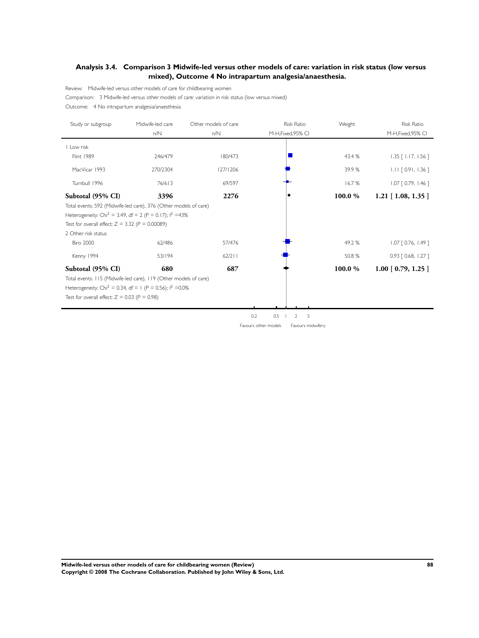### **Analysis 3.4. Comparison 3 Midwife-led versus other models of care: variation in risk status (low versus mixed), Outcome 4 No intrapartum analgesia/anaesthesia.**

Review: Midwife-led versus other models of care for childbearing women

Comparison: 3 Midwife-led versus other models of care: variation in risk status (low versus mixed)

Outcome: 4 No intrapartum analgesia/anaesthesia

| Study or subgroup                                                      | Midwife-led care | Other models of care |                      | <b>Risk Ratio</b>  | Weight  | <b>Risk Ratio</b>       |
|------------------------------------------------------------------------|------------------|----------------------|----------------------|--------------------|---------|-------------------------|
|                                                                        | n/N              | n/N                  |                      | M-H, Fixed, 95% CI |         | M-H,Fixed,95% Cl        |
| Low risk                                                               |                  |                      |                      |                    |         |                         |
| Flint 1989                                                             | 246/479          | 180/473              |                      |                    | 43.4 %  | $1.35$ $[$ 1.17, 1.56 ] |
| MacVicar 1993                                                          | 270/2304         | 127/1206             |                      |                    | 39.9%   | $1.11$ $[0.91, 1.36]$   |
| Tumbull 1996                                                           | 76/613           | 69/597               |                      |                    | 16.7%   | $1.07$ $[0.79, 1.46]$   |
| Subtotal (95% CI)                                                      | 3396             | 2276                 |                      |                    | 100.0 % | $1.21$ [ 1.08, 1.35 ]   |
| Total events: 592 (Midwife-led care), 376 (Other models of care)       |                  |                      |                      |                    |         |                         |
| Heterogeneity: Chi <sup>2</sup> = 3.49, df = 2 (P = 0.17); $1^2$ =43%  |                  |                      |                      |                    |         |                         |
| Test for overall effect: $Z = 3.32$ (P = 0.00089)                      |                  |                      |                      |                    |         |                         |
| 2 Other risk status                                                    |                  |                      |                      |                    |         |                         |
| <b>Biro 2000</b>                                                       | 62/486           | 57/476               |                      |                    | 49.2 %  | $1.07$ $[0.76, 1.49]$   |
| Kenny 1994                                                             | 53/194           | 62/211               |                      |                    | 50.8%   | $0.93$ $[0.68, 1.27]$   |
| Subtotal (95% CI)                                                      | 680              | 687                  |                      |                    | 100.0%  | $1.00$ [ 0.79, 1.25 ]   |
| Total events: 115 (Midwife-led care), 119 (Other models of care)       |                  |                      |                      |                    |         |                         |
| Heterogeneity: Chi <sup>2</sup> = 0.34, df = 1 (P = 0.56); $1^2$ =0.0% |                  |                      |                      |                    |         |                         |
| Test for overall effect: $Z = 0.03$ (P = 0.98)                         |                  |                      |                      |                    |         |                         |
|                                                                        |                  |                      |                      |                    |         |                         |
|                                                                        |                  |                      | 0.2<br>0.5           | 5<br>$\mathbf{2}$  |         |                         |
|                                                                        |                  |                      | Favours other models | Favours midwifery  |         |                         |

**Midwife-led versus other models of care for childbearing women (Review) 88 Copyright © 2008 The Cochrane Collaboration. Published by John Wiley & Sons, Ltd.**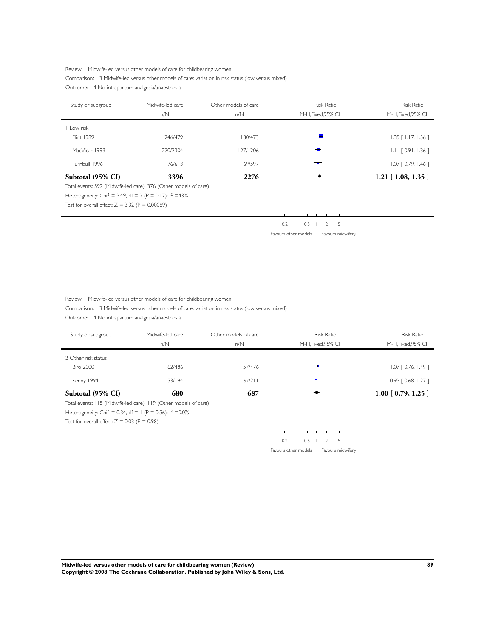Review: Midwife-led versus other models of care for childbearing women Comparison: 3 Midwife-led versus other models of care: variation in risk status (low versus mixed) Outcome: 4 No intrapartum analgesia/anaesthesia

| Study or subgroup                                                                                                          | Midwife-led care                                                                                   | Other models of care |                      | <b>Risk Ratio</b>             | <b>Risk Ratio</b>          |
|----------------------------------------------------------------------------------------------------------------------------|----------------------------------------------------------------------------------------------------|----------------------|----------------------|-------------------------------|----------------------------|
|                                                                                                                            | n/N                                                                                                | n/N                  |                      | M-H,Fixed,95% Cl              | M-H,Fixed,95% CI           |
| I Low risk                                                                                                                 |                                                                                                    |                      |                      |                               |                            |
| Flint 1989                                                                                                                 | 246/479                                                                                            | 180/473              |                      | 물                             | $1.35$ [ $1.17$ , $1.56$ ] |
| MacVicar 1993                                                                                                              | 270/2304                                                                                           | 127/1206             |                      |                               | $1.11$ $[0.91, 1.36]$      |
| Turnbull 1996                                                                                                              | 76/613                                                                                             | 69/597               |                      |                               | $1.07$ [ 0.79, 1.46 ]      |
| Subtotal (95% CI)                                                                                                          | 3396                                                                                               | 2276                 |                      |                               | $1.21$ [ 1.08, 1.35 ]      |
|                                                                                                                            | Total events: 592 (Midwife-led care), 376 (Other models of care)                                   |                      |                      |                               |                            |
| Heterogeneity: Chi <sup>2</sup> = 3.49, df = 2 (P = 0.17); $1^2$ =43%<br>Test for overall effect: $Z = 3.32$ (P = 0.00089) |                                                                                                    |                      |                      |                               |                            |
|                                                                                                                            |                                                                                                    |                      |                      |                               |                            |
|                                                                                                                            |                                                                                                    |                      | 0.2<br>0.5<br>$\Box$ | $\mathbf{2}$<br>5             |                            |
|                                                                                                                            |                                                                                                    |                      | Favours other models | Favours midwifery             |                            |
|                                                                                                                            |                                                                                                    |                      |                      |                               |                            |
|                                                                                                                            |                                                                                                    |                      |                      |                               |                            |
|                                                                                                                            |                                                                                                    |                      |                      |                               |                            |
|                                                                                                                            |                                                                                                    |                      |                      |                               |                            |
|                                                                                                                            |                                                                                                    |                      |                      |                               |                            |
|                                                                                                                            | Review: Midwife-led versus other models of care for childbearing women                             |                      |                      |                               |                            |
|                                                                                                                            | Comparison: 3 Midwife-led versus other models of care: variation in risk status (low versus mixed) |                      |                      |                               |                            |
| Outcome: 4 No intrapartum analgesia/anaesthesia                                                                            |                                                                                                    |                      |                      |                               |                            |
| Study or subgroup                                                                                                          | Midwife-led care                                                                                   | Other models of care |                      | <b>Risk Ratio</b>             | <b>Risk Ratio</b>          |
|                                                                                                                            | n/N                                                                                                | n/N                  |                      | M-H,Fixed,95% Cl              | M-H,Fixed,95% CI           |
| 2 Other risk status                                                                                                        |                                                                                                    |                      |                      |                               |                            |
| <b>Biro 2000</b>                                                                                                           | 62/486                                                                                             | 57/476               |                      |                               | $1.07$ [ 0.76, 1.49 ]      |
| Kenny 1994                                                                                                                 | 53/194                                                                                             | 62/211               |                      |                               | 0.93 [ 0.68, 1.27 ]        |
| Subtotal (95% CI)                                                                                                          | 680                                                                                                | 687                  |                      |                               | $1.00$ [ 0.79, 1.25 ]      |
|                                                                                                                            | Total events: 115 (Midwife-led care), 119 (Other models of care)                                   |                      |                      |                               |                            |
| Heterogeneity: Chi <sup>2</sup> = 0.34, df = 1 (P = 0.56); $1^2$ =0.0%                                                     |                                                                                                    |                      |                      |                               |                            |
| Test for overall effect: $Z = 0.03$ (P = 0.98)                                                                             |                                                                                                    |                      |                      |                               |                            |
|                                                                                                                            |                                                                                                    |                      | 0.2<br>0.5           | $\overline{2}$<br>$\mathsf S$ |                            |
|                                                                                                                            |                                                                                                    |                      | Favours other models | Favours midwifery             |                            |
|                                                                                                                            |                                                                                                    |                      |                      |                               |                            |
|                                                                                                                            |                                                                                                    |                      |                      |                               |                            |
|                                                                                                                            |                                                                                                    |                      |                      |                               |                            |
|                                                                                                                            |                                                                                                    |                      |                      |                               |                            |
|                                                                                                                            |                                                                                                    |                      |                      |                               |                            |
|                                                                                                                            |                                                                                                    |                      |                      |                               |                            |
|                                                                                                                            |                                                                                                    |                      |                      |                               |                            |
|                                                                                                                            |                                                                                                    |                      |                      |                               |                            |
|                                                                                                                            |                                                                                                    |                      |                      |                               |                            |
|                                                                                                                            |                                                                                                    |                      |                      |                               |                            |
|                                                                                                                            |                                                                                                    |                      |                      |                               |                            |

**Midwife-led versus other models of care for childbearing women (Review) 89 Copyright © 2008 The Cochrane Collaboration. Published by John Wiley & Sons, Ltd.**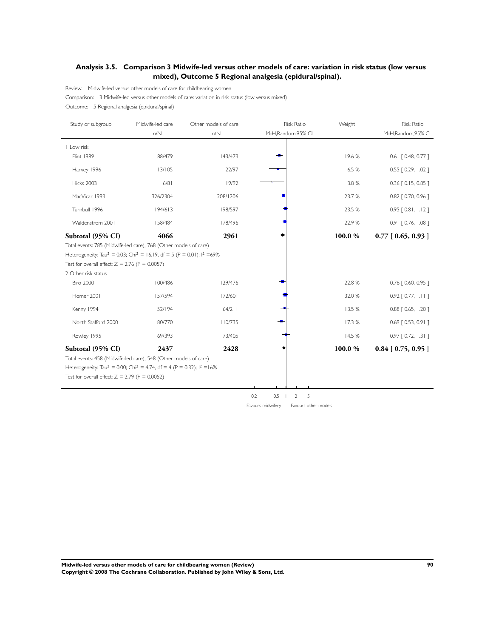### **Analysis 3.5. Comparison 3 Midwife-led versus other models of care: variation in risk status (low versus mixed), Outcome 5 Regional analgesia (epidural/spinal).**

Review: Midwife-led versus other models of care for childbearing women

Comparison: 3 Midwife-led versus other models of care: variation in risk status (low versus mixed)

Outcome: 5 Regional analgesia (epidural/spinal)

| Study or subgroup                                                                               | Midwife-led care | Other models of care | <b>Risk Ratio</b> | Weight  | <b>Risk Ratio</b>          |
|-------------------------------------------------------------------------------------------------|------------------|----------------------|-------------------|---------|----------------------------|
|                                                                                                 | n/N              | n/N                  | M-H,Random,95% CI |         | M-H,Random,95% CI          |
| I Low risk                                                                                      |                  |                      |                   |         |                            |
| Flint 1989                                                                                      | 88/479           | 143/473              |                   | 19.6%   | $0.61$ $[0.48, 0.77]$      |
| Harvey 1996                                                                                     | 13/105           | 22/97                |                   | 6.5 %   | $0.55$ $[0.29, 1.02]$      |
| Hicks 2003                                                                                      | 6/81             | 19/92                |                   | 3.8%    | $0.36$ $[0.15, 0.85]$      |
| MacVicar 1993                                                                                   | 326/2304         | 208/1206             |                   | 23.7 %  | 0.82 [ 0.70, 0.96 ]        |
| Turnbull 1996                                                                                   | 194/613          | 198/597              |                   | 23.5 %  | $0.95$ $[0.81, 1.12]$      |
| Waldenstrom 2001                                                                                | 158/484          | 178/496              |                   | 22.9%   | $0.91$ $[0.76, 1.08]$      |
| Subtotal (95% CI)                                                                               | 4066             | 2961                 |                   | 100.0%  | $0.77$ [ $0.65$ , $0.93$ ] |
| Total events: 785 (Midwife-led care), 768 (Other models of care)                                |                  |                      |                   |         |                            |
| Heterogeneity: Tau <sup>2</sup> = 0.03; Chi <sup>2</sup> = 16.19, df = 5 (P = 0.01); $1^2$ =69% |                  |                      |                   |         |                            |
| Test for overall effect: $Z = 2.76$ (P = 0.0057)                                                |                  |                      |                   |         |                            |
| 2 Other risk status                                                                             |                  |                      |                   |         |                            |
| <b>Biro 2000</b>                                                                                | 100/486          | 129/476              |                   | 22.8 %  | $0.76$ $[0.60, 0.95]$      |
| Homer 2001                                                                                      | 157/594          | 172/601              |                   | 32.0 %  | $0.92$ $[0.77, 1.11]$      |
| Kenny 1994                                                                                      | 52/194           | 64/211               |                   | 13.5 %  | $0.88$ $[0.65, 1.20]$      |
| North Stafford 2000                                                                             | 80/770           | 110/735              | ₩.                | 17.3 %  | $0.69$ $[0.53, 0.91]$      |
| Rowley 1995                                                                                     | 69/393           | 73/405               |                   | 14.5 %  | $0.97$ $[0.72, 1.31]$      |
| Subtotal (95% CI)                                                                               | 2437             | 2428                 |                   | 100.0 % | $0.84$ [ 0.75, 0.95 ]      |
| Total events: 458 (Midwife-led care), 548 (Other models of care)                                |                  |                      |                   |         |                            |
| Heterogeneity: Tau <sup>2</sup> = 0.00; Chi <sup>2</sup> = 4.74, df = 4 (P = 0.32); $1^2$ = 16% |                  |                      |                   |         |                            |
| Test for overall effect: $Z = 2.79$ (P = 0.0052)                                                |                  |                      |                   |         |                            |
|                                                                                                 |                  |                      |                   |         |                            |

 $0.2$  0.5 2 5

Favours midwifery Favours other models

**Midwife-led versus other models of care for childbearing women (Review) 90 Copyright © 2008 The Cochrane Collaboration. Published by John Wiley & Sons, Ltd.**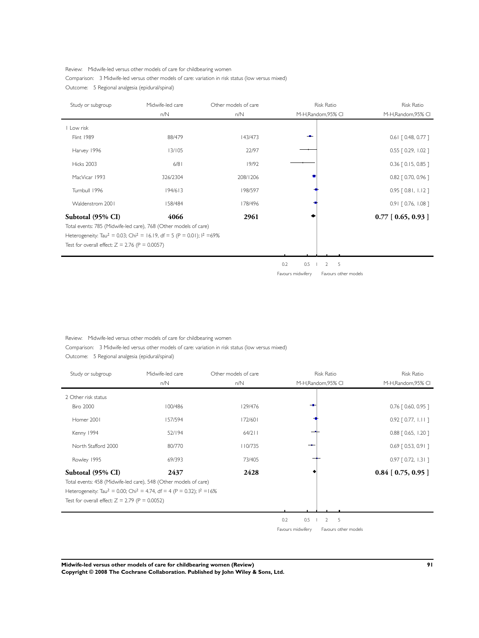Review: Midwife-led versus other models of care for childbearing women Comparison: 3 Midwife-led versus other models of care: variation in risk status (low versus mixed) Outcome: 5 Regional analgesia (epidural/spinal)

| Study or subgroup                                                                                                                                                                                                                            | Midwife-led care | Other models of care                                                                                                       | <b>Risk Ratio</b>                                                       | Risk Ratio                 |
|----------------------------------------------------------------------------------------------------------------------------------------------------------------------------------------------------------------------------------------------|------------------|----------------------------------------------------------------------------------------------------------------------------|-------------------------------------------------------------------------|----------------------------|
|                                                                                                                                                                                                                                              | n/N              | n/N                                                                                                                        | M-H, Random, 95% CI                                                     | M-H, Random, 95% CI        |
| I Low risk                                                                                                                                                                                                                                   |                  |                                                                                                                            |                                                                         |                            |
| Flint 1989                                                                                                                                                                                                                                   | 88/479           | 143/473                                                                                                                    |                                                                         | $0.61$ $[0.48, 0.77]$      |
| Harvey 1996                                                                                                                                                                                                                                  | 13/105           | 22/97                                                                                                                      |                                                                         | $0.55$ $[0.29, 1.02]$      |
| Hicks 2003                                                                                                                                                                                                                                   | 6/81             | 19/92                                                                                                                      |                                                                         | $0.36$ $[0.15, 0.85]$      |
| MacVicar 1993                                                                                                                                                                                                                                | 326/2304         | 208/1206                                                                                                                   |                                                                         | $0.82$ [ 0.70, 0.96 ]      |
| Turnbull 1996                                                                                                                                                                                                                                | 194/613          | 198/597                                                                                                                    |                                                                         | $0.95$ $[0.81, 1.12]$      |
| Waldenstrom 2001                                                                                                                                                                                                                             | 158/484          | 178/496                                                                                                                    |                                                                         | $0.91$ [ 0.76, 1.08 ]      |
| Subtotal (95% CI)                                                                                                                                                                                                                            | 4066             | 2961                                                                                                                       |                                                                         | $0.77$ [ $0.65$ , $0.93$ ] |
| Total events: 785 (Midwife-led care), 768 (Other models of care)<br>Heterogeneity: Tau <sup>2</sup> = 0.03; Chi <sup>2</sup> = 16.19, df = 5 (P = 0.01); $1^2$ =69%<br>Test for overall effect: $Z = 2.76$ (P = 0.0057)                      |                  |                                                                                                                            |                                                                         |                            |
|                                                                                                                                                                                                                                              |                  |                                                                                                                            | 0.2<br>0.5<br>5<br>$\overline{2}$<br>$\overline{1}$                     |                            |
|                                                                                                                                                                                                                                              |                  |                                                                                                                            | Favours midwifery<br>Favours other models                               |                            |
| Review: Midwife-led versus other models of care for childbearing women<br>Outcome: 5 Regional analgesia (epidural/spinal)<br>Study or subgroup                                                                                               | Midwife-led care | Comparison: 3 Midwife-led versus other models of care: variation in risk status (low versus mixed)<br>Other models of care | <b>Risk Ratio</b>                                                       | <b>Risk Ratio</b>          |
|                                                                                                                                                                                                                                              | n/N              | n/N                                                                                                                        | M-H, Random, 95% CI                                                     | M-H, Random, 95% CI        |
| 2 Other risk status<br><b>Biro 2000</b>                                                                                                                                                                                                      | 100/486          | 129/476                                                                                                                    |                                                                         | $0.76$ $[0.60, 0.95]$      |
| Homer 2001                                                                                                                                                                                                                                   | 157/594          | 172/601                                                                                                                    |                                                                         | $0.92$ [ 0.77, 1.11 ]      |
| Kenny 1994                                                                                                                                                                                                                                   | 52/194           | 64/211                                                                                                                     |                                                                         | $0.88$ [ 0.65, 1.20 ]      |
| North Stafford 2000                                                                                                                                                                                                                          | 80/770           | 110/735                                                                                                                    |                                                                         | $0.69$ $[0.53, 0.91]$      |
| Rowley 1995                                                                                                                                                                                                                                  | 69/393           | 73/405                                                                                                                     |                                                                         | 0.97 [ 0.72, 1.31 ]        |
| Subtotal (95% CI)<br>Total events: 458 (Midwife-led care), 548 (Other models of care)<br>Heterogeneity: Tau <sup>2</sup> = 0.00; Chi <sup>2</sup> = 4.74, df = 4 (P = 0.32); $1^2$ = 16%<br>Test for overall effect: $Z = 2.79$ (P = 0.0052) | 2437             | 2428                                                                                                                       |                                                                         | $0.84$ [ 0.75, 0.95 ]      |
|                                                                                                                                                                                                                                              |                  |                                                                                                                            | 0.2<br>0.5<br>2<br>5<br>-1<br>Favours midwifery<br>Favours other models |                            |

**Midwife-led versus other models of care for childbearing women (Review) 91**

**Copyright © 2008 The Cochrane Collaboration. Published by John Wiley & Sons, Ltd.**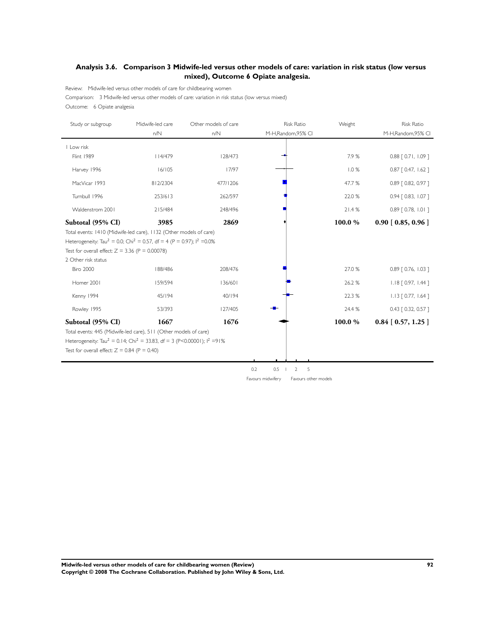### **Analysis 3.6. Comparison 3 Midwife-led versus other models of care: variation in risk status (low versus mixed), Outcome 6 Opiate analgesia.**

Review: Midwife-led versus other models of care for childbearing women

Comparison: 3 Midwife-led versus other models of care: variation in risk status (low versus mixed)

Outcome: 6 Opiate analgesia

| Study or subgroup                                                                                                                                                                                                                                        | Midwife-led care | Other models of care | <b>Risk Ratio</b> | Weight | <b>Risk Ratio</b>       |
|----------------------------------------------------------------------------------------------------------------------------------------------------------------------------------------------------------------------------------------------------------|------------------|----------------------|-------------------|--------|-------------------------|
|                                                                                                                                                                                                                                                          | n/N              | n/N                  | M-H,Random,95% CI |        | M-H, Random, 95% CI     |
| I Low risk                                                                                                                                                                                                                                               |                  |                      |                   |        |                         |
| Flint 1989                                                                                                                                                                                                                                               | 114/479          | 128/473              |                   | 7.9%   | $0.88$ $[0.71, 1.09]$   |
| Harvey 1996                                                                                                                                                                                                                                              | 16/105           | 17/97                |                   | 1.0%   | $0.87$ $[0.47, 1.62]$   |
| MacVicar 1993                                                                                                                                                                                                                                            | 812/2304         | 477/1206             |                   | 47.7%  | 0.89 [ 0.82, 0.97 ]     |
| Tumbull 1996                                                                                                                                                                                                                                             | 253/613          | 262/597              |                   | 22.0 % | 0.94 [ 0.83, 1.07 ]     |
| Waldenstrom 2001                                                                                                                                                                                                                                         | 215/484          | 248/496              |                   | 21.4%  | $0.89$ $[0.78, 1.01]$   |
| Subtotal (95% CI)<br>Total events: 1410 (Midwife-led care), 1132 (Other models of care)<br>Heterogeneity: Tau <sup>2</sup> = 0.0; Chi <sup>2</sup> = 0.57, df = 4 (P = 0.97); l <sup>2</sup> = 0.0%<br>Test for overall effect: $Z = 3.36$ (P = 0.00078) | 3985             | 2869                 |                   | 100.0% | $0.90$ [ 0.85, 0.96 ]   |
| 2 Other risk status<br><b>Biro 2000</b>                                                                                                                                                                                                                  | 188/486          | 208/476              |                   | 27.0%  | $0.89$ $[ 0.76, 1.03 ]$ |
| Homer 2001                                                                                                                                                                                                                                               | 159/594          | 136/601              |                   | 26.2 % | $1.18$ $[0.97, 1.44]$   |
| Kenny 1994                                                                                                                                                                                                                                               | 45/194           | 40/194               |                   | 22.3 % | $1.13$ $[0.77, 1.64]$   |
| Rowley 1995                                                                                                                                                                                                                                              | 53/393           | 127/405              |                   | 24.4 % | $0.43$ $[0.32, 0.57]$   |
| Subtotal (95% CI)<br>Total events: 445 (Midwife-led care), 511 (Other models of care)<br>Heterogeneity: Tau <sup>2</sup> = 0.14; Chi <sup>2</sup> = 33.83, df = 3 (P<0.00001); $1^2$ = 91%<br>Test for overall effect: $Z = 0.84$ (P = 0.40)             | 1667             | 1676                 |                   | 100.0% | $0.84$ [ 0.57, 1.25 ]   |

0.2 0.5  $\begin{array}{|c|c|c|c|c|} \hline \end{array}$  2 5 Favours midwifery Favours other models

**Midwife-led versus other models of care for childbearing women (Review) 92 Copyright © 2008 The Cochrane Collaboration. Published by John Wiley & Sons, Ltd.**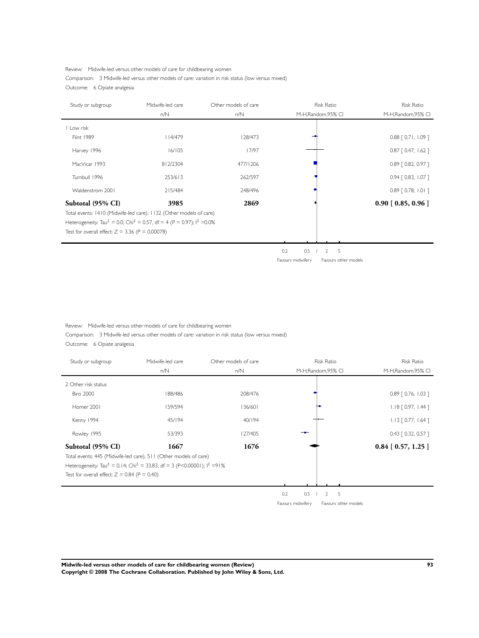Review: Midwife-led versus other models of care for childbearing women Comparison: 3 Midwife-led versus other models of care: variation in risk status (low versus mixed) Outcome: 6 Opiate analgesia

|                                                                                                                                                                                                                                                       | Midwife-led care        | Other models of care                                                                               | <b>Risk Ratio</b>                                                              | <b>Risk Ratio</b>                        |
|-------------------------------------------------------------------------------------------------------------------------------------------------------------------------------------------------------------------------------------------------------|-------------------------|----------------------------------------------------------------------------------------------------|--------------------------------------------------------------------------------|------------------------------------------|
|                                                                                                                                                                                                                                                       | n/N                     | n/N                                                                                                | M-H, Random, 95% CI                                                            | M-H, Random, 95% CI                      |
| I Low risk                                                                                                                                                                                                                                            |                         |                                                                                                    |                                                                                |                                          |
| Flint 1989                                                                                                                                                                                                                                            | 114/479                 | 128/473                                                                                            |                                                                                | $0.88$ $[0.71, 1.09]$                    |
| Harvey 1996                                                                                                                                                                                                                                           | 16/105                  | 17/97                                                                                              |                                                                                | $0.87$ $[$ 0.47, 1.62 $]$                |
| MacVicar 1993                                                                                                                                                                                                                                         | 812/2304                | 477/1206                                                                                           |                                                                                | 0.89 [ 0.82, 0.97 ]                      |
| Turnbull 1996                                                                                                                                                                                                                                         | 253/613                 | 262/597                                                                                            |                                                                                | 0.94 [ 0.83, 1.07 ]                      |
| Waldenstrom 2001                                                                                                                                                                                                                                      | 215/484                 | 248/496                                                                                            |                                                                                | 0.89 [ 0.78, 1.01 ]                      |
| Subtotal (95% CI)                                                                                                                                                                                                                                     | 3985                    | 2869                                                                                               |                                                                                | $0.90$ [ $0.85, 0.96$ ]                  |
| Total events: 1410 (Midwife-led care), 1132 (Other models of care)<br>Heterogeneity: Tau <sup>2</sup> = 0.0; Chi <sup>2</sup> = 0.57, df = 4 (P = 0.97); l <sup>2</sup> = 0.0%<br>Test for overall effect: $Z = 3.36$ (P = 0.00078)                   |                         |                                                                                                    |                                                                                |                                          |
|                                                                                                                                                                                                                                                       |                         |                                                                                                    | 0.2<br>0.5<br>5<br>$\overline{2}$<br>Favours midwifery<br>Favours other models |                                          |
| Review: Midwife-led versus other models of care for childbearing women<br>Outcome: 6 Opiate analgesia                                                                                                                                                 |                         | Comparison: 3 Midwife-led versus other models of care: variation in risk status (low versus mixed) |                                                                                |                                          |
| Study or subgroup                                                                                                                                                                                                                                     | Midwife-led care<br>n/N | Other models of care<br>n/N                                                                        | <b>Risk Ratio</b>                                                              | <b>Risk Ratio</b><br>M-H, Random, 95% CI |
|                                                                                                                                                                                                                                                       |                         |                                                                                                    | M-H,Random,95% CI                                                              |                                          |
| 2 Other risk status<br><b>Biro 2000</b>                                                                                                                                                                                                               | 188/486                 | 208/476                                                                                            |                                                                                | $0.89$ $[ 0.76, 1.03 ]$                  |
| Homer 2001                                                                                                                                                                                                                                            | 159/594                 | 136/601                                                                                            |                                                                                | $1.18$ [ 0.97, 1.44 ]                    |
| Kenny 1994                                                                                                                                                                                                                                            | 45/194                  | 40/194                                                                                             |                                                                                | $1.13$ [ 0.77, 1.64 ]                    |
| Rowley 1995                                                                                                                                                                                                                                           | 53/393                  | 127/405                                                                                            |                                                                                | 0.43 [ 0.32, 0.57 ]                      |
| Subtotal (95% CI)<br>Total events: 445 (Midwife-led care), 511 (Other models of care)<br>Heterogeneity: Tau <sup>2</sup> = 0.14; Chi <sup>2</sup> = 33.83, df = 3 (P<0.00001); l <sup>2</sup> = 91%<br>Test for overall effect: $Z = 0.84$ (P = 0.40) | 1667                    | 1676                                                                                               |                                                                                | $0.84$ [ $0.57$ , 1.25 ]                 |

**Midwife-led versus other models of care for childbearing women (Review) 93 Copyright © 2008 The Cochrane Collaboration. Published by John Wiley & Sons, Ltd.**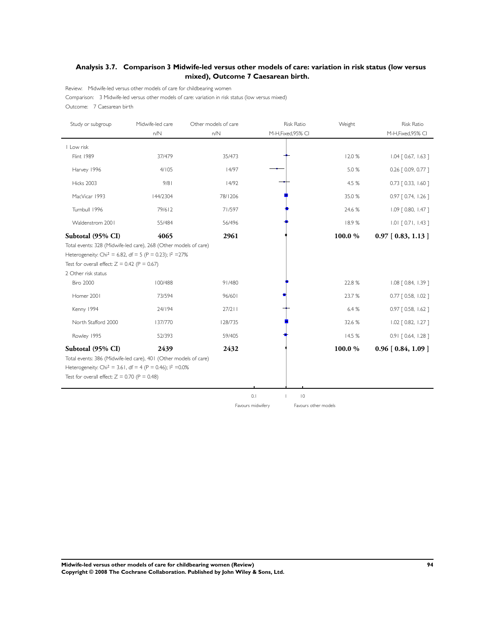### **Analysis 3.7. Comparison 3 Midwife-led versus other models of care: variation in risk status (low versus mixed), Outcome 7 Caesarean birth.**

Review: Midwife-led versus other models of care for childbearing women

Comparison: 3 Midwife-led versus other models of care: variation in risk status (low versus mixed)

Outcome: 7 Caesarean birth

| Study or subgroup                                                       | Midwife-led care | Other models of care | <b>Risk Ratio</b>     | Weight  | <b>Risk Ratio</b>        |
|-------------------------------------------------------------------------|------------------|----------------------|-----------------------|---------|--------------------------|
|                                                                         | n/N              | n/N                  | M-H,Fixed,95% CI      |         | M-H,Fixed,95% CI         |
| I Low risk                                                              |                  |                      |                       |         |                          |
| Flint 1989                                                              | 37/479           | 35/473               |                       | 12.0 %  | 1.04 [ 0.67, 1.63 ]      |
| Harvey 1996                                                             | 4/105            | 14/97                |                       | 5.0%    | $0.26$ $[0.09, 0.77]$    |
| Hicks 2003                                                              | 9/81             | 14/92                |                       | 4.5 %   | $0.73$ $[0.33, 1.60]$    |
| MacVicar 1993                                                           | 144/2304         | 78/1206              |                       | 35.0%   | 0.97 [ 0.74, 1.26 ]      |
| Turnbull 1996                                                           | 79/612           | 71/597               |                       | 24.6 %  | $1.09$ $[0.80, 1.47]$    |
| Waldenstrom 2001                                                        | 55/484           | 56/496               |                       | 18.9%   | $1.01$ $[0.71, 1.43]$    |
| Subtotal (95% CI)                                                       | 4065             | 2961                 |                       | 100.0 % | $0.97$ [ $0.83$ , 1.13 ] |
| Total events: 328 (Midwife-led care), 268 (Other models of care)        |                  |                      |                       |         |                          |
| Heterogeneity: Chi <sup>2</sup> = 6.82, df = 5 (P = 0.23); $1^2$ = 27%  |                  |                      |                       |         |                          |
| Test for overall effect: $Z = 0.42$ (P = 0.67)                          |                  |                      |                       |         |                          |
| 2 Other risk status                                                     |                  |                      |                       |         |                          |
| <b>Biro 2000</b>                                                        | 100/488          | 91/480               |                       | 22.8%   | 1.08 [ 0.84, 1.39 ]      |
| Homer 2001                                                              | 73/594           | 96/601               |                       | 23.7 %  | $0.77$ $[0.58, 1.02]$    |
| Kenny 1994                                                              | 24/194           | 27/211               |                       | 6.4 %   | $0.97$ $[0.58, 1.62]$    |
| North Stafford 2000                                                     | 137/770          | 128/735              |                       | 32.6 %  | $1.02$ $[0.82, 1.27]$    |
| Rowley 1995                                                             | 52/393           | 59/405               |                       | 14.5 %  | $0.91$ $[0.64, 1.28]$    |
| Subtotal (95% CI)                                                       | 2439             | 2432                 |                       | 100.0 % | $0.96$ [ $0.84$ , 1.09 ] |
| Total events: 386 (Midwife-led care), 401 (Other models of care)        |                  |                      |                       |         |                          |
| Heterogeneity: Chi <sup>2</sup> = 3.61, df = 4 (P = 0.46); $1^2$ = 0.0% |                  |                      |                       |         |                          |
| Test for overall effect: $Z = 0.70$ (P = 0.48)                          |                  |                      |                       |         |                          |
|                                                                         |                  |                      |                       |         |                          |
|                                                                         |                  |                      | $\overline{0}$<br>0.1 |         |                          |

Favours midwifery Favours other models

**Midwife-led versus other models of care for childbearing women (Review) 94 Copyright © 2008 The Cochrane Collaboration. Published by John Wiley & Sons, Ltd.**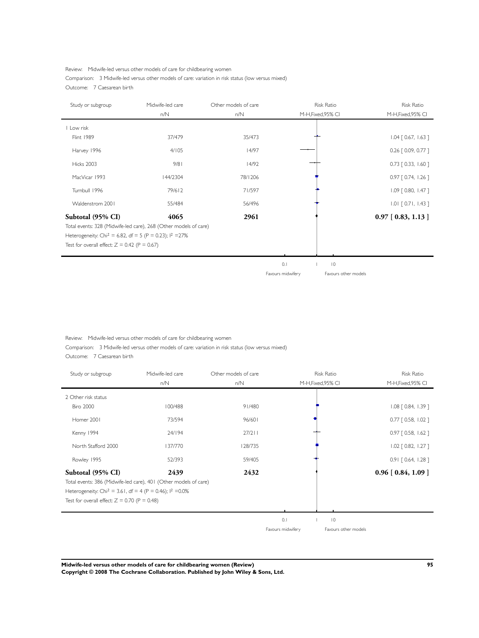### Review: Midwife-led versus other models of care for childbearing women Comparison: 3 Midwife-led versus other models of care: variation in risk status (low versus mixed) Outcome: 7 Caesarean birth

| Study or subgroup                                                                                                                                                                                                  | Midwife-led care | Other models of care                                                                               | <b>Risk Ratio</b>                                                       | <b>Risk Ratio</b>          |
|--------------------------------------------------------------------------------------------------------------------------------------------------------------------------------------------------------------------|------------------|----------------------------------------------------------------------------------------------------|-------------------------------------------------------------------------|----------------------------|
|                                                                                                                                                                                                                    | n/N              | n/N                                                                                                | M-H, Fixed, 95% CI                                                      | M-H, Fixed, 95% CI         |
| I Low risk                                                                                                                                                                                                         |                  |                                                                                                    |                                                                         |                            |
| <b>Flint 1989</b>                                                                                                                                                                                                  | 37/479           | 35/473                                                                                             |                                                                         | $1.04$ [ 0.67, 1.63 ]      |
| Harvey 1996                                                                                                                                                                                                        | 4/105            | 14/97                                                                                              |                                                                         | $0.26$ $[0.09, 0.77]$      |
| Hicks 2003                                                                                                                                                                                                         | 9/81             | 14/92                                                                                              |                                                                         | 0.73 [ 0.33, 1.60 ]        |
| MacVicar 1993                                                                                                                                                                                                      | 144/2304         | 78/1206                                                                                            |                                                                         | $0.97$ $[0.74, 1.26]$      |
| Turnbull 1996                                                                                                                                                                                                      | 79/612           | 71/597                                                                                             |                                                                         | $1.09$ $[0.80, 1.47]$      |
| Waldenstrom 2001                                                                                                                                                                                                   | 55/484           | 56/496                                                                                             |                                                                         | $1.01$ $[0.71, 1.43]$      |
| Subtotal (95% CI)                                                                                                                                                                                                  | 4065             | 2961                                                                                               |                                                                         | $0.97$ [ $0.83$ , 1.13 ]   |
|                                                                                                                                                                                                                    |                  |                                                                                                    | 0.1<br>$\overline{0}$<br>Ï<br>Favours midwifery<br>Favours other models |                            |
| Review: Midwife-led versus other models of care for childbearing women                                                                                                                                             |                  | Comparison: 3 Midwife-led versus other models of care: variation in risk status (low versus mixed) |                                                                         |                            |
| Outcome: 7 Caesarean birth                                                                                                                                                                                         |                  |                                                                                                    |                                                                         |                            |
| Study or subgroup                                                                                                                                                                                                  | Midwife-led care | Other models of care                                                                               | <b>Risk Ratio</b>                                                       | <b>Risk Ratio</b>          |
|                                                                                                                                                                                                                    | n/N              | n/N                                                                                                | M-H,Fixed,95% CI                                                        |                            |
| 2 Other risk status                                                                                                                                                                                                |                  |                                                                                                    |                                                                         | M-H,Fixed,95% CI           |
| <b>Biro 2000</b>                                                                                                                                                                                                   |                  |                                                                                                    |                                                                         |                            |
|                                                                                                                                                                                                                    | 100/488          | 91/480                                                                                             |                                                                         | $1.08$ $[0.84, 1.39]$      |
| Homer 2001                                                                                                                                                                                                         | 73/594           | 96/601                                                                                             |                                                                         | $0.77$ [ 0.58, 1.02 ]      |
| Kenny 1994                                                                                                                                                                                                         | 24/194           | 27/211                                                                                             |                                                                         | $0.97$ $[0.58, 1.62]$      |
| North Stafford 2000                                                                                                                                                                                                | 137/770          | 128/735                                                                                            |                                                                         | $1.02$ $[0.82, 1.27]$      |
| Rowley 1995                                                                                                                                                                                                        | 52/393           | 59/405                                                                                             |                                                                         |                            |
|                                                                                                                                                                                                                    | 2439             | 2432                                                                                               |                                                                         | $0.96$ [ $0.84$ , $1.09$ ] |
| Subtotal (95% CI)<br>Total events: 386 (Midwife-led care), 401 (Other models of care)<br>Heterogeneity: Chi <sup>2</sup> = 3.61, df = 4 (P = 0.46); $1^2$ = 0.0%<br>Test for overall effect: $Z = 0.70$ (P = 0.48) |                  |                                                                                                    |                                                                         | $0.91$ $[0.64, 1.28]$      |

Favours midwifery Favours other models

**Midwife-led versus other models of care for childbearing women (Review) 95**

**Copyright © 2008 The Cochrane Collaboration. Published by John Wiley & Sons, Ltd.**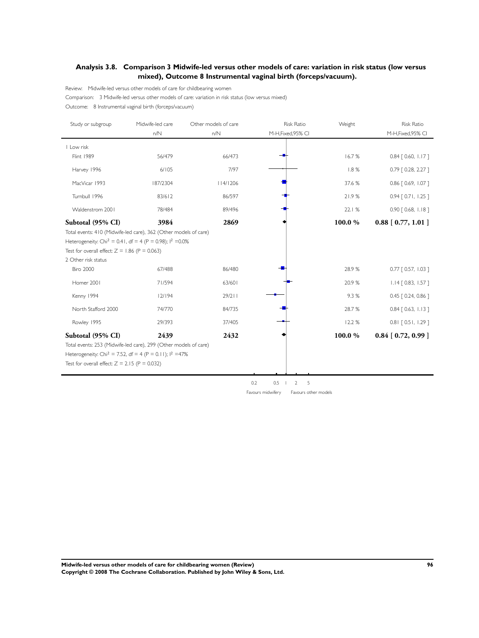### **Analysis 3.8. Comparison 3 Midwife-led versus other models of care: variation in risk status (low versus mixed), Outcome 8 Instrumental vaginal birth (forceps/vacuum).**

Review: Midwife-led versus other models of care for childbearing women

Comparison: 3 Midwife-led versus other models of care: variation in risk status (low versus mixed)

Outcome: 8 Instrumental vaginal birth (forceps/vacuum)

| Study or subgroup                                                      | Midwife-led care | Other models of care | Risk Ratio                        | Weight  | <b>Risk Ratio</b>       |
|------------------------------------------------------------------------|------------------|----------------------|-----------------------------------|---------|-------------------------|
|                                                                        | n/N              | n/N                  | M-H,Fixed,95% CI                  |         | M-H,Fixed,95% CI        |
| I Low risk                                                             |                  |                      |                                   |         |                         |
| Flint 1989                                                             | 56/479           | 66/473               |                                   | 16.7%   | $0.84$ $[0.60, 1.17]$   |
| Harvey 1996                                                            | $6/105$          | 7/97                 |                                   | 1.8%    | 0.79 [ 0.28, 2.27 ]     |
| MacVicar 1993                                                          | 187/2304         | 114/1206             |                                   | 37.6 %  | $0.86$ $[0.69, 1.07]$   |
| Turnbull 1996                                                          | 83/612           | 86/597               |                                   | 21.9%   | $0.94$ $[0.71, 1.25]$   |
| Waldenstrom 2001                                                       | 78/484           | 89/496               |                                   | 22.1%   | $0.90$ $[0.68, 1.18]$   |
| Subtotal (95% CI)                                                      | 3984             | 2869                 |                                   | 100.0%  | $0.88$ [ $0.77, 1.01$ ] |
| Total events: 410 (Midwife-led care), 362 (Other models of care)       |                  |                      |                                   |         |                         |
| Heterogeneity: Chi <sup>2</sup> = 0.41, df = 4 (P = 0.98); $1^2$ =0.0% |                  |                      |                                   |         |                         |
| Test for overall effect: $Z = 1.86$ (P = 0.063)                        |                  |                      |                                   |         |                         |
| 2 Other risk status                                                    |                  |                      |                                   |         |                         |
| <b>Biro 2000</b>                                                       | 67/488           | 86/480               |                                   | 28.9%   | 0.77 [ 0.57, 1.03 ]     |
| Homer 2001                                                             | 71/594           | 63/601               |                                   | 20.9%   | $1.14$ [ 0.83, 1.57 ]   |
| Kenny 1994                                                             | 12/194           | 29/211               |                                   | 9.3%    | $0.45$ $[0.24, 0.86]$   |
| North Stafford 2000                                                    | 74/770           | 84/735               |                                   | 28.7%   | $0.84$ $[0.63, 1.13]$   |
| Rowley 1995                                                            | 29/393           | 37/405               |                                   | 12.2 %  | $0.81$ $[0.51, 1.29]$   |
| Subtotal (95% CI)                                                      | 2439             | 2432                 |                                   | 100.0 % | $0.84$ [ 0.72, 0.99 ]   |
| Total events: 253 (Midwife-led care), 299 (Other models of care)       |                  |                      |                                   |         |                         |
| Heterogeneity: Chi <sup>2</sup> = 7.52, df = 4 (P = 0.11); $1^2$ = 47% |                  |                      |                                   |         |                         |
| Test for overall effect: $Z = 2.15$ (P = 0.032)                        |                  |                      |                                   |         |                         |
|                                                                        |                  |                      |                                   |         |                         |
|                                                                        |                  |                      | $\overline{2}$<br>0.2<br>0.5<br>5 |         |                         |

Favours midwifery Favours other models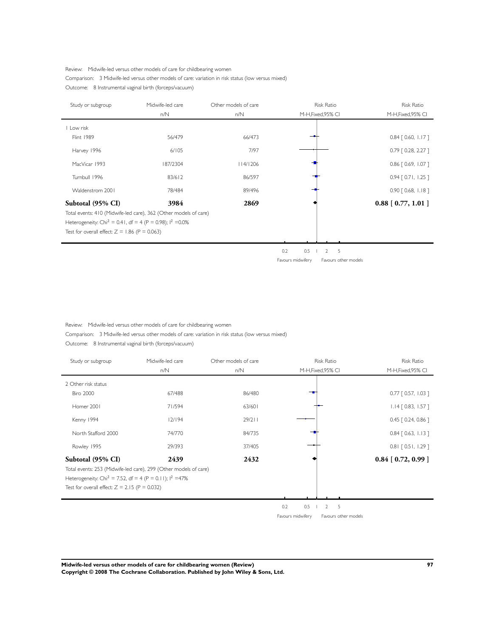#### Review: Midwife-led versus other models of care for childbearing women Comparison: 3 Midwife-led versus other models of care: variation in risk status (low versus mixed) Outcome: 8 Instrumental vaginal birth (forceps/vacuum)

| Study or subgroup                                                       | Midwife-led care | Other models of care | <b>Risk Ratio</b>                         | <b>Risk Ratio</b>       |
|-------------------------------------------------------------------------|------------------|----------------------|-------------------------------------------|-------------------------|
|                                                                         | n/N<br>n/N       |                      | M-H, Fixed, 95% CI                        | M-H, Fixed, 95% CI      |
| Low risk                                                                |                  |                      |                                           |                         |
| Flint 1989                                                              | 56/479           | 66/473               |                                           | $0.84$ [ 0.60, 1.17 ]   |
| Harvey 1996                                                             | 6/105            | 7/97                 |                                           | $0.79$ $[0.28, 2.27]$   |
| MacVicar 1993                                                           | 187/2304         | 114/1206             |                                           | $0.86$ $[0.69, 1.07]$   |
| Turnbull 1996                                                           | 83/612           | 86/597               |                                           | $0.94$ $[0.71, 1.25]$   |
| Waldenstrom 2001                                                        | 78/484           | 89/496               |                                           | $0.90$ $[0.68, 1.18]$   |
| Subtotal (95% CI)                                                       | 3984             | 2869                 |                                           | $0.88$ [ $0.77, 1.01$ ] |
| Total events: 410 (Midwife-led care), 362 (Other models of care)        |                  |                      |                                           |                         |
| Heterogeneity: Chi <sup>2</sup> = 0.41, df = 4 (P = 0.98); $1^2$ = 0.0% |                  |                      |                                           |                         |
| Test for overall effect: $Z = 1.86$ (P = 0.063)                         |                  |                      |                                           |                         |
|                                                                         |                  |                      |                                           |                         |
|                                                                         |                  |                      | 0.2<br>0.5<br>5<br>$\overline{2}$         |                         |
|                                                                         |                  |                      | Favours midwifery<br>Favours other models |                         |

Review: Midwife-led versus other models of care for childbearing women

Comparison: 3 Midwife-led versus other models of care: variation in risk status (low versus mixed) Outcome: 8 Instrumental vaginal birth (forceps/vacuum)

| Study or subgroup                                                     | Midwife-led care | Other models of care | <b>Risk Ratio</b>    | Risk Ratio            |
|-----------------------------------------------------------------------|------------------|----------------------|----------------------|-----------------------|
|                                                                       | n/N              | n/N                  | M-H, Fixed, 95% CI   | M-H, Fixed, 95% CI    |
| 2 Other risk status                                                   |                  |                      |                      |                       |
| <b>Biro 2000</b>                                                      | 67/488           | 86/480               |                      | $0.77$ [ 0.57, 1.03 ] |
| Homer 2001                                                            | 71/594           | 63/601               |                      | $1.14$ [ 0.83, 1.57 ] |
| Kenny 1994                                                            | 12/194           | 29/211               |                      | $0.45$ $[0.24, 0.86]$ |
| North Stafford 2000                                                   | 74/770           | 84/735               |                      | $0.84$ [ 0.63, 1.13 ] |
| Rowley 1995                                                           | 29/393           | 37/405               |                      | $0.81$ $[0.51, 1.29]$ |
| Subtotal (95% CI)                                                     | 2439             | 2432                 |                      | $0.84$ [ 0.72, 0.99 ] |
| Total events: 253 (Midwife-led care), 299 (Other models of care)      |                  |                      |                      |                       |
| Heterogeneity: Chi <sup>2</sup> = 7.52, df = 4 (P = 0.11); $1^2$ =47% |                  |                      |                      |                       |
| Test for overall effect: $Z = 2.15$ (P = 0.032)                       |                  |                      |                      |                       |
|                                                                       |                  |                      |                      |                       |
|                                                                       |                  |                      | 0.5<br>0.2<br>2<br>5 |                       |

Favours midwifery Favours other models

**Midwife-led versus other models of care for childbearing women (Review) 97 Copyright © 2008 The Cochrane Collaboration. Published by John Wiley & Sons, Ltd.**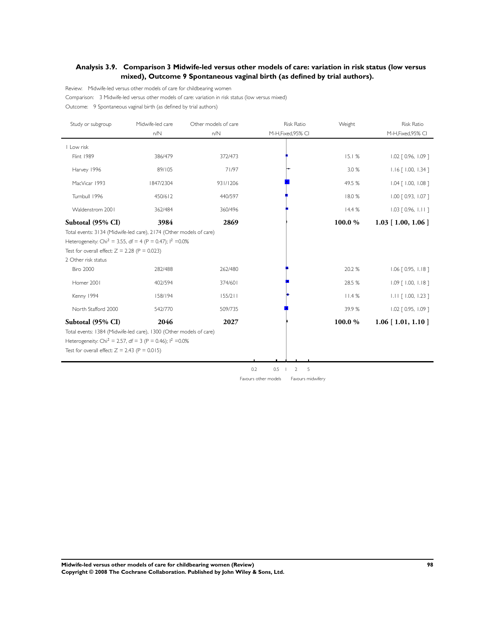### **Analysis 3.9. Comparison 3 Midwife-led versus other models of care: variation in risk status (low versus mixed), Outcome 9 Spontaneous vaginal birth (as defined by trial authors).**

Review: Midwife-led versus other models of care for childbearing women

Comparison: 3 Midwife-led versus other models of care: variation in risk status (low versus mixed)

Outcome: 9 Spontaneous vaginal birth (as defined by trial authors)

| Study or subgroup                                                                                                                                                                                | Midwife-led care | Other models of care | <b>Risk Ratio</b>                 | Weight | <b>Risk Ratio</b>       |
|--------------------------------------------------------------------------------------------------------------------------------------------------------------------------------------------------|------------------|----------------------|-----------------------------------|--------|-------------------------|
|                                                                                                                                                                                                  | n/N              | n/N                  | M-H, Fixed, 95% CI                |        | M-H, Fixed, 95% CI      |
| I Low risk                                                                                                                                                                                       |                  |                      |                                   |        |                         |
| Flint 1989                                                                                                                                                                                       | 386/479          | 372/473              |                                   | 15.1%  | $1.02$ $[0.96, 1.09]$   |
| Harvey 1996                                                                                                                                                                                      | 89/105           | 71/97                |                                   | 3.0%   | $1.16$ $[ 1.00, 1.34 ]$ |
| MacVicar 1993                                                                                                                                                                                    | 1847/2304        | 931/1206             |                                   | 49.5 % | $1.04$ $[ 1.00, 1.08 ]$ |
| Turnbull 1996                                                                                                                                                                                    | 450/612          | 440/597              |                                   | 18.0%  | $1.00$ $[0.93, 1.07]$   |
| Waldenstrom 2001                                                                                                                                                                                 | 362/484          | 360/496              |                                   | 14.4 % | $1.03$ $[0.96, 1.11]$   |
| Subtotal (95% CI)<br>Total events: 3134 (Midwife-led care), 2174 (Other models of care)<br>Heterogeneity: Chi <sup>2</sup> = 3.55, df = 4 (P = 0.47); $1^2$ = 0.0%                               | 3984             | 2869                 |                                   | 100.0% | $1.03$ [ 1.00, 1.06 ]   |
| Test for overall effect: $Z = 2.28$ (P = 0.023)                                                                                                                                                  |                  |                      |                                   |        |                         |
| 2 Other risk status                                                                                                                                                                              |                  |                      |                                   |        |                         |
| <b>Biro 2000</b>                                                                                                                                                                                 | 282/488          | 262/480              |                                   | 20.2 % | $1.06$ $[0.95, 1.18]$   |
| Homer 2001                                                                                                                                                                                       | 402/594          | 374/601              |                                   | 28.5 % | 1.09 [ 1.00, 1.18 ]     |
| Kenny 1994                                                                                                                                                                                       | 158/194          | 155/211              |                                   | 11.4%  | $1.11$ $[1.00, 1.23]$   |
| North Stafford 2000                                                                                                                                                                              | 542/770          | 509/735              |                                   | 39.9%  | $1.02$ $[0.95, 1.09]$   |
| Subtotal (95% CI)                                                                                                                                                                                | 2046             | 2027                 |                                   | 100.0% | $1.06$ [ 1.01, 1.10 ]   |
| Total events: 1384 (Midwife-led care), 1300 (Other models of care)<br>Heterogeneity: Chi <sup>2</sup> = 2.57, df = 3 (P = 0.46); $1^2$ = 0.0%<br>Test for overall effect: $Z = 2.43$ (P = 0.015) |                  |                      |                                   |        |                         |
|                                                                                                                                                                                                  |                  |                      | 0.2<br>0.5<br>5<br>$\overline{2}$ |        |                         |

Favours other models Favours midwifery

**Midwife-led versus other models of care for childbearing women (Review) 98 Copyright © 2008 The Cochrane Collaboration. Published by John Wiley & Sons, Ltd.**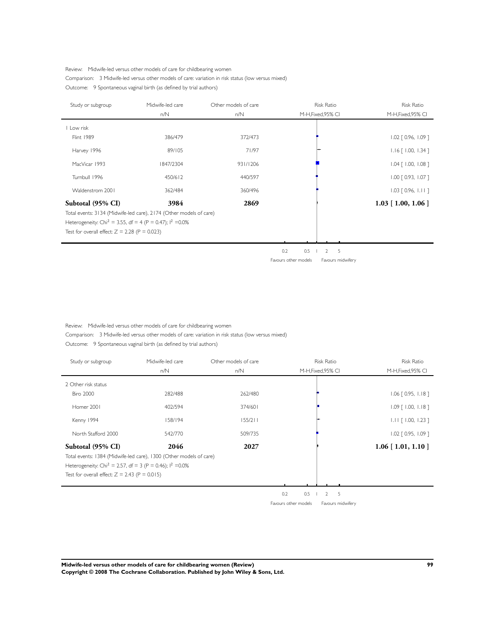# Review: Midwife-led versus other models of care for childbearing women

Comparison: 3 Midwife-led versus other models of care: variation in risk status (low versus mixed) Outcome: 9 Spontaneous vaginal birth (as defined by trial authors)

| Study or subgroup                                                                                                                                        | Midwife-led care<br>n/N                                                                                                                                                                                                                            | Other models of care<br>n/N | Risk Ratio<br>M-H,Fixed,95% CI                                                       | Risk Ratio<br>M-H, Fixed, 95% CI        |
|----------------------------------------------------------------------------------------------------------------------------------------------------------|----------------------------------------------------------------------------------------------------------------------------------------------------------------------------------------------------------------------------------------------------|-----------------------------|--------------------------------------------------------------------------------------|-----------------------------------------|
| I Low risk                                                                                                                                               |                                                                                                                                                                                                                                                    |                             |                                                                                      |                                         |
| Flint 1989                                                                                                                                               | 386/479                                                                                                                                                                                                                                            | 372/473                     |                                                                                      | $1.02$ $[0.96, 1.09]$                   |
| Harvey 1996                                                                                                                                              | 89/105                                                                                                                                                                                                                                             | 71/97                       |                                                                                      | $1.16$ [ $1.00$ , $1.34$ ]              |
| MacVicar 1993                                                                                                                                            | 1847/2304                                                                                                                                                                                                                                          | 931/1206                    |                                                                                      | $1.04$ [ 1.00, 1.08 ]                   |
| Tumbull 1996                                                                                                                                             | 450/612                                                                                                                                                                                                                                            | 440/597                     |                                                                                      | $1.00$ [ 0.93, 1.07 ]                   |
| Waldenstrom 2001                                                                                                                                         | 362/484                                                                                                                                                                                                                                            | 360/496                     |                                                                                      | $1.03$ [ 0.96, 1.11 ]                   |
| Subtotal (95% CI)<br>Heterogeneity: Chi <sup>2</sup> = 3.55, df = 4 (P = 0.47); l <sup>2</sup> = 0.0%<br>Test for overall effect: $Z = 2.28$ (P = 0.023) | 3984<br>Total events: 3134 (Midwife-led care), 2174 (Other models of care)                                                                                                                                                                         | 2869                        |                                                                                      | $1.03$ [ $1.00, 1.06$ ]                 |
|                                                                                                                                                          |                                                                                                                                                                                                                                                    |                             | 0.2<br>0.5<br>$\overline{2}$<br>5<br>-1<br>Favours other models<br>Favours midwifery |                                         |
|                                                                                                                                                          | Review: Midwife-led versus other models of care for childbearing women<br>Comparison: 3 Midwife-led versus other models of care: variation in risk status (low versus mixed)<br>Outcome: 9 Spontaneous vaginal birth (as defined by trial authors) |                             |                                                                                      |                                         |
| Study or subgroup                                                                                                                                        | Midwife-led care<br>n/N                                                                                                                                                                                                                            | Other models of care<br>n/N | <b>Risk Ratio</b><br>M-H,Fixed,95% CI                                                | <b>Risk Ratio</b><br>M-H, Fixed, 95% CI |
| 2 Other risk status                                                                                                                                      |                                                                                                                                                                                                                                                    |                             |                                                                                      |                                         |
| <b>Biro 2000</b>                                                                                                                                         | 282/488                                                                                                                                                                                                                                            | 262/480                     |                                                                                      | $1.06$ [ 0.95, 1.18 ]                   |
| Homer 2001                                                                                                                                               | 402/594                                                                                                                                                                                                                                            | 374/601                     |                                                                                      | $1.09$ [ $1.00$ , $1.18$ ]              |
| Kenny 1994                                                                                                                                               | 158/194                                                                                                                                                                                                                                            | 155/211                     |                                                                                      | $1.11$ [ $1.00, 1.23$ ]                 |
| North Stafford 2000                                                                                                                                      | 542/770                                                                                                                                                                                                                                            | 509/735                     |                                                                                      | $1.02$ $[0.95, 1.09]$                   |
| Subtotal (95% CI)<br>Heterogeneity: Chi <sup>2</sup> = 2.57, df = 3 (P = 0.46); l <sup>2</sup> = 0.0%<br>Test for overall effect: $Z = 2.43$ (P = 0.015) | 2046<br>Total events: 1384 (Midwife-led care), 1300 (Other models of care)                                                                                                                                                                         | 2027                        |                                                                                      | $1.06$ [ 1.01, 1.10 ]                   |
|                                                                                                                                                          |                                                                                                                                                                                                                                                    |                             | 0.2<br>$0.5\,$<br>5<br>2<br>- 1<br>Favours other models<br>Favours midwifery         |                                         |

**Midwife-led versus other models of care for childbearing women (Review) 99 Copyright © 2008 The Cochrane Collaboration. Published by John Wiley & Sons, Ltd.**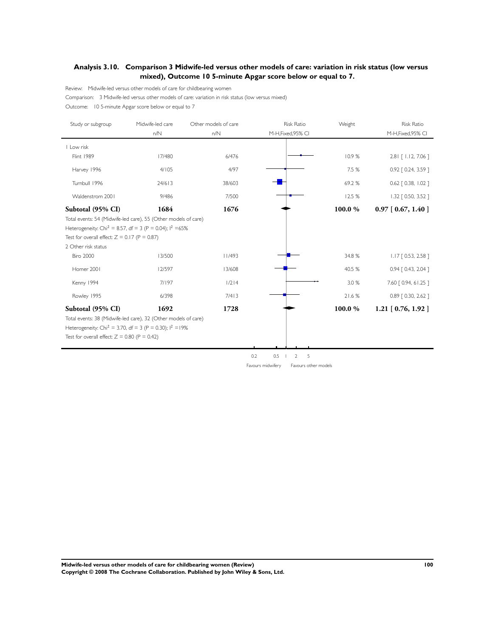### **Analysis 3.10. Comparison 3 Midwife-led versus other models of care: variation in risk status (low versus mixed), Outcome 10 5-minute Apgar score below or equal to 7.**

Review: Midwife-led versus other models of care for childbearing women

Comparison: 3 Midwife-led versus other models of care: variation in risk status (low versus mixed)

Outcome: 10 5-minute Apgar score below or equal to 7

| Study or subgroup                                                      | Midwife-led care | Other models of care | <b>Risk Ratio</b>                 | Weight | <b>Risk Ratio</b>        |
|------------------------------------------------------------------------|------------------|----------------------|-----------------------------------|--------|--------------------------|
|                                                                        | n/N              | n/N                  | M-H, Fixed, 95% CI                |        | M-H, Fixed, 95% CI       |
| I Low risk                                                             |                  |                      |                                   |        |                          |
| Flint 1989                                                             | 17/480           | 6/476                |                                   | 10.9%  | 2.81 [ 1.12, 7.06 ]      |
| Harvey 1996                                                            | 4/105            | 4/97                 |                                   | 7.5 %  | 0.92 [ 0.24, 3.59 ]      |
| Tumbull 1996                                                           | 24/613           | 38/603               |                                   | 69.2%  | $0.62$ $[0.38, 1.02]$    |
| Waldenstrom 2001                                                       | 9/486            | 7/500                |                                   | 12.5 % | 1.32 [ 0.50, 3.52 ]      |
| Subtotal (95% CI)                                                      | 1684             | 1676                 |                                   | 100.0% | $0.97$ [ $0.67$ , 1.40 ] |
| Total events: 54 (Midwife-led care), 55 (Other models of care)         |                  |                      |                                   |        |                          |
| Heterogeneity: Chi <sup>2</sup> = 8.57, df = 3 (P = 0.04); $1^2$ =65%  |                  |                      |                                   |        |                          |
| Test for overall effect: $Z = 0.17$ (P = 0.87)                         |                  |                      |                                   |        |                          |
| 2 Other risk status                                                    |                  |                      |                                   |        |                          |
| <b>Biro 2000</b>                                                       | 13/500           | 11/493               |                                   | 34.8%  | $1.17$ $[0.53, 2.58]$    |
| Homer 2001                                                             | 12/597           | 13/608               |                                   | 40.5 % | 0.94 [ 0.43, 2.04 ]      |
| Kenny 1994                                                             | 7/197            | $1/2$   4            |                                   | 3.0 %  | 7.60 [ 0.94, 61.25 ]     |
| Rowley 1995                                                            | 6/398            | 7/413                |                                   | 21.6%  | 0.89 [ 0.30, 2.62 ]      |
| Subtotal (95% CI)                                                      | 1692             | 1728                 |                                   | 100.0% | $1.21$ [ 0.76, 1.92 ]    |
| Total events: 38 (Midwife-led care), 32 (Other models of care)         |                  |                      |                                   |        |                          |
| Heterogeneity: Chi <sup>2</sup> = 3.70, df = 3 (P = 0.30); $1^2$ = 19% |                  |                      |                                   |        |                          |
| Test for overall effect: $Z = 0.80$ (P = 0.42)                         |                  |                      |                                   |        |                          |
|                                                                        |                  |                      |                                   |        |                          |
|                                                                        |                  |                      | 0.2<br>0.5<br>$\overline{2}$<br>5 |        |                          |

Favours midwifery | Favours other models

**Midwife-led versus other models of care for childbearing women (Review) 100 Copyright © 2008 The Cochrane Collaboration. Published by John Wiley & Sons, Ltd.**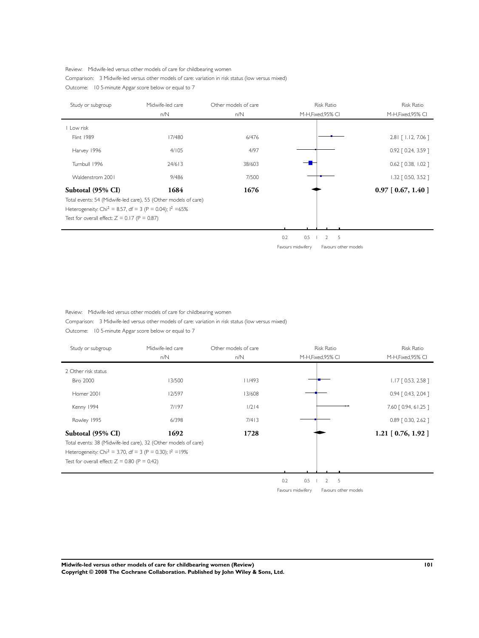#### Review: Midwife-led versus other models of care for childbearing women Comparison: 3 Midwife-led versus other models of care: variation in risk status (low versus mixed) Outcome: 10 5-minute Apgar score below or equal to 7

**Midwife-led versus other models of care for childbearing women (Review) 101 Copyright © 2008 The Cochrane Collaboration. Published by John Wiley & Sons, Ltd.**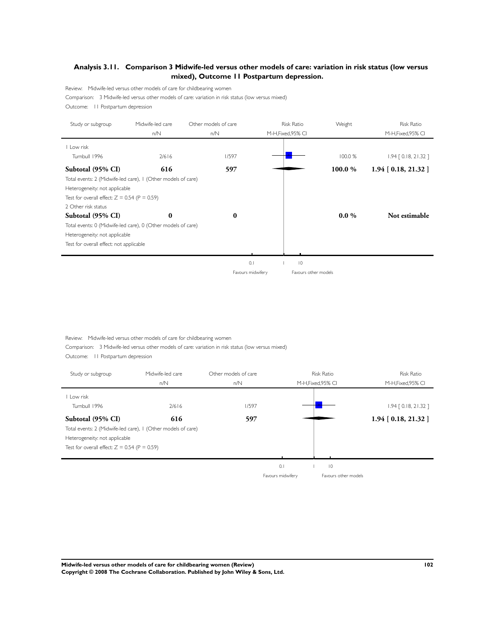### **Analysis 3.11. Comparison 3 Midwife-led versus other models of care: variation in risk status (low versus mixed), Outcome 11 Postpartum depression.**

Review: Midwife-led versus other models of care for childbearing women

Comparison: 3 Midwife-led versus other models of care: variation in risk status (low versus mixed)

Outcome: II Postpartum depression

| Study or subgroup                                            | Midwife-led care<br>n/N | Other models of care<br>n/N |                   | <b>Risk Ratio</b><br>M-H, Fixed, 95% CI | Weight  | <b>Risk Ratio</b><br>M-H, Fixed, 95% CI |
|--------------------------------------------------------------|-------------------------|-----------------------------|-------------------|-----------------------------------------|---------|-----------------------------------------|
|                                                              |                         |                             |                   |                                         |         |                                         |
| I Low risk                                                   |                         |                             |                   |                                         |         |                                         |
| Turnbull 1996                                                | 2/616                   | 1/597                       |                   |                                         | 100.0%  | $1.94$ $[0.18, 21.32]$                  |
| Subtotal (95% CI)                                            | 616                     | 597                         |                   |                                         | 100.0%  | $1.94$ [ 0.18, 21.32 ]                  |
| Total events: 2 (Midwife-led care), 1 (Other models of care) |                         |                             |                   |                                         |         |                                         |
| Heterogeneity: not applicable                                |                         |                             |                   |                                         |         |                                         |
| Test for overall effect: $Z = 0.54$ (P = 0.59)               |                         |                             |                   |                                         |         |                                         |
| 2 Other risk status                                          |                         |                             |                   |                                         |         |                                         |
| Subtotal (95% CI)                                            | 0                       | $\bf{0}$                    |                   |                                         | $0.0\%$ | Not estimable                           |
| Total events: 0 (Midwife-led care), 0 (Other models of care) |                         |                             |                   |                                         |         |                                         |
| Heterogeneity: not applicable                                |                         |                             |                   |                                         |         |                                         |
| Test for overall effect: not applicable                      |                         |                             |                   |                                         |         |                                         |
|                                                              |                         |                             |                   |                                         |         |                                         |
|                                                              |                         |                             | 0.1               | 0                                       |         |                                         |
|                                                              |                         |                             | Favours midwifery | Favours other models                    |         |                                         |

Review: Midwife-led versus other models of care for childbearing women

Comparison: 3 Midwife-led versus other models of care: variation in risk status (low versus mixed) Outcome: II Postpartum depression

| Study or subgroup                                            | Midwife-led care<br>n/N | Other models of care<br>n/N | <b>Risk Ratio</b><br>M-H, Fixed, 95% CI | <b>Risk Ratio</b><br>M-H, Fixed, 95% CI |
|--------------------------------------------------------------|-------------------------|-----------------------------|-----------------------------------------|-----------------------------------------|
| I I ow risk                                                  |                         |                             |                                         |                                         |
| Tumbull 1996                                                 | $2/6$ 16                | 1/597                       |                                         | $1.94$ $[0.18, 21.32]$                  |
| Subtotal (95% CI)                                            | 616                     | 597                         |                                         | $1.94$ [ 0.18, 21.32 ]                  |
| Total events: 2 (Midwife-led care), 1 (Other models of care) |                         |                             |                                         |                                         |
| Heterogeneity: not applicable                                |                         |                             |                                         |                                         |
| Test for overall effect: $Z = 0.54$ (P = 0.59)               |                         |                             |                                         |                                         |
|                                                              |                         |                             |                                         |                                         |
|                                                              |                         | 0.1                         | $\overline{0}$                          |                                         |
|                                                              |                         | Favours midwifery           | Favours other models                    |                                         |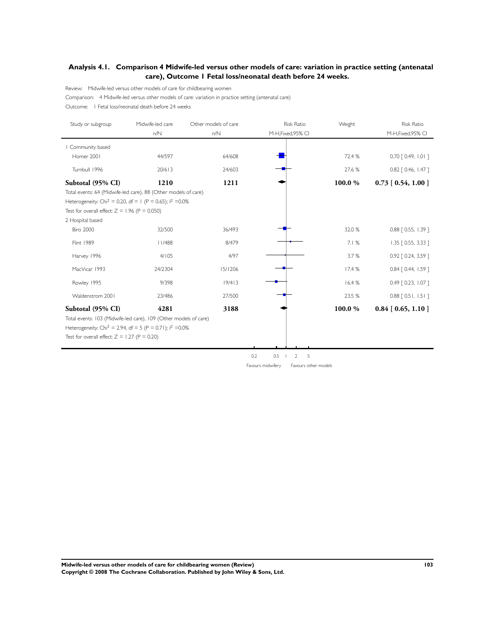### **Analysis 4.1. Comparison 4 Midwife-led versus other models of care: variation in practice setting (antenatal care), Outcome 1 Fetal loss/neonatal death before 24 weeks.**

Review: Midwife-led versus other models of care for childbearing women

Comparison: 4 Midwife-led versus other models of care: variation in practice setting (antenatal care)

Outcome: 1 Fetal loss/neonatal death before 24 weeks

| Study or subgroup                                                                | Midwife-led care | Other models of care | <b>Risk Ratio</b>                       | Weight | <b>Risk Ratio</b>     |
|----------------------------------------------------------------------------------|------------------|----------------------|-----------------------------------------|--------|-----------------------|
|                                                                                  | n/N              | n/N                  | M-H, Fixed, 95% CI                      |        | M-H, Fixed, 95% CI    |
| Community based                                                                  |                  |                      |                                         |        |                       |
| Homer 2001                                                                       | 44/597           | 64/608               |                                         | 72.4 % | $0.70$ $[0.49, 1.01]$ |
| Tumbull 1996                                                                     | 20/613           | 24/603               |                                         | 27.6 % | $0.82$ $[0.46, 1.47]$ |
| Subtotal (95% CI)                                                                | 1210             | 1211                 |                                         | 100.0% | $0.73$ [ 0.54, 1.00 ] |
| Total events: 64 (Midwife-led care), 88 (Other models of care)                   |                  |                      |                                         |        |                       |
| Heterogeneity: Chi <sup>2</sup> = 0.20, df = 1 (P = 0.65); l <sup>2</sup> = 0.0% |                  |                      |                                         |        |                       |
| Test for overall effect: $Z = 1.96$ (P = 0.050)                                  |                  |                      |                                         |        |                       |
| 2 Hospital based                                                                 |                  |                      |                                         |        |                       |
| <b>Biro 2000</b>                                                                 | 32/500           | 36/493               |                                         | 32.0 % | $0.88$ $[0.55, 1.39]$ |
| Flint 1989                                                                       | 11/488           | 8/479                |                                         | 7.1%   | $1.35$ $[0.55, 3.33]$ |
| Harvey 1996                                                                      | 4/105            | 4/97                 |                                         | 3.7%   | 0.92 [ 0.24, 3.59 ]   |
| MacVicar 1993                                                                    | 24/2304          | 15/1206              |                                         | 17.4 % | 0.84   0.44, 1.59 ]   |
| Rowley 1995                                                                      | 9/398            | 19/413               |                                         | 16.4%  | 0.49 [ 0.23, 1.07 ]   |
| Waldenstrom 2001                                                                 | 23/486           | 27/500               |                                         | 23.5 % | $0.88$ [ 0.51, 1.51 ] |
| Subtotal (95% CI)                                                                | 4281             | 3188                 |                                         | 100.0% | $0.84$ [ 0.65, 1.10 ] |
| Total events: 103 (Midwife-led care), 109 (Other models of care)                 |                  |                      |                                         |        |                       |
| Heterogeneity: Chi <sup>2</sup> = 2.94, df = 5 (P = 0.71); $1^2$ =0.0%           |                  |                      |                                         |        |                       |
| Test for overall effect: $Z = 1.27$ (P = 0.20)                                   |                  |                      |                                         |        |                       |
|                                                                                  |                  |                      |                                         |        |                       |
|                                                                                  |                  |                      | 0.J<br><b>O.5</b><br>$\mathcal{D}$<br>5 |        |                       |

0.2 0.5 1 2 5

Favours midwifery Favours other models

**Midwife-led versus other models of care for childbearing women (Review) 103 Copyright © 2008 The Cochrane Collaboration. Published by John Wiley & Sons, Ltd.**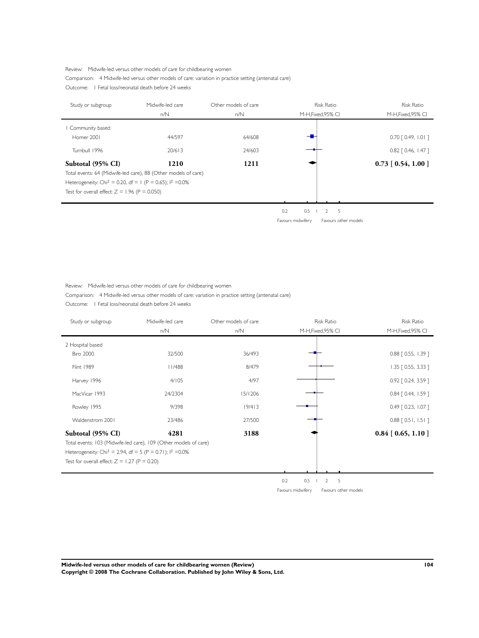#### Review: Midwife-led versus other models of care for childbearing women Comparison: 4 Midwife-led versus other models of care: variation in practice setting (antenatal care) Outcome: 1 Fetal loss/neonatal death before 24 weeks

| Study or subgroup                                                      | Midwife-led care                                               | Other models of care | <b>Risk Ratio</b> |                      | <b>Risk Ratio</b>       |
|------------------------------------------------------------------------|----------------------------------------------------------------|----------------------|-------------------|----------------------|-------------------------|
|                                                                        | n/N                                                            | n/N                  |                   | M-H, Fixed, 95% CI   | M-H, Fixed, 95% CI      |
| Community based                                                        |                                                                |                      |                   |                      |                         |
| Homer 2001                                                             | 44/597                                                         | 64/608               |                   |                      | $0.70$ $[0.49, 1.01]$   |
| Turnbull 1996                                                          | 20/613                                                         | 24/603               |                   |                      | $0.82$ $[$ 0.46, 1.47 ] |
| Subtotal (95% CI)                                                      | 1210                                                           | 1211                 |                   |                      | $0.73$ [ 0.54, 1.00 ]   |
|                                                                        | Total events: 64 (Midwife-led care), 88 (Other models of care) |                      |                   |                      |                         |
| Heterogeneity: Chi <sup>2</sup> = 0.20, df = 1 (P = 0.65); $1^2$ =0.0% |                                                                |                      |                   |                      |                         |
| Test for overall effect: $Z = 1.96$ (P = 0.050)                        |                                                                |                      |                   |                      |                         |
|                                                                        |                                                                |                      |                   |                      |                         |
|                                                                        |                                                                |                      | 0.2<br>0.5        | 5<br>$\mathcal{L}$   |                         |
|                                                                        |                                                                |                      | Favours midwifery | Favours other models |                         |
|                                                                        |                                                                |                      |                   |                      |                         |

Review: Midwife-led versus other models of care for childbearing women

Comparison: 4 Midwife-led versus other models of care: variation in practice setting (antenatal care) Outcome: 1 Fetal loss/neonatal death before 24 weeks

| Study or subgroup                                                      | Midwife-led care                                                 | Other models of care |                    | <b>Risk Ratio</b>    | <b>Risk Ratio</b>                 |
|------------------------------------------------------------------------|------------------------------------------------------------------|----------------------|--------------------|----------------------|-----------------------------------|
|                                                                        | n/N                                                              | n/N                  | M-H, Fixed, 95% CI |                      | M-H, Fixed, 95% CI                |
| 2 Hospital based                                                       |                                                                  |                      |                    |                      |                                   |
| <b>Biro 2000</b>                                                       | 32/500                                                           | 36/493               |                    |                      | $0.88$ $\lceil 0.55, 1.39 \rceil$ |
| Flint 1989                                                             | 11/488                                                           | 8/479                |                    |                      | $1.35$ $[0.55, 3.33]$             |
| Harvey 1996                                                            | 4/105                                                            | 4/97                 |                    |                      | $0.92$ $[0.24, 3.59]$             |
| MacVicar 1993                                                          | 24/2304                                                          | 15/1206              |                    |                      | $0.84$ $[0.44, 1.59]$             |
| Rowley 1995                                                            | 9/398                                                            | 19/413               |                    |                      | $0.49$ $[0.23, 1.07]$             |
| Waldenstrom 2001                                                       | 23/486                                                           | 27/500               |                    |                      | $0.88$ $[0.51, 1.51]$             |
| Subtotal (95% CI)                                                      | 4281                                                             | 3188                 |                    |                      | $0.84$ [ 0.65, 1.10 ]             |
|                                                                        | Total events: 103 (Midwife-led care), 109 (Other models of care) |                      |                    |                      |                                   |
| Heterogeneity: Chi <sup>2</sup> = 2.94, df = 5 (P = 0.71); $1^2$ =0.0% |                                                                  |                      |                    |                      |                                   |
| Test for overall effect: $Z = 1.27$ (P = 0.20)                         |                                                                  |                      |                    |                      |                                   |
|                                                                        |                                                                  |                      |                    |                      |                                   |
|                                                                        |                                                                  |                      | 0.2<br>0.5         | 5<br>2               |                                   |
|                                                                        |                                                                  |                      | Favours midwifery  | Favours other models |                                   |

**Midwife-led versus other models of care for childbearing women (Review) 104 Copyright © 2008 The Cochrane Collaboration. Published by John Wiley & Sons, Ltd.**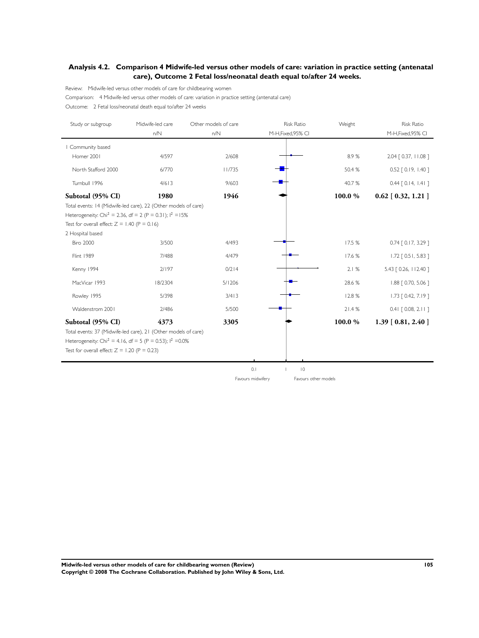## **Analysis 4.2. Comparison 4 Midwife-led versus other models of care: variation in practice setting (antenatal care), Outcome 2 Fetal loss/neonatal death equal to/after 24 weeks.**

Review: Midwife-led versus other models of care for childbearing women

Comparison: 4 Midwife-led versus other models of care: variation in practice setting (antenatal care)

Outcome: 2 Fetal loss/neonatal death equal to/after 24 weeks

| Study or subgroup                                                       | Midwife-led care | Other models of care | <b>Risk Ratio</b>     | Weight | <b>Risk Ratio</b>        |
|-------------------------------------------------------------------------|------------------|----------------------|-----------------------|--------|--------------------------|
|                                                                         | n/N              | n/N                  | M-H, Fixed, 95% CI    |        | M-H, Fixed, 95% CI       |
| I Community based                                                       |                  |                      |                       |        |                          |
| Homer 2001                                                              | 4/597            | 2/608                |                       | 8.9%   | 2.04 [ 0.37, 11.08 ]     |
| North Stafford 2000                                                     | 6/770            | 11/735               |                       | 50.4 % | 0.52 [ 0.19, 1.40 ]      |
| Tumbull 1996                                                            | 4/613            | 9/603                |                       | 40.7%  | $0.44$ $[0.14, 1.41]$    |
| Subtotal (95% CI)                                                       | 1980             | 1946                 |                       | 100.0% | $0.62$ [ $0.32$ , 1.21 ] |
| Total events: 14 (Midwife-led care), 22 (Other models of care)          |                  |                      |                       |        |                          |
| Heterogeneity: Chi <sup>2</sup> = 2.36, df = 2 (P = 0.31); $1^2$ = 15%  |                  |                      |                       |        |                          |
| Test for overall effect: $Z = 1.40$ (P = 0.16)                          |                  |                      |                       |        |                          |
| 2 Hospital based                                                        |                  |                      |                       |        |                          |
| <b>Biro 2000</b>                                                        | 3/500            | 4/493                |                       | 17.5 % | $0.74$ $[0.17, 3.29]$    |
| Flint 1989                                                              | 7/488            | 4/479                |                       | 17.6 % | $1.72$ $[0.51, 5.83]$    |
| Kenny 1994                                                              | 2/197            | 0/214                |                       | 2.1%   | 5.43 [ 0.26, 112.40 ]    |
| MacVicar 1993                                                           | 18/2304          | 5/1206               |                       | 28.6 % | 1.88 [ 0.70, 5.06 ]      |
| Rowley 1995                                                             | 5/398            | 3/413                |                       | 12.8%  | $1.73$ $[0.42, 7.19]$    |
| Waldenstrom 2001                                                        | 2/486            | 5/500                |                       | 21.4%  | $0.41$ $[0.08, 2.11]$    |
| Subtotal (95% CI)                                                       | 4373             | 3305                 |                       | 100.0% | $1.39$ [ $0.81, 2.40$ ]  |
| Total events: 37 (Midwife-led care), 21 (Other models of care)          |                  |                      |                       |        |                          |
| Heterogeneity: Chi <sup>2</sup> = 4.16, df = 5 (P = 0.53); $1^2$ = 0.0% |                  |                      |                       |        |                          |
| Test for overall effect: $Z = 1.20$ (P = 0.23)                          |                  |                      |                       |        |                          |
|                                                                         |                  |                      |                       |        |                          |
|                                                                         |                  |                      | 0.1<br>$\overline{0}$ |        |                          |

Favours midwifery Favours other models

**Midwife-led versus other models of care for childbearing women (Review) 105 Copyright © 2008 The Cochrane Collaboration. Published by John Wiley & Sons, Ltd.**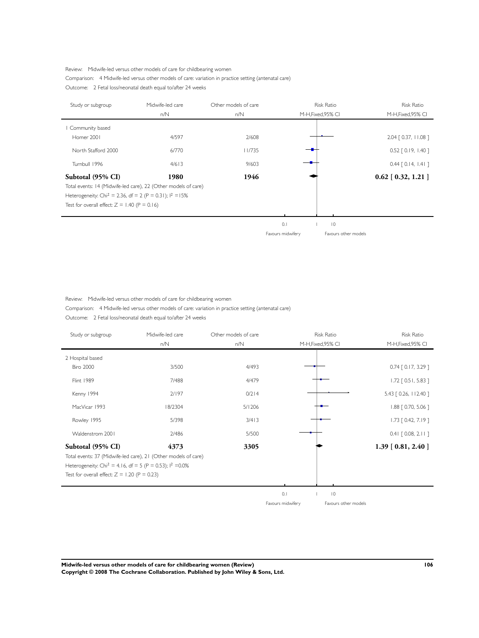# Review: Midwife-led versus other models of care for childbearing women Comparison: 4 Midwife-led versus other models of care: variation in practice setting (antenatal care)

Outcome: 2 Fetal loss/neonatal death equal to/after 24 weeks

| Study or subgroup                                                      | Midwife-led care                                               | Other models of care |                   | <b>Risk Ratio</b>    | <b>Risk Ratio</b>        |
|------------------------------------------------------------------------|----------------------------------------------------------------|----------------------|-------------------|----------------------|--------------------------|
|                                                                        | n/N                                                            | n/N                  |                   | M-H, Fixed, 95% CI   | M-H, Fixed, 95% CI       |
| Community based                                                        |                                                                |                      |                   |                      |                          |
| Homer 2001                                                             | 4/597                                                          | 2/608                |                   |                      | 2.04 [ 0.37, 11.08 ]     |
| North Stafford 2000                                                    | 6/770                                                          | 11/735               |                   |                      | $0.52$ $[0.19, 1.40]$    |
| Turnbull 1996                                                          | 4/613                                                          | 9/603                |                   |                      | $0.44$ $[0.14, 1.41]$    |
| Subtotal (95% CI)                                                      | 1980                                                           | 1946                 |                   |                      | $0.62$ [ $0.32$ , 1.21 ] |
|                                                                        | Total events: 14 (Midwife-led care), 22 (Other models of care) |                      |                   |                      |                          |
| Heterogeneity: Chi <sup>2</sup> = 2.36, df = 2 (P = 0.31); $1^2$ = 15% |                                                                |                      |                   |                      |                          |
| Test for overall effect: $Z = 1.40$ (P = 0.16)                         |                                                                |                      |                   |                      |                          |
|                                                                        |                                                                |                      |                   |                      |                          |
|                                                                        |                                                                |                      | 0.1               | 10                   |                          |
|                                                                        |                                                                |                      | Favours midwifery | Favours other models |                          |

Review: Midwife-led versus other models of care for childbearing women

Comparison: 4 Midwife-led versus other models of care: variation in practice setting (antenatal care)

Outcome: 2 Fetal loss/neonatal death equal to/after 24 weeks

| Study or subgroup                                                      | Midwife-led care                                               | Other models of care | <b>Risk Ratio</b>     | <b>Risk Ratio</b>     |
|------------------------------------------------------------------------|----------------------------------------------------------------|----------------------|-----------------------|-----------------------|
|                                                                        | n/N                                                            | n/N                  | M-H, Fixed, 95% CI    | M-H, Fixed, 95% CI    |
| 2 Hospital based                                                       |                                                                |                      |                       |                       |
| <b>Biro 2000</b>                                                       | 3/500                                                          | 4/493                |                       | $0.74$ [ 0.17, 3.29 ] |
| Flint 1989                                                             | 7/488                                                          | 4/479                |                       | $1.72$ $[0.51, 5.83]$ |
| Kenny 1994                                                             | 2/197                                                          | $0/2$   4            |                       | 5.43 [0.26, 112.40]   |
| MacVicar 1993                                                          | 18/2304                                                        | 5/1206               |                       | $1.88$ $[0.70, 5.06]$ |
| Rowley 1995                                                            | 5/398                                                          | 3/413                |                       | $1.73$ $[0.42, 7.19]$ |
| Waldenstrom 2001                                                       | 2/486                                                          | 5/500                |                       | $0.41$ $[0.08, 2.11]$ |
| Subtotal (95% CI)                                                      | 4373                                                           | 3305                 |                       | $1.39$ [ 0.81, 2.40 ] |
|                                                                        | Total events: 37 (Midwife-led care), 21 (Other models of care) |                      |                       |                       |
| Heterogeneity: Chi <sup>2</sup> = 4.16, df = 5 (P = 0.53); $1^2$ =0.0% |                                                                |                      |                       |                       |
| Test for overall effect: $Z = 1.20$ (P = 0.23)                         |                                                                |                      |                       |                       |
|                                                                        |                                                                |                      |                       |                       |
|                                                                        |                                                                |                      | 0.1<br>$\overline{0}$ |                       |

Favours midwifery Favours other models

**Midwife-led versus other models of care for childbearing women (Review) 106 Copyright © 2008 The Cochrane Collaboration. Published by John Wiley & Sons, Ltd.**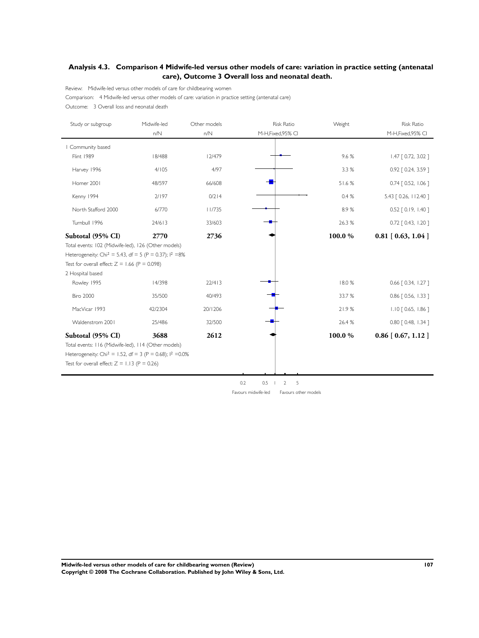## **Analysis 4.3. Comparison 4 Midwife-led versus other models of care: variation in practice setting (antenatal care), Outcome 3 Overall loss and neonatal death.**

Review: Midwife-led versus other models of care for childbearing women

Comparison: 4 Midwife-led versus other models of care: variation in practice setting (antenatal care)

Outcome: 3 Overall loss and neonatal death

| Study or subgroup                                                       | Midwife-led | Other models |                     | <b>Risk Ratio</b>    | Weight | <b>Risk Ratio</b>          |
|-------------------------------------------------------------------------|-------------|--------------|---------------------|----------------------|--------|----------------------------|
|                                                                         | n/N         | n/N          |                     | M-H, Fixed, 95% CI   |        | M-H,Fixed,95% CI           |
| Community based                                                         |             |              |                     |                      |        |                            |
| Flint 1989                                                              | 18/488      | 12/479       |                     |                      | 9.6%   | $1.47$ $[0.72, 3.02]$      |
| Harvey 1996                                                             | 4/105       | 4/97         |                     |                      | 3.3 %  | 0.92 [ 0.24, 3.59 ]        |
| Homer 2001                                                              | 48/597      | 66/608       |                     |                      | 51.6%  | $0.74$ $[0.52, 1.06]$      |
| Kenny 1994                                                              | 2/197       | $0/2$  4     |                     |                      | 0.4 %  | 5.43 [ 0.26, 112.40 ]      |
| North Stafford 2000                                                     | 6/770       | 11/735       |                     |                      | 8.9%   | 0.52 [ 0.19, 1.40 ]        |
| Turnbull 1996                                                           | 24/613      | 33/603       |                     |                      | 26.3%  | $0.72$ $[0.43, 1.20]$      |
| Subtotal (95% CI)                                                       | 2770        | 2736         |                     |                      | 100.0% | $0.81$ [ $0.63$ , $1.04$ ] |
| Total events: 102 (Midwife-led), 126 (Other models)                     |             |              |                     |                      |        |                            |
| Heterogeneity: Chi <sup>2</sup> = 5.43, df = 5 (P = 0.37); $1^2$ =8%    |             |              |                     |                      |        |                            |
| Test for overall effect: $Z = 1.66$ (P = 0.098)                         |             |              |                     |                      |        |                            |
| 2 Hospital based                                                        |             |              |                     |                      |        |                            |
| Rowley 1995                                                             | 14/398      | 22/413       |                     |                      | 18.0%  | 0.66 [ 0.34, 1.27 ]        |
| <b>Biro 2000</b>                                                        | 35/500      | 40/493       |                     |                      | 33.7%  | 0.86 [ 0.56, 1.33 ]        |
| MacVicar 1993                                                           | 42/2304     | 20/1206      |                     |                      | 21.9%  | $1.10$ $[0.65, 1.86]$      |
| Waldenstrom 2001                                                        | 25/486      | 32/500       |                     |                      | 26.4 % | 0.80 [ 0.48, 1.34 ]        |
| Subtotal (95% CI)                                                       | 3688        | 2612         |                     |                      | 100.0% | $0.86$ [ $0.67$ , 1.12 ]   |
| Total events: 116 (Midwife-led), 114 (Other models)                     |             |              |                     |                      |        |                            |
| Heterogeneity: Chi <sup>2</sup> = 1.52, df = 3 (P = 0.68); $1^2$ = 0.0% |             |              |                     |                      |        |                            |
| Test for overall effect: $Z = 1.13$ (P = 0.26)                          |             |              |                     |                      |        |                            |
|                                                                         |             |              |                     |                      |        |                            |
|                                                                         |             |              | 0.2<br>0.5          | 5<br>$\overline{2}$  |        |                            |
|                                                                         |             |              | Favours midwife-led | Favours other models |        |                            |

**Midwife-led versus other models of care for childbearing women (Review) 107 Copyright © 2008 The Cochrane Collaboration. Published by John Wiley & Sons, Ltd.**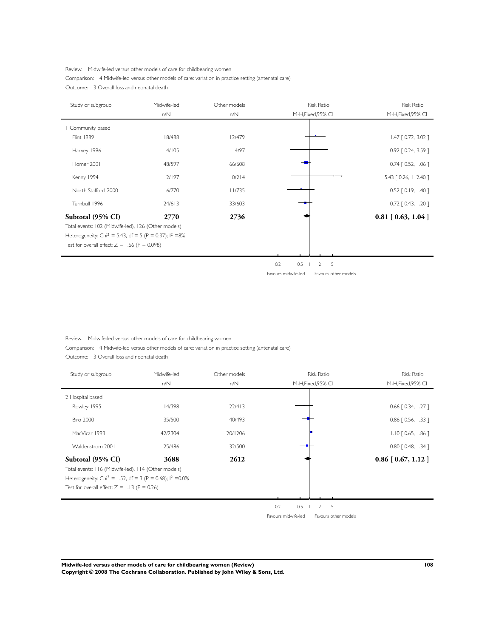### Review: Midwife-led versus other models of care for childbearing women Comparison: 4 Midwife-led versus other models of care: variation in practice setting (antenatal care) Outcome: 3 Overall loss and neonatal death

| Study or subgroup                                                    | Midwife-led | Other models | <b>Risk Ratio</b>  | <b>Risk Ratio</b>          |
|----------------------------------------------------------------------|-------------|--------------|--------------------|----------------------------|
|                                                                      | n/N         | n/N          | M-H, Fixed, 95% CI | M-H, Fixed, 95% CI         |
| I Community based                                                    |             |              |                    |                            |
| Flint 1989                                                           | 18/488      | 12/479       |                    | $1.47$ $[0.72, 3.02]$      |
| Harvey 1996                                                          | 4/105       | 4/97         |                    | $0.92$ $[0.24, 3.59]$      |
| Homer 2001                                                           | 48/597      | 66/608       |                    | $0.74$ $[0.52, 1.06]$      |
| Kenny 1994                                                           | 2/197       | 0/214        |                    | 5.43 [ 0.26, 112.40 ]      |
| North Stafford 2000                                                  | 6/770       | 11/735       |                    | $0.52$ [ 0.19, 1.40 ]      |
| Tumbull 1996                                                         | 24/613      | 33/603       |                    | $0.72$ $[0.43, 1.20]$      |
| Subtotal (95% CI)                                                    | 2770        | 2736         |                    | $0.81$ [ $0.63$ , $1.04$ ] |
| Total events: 102 (Midwife-led), 126 (Other models)                  |             |              |                    |                            |
| Heterogeneity: Chi <sup>2</sup> = 5.43, df = 5 (P = 0.37); $1^2$ =8% |             |              |                    |                            |
| Test for overall effect: $Z = 1.66$ (P = 0.098)                      |             |              |                    |                            |
|                                                                      |             |              |                    |                            |

0.2 0.5 1 2 5

Favours midwife-led Favours other models

Review: Midwife-led versus other models of care for childbearing women

Comparison: 4 Midwife-led versus other models of care: variation in practice setting (antenatal care)

Outcome: 3 Overall loss and neonatal death

| Study or subgroup                                                       | Midwife-led | Other models |     | <b>Risk Ratio</b>          | <b>Risk Ratio</b>     |
|-------------------------------------------------------------------------|-------------|--------------|-----|----------------------------|-----------------------|
|                                                                         | n/N         | n/N          |     | M-H, Fixed, 95% CI         | M-H, Fixed, 95% CI    |
| 2 Hospital based                                                        |             |              |     |                            |                       |
| Rowley 1995                                                             | 14/398      | 22/413       |     |                            | $0.66$ $[0.34, 1.27]$ |
| <b>Biro 2000</b>                                                        | 35/500      | 40/493       |     |                            | $0.86$ $[0.56, 1.33]$ |
| MacVicar 1993                                                           | 42/2304     | 20/1206      |     |                            | $1.10$ $[0.65, 1.86]$ |
| Waldenstrom 2001                                                        | 25/486      | 32/500       |     |                            | $0.80$ $[0.48, 1.34]$ |
| Subtotal (95% CI)                                                       | 3688        | 2612         |     |                            | $0.86$ [ 0.67, 1.12 ] |
| Total events: 116 (Midwife-led), 114 (Other models)                     |             |              |     |                            |                       |
| Heterogeneity: Chi <sup>2</sup> = 1.52, df = 3 (P = 0.68); $1^2$ = 0.0% |             |              |     |                            |                       |
| Test for overall effect: $Z = 1.13$ (P = 0.26)                          |             |              |     |                            |                       |
|                                                                         |             |              |     |                            |                       |
|                                                                         |             |              | 0.2 | 5<br>0.5<br>$\overline{2}$ |                       |

Favours midwife-led Favours other models

**Midwife-led versus other models of care for childbearing women (Review) 108 Copyright © 2008 The Cochrane Collaboration. Published by John Wiley & Sons, Ltd.**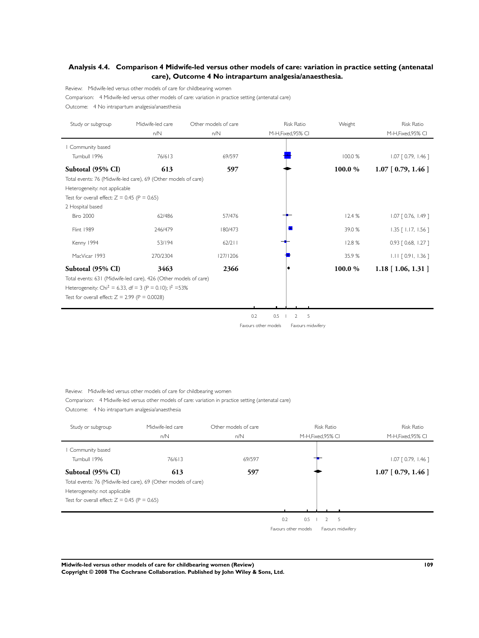## **Analysis 4.4. Comparison 4 Midwife-led versus other models of care: variation in practice setting (antenatal care), Outcome 4 No intrapartum analgesia/anaesthesia.**

Review: Midwife-led versus other models of care for childbearing women

Comparison: 4 Midwife-led versus other models of care: variation in practice setting (antenatal care)

Outcome: 4 No intrapartum analgesia/anaesthesia

| Study or subgroup                                                     | Midwife-led care                                                 | Other models of care |                      | <b>Risk Ratio</b>   | Weight  | <b>Risk Ratio</b>          |
|-----------------------------------------------------------------------|------------------------------------------------------------------|----------------------|----------------------|---------------------|---------|----------------------------|
|                                                                       | n/N                                                              | n/N                  |                      | M-H, Fixed, 95% CI  |         | M-H, Fixed, 95% CI         |
| I Community based                                                     |                                                                  |                      |                      |                     |         |                            |
| Turnbull 1996                                                         | 76/613                                                           | 69/597               |                      |                     | 100.0 % | $1.07$ $[0.79, 1.46]$      |
| Subtotal (95% CI)                                                     | 613                                                              | 597                  |                      |                     | 100.0%  | $1.07$ [ 0.79, 1.46 ]      |
|                                                                       | Total events: 76 (Midwife-led care), 69 (Other models of care)   |                      |                      |                     |         |                            |
| Heterogeneity: not applicable                                         |                                                                  |                      |                      |                     |         |                            |
| Test for overall effect: $Z = 0.45$ (P = 0.65)                        |                                                                  |                      |                      |                     |         |                            |
| 2 Hospital based                                                      |                                                                  |                      |                      |                     |         |                            |
| <b>Biro 2000</b>                                                      | 62/486                                                           | 57/476               |                      |                     | 12.4%   | $1.07$ $[0.76, 1.49]$      |
| Flint 1989                                                            | 246/479                                                          | 180/473              |                      |                     | 39.0 %  | $1.35$ [ $1.17$ , $1.56$ ] |
| Kenny 1994                                                            | 53/194                                                           | 62/211               |                      |                     | 12.8%   | 0.93 [ 0.68, 1.27 ]        |
| MacVicar 1993                                                         | 270/2304                                                         | 127/1206             |                      |                     | 35.9%   | $1.11$ $[0.91, 1.36]$      |
| Subtotal (95% CI)                                                     | 3463                                                             | 2366                 |                      |                     | 100.0 % | $1.18$ [ 1.06, 1.31 ]      |
|                                                                       | Total events: 631 (Midwife-led care), 426 (Other models of care) |                      |                      |                     |         |                            |
| Heterogeneity: Chi <sup>2</sup> = 6.33, df = 3 (P = 0.10); $1^2$ =53% |                                                                  |                      |                      |                     |         |                            |
| Test for overall effect: $Z = 2.99$ (P = 0.0028)                      |                                                                  |                      |                      |                     |         |                            |
|                                                                       |                                                                  |                      |                      |                     |         |                            |
|                                                                       |                                                                  |                      | 0.2<br>0.5           | 5<br>$\overline{2}$ |         |                            |
|                                                                       |                                                                  |                      | Favours other models | Favours midwifery   |         |                            |

Review: Midwife-led versus other models of care for childbearing women

Comparison: 4 Midwife-led versus other models of care: variation in practice setting (antenatal care)

Outcome: 4 No intrapartum analgesia/anaesthesia

| Study or subgroup                              | Midwife-led care<br>n/N                                        | Other models of care<br>n/N | <b>Risk Ratio</b><br>M-H, Fixed, 95% CI   | <b>Risk Ratio</b><br>M-H, Fixed, 95% CI |  |
|------------------------------------------------|----------------------------------------------------------------|-----------------------------|-------------------------------------------|-----------------------------------------|--|
| Community based                                |                                                                |                             |                                           |                                         |  |
| Turnbull 1996                                  | 76/613                                                         | 69/597                      |                                           | $1.07$ $[0.79, 1.46]$                   |  |
| Subtotal (95% CI)                              | 613                                                            | 597                         |                                           | $1.07$ [ 0.79, 1.46 ]                   |  |
|                                                | Total events: 76 (Midwife-led care), 69 (Other models of care) |                             |                                           |                                         |  |
| Heterogeneity: not applicable                  |                                                                |                             |                                           |                                         |  |
| Test for overall effect: $Z = 0.45$ (P = 0.65) |                                                                |                             |                                           |                                         |  |
|                                                |                                                                |                             |                                           |                                         |  |
|                                                |                                                                |                             | $-5$<br>0.2<br>0.5<br>$\mathcal{L}$       |                                         |  |
|                                                |                                                                |                             | Favours other models<br>Favours midwifery |                                         |  |
|                                                |                                                                |                             |                                           |                                         |  |
|                                                |                                                                |                             |                                           |                                         |  |
|                                                |                                                                |                             |                                           |                                         |  |

**Midwife-led versus other models of care for childbearing women (Review) 109**

**Copyright © 2008 The Cochrane Collaboration. Published by John Wiley & Sons, Ltd.**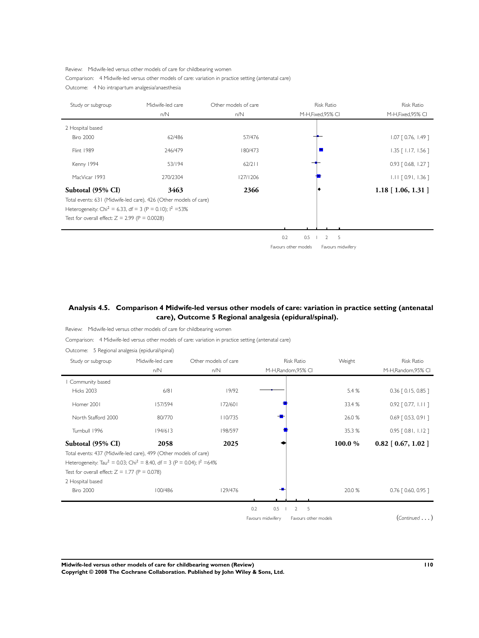Review: Midwife-led versus other models of care for childbearing women Comparison: 4 Midwife-led versus other models of care: variation in practice setting (antenatal care) Outcome: 4 No intrapartum analgesia/anaesthesia

| Study or subgroup                                                     | Midwife-led care                                                 | Other models of care |     | <b>Risk Ratio</b>  | <b>Risk Ratio</b>          |
|-----------------------------------------------------------------------|------------------------------------------------------------------|----------------------|-----|--------------------|----------------------------|
|                                                                       | n/N                                                              | n/N                  |     | M-H, Fixed, 95% CI | M-H, Fixed, 95% CI         |
| 2 Hospital based                                                      |                                                                  |                      |     |                    |                            |
| <b>Biro 2000</b>                                                      | 62/486                                                           | 57/476               |     |                    | $1.07$ $[0.76, 1.49]$      |
| Flint 1989                                                            | 246/479                                                          | 180/473              |     |                    | $1.35$ [ $1.17$ , $1.56$ ] |
| Kenny 1994                                                            | 53/194                                                           | 62/211               |     |                    | $0.93$ $[0.68, 1.27]$      |
| MacVicar 1993                                                         | 270/2304                                                         | 127/1206             |     |                    | $1.11$ $[0.91, 1.36]$      |
| Subtotal (95% CI)                                                     | 3463                                                             | 2366                 |     |                    | $1.18$ [ 1.06, 1.31 ]      |
|                                                                       | Total events: 631 (Midwife-led care), 426 (Other models of care) |                      |     |                    |                            |
| Heterogeneity: Chi <sup>2</sup> = 6.33, df = 3 (P = 0.10); $1^2$ =53% |                                                                  |                      |     |                    |                            |
| Test for overall effect: $Z = 2.99$ (P = 0.0028)                      |                                                                  |                      |     |                    |                            |
|                                                                       |                                                                  |                      |     |                    |                            |
|                                                                       |                                                                  |                      | 0.2 | 0.5<br>2<br>-5     |                            |

Favours other models Favours midwifery

### **Analysis 4.5. Comparison 4 Midwife-led versus other models of care: variation in practice setting (antenatal care), Outcome 5 Regional analgesia (epidural/spinal).**

Review: Midwife-led versus other models of care for childbearing women

Comparison: 4 Midwife-led versus other models of care: variation in practice setting (antenatal care)

| Outcome: 5 Regional analgesia (epidural/spinal)                                                |                  |                      |                   |                      |        |                       |
|------------------------------------------------------------------------------------------------|------------------|----------------------|-------------------|----------------------|--------|-----------------------|
| Study or subgroup                                                                              | Midwife-led care | Other models of care |                   | <b>Risk Ratio</b>    | Weight | <b>Risk Ratio</b>     |
|                                                                                                | n/N              | n/N                  |                   | M-H, Random, 95% CI  |        | M-H, Random, 95% CI   |
| I Community based                                                                              |                  |                      |                   |                      |        |                       |
| Hicks 2003                                                                                     | 6/8              | 19/92                |                   |                      | 5.4 %  | $0.36$ $[0.15, 0.85]$ |
| Homer 2001                                                                                     | 157/594          | 172/601              |                   |                      | 33.4 % | $0.92$ [ 0.77, 1.11 ] |
| North Stafford 2000                                                                            | 80/770           | 110/735              |                   |                      | 26.0 % | $0.69$ $[0.53, 0.91]$ |
| Tumbull 1996                                                                                   | 194/613          | 198/597              |                   |                      | 35.3 % | $0.95$ $[0.81, 1.12]$ |
| Subtotal (95% CI)                                                                              | 2058             | 2025                 |                   |                      | 100.0% | $0.82$ [ 0.67, 1.02 ] |
| Total events: 437 (Midwife-led care), 499 (Other models of care)                               |                  |                      |                   |                      |        |                       |
| Heterogeneity: Tau <sup>2</sup> = 0.03; Chi <sup>2</sup> = 8.40, df = 3 (P = 0.04); $1^2$ =64% |                  |                      |                   |                      |        |                       |
| Test for overall effect: $Z = 1.77$ (P = 0.078)                                                |                  |                      |                   |                      |        |                       |
| 2 Hospital based                                                                               |                  |                      |                   |                      |        |                       |
| <b>Biro 2000</b>                                                                               | 100/486          | 129/476              |                   |                      | 20.0 % | $0.76$ $[0.60, 0.95]$ |
|                                                                                                |                  |                      |                   |                      |        |                       |
|                                                                                                |                  |                      | 0.2<br>0.5        | 5<br>$\mathcal{D}$   |        |                       |
|                                                                                                |                  |                      | Favours midwifery | Favours other models |        | $(Continued \dots)$   |

**Midwife-led versus other models of care for childbearing women (Review) 110 Copyright © 2008 The Cochrane Collaboration. Published by John Wiley & Sons, Ltd.**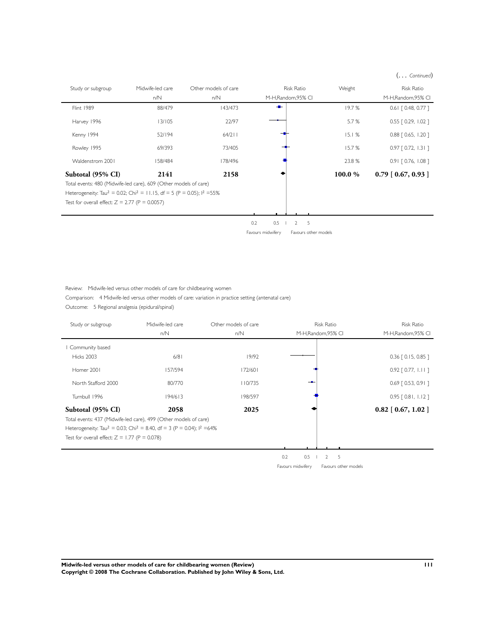|                                                                                                          |                  |                      |                      |        | $(\ldots$ Continued)  |
|----------------------------------------------------------------------------------------------------------|------------------|----------------------|----------------------|--------|-----------------------|
| Study or subgroup                                                                                        | Midwife-led care | Other models of care | <b>Risk Ratio</b>    | Weight | <b>Risk Ratio</b>     |
|                                                                                                          | n/N              | n/N                  | M-H, Random, 95% CI  |        | M-H, Random, 95% CI   |
| Flint 1989                                                                                               | 88/479           | 143/473              | <b>H</b>             | 19.7%  | $0.61$ $[0.48, 0.77]$ |
| Harvey 1996                                                                                              | 13/105           | 22/97                |                      | 5.7 %  | $0.55$ $[0.29, 1.02]$ |
| Kenny 1994                                                                                               | 52/194           | 64/211               |                      | 15.1%  | $0.88$ $[0.65, 1.20]$ |
| Rowley 1995                                                                                              | 69/393           | 73/405               |                      | 15.7%  | $0.97$ [ 0.72, 1.31 ] |
| Waldenstrom 2001                                                                                         | 158/484          | 178/496              |                      | 23.8 % | $0.91$ $[0.76, 1.08]$ |
| Subtotal (95% CI)                                                                                        | 2141             | 2158                 |                      | 100.0% | $0.79$ [ 0.67, 0.93 ] |
| Total events: 480 (Midwife-led care), 609 (Other models of care)                                         |                  |                      |                      |        |                       |
| Heterogeneity: Tau <sup>2</sup> = 0.02; Chi <sup>2</sup> = 11.15, df = 5 (P = 0.05); l <sup>2</sup> =55% |                  |                      |                      |        |                       |
| Test for overall effect: $Z = 2.77$ (P = 0.0057)                                                         |                  |                      |                      |        |                       |
|                                                                                                          |                  |                      |                      |        |                       |
|                                                                                                          |                  |                      | 0.5<br>0.2<br>2<br>5 |        |                       |

Favours midwifery Favours other models

Review: Midwife-led versus other models of care for childbearing women

Comparison: 4 Midwife-led versus other models of care: variation in practice setting (antenatal care)

Outcome: 5 Regional analgesia (epidural/spinal)

| Study or subgroup                                                    | Midwife-led care                                                                                                                                                           | Other models of care | <b>Risk Ratio</b>                                                             | <b>Risk Ratio</b>                 |
|----------------------------------------------------------------------|----------------------------------------------------------------------------------------------------------------------------------------------------------------------------|----------------------|-------------------------------------------------------------------------------|-----------------------------------|
|                                                                      | n/N                                                                                                                                                                        | n/N                  | M-H, Random, 95% CI                                                           | M-H, Random, 95% CI               |
| Community based                                                      |                                                                                                                                                                            |                      |                                                                               |                                   |
| Hicks 2003                                                           | 6/81                                                                                                                                                                       | 19/92                |                                                                               | $0.36$ $\lceil 0.15, 0.85 \rceil$ |
| Homer 2001                                                           | 157/594                                                                                                                                                                    | 172/601              |                                                                               | $0.92$ $[0.77, 1.11]$             |
| North Stafford 2000                                                  | 80/770                                                                                                                                                                     | 110/735              |                                                                               | $0.69$ $[0.53, 0.91]$             |
| Turnbull 1996                                                        | 194/613                                                                                                                                                                    | 198/597              |                                                                               | $0.95$ $[0.81, 1.12]$             |
| Subtotal (95% CI)<br>Test for overall effect: $Z = 1.77$ (P = 0.078) | 2058<br>Total events: 437 (Midwife-led care), 499 (Other models of care)<br>Heterogeneity: Tau <sup>2</sup> = 0.03; Chi <sup>2</sup> = 8.40, df = 3 (P = 0.04); $1^2$ =64% |                      | $0.82$ [ $0.67, 1.02$ ]                                                       |                                   |
|                                                                      |                                                                                                                                                                            |                      | 0.5<br>5<br>0.2<br>$\mathcal{D}$<br>Favours midwifery<br>Favours other models |                                   |

**Midwife-led versus other models of care for childbearing women (Review) 111 Copyright © 2008 The Cochrane Collaboration. Published by John Wiley & Sons, Ltd.**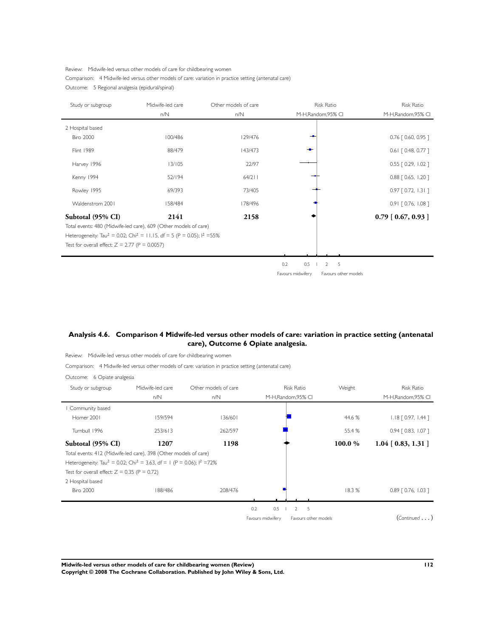Review: Midwife-led versus other models of care for childbearing women Comparison: 4 Midwife-led versus other models of care: variation in practice setting (antenatal care) Outcome: 5 Regional analgesia (epidural/spinal)

| Study or subgroup                                | Midwife-led care                                                                                | Other models of care | <b>Risk Ratio</b>                         | <b>Risk Ratio</b>       |
|--------------------------------------------------|-------------------------------------------------------------------------------------------------|----------------------|-------------------------------------------|-------------------------|
|                                                  | n/N                                                                                             | n/N                  | M-H, Random, 95% CI                       | M-H, Random, 95% CI     |
| 2 Hospital based                                 |                                                                                                 |                      |                                           |                         |
| <b>Biro 2000</b>                                 | 100/486                                                                                         | 129/476              |                                           | $0.76$ $[0.60, 0.95]$   |
| Flint 1989                                       | 88/479                                                                                          | 143/473              |                                           | $0.61$ $[0.48, 0.77]$   |
| Harvey 1996                                      | 13/105                                                                                          | 22/97                |                                           | $0.55$ $[0.29, 1.02]$   |
| Kenny 1994                                       | 52/194                                                                                          | $64/2$               |                                           | $0.88$ $[0.65, 1.20]$   |
| Rowley 1995                                      | 69/393                                                                                          | 73/405               |                                           | $0.97$ [ 0.72, 1.31 ]   |
| Waldenstrom 2001                                 | 158/484                                                                                         | 178/496              |                                           | $0.91$ $[0.76, 1.08]$   |
| Subtotal (95% CI)                                | 2141                                                                                            | 2158                 |                                           | $0.79$ [ $0.67, 0.93$ ] |
|                                                  | Total events: 480 (Midwife-led care), 609 (Other models of care)                                |                      |                                           |                         |
|                                                  | Heterogeneity: Tau <sup>2</sup> = 0.02; Chi <sup>2</sup> = 11.15, df = 5 (P = 0.05); $1^2$ =55% |                      |                                           |                         |
| Test for overall effect: $Z = 2.77$ (P = 0.0057) |                                                                                                 |                      |                                           |                         |
|                                                  |                                                                                                 |                      |                                           |                         |
|                                                  |                                                                                                 |                      | 0.5<br>0.2<br>$\overline{2}$<br>5         |                         |
|                                                  |                                                                                                 |                      | Favours midwifery<br>Favours other models |                         |

## **Analysis 4.6. Comparison 4 Midwife-led versus other models of care: variation in practice setting (antenatal care), Outcome 6 Opiate analgesia.**

| Outcome: 6 Opiate analgesia                    |                      |                                                                                                                                                                                                                                              |                                                                                                       |                                             |
|------------------------------------------------|----------------------|----------------------------------------------------------------------------------------------------------------------------------------------------------------------------------------------------------------------------------------------|-------------------------------------------------------------------------------------------------------|---------------------------------------------|
| Midwife-led care                               | Other models of care | <b>Risk Ratio</b>                                                                                                                                                                                                                            | Weight                                                                                                | <b>Risk Ratio</b>                           |
| n/N                                            | n/N                  |                                                                                                                                                                                                                                              |                                                                                                       | M-H, Random, 95% CI                         |
|                                                |                      |                                                                                                                                                                                                                                              |                                                                                                       |                                             |
| 159/594                                        | 136/601              |                                                                                                                                                                                                                                              | 44.6 %                                                                                                | $1.18$ $[0.97, 1.44]$                       |
| 253/613                                        | 262/597              |                                                                                                                                                                                                                                              | 55.4 %                                                                                                | $0.94$ $[0.83, 1.07]$                       |
| 1207                                           | 1198                 |                                                                                                                                                                                                                                              | 100.0 %                                                                                               | $1.04$ [ 0.83, 1.31 ]                       |
|                                                |                      |                                                                                                                                                                                                                                              |                                                                                                       |                                             |
|                                                |                      |                                                                                                                                                                                                                                              |                                                                                                       |                                             |
| Test for overall effect: $Z = 0.35$ (P = 0.72) |                      |                                                                                                                                                                                                                                              |                                                                                                       |                                             |
|                                                |                      |                                                                                                                                                                                                                                              |                                                                                                       |                                             |
| 188/486                                        | 208/476              |                                                                                                                                                                                                                                              | 18.3 %                                                                                                | $0.89$ $[0.76, 1.03]$                       |
|                                                |                      |                                                                                                                                                                                                                                              |                                                                                                       |                                             |
|                                                |                      | 0.5<br>5<br>0.2<br>$\overline{2}$<br>Favours midwifery                                                                                                                                                                                       |                                                                                                       | $(Continued \dots)$                         |
|                                                |                      | Review: Midwife-led versus other models of care for childbearing women<br>Total events: 412 (Midwife-led care), 398 (Other models of care)<br>Heterogeneity: Tau <sup>2</sup> = 0.02; Chi <sup>2</sup> = 3.63, df = 1 (P = 0.06); $l^2$ =72% | Comparison: 4 Midwife-led versus other models of care: variation in practice setting (antenatal care) | M-H, Random, 95% CI<br>Favours other models |

**Midwife-led versus other models of care for childbearing women (Review) 112 Copyright © 2008 The Cochrane Collaboration. Published by John Wiley & Sons, Ltd.**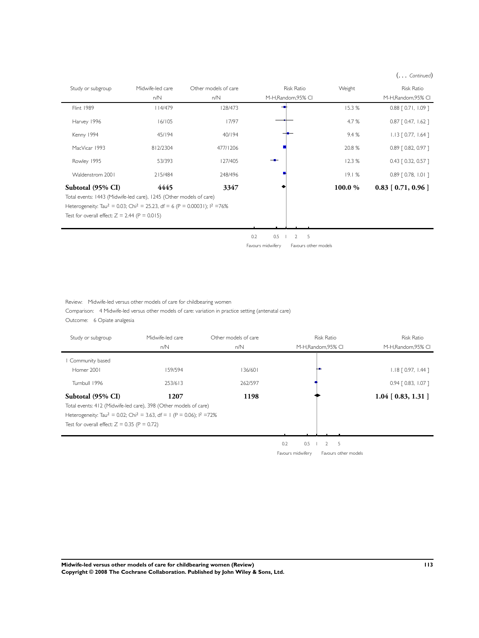|                                                                                                    |                  |                      |                      |         | $( \ldots$ Continued) |
|----------------------------------------------------------------------------------------------------|------------------|----------------------|----------------------|---------|-----------------------|
| Study or subgroup                                                                                  | Midwife-led care | Other models of care | <b>Risk Ratio</b>    | Weight  | <b>Risk Ratio</b>     |
|                                                                                                    | n/N              | n/N                  | M-H, Random, 95% CI  |         | M-H, Random, 95% CI   |
| Flint 1989                                                                                         | 114/479          | 128/473              |                      | 15.3%   | $0.88$ $[0.71, 1.09]$ |
| Harvey 1996                                                                                        | 16/105           | 17/97                |                      | 4.7 %   | $0.87$ $[0.47, 1.62]$ |
| Kenny 1994                                                                                         | 45/194           | 40/194               |                      | 9.4%    | $1.13$ $[0.77, 1.64]$ |
| MacVicar 1993                                                                                      | 812/2304         | 477/1206             |                      | 20.8 %  | $0.89$ $[0.82, 0.97]$ |
| Rowley 1995                                                                                        | 53/393           | 127/405              |                      | 12.3%   | $0.43$ $[0.32, 0.57]$ |
| Waldenstrom 2001                                                                                   | 215/484          | 248/496              |                      | 19.1%   | $0.89$ $[0.78, 1.01]$ |
| Subtotal (95% CI)                                                                                  | 4445             | 3347                 |                      | 100.0 % | $0.83$ [ 0.71, 0.96 ] |
| Total events: 1443 (Midwife-led care), 1245 (Other models of care)                                 |                  |                      |                      |         |                       |
| Heterogeneity: Tau <sup>2</sup> = 0.03; Chi <sup>2</sup> = 25.23, df = 6 (P = 0.00031); $1^2$ =76% |                  |                      |                      |         |                       |
| Test for overall effect: $Z = 2.44$ (P = 0.015)                                                    |                  |                      |                      |         |                       |
|                                                                                                    |                  |                      |                      |         |                       |
|                                                                                                    |                  |                      | 0.2<br>0.5<br>5<br>2 |         |                       |

Favours midwifery Favours other models

Review: Midwife-led versus other models of care for childbearing women Comparison: 4 Midwife-led versus other models of care: variation in practice setting (antenatal care) Outcome: 6 Opiate analgesia

l,

| Study or subgroup                              | Midwife-led care                                                                               | Other models of care |                   | <b>Risk Ratio</b>    | <b>Risk Ratio</b>              |
|------------------------------------------------|------------------------------------------------------------------------------------------------|----------------------|-------------------|----------------------|--------------------------------|
|                                                | n/N                                                                                            | n/N                  |                   | M-H, Random, 95% CI  | M-H, Random, 95% CI            |
| I Community based                              |                                                                                                |                      |                   |                      |                                |
| Homer 2001                                     | 159/594                                                                                        | 136/601              |                   |                      | $1.18$ $[0.97, 1.44]$          |
| Tumbull 1996                                   | 253/613                                                                                        | 262/597              |                   |                      | $0.94$ $[0.83, 1.07]$          |
| Subtotal (95% CI)                              | 1207                                                                                           | 1198                 |                   |                      | $1.04 \; [ \; 0.83, 1.31 \; ]$ |
|                                                | Total events: 412 (Midwife-led care), 398 (Other models of care)                               |                      |                   |                      |                                |
|                                                | Heterogeneity: Tau <sup>2</sup> = 0.02; Chi <sup>2</sup> = 3.63, df = 1 (P = 0.06); $1^2$ =72% |                      |                   |                      |                                |
| Test for overall effect: $Z = 0.35$ (P = 0.72) |                                                                                                |                      |                   |                      |                                |
|                                                |                                                                                                |                      |                   |                      |                                |
|                                                |                                                                                                |                      | 0.2<br>0.5        | $\mathcal{L}$<br>- 5 |                                |
|                                                |                                                                                                |                      | Favours midwifery | Favours other models |                                |
|                                                |                                                                                                |                      |                   |                      |                                |
|                                                |                                                                                                |                      |                   |                      |                                |

**Midwife-led versus other models of care for childbearing women (Review) 113 Copyright © 2008 The Cochrane Collaboration. Published by John Wiley & Sons, Ltd.**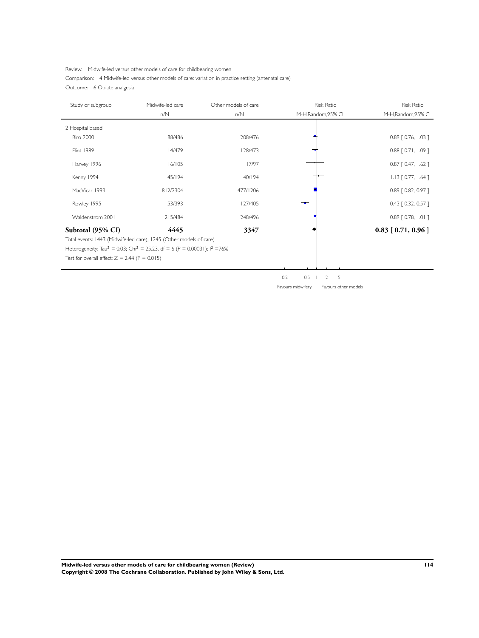### Review: Midwife-led versus other models of care for childbearing women Comparison: 4 Midwife-led versus other models of care: variation in practice setting (antenatal care) Outcome: 6 Opiate analgesia

| Study or subgroup                               | Midwife-led care                                                                                   | Other models of care |     |                     | <b>Risk Ratio</b>    | <b>Risk Ratio</b>       |
|-------------------------------------------------|----------------------------------------------------------------------------------------------------|----------------------|-----|---------------------|----------------------|-------------------------|
|                                                 | n/N                                                                                                | n/N                  |     | M-H, Random, 95% CI |                      | M-H, Random, 95% CI     |
| 2 Hospital based                                |                                                                                                    |                      |     |                     |                      |                         |
| <b>Biro 2000</b>                                | 188/486                                                                                            | 208/476              |     |                     |                      | $0.89$ $[ 0.76, 1.03 ]$ |
| Flint 1989                                      | 4/479                                                                                              | 128/473              |     |                     |                      | $0.88$ $[0.71, 1.09]$   |
| Harvey 1996                                     | 16/105                                                                                             | 17/97                |     |                     |                      | $0.87$ $[0.47, 1.62]$   |
| Kenny 1994                                      | 45/194                                                                                             | 40/194               |     |                     |                      | $1.13$ $[0.77, 1.64]$   |
| MacVicar 1993                                   | 812/2304                                                                                           | 477/1206             |     |                     |                      | $0.89$ $[0.82, 0.97]$   |
| Rowley 1995                                     | 53/393                                                                                             | 127/405              |     |                     |                      | $0.43$ $[0.32, 0.57]$   |
| Waldenstrom 2001                                | 215/484                                                                                            | 248/496              |     |                     |                      | $0.89$ $[0.78, 1.01]$   |
| Subtotal (95% CI)                               | 4445                                                                                               | 3347                 |     |                     |                      | $0.83$ [ 0.71, 0.96 ]   |
|                                                 | Total events: 1443 (Midwife-led care), 1245 (Other models of care)                                 |                      |     |                     |                      |                         |
|                                                 | Heterogeneity: Tau <sup>2</sup> = 0.03; Chi <sup>2</sup> = 25.23, df = 6 (P = 0.00031); $1^2$ =76% |                      |     |                     |                      |                         |
| Test for overall effect: $Z = 2.44$ (P = 0.015) |                                                                                                    |                      |     |                     |                      |                         |
|                                                 |                                                                                                    |                      |     |                     |                      |                         |
|                                                 |                                                                                                    |                      | 0.2 | 0.5                 | $\overline{2}$<br>-5 |                         |
|                                                 |                                                                                                    |                      |     | Favours midwifery   | Favours other models |                         |

**Midwife-led versus other models of care for childbearing women (Review) 114 Copyright © 2008 The Cochrane Collaboration. Published by John Wiley & Sons, Ltd.**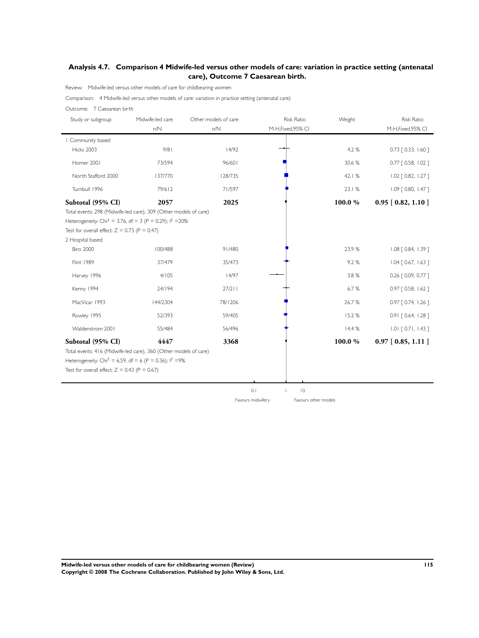## **Analysis 4.7. Comparison 4 Midwife-led versus other models of care: variation in practice setting (antenatal care), Outcome 7 Caesarean birth.**

Review: Midwife-led versus other models of care for childbearing women

Comparison: 4 Midwife-led versus other models of care: variation in practice setting (antenatal care)

Outcome: 7 Caesarean birth

| Study or subgroup                                                      | Midwife-led care | Other models of care | <b>Risk Ratio</b> | Weight | <b>Risk Ratio</b>     |
|------------------------------------------------------------------------|------------------|----------------------|-------------------|--------|-----------------------|
|                                                                        | n/N              | n/N                  | M-H,Fixed,95% Cl  |        | M-H,Fixed,95% CI      |
| Community based                                                        |                  |                      |                   |        |                       |
| Hicks 2003                                                             | 9/81             | 14/92                |                   | 4.2 %  | 0.73 [ 0.33, 1.60 ]   |
| Homer 2001                                                             | 73/594           | 96/601               |                   | 30.6 % | 0.77 [ 0.58, 1.02 ]   |
| North Stafford 2000                                                    | 137/770          | 128/735              |                   | 42.1%  | $1.02$ $[0.82, 1.27]$ |
| Turnbull 1996                                                          | 79/612           | 71/597               |                   | 23.1 % | $1.09$ $[0.80, 1.47]$ |
| Subtotal (95% CI)                                                      | 2057             | 2025                 |                   | 100.0% | $0.95$ [ 0.82, 1.10 ] |
| Total events: 298 (Midwife-led care), 309 (Other models of care)       |                  |                      |                   |        |                       |
| Heterogeneity: Chi <sup>2</sup> = 3.76, df = 3 (P = 0.29); $1^2$ = 20% |                  |                      |                   |        |                       |
| Test for overall effect: $Z = 0.73$ (P = 0.47)                         |                  |                      |                   |        |                       |
| 2 Hospital based                                                       |                  |                      |                   |        |                       |
| <b>Biro 2000</b>                                                       | 100/488          | 91/480               |                   | 23.9%  | 1.08 [ 0.84, 1.39 ]   |
| <b>Flint 1989</b>                                                      | 37/479           | 35/473               |                   | 9.2%   | $1.04$ $[0.67, 1.63]$ |
| Harvey 1996                                                            | 4/105            | 14/97                |                   | 3.8 %  | $0.26$ $[0.09, 0.77]$ |
| Kenny 1994                                                             | 24/194           | 27/211               |                   | 6.7%   | 0.97 [ 0.58, 1.62 ]   |
| MacVicar 1993                                                          | 144/2304         | 78/1206              |                   | 26.7%  | 0.97 [ 0.74, 1.26 ]   |
| Rowley 1995                                                            | 52/393           | 59/405               |                   | 15.2%  | 0.91   0.64, 1.28 ]   |
| Waldenstrom 2001                                                       | 55/484           | 56/496               |                   | 14.4 % | $1.01$ $[0.71, 1.43]$ |
| Subtotal (95% CI)                                                      | 4447             | 3368                 |                   | 100.0% | $0.97$ [ 0.85, 1.11 ] |
| Total events: 416 (Midwife-led care), 360 (Other models of care)       |                  |                      |                   |        |                       |
| Heterogeneity: Chi <sup>2</sup> = 6.59, df = 6 (P = 0.36); $1^2$ =9%   |                  |                      |                   |        |                       |
| Test for overall effect: $Z = 0.43$ (P = 0.67)                         |                  |                      |                   |        |                       |
|                                                                        |                  |                      |                   |        |                       |

 $0.1$  10

Favours midwifery Favours other models

**Midwife-led versus other models of care for childbearing women (Review) 115 Copyright © 2008 The Cochrane Collaboration. Published by John Wiley & Sons, Ltd.**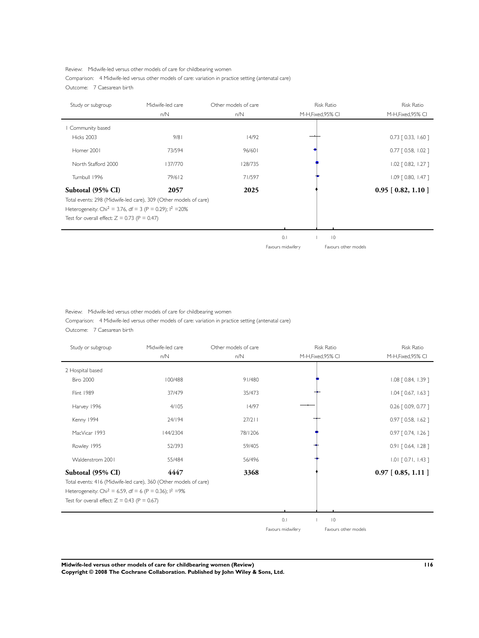Review: Midwife-led versus other models of care for childbearing women Comparison: 4 Midwife-led versus other models of care: variation in practice setting (antenatal care) Outcome: 7 Caesarean birth

| Study or subgroup                              | Midwife-led care                                                       | Other models of care |                   | <b>Risk Ratio</b>    | <b>Risk Ratio</b>       |
|------------------------------------------------|------------------------------------------------------------------------|----------------------|-------------------|----------------------|-------------------------|
|                                                | n/N                                                                    | n/N                  |                   | M-H,Fixed,95% CI     | M-H, Fixed, 95% CI      |
| Community based                                |                                                                        |                      |                   |                      |                         |
| Hicks 2003                                     | 9/8                                                                    | 14/92                |                   |                      | $0.73$ [ 0.33, 1.60 ]   |
| Homer 2001                                     | 73/594                                                                 | 96/601               |                   |                      | $0.77$ $[0.58, 1.02]$   |
| North Stafford 2000                            | 137/770                                                                | 128/735              |                   |                      | $1.02$ $[0.82, 1.27]$   |
| Turnbull 1996                                  | 79/612                                                                 | 71/597               |                   |                      | $1.09$ [ 0.80, 1.47 ]   |
| Subtotal (95% CI)                              | 2057                                                                   | 2025                 |                   |                      | $0.95$ [ $0.82, 1.10$ ] |
|                                                |                                                                        |                      | 0.1               | $ 0\rangle$          |                         |
| Test for overall effect: $Z = 0.73$ (P = 0.47) |                                                                        |                      |                   |                      |                         |
|                                                |                                                                        |                      | Favours midwifery | Favours other models |                         |
|                                                |                                                                        |                      |                   |                      |                         |
|                                                |                                                                        |                      |                   |                      |                         |
|                                                |                                                                        |                      |                   |                      |                         |
|                                                |                                                                        |                      |                   |                      |                         |
|                                                | Review: Midwife-led versus other models of care for childbearing women |                      |                   |                      |                         |

Comparison: 4 Midwife-led versus other models of care: variation in practice setting (antenatal care) Outcome: 7 Caesarean birth

| Study or subgroup                                                    | Midwife-led care                                                 | Other models of care |                   | <b>Risk Ratio</b>    | Risk Ratio            |
|----------------------------------------------------------------------|------------------------------------------------------------------|----------------------|-------------------|----------------------|-----------------------|
|                                                                      | n/N                                                              | n/N                  |                   | M-H,Fixed,95% Cl     | M-H, Fixed, 95% CI    |
| 2 Hospital based                                                     |                                                                  |                      |                   |                      |                       |
| <b>Biro 2000</b>                                                     | 100/488                                                          | 91/480               |                   |                      | $1.08$ $[0.84, 1.39]$ |
| Flint 1989                                                           | 37/479                                                           | 35/473               |                   |                      | $1.04$ $[0.67, 1.63]$ |
| Harvey 1996                                                          | 4/105                                                            | 14/97                |                   |                      | $0.26$ $[0.09, 0.77]$ |
| Kenny 1994                                                           | 24/194                                                           | 27/211               |                   |                      | $0.97$ $[0.58, 1.62]$ |
| MacVicar 1993                                                        | 144/2304                                                         | 78/1206              |                   |                      | $0.97$ $[0.74, 1.26]$ |
| Rowley 1995                                                          | 52/393                                                           | 59/405               |                   |                      | $0.91$ $[0.64, 1.28]$ |
| Waldenstrom 2001                                                     | 55/484                                                           | 56/496               |                   |                      | $1.01$ $[0.71, 1.43]$ |
| Subtotal (95% CI)                                                    | 4447                                                             | 3368                 |                   |                      | $0.97$ [ 0.85, 1.11 ] |
|                                                                      | Total events: 416 (Midwife-led care), 360 (Other models of care) |                      |                   |                      |                       |
| Heterogeneity: Chi <sup>2</sup> = 6.59, df = 6 (P = 0.36); $1^2$ =9% |                                                                  |                      |                   |                      |                       |
| Test for overall effect: $Z = 0.43$ (P = 0.67)                       |                                                                  |                      |                   |                      |                       |
|                                                                      |                                                                  |                      |                   |                      |                       |
|                                                                      |                                                                  |                      | 0.1               | $\overline{0}$       |                       |
|                                                                      |                                                                  |                      | Favours midwifery | Favours other models |                       |

**Midwife-led versus other models of care for childbearing women (Review) 116**

**Copyright © 2008 The Cochrane Collaboration. Published by John Wiley & Sons, Ltd.**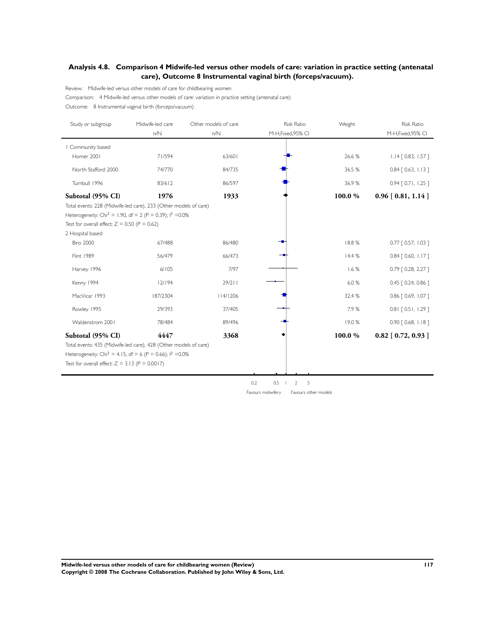## **Analysis 4.8. Comparison 4 Midwife-led versus other models of care: variation in practice setting (antenatal care), Outcome 8 Instrumental vaginal birth (forceps/vacuum).**

Review: Midwife-led versus other models of care for childbearing women

Comparison: 4 Midwife-led versus other models of care: variation in practice setting (antenatal care)

Outcome: 8 Instrumental vaginal birth (forceps/vacuum)

| Study or subgroup                                                       | Midwife-led care | Other models of care | <b>Risk Ratio</b>                 | Weight | <b>Risk Ratio</b>          |
|-------------------------------------------------------------------------|------------------|----------------------|-----------------------------------|--------|----------------------------|
|                                                                         | n/N              | n/N                  | M-H,Fixed,95% CI                  |        | M-H,Fixed,95% Cl           |
| Community based                                                         |                  |                      |                                   |        |                            |
| Homer 2001                                                              | 71/594           | 63/601               |                                   | 26.6 % | $1.14$ [ 0.83, 1.57 ]      |
| North Stafford 2000                                                     | 74/770           | 84/735               |                                   | 36.5 % | $0.84$ $[0.63, 1.13]$      |
| Turnbull 1996                                                           | 83/612           | 86/597               |                                   | 36.9%  | $0.94$ $[0.71, 1.25]$      |
| Subtotal (95% CI)                                                       | 1976             | 1933                 |                                   | 100.0% | $0.96$ [ $0.81$ , $1.14$ ] |
| Total events: 228 (Midwife-led care), 233 (Other models of care)        |                  |                      |                                   |        |                            |
| Heterogeneity: Chi <sup>2</sup> = 1.90, df = 2 (P = 0.39); $1^2$ =0.0%  |                  |                      |                                   |        |                            |
| Test for overall effect: $Z = 0.50$ (P = 0.62)                          |                  |                      |                                   |        |                            |
| 2 Hospital based                                                        |                  |                      |                                   |        |                            |
| <b>Biro 2000</b>                                                        | 67/488           | 86/480               |                                   | 18.8%  | $0.77$ $[0.57, 1.03]$      |
| Flint 1989                                                              | 56/479           | 66/473               |                                   | 14.4 % | $0.84$ $[0.60, 1.17]$      |
| Harvey 1996                                                             | 6/105            | 7/97                 |                                   | 1.6%   | $0.79$ $[0.28, 2.27]$      |
| Kenny 1994                                                              | 12/194           | 29/211               |                                   | 6.0%   | $0.45$ $[0.24, 0.86]$      |
| MacVicar 1993                                                           | 187/2304         | 4/   206             |                                   | 32.4 % | $0.86$ $[0.69, 1.07]$      |
| Rowley 1995                                                             | 29/393           | 37/405               |                                   | 7.9%   | $0.81$ [ $0.51$ , 1.29 ]   |
| Waldenstrom 2001                                                        | 78/484           | 89/496               |                                   | 19.0%  | $0.90$ $[0.68, 1.18]$      |
| Subtotal (95% CI)                                                       | 4447             | 3368                 |                                   | 100.0% | $0.82$ [ 0.72, 0.93 ]      |
| Total events: 435 (Midwife-led care), 428 (Other models of care)        |                  |                      |                                   |        |                            |
| Heterogeneity: Chi <sup>2</sup> = 4.15, df = 6 (P = 0.66); $1^2$ = 0.0% |                  |                      |                                   |        |                            |
| Test for overall effect: $Z = 3.13$ (P = 0.0017)                        |                  |                      |                                   |        |                            |
|                                                                         |                  |                      |                                   |        |                            |
|                                                                         |                  |                      | $\overline{2}$<br>0.2<br>0.5<br>5 |        |                            |

Favours midwifery Favours other models

**Midwife-led versus other models of care for childbearing women (Review) 117 Copyright © 2008 The Cochrane Collaboration. Published by John Wiley & Sons, Ltd.**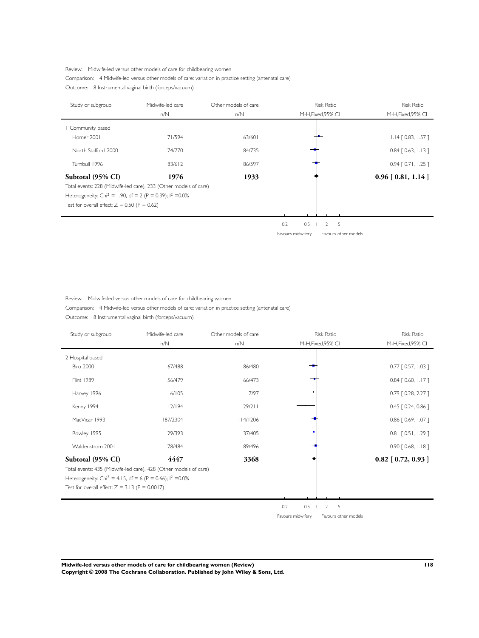### Review: Midwife-led versus other models of care for childbearing women Comparison: 4 Midwife-led versus other models of care: variation in practice setting (antenatal care) Outcome: 8 Instrumental vaginal birth (forceps/vacuum)

| Study or subgroup                                                                   | Midwife-led care                                                 | Other models of care | <b>Risk Ratio</b>  | <b>Risk Ratio</b>     |
|-------------------------------------------------------------------------------------|------------------------------------------------------------------|----------------------|--------------------|-----------------------|
|                                                                                     | n/N                                                              | n/N                  | M-H, Fixed, 95% CI | M-H, Fixed, 95% CI    |
| Community based                                                                     |                                                                  |                      |                    |                       |
| Homer 2001                                                                          | 71/594                                                           | 63/601               |                    | $1.14$ [ 0.83, 1.57 ] |
| North Stafford 2000                                                                 | 74/770                                                           | 84/735               |                    | $0.84$ $[0.63, 1.13]$ |
| Turnbull 1996                                                                       | 83/612                                                           | 86/597               |                    | $0.94$ [ 0.71, 1.25 ] |
| Subtotal (95% CI)                                                                   | 1976                                                             | 1933                 |                    | $0.96$ [ 0.81, 1.14 ] |
|                                                                                     | Total events: 228 (Midwife-led care), 233 (Other models of care) |                      |                    |                       |
| Heterogeneity: Chi <sup>2</sup> = 1.90, df = 2 (P = 0.39); $\frac{1^2}{1^2}$ = 0.0% |                                                                  |                      |                    |                       |
| Test for overall effect: $Z = 0.50$ (P = 0.62)                                      |                                                                  |                      |                    |                       |
|                                                                                     |                                                                  |                      |                    |                       |
|                                                                                     |                                                                  |                      | 0.5<br>0.2<br>5    |                       |

Favours midwifery Favours other models

Review: Midwife-led versus other models of care for childbearing women

Comparison: 4 Midwife-led versus other models of care: variation in practice setting (antenatal care)

Outcome: 8 Instrumental vaginal birth (forceps/vacuum)

| Study or subgroup                                                                | Midwife-led care | Other models of care | <b>Risk Ratio</b>  | <b>Risk Ratio</b>          |
|----------------------------------------------------------------------------------|------------------|----------------------|--------------------|----------------------------|
|                                                                                  | n/N              | n/N                  | M-H, Fixed, 95% CI | M-H, Fixed, 95% CI         |
| 2 Hospital based                                                                 |                  |                      |                    |                            |
| <b>Biro 2000</b>                                                                 | 67/488           | 86/480               | - 7                | $0.77$ [ 0.57, 1.03 ]      |
| Flint 1989                                                                       | 56/479           | 66/473               |                    | $0.84$ $[0.60, 1.17]$      |
| Harvey 1996                                                                      | 6/105            | 7/97                 |                    | $0.79$ $[0.28, 2.27]$      |
| Kenny 1994                                                                       | 12/194           | 29/211               |                    | $0.45$ $[0.24, 0.86]$      |
| MacVicar 1993                                                                    | 187/2304         | 4/   206             |                    | $0.86$ $[0.69, 1.07]$      |
| Rowley 1995                                                                      | 29/393           | 37/405               |                    | $0.81$ $[0.51, 1.29]$      |
| Waldenstrom 2001                                                                 | 78/484           | 89/496               |                    | $0.90$ $[0.68, 1.18]$      |
| Subtotal (95% CI)                                                                | 4447             | 3368                 |                    | $0.82$ [ $0.72$ , $0.93$ ] |
| Total events: 435 (Midwife-led care), 428 (Other models of care)                 |                  |                      |                    |                            |
| Heterogeneity: Chi <sup>2</sup> = 4.15, df = 6 (P = 0.66); l <sup>2</sup> = 0.0% |                  |                      |                    |                            |
| Test for overall effect: $Z = 3.13$ (P = 0.0017)                                 |                  |                      |                    |                            |
|                                                                                  |                  |                      |                    |                            |

0.2 0.5 1 2 5

Favours midwifery Favours other models

**Midwife-led versus other models of care for childbearing women (Review) 118 Copyright © 2008 The Cochrane Collaboration. Published by John Wiley & Sons, Ltd.**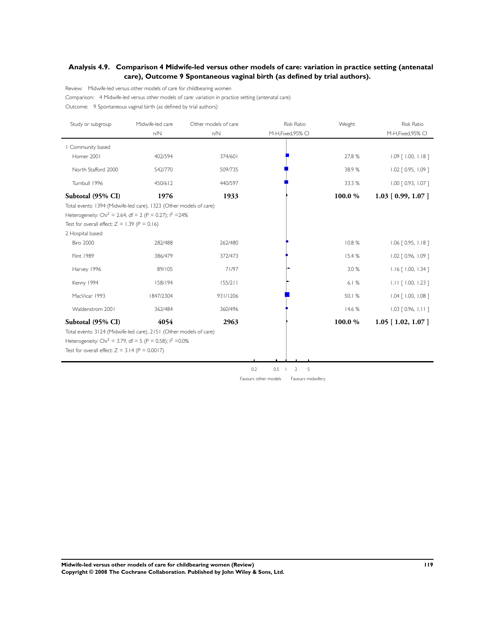## **Analysis 4.9. Comparison 4 Midwife-led versus other models of care: variation in practice setting (antenatal care), Outcome 9 Spontaneous vaginal birth (as defined by trial authors).**

Review: Midwife-led versus other models of care for childbearing women

Comparison: 4 Midwife-led versus other models of care: variation in practice setting (antenatal care)

Outcome: 9 Spontaneous vaginal birth (as defined by trial authors)

| Study or subgroup                                                       | Midwife-led care | Other models of care | <b>Risk Ratio</b>                         | Weight | Risk Ratio              |
|-------------------------------------------------------------------------|------------------|----------------------|-------------------------------------------|--------|-------------------------|
|                                                                         | n/N              | n/N                  | M-H, Fixed, 95% CI                        |        | M-H,Fixed,95% Cl        |
| I Community based                                                       |                  |                      |                                           |        |                         |
| Homer 2001                                                              | 402/594          | 374/601              |                                           | 27.8%  | $1.09$ $[ 1.00, 1.18]$  |
| North Stafford 2000                                                     | 542/770          | 509/735              |                                           | 38.9%  | $1.02$ $[0.95, 1.09]$   |
| Tumbull 1996                                                            | 450/612          | 440/597              |                                           | 33.3 % | $1.00$ $[0.93, 1.07]$   |
| Subtotal (95% CI)                                                       | 1976             | 1933                 |                                           | 100.0% | $1.03$ [ 0.99, 1.07 ]   |
| Total events: 1394 (Midwife-led care), 1323 (Other models of care)      |                  |                      |                                           |        |                         |
| Heterogeneity: Chi <sup>2</sup> = 2.64, df = 2 (P = 0.27); $1^2$ = 24%  |                  |                      |                                           |        |                         |
| Test for overall effect: $Z = 1.39$ (P = 0.16)                          |                  |                      |                                           |        |                         |
| 2 Hospital based                                                        |                  |                      |                                           |        |                         |
| <b>Biro 2000</b>                                                        | 282/488          | 262/480              |                                           | 10.8%  | $1.06$ $[0.95, 1.18]$   |
| Flint 1989                                                              | 386/479          | 372/473              |                                           | 15.4%  | $1.02$ $[0.96, 1.09]$   |
| Harvey 1996                                                             | 89/105           | 71/97                |                                           | 3.0%   | $1.16$ $[ 1.00, 1.34 ]$ |
| Kenny 1994                                                              | 158/194          | 155/211              |                                           | 6.1%   | $1.11$ $[1.00, 1.23]$   |
| MacVicar 1993                                                           | 1847/2304        | 931/1206             |                                           | 50.1%  | $1.04$ $[ 1.00, 1.08 ]$ |
| Waldenstrom 2001                                                        | 362/484          | 360/496              |                                           | 14.6 % | $1.03$ $[0.96, 1.11]$   |
| Subtotal (95% CI)                                                       | 4054             | 2963                 |                                           | 100.0% | $1.05$ [ 1.02, 1.07 ]   |
| Total events: 3124 (Midwife-led care), 2151 (Other models of care)      |                  |                      |                                           |        |                         |
| Heterogeneity: Chi <sup>2</sup> = 3.79, df = 5 (P = 0.58); $1^2$ = 0.0% |                  |                      |                                           |        |                         |
| Test for overall effect: $Z = 3.14$ (P = 0.0017)                        |                  |                      |                                           |        |                         |
|                                                                         |                  |                      |                                           |        |                         |
|                                                                         |                  |                      | 0.2<br>0.5<br>5<br>$\overline{2}$         |        |                         |
|                                                                         |                  |                      | Favours other models<br>Favours midwifery |        |                         |

**Midwife-led versus other models of care for childbearing women (Review) 119 Copyright © 2008 The Cochrane Collaboration. Published by John Wiley & Sons, Ltd.**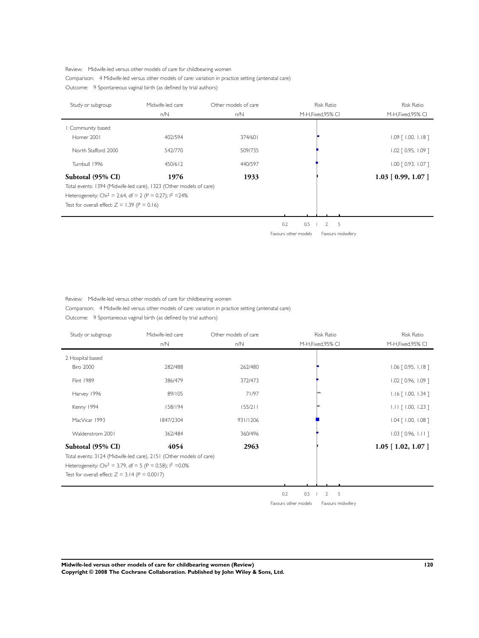### Review: Midwife-led versus other models of care for childbearing women Comparison: 4 Midwife-led versus other models of care: variation in practice setting (antenatal care)

Outcome: 9 Spontaneous vaginal birth (as defined by trial authors)

| Study or subgroup                                                      | Midwife-led care | Other models of care |                      | <b>Risk Ratio</b>     | <b>Risk Ratio</b>       |
|------------------------------------------------------------------------|------------------|----------------------|----------------------|-----------------------|-------------------------|
|                                                                        | n/N              | n/N                  |                      | M-H, Fixed, 95% CI    | M-H, Fixed, 95% CI      |
| Community based                                                        |                  |                      |                      |                       |                         |
| Homer 2001                                                             | 402/594          | 374/601              |                      |                       | $1.09$ $[ 1.00, 1.18 ]$ |
| North Stafford 2000                                                    | 542/770          | 509/735              |                      |                       | $1.02$ $[0.95, 1.09]$   |
| Turnbull 1996                                                          | 450/612          | 440/597              |                      |                       | $1.00$ $[0.93, 1.07]$   |
| Subtotal (95% CI)                                                      | 1976             | 1933                 |                      |                       | $1.03$ [ 0.99, 1.07 ]   |
| Total events: 1394 (Midwife-led care), 1323 (Other models of care)     |                  |                      |                      |                       |                         |
| Heterogeneity: Chi <sup>2</sup> = 2.64, df = 2 (P = 0.27); $1^2$ = 24% |                  |                      |                      |                       |                         |
| Test for overall effect: $Z = 1.39$ (P = 0.16)                         |                  |                      |                      |                       |                         |
|                                                                        |                  |                      |                      |                       |                         |
|                                                                        |                  |                      | 0.5<br>0.2           | $-5$<br>$\mathcal{L}$ |                         |
|                                                                        |                  |                      | Favours other models | Favours midwifery     |                         |

Review: Midwife-led versus other models of care for childbearing women Comparison: 4 Midwife-led versus other models of care: variation in practice setting (antenatal care)

Outcome: 9 Spontaneous vaginal birth (as defined by trial authors)

| Study or subgroup                                                      | Midwife-led care                                                   | Other models of care |     | <b>Risk Ratio</b>  | <b>Risk Ratio</b>          |
|------------------------------------------------------------------------|--------------------------------------------------------------------|----------------------|-----|--------------------|----------------------------|
|                                                                        | n/N                                                                | n/N                  |     | M-H, Fixed, 95% CI | M-H, Fixed, 95% CI         |
| 2 Hospital based                                                       |                                                                    |                      |     |                    |                            |
| <b>Biro 2000</b>                                                       | 282/488                                                            | 262/480              |     |                    | $1.06$ $[0.95, 1.18]$      |
| Flint 1989                                                             | 386/479                                                            | 372/473              |     |                    | $1.02$ $[0.96, 1.09]$      |
| Harvey 1996                                                            | 89/105                                                             | 71/97                |     |                    | $1.16$ [ $1.00$ , $1.34$ ] |
| Kenny 1994                                                             | 158/194                                                            | 155/211              |     |                    | $1.11$ $[1.00, 1.23]$      |
| MacVicar 1993                                                          | 1847/2304                                                          | 931/1206             |     |                    | $1.04$ $[ 1.00, 1.08 ]$    |
| Waldenstrom 2001                                                       | 362/484                                                            | 360/496              |     |                    | $1.03$ $[0.96, 1.11]$      |
| Subtotal (95% CI)                                                      | 4054                                                               | 2963                 |     |                    | $1.05$ [ 1.02, 1.07 ]      |
|                                                                        | Total events: 3124 (Midwife-led care), 2151 (Other models of care) |                      |     |                    |                            |
| Heterogeneity: Chi <sup>2</sup> = 3.79, df = 5 (P = 0.58); $1^2$ =0.0% |                                                                    |                      |     |                    |                            |
| Test for overall effect: $Z = 3.14$ (P = 0.0017)                       |                                                                    |                      |     |                    |                            |
|                                                                        |                                                                    |                      |     |                    |                            |
|                                                                        |                                                                    |                      | 0.2 | 0.5<br>2<br>-5     |                            |

Favours other models Favours midwifery

**Midwife-led versus other models of care for childbearing women (Review) 120 Copyright © 2008 The Cochrane Collaboration. Published by John Wiley & Sons, Ltd.**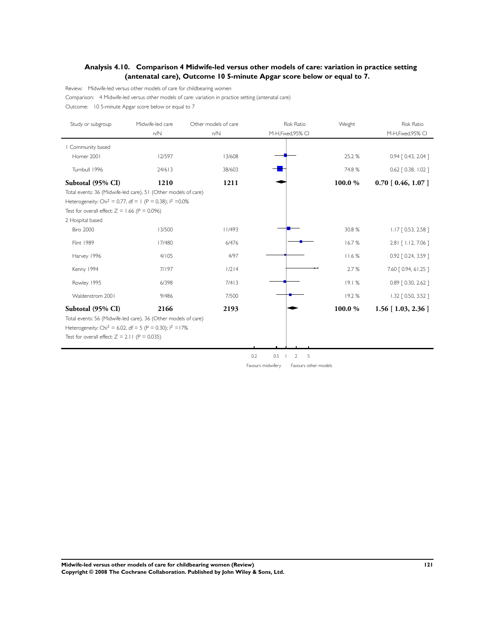## **Analysis 4.10. Comparison 4 Midwife-led versus other models of care: variation in practice setting (antenatal care), Outcome 10 5-minute Apgar score below or equal to 7.**

Review: Midwife-led versus other models of care for childbearing women

Comparison: 4 Midwife-led versus other models of care: variation in practice setting (antenatal care)

Outcome: 10 5-minute Apgar score below or equal to 7

| Study or subgroup                                                       | Midwife-led care | Other models of care | <b>Risk Ratio</b>                 | Weight | <b>Risk Ratio</b>          |
|-------------------------------------------------------------------------|------------------|----------------------|-----------------------------------|--------|----------------------------|
|                                                                         | n/N              | n/N                  | M-H,Fixed,95% Cl                  |        | M-H, Fixed, 95% CI         |
| Community based                                                         |                  |                      |                                   |        |                            |
| Homer 2001                                                              | 12/597           | 13/608               |                                   | 25.2 % | $0.94$ $[0.43, 2.04]$      |
| Tumbull 1996                                                            | 24/613           | 38/603               |                                   | 74.8%  | $0.62$ $[0.38, 1.02]$      |
| Subtotal (95% CI)                                                       | 1210             | 1211                 |                                   | 100.0% | $0.70$ [ $0.46$ , $1.07$ ] |
| Total events: 36 (Midwife-led care), 51 (Other models of care)          |                  |                      |                                   |        |                            |
| Heterogeneity: Chi <sup>2</sup> = 0.77, df = 1 (P = 0.38); $1^2$ = 0.0% |                  |                      |                                   |        |                            |
| Test for overall effect: $Z = 1.66$ (P = 0.096)                         |                  |                      |                                   |        |                            |
| 2 Hospital based                                                        |                  |                      |                                   |        |                            |
| <b>Biro 2000</b>                                                        | 13/500           | 11/493               |                                   | 30.8%  | $1.17$ $[0.53, 2.58]$      |
| Flint 1989                                                              | 17/480           | 6/476                |                                   | 16.7%  | 2.81 [ 1.12, 7.06 ]        |
| Harvey 1996                                                             | 4/105            | 4/97                 |                                   | 11.6%  | 0.92 [ 0.24, 3.59 ]        |
| Kenny 1994                                                              | 7/197            | $1/2$  4             |                                   | 2.7%   | 7.60 [ 0.94, 61.25 ]       |
| Rowley 1995                                                             | 6/398            | 7/413                |                                   | 19.1%  | 0.89 [ 0.30, 2.62 ]        |
| Waldenstrom 2001                                                        | 9/486            | 7/500                |                                   | 19.2%  | $1.32$ $[0.50, 3.52]$      |
| Subtotal (95% CI)                                                       | 2166             | 2193                 |                                   | 100.0% | $1.56$ [ $1.03$ , $2.36$ ] |
| Total events: 56 (Midwife-led care), 36 (Other models of care)          |                  |                      |                                   |        |                            |
| Heterogeneity: Chi <sup>2</sup> = 6.02, df = 5 (P = 0.30); $1^2$ = 17%  |                  |                      |                                   |        |                            |
| Test for overall effect: $Z = 2.11$ (P = 0.035)                         |                  |                      |                                   |        |                            |
|                                                                         |                  |                      |                                   |        |                            |
|                                                                         |                  |                      | 0.2<br>0.5<br>$\overline{2}$<br>5 |        |                            |

Favours midwifery | Favours other models

**Midwife-led versus other models of care for childbearing women (Review) 121 Copyright © 2008 The Cochrane Collaboration. Published by John Wiley & Sons, Ltd.**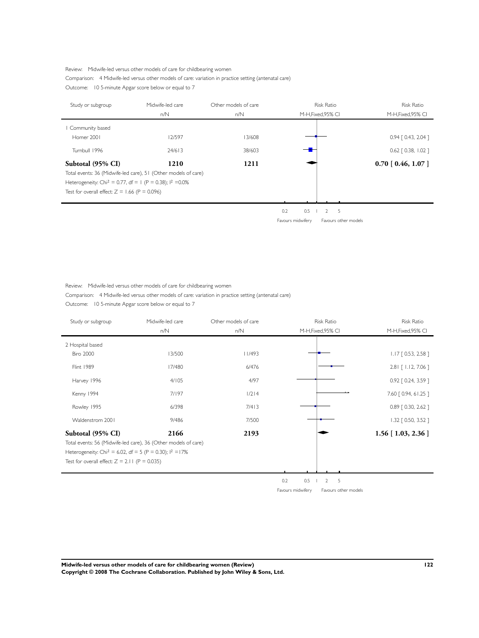Review: Midwife-led versus other models of care for childbearing women Comparison: 4 Midwife-led versus other models of care: variation in practice setting (antenatal care) Outcome: 10 5-minute Apgar score below or equal to 7

| Study or subgroup                                                      | Midwife-led care                                               | Other models of care | <b>Risk Ratio</b>  | <b>Risk Ratio</b>     |
|------------------------------------------------------------------------|----------------------------------------------------------------|----------------------|--------------------|-----------------------|
|                                                                        | n/N                                                            | n/N                  | M-H, Fixed, 95% CI | M-H, Fixed, 95% CI    |
| Community based                                                        |                                                                |                      |                    |                       |
| Homer 2001                                                             | 12/597                                                         | 13/608               |                    | 0.94 [ 0.43, 2.04 ]   |
| Tumbull 1996                                                           | 24/613                                                         | 38/603               |                    | $0.62$ $[0.38, 1.02]$ |
| Subtotal (95% CI)                                                      | 1210                                                           | 1211                 |                    | $0.70$ [ 0.46, 1.07 ] |
|                                                                        | Total events: 36 (Midwife-led care), 51 (Other models of care) |                      |                    |                       |
| Heterogeneity: Chi <sup>2</sup> = 0.77, df = 1 (P = 0.38); $1^2$ =0.0% |                                                                |                      |                    |                       |
| Test for overall effect: $Z = 1.66$ (P = 0.096)                        |                                                                |                      |                    |                       |
|                                                                        |                                                                |                      |                    |                       |
|                                                                        |                                                                |                      | 0.2<br>0.5<br>2    | $-5$                  |
|                                                                        |                                                                |                      | Favours midwifery  | Favours other models  |
|                                                                        |                                                                |                      |                    |                       |

Review: Midwife-led versus other models of care for childbearing women

Comparison: 4 Midwife-led versus other models of care: variation in practice setting (antenatal care) Outcome: 10 5-minute Apgar score below or equal to 7

| Study or subgroup                                                      | Midwife-led care<br>n/N                                        | Other models of care<br>n/N | <b>Risk Ratio</b><br>M-H, Fixed, 95% CI | Risk Ratio<br>M-H, Fixed, 95% CI |
|------------------------------------------------------------------------|----------------------------------------------------------------|-----------------------------|-----------------------------------------|----------------------------------|
| 2 Hospital based                                                       |                                                                |                             |                                         |                                  |
| <b>Biro 2000</b>                                                       | 13/500                                                         | 11/493                      |                                         | $1.17$ $[0.53, 2.58]$            |
| Flint 1989                                                             | 17/480                                                         | 6/476                       |                                         | $2.81$ $[$ 1.12, 7.06 ]          |
| Harvey 1996                                                            | 4/105                                                          | 4/97                        |                                         | $0.92$ $[0.24, 3.59]$            |
| Kenny 1994                                                             | 7/197                                                          | $1/2$   4                   |                                         | 7.60 [ 0.94, 61.25 ]             |
| Rowley 1995                                                            | 6/398                                                          | 7/413                       |                                         | $0.89$ $[0.30, 2.62]$            |
| Waldenstrom 2001                                                       | 9/486                                                          | 7/500                       |                                         | $1.32$ [ 0.50, 3.52 ]            |
| Subtotal (95% CI)                                                      | 2166                                                           | 2193                        |                                         | $1.56$ [ $1.03$ , $2.36$ ]       |
|                                                                        | Total events: 56 (Midwife-led care), 36 (Other models of care) |                             |                                         |                                  |
| Heterogeneity: Chi <sup>2</sup> = 6.02, df = 5 (P = 0.30); $1^2$ = 17% |                                                                |                             |                                         |                                  |
| Test for overall effect: $Z = 2.11$ (P = 0.035)                        |                                                                |                             |                                         |                                  |
|                                                                        |                                                                |                             |                                         |                                  |
|                                                                        |                                                                |                             | 0.2<br>0.5<br>$\overline{2}$<br>5       |                                  |

Favours midwifery Favours other models

**Midwife-led versus other models of care for childbearing women (Review) 122 Copyright © 2008 The Cochrane Collaboration. Published by John Wiley & Sons, Ltd.**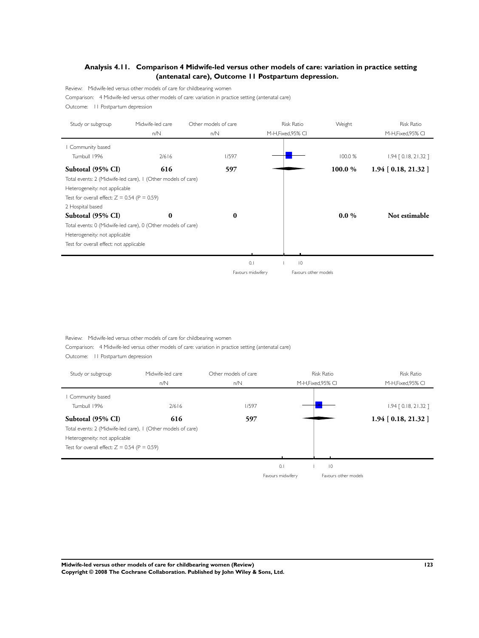## **Analysis 4.11. Comparison 4 Midwife-led versus other models of care: variation in practice setting (antenatal care), Outcome 11 Postpartum depression.**

Review: Midwife-led versus other models of care for childbearing women

Comparison: 4 Midwife-led versus other models of care: variation in practice setting (antenatal care)

Outcome: II Postpartum depression

| Study or subgroup                                            | Midwife-led care<br>n/N | Other models of care<br>n/N |                   | <b>Risk Ratio</b><br>M-H, Fixed, 95% CI | Weight  | <b>Risk Ratio</b><br>M-H, Fixed, 95% CI |
|--------------------------------------------------------------|-------------------------|-----------------------------|-------------------|-----------------------------------------|---------|-----------------------------------------|
| I Community based                                            |                         |                             |                   |                                         |         |                                         |
| Turnbull 1996                                                | 2/616                   | 1/597                       |                   |                                         | 100.0%  | 1.94 [ 0.18, 21.32 ]                    |
| Subtotal (95% CI)                                            | 616                     | 597                         |                   |                                         | 100.0%  | $1.94$ [ 0.18, 21.32 ]                  |
| Total events: 2 (Midwife-led care), 1 (Other models of care) |                         |                             |                   |                                         |         |                                         |
| Heterogeneity: not applicable                                |                         |                             |                   |                                         |         |                                         |
| Test for overall effect: $Z = 0.54$ (P = 0.59)               |                         |                             |                   |                                         |         |                                         |
| 2 Hospital based                                             |                         |                             |                   |                                         |         |                                         |
| Subtotal (95% CI)                                            | 0                       | $\bf{0}$                    |                   |                                         | $0.0\%$ | Not estimable                           |
| Total events: 0 (Midwife-led care), 0 (Other models of care) |                         |                             |                   |                                         |         |                                         |
| Heterogeneity: not applicable                                |                         |                             |                   |                                         |         |                                         |
| Test for overall effect: not applicable                      |                         |                             |                   |                                         |         |                                         |
|                                                              |                         |                             |                   |                                         |         |                                         |
|                                                              |                         |                             | 0.1               | $ 0\rangle$                             |         |                                         |
|                                                              |                         |                             | Favours midwifery | Favours other models                    |         |                                         |

Review: Midwife-led versus other models of care for childbearing women

Comparison: 4 Midwife-led versus other models of care: variation in practice setting (antenatal care)

Outcome: II Postpartum depression

| Study or subgroup                                            | Midwife-led care<br>n/N | Other models of care<br>n/N | <b>Risk Ratio</b><br>M-H, Fixed, 95% CI | <b>Risk Ratio</b><br>M-H, Fixed, 95% CI |
|--------------------------------------------------------------|-------------------------|-----------------------------|-----------------------------------------|-----------------------------------------|
| I Community based<br>Tumbull 1996                            | $2/6$   6               | 1/597                       |                                         | 1.94 [ 0.18, 21.32 ]                    |
|                                                              |                         |                             |                                         |                                         |
| Subtotal (95% CI)                                            | 616                     | 597                         |                                         | $1.94$ [ 0.18, 21.32 ]                  |
| Total events: 2 (Midwife-led care), 1 (Other models of care) |                         |                             |                                         |                                         |
| Heterogeneity: not applicable                                |                         |                             |                                         |                                         |
| Test for overall effect: $Z = 0.54$ (P = 0.59)               |                         |                             |                                         |                                         |
|                                                              |                         |                             |                                         |                                         |
|                                                              |                         | 0.                          | $\overline{0}$                          |                                         |
|                                                              |                         | Favours midwifery           | Favours other models                    |                                         |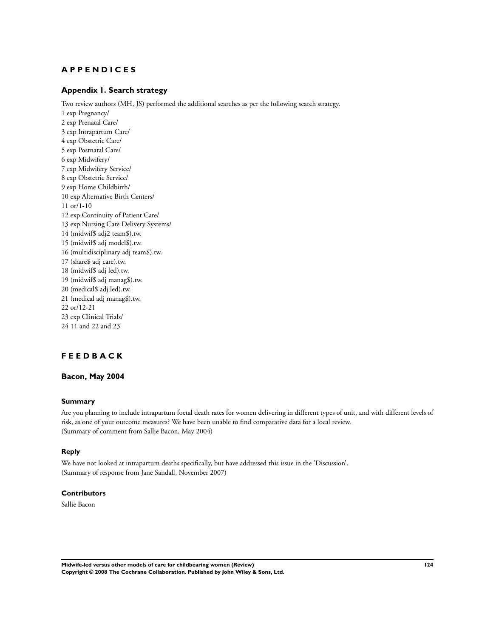## **A P P E N D I C E S**

### **Appendix 1. Search strategy**

Two review authors (MH, JS) performed the additional searches as per the following search strategy. 1 exp Pregnancy/ 2 exp Prenatal Care/ 3 exp Intrapartum Care/ 4 exp Obstetric Care/ 5 exp Postnatal Care/ 6 exp Midwifery/ 7 exp Midwifery Service/ 8 exp Obstetric Service/ 9 exp Home Childbirth/ 10 exp Alternative Birth Centers/ 11 or/1-10 12 exp Continuity of Patient Care/ 13 exp Nursing Care Delivery Systems/ 14 (midwif\$ adj2 team\$).tw. 15 (midwif\$ adj model\$).tw. 16 (multidisciplinary adj team\$).tw. 17 (share\$ adj care).tw. 18 (midwif\$ adj led).tw. 19 (midwif\$ adj manag\$).tw. 20 (medical\$ adj led).tw. 21 (medical adj manag\$).tw. 22 or/12-21

23 exp Clinical Trials/ 24 11 and 22 and 23

## **F E E D B A C K**

## **Bacon, May 2004**

#### **Summary**

Are you planning to include intrapartum foetal death rates for women delivering in different types of unit, and with different levels of risk, as one of your outcome measures? We have been unable to find comparative data for a local review. (Summary of comment from Sallie Bacon, May 2004)

### **Reply**

We have not looked at intrapartum deaths specifically, but have addressed this issue in the 'Discussion'. (Summary of response from Jane Sandall, November 2007)

#### **Contributors**

Sallie Bacon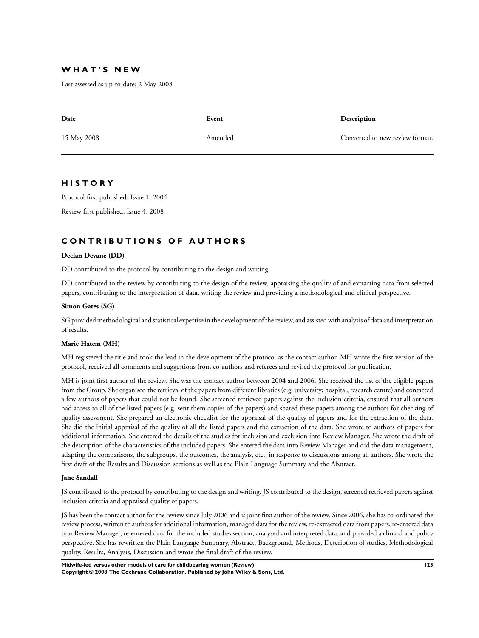### **W H A T ' S N E W**

Last assessed as up-to-date: 2 May 2008

| Date        | Event   | Description                     |
|-------------|---------|---------------------------------|
| 15 May 2008 | Amended | Converted to new review format. |

## **H I S T O R Y**

Protocol first published: Issue 1, 2004 Review first published: Issue 4, 2008

## **C O N T R I B U T I O N S O F A U T H O R S**

#### **Declan Devane (DD)**

DD contributed to the protocol by contributing to the design and writing.

DD contributed to the review by contributing to the design of the review, appraising the quality of and extracting data from selected papers, contributing to the interpretation of data, writing the review and providing a methodological and clinical perspective.

#### **Simon Gates (SG)**

SG provided methodological and statistical expertise in the development of the review, and assisted with analysis of data and interpretation of results.

#### **Marie Hatem (MH)**

MH registered the title and took the lead in the development of the protocol as the contact author. MH wrote the first version of the protocol, received all comments and suggestions from co-authors and referees and revised the protocol for publication.

MH is joint first author of the review. She was the contact author between 2004 and 2006. She received the list of the eligible papers from the Group. She organised the retrieval of the papers from different libraries (e.g. university; hospital, research centre) and contacted a few authors of papers that could not be found. She screened retrieved papers against the inclusion criteria, ensured that all authors had access to all of the listed papers (e.g. sent them copies of the papers) and shared these papers among the authors for checking of quality assessment. She prepared an electronic checklist for the appraisal of the quality of papers and for the extraction of the data. She did the initial appraisal of the quality of all the listed papers and the extraction of the data. She wrote to authors of papers for additional information. She entered the details of the studies for inclusion and exclusion into Review Manager. She wrote the draft of the description of the characteristics of the included papers. She entered the data into Review Manager and did the data management, adapting the comparisons, the subgroups, the outcomes, the analysis, etc., in response to discussions among all authors. She wrote the first draft of the Results and Discussion sections as well as the Plain Language Summary and the Abstract.

#### **Jane Sandall**

JS contributed to the protocol by contributing to the design and writing. JS contributed to the design, screened retrieved papers against inclusion criteria and appraised quality of papers.

JS has been the contact author for the review since July 2006 and is joint first author of the review. Since 2006, she has co-ordinated the review process, written to authors for additional information, managed data for the review, re-extracted data from papers, re-entered data into Review Manager, re-entered data for the included studies section, analysed and interpreted data, and provided a clinical and policy perspective. She has rewritten the Plain Language Summary, Abstract, Background, Methods, Description of studies, Methodological quality, Results, Analysis, Discussion and wrote the final draft of the review.